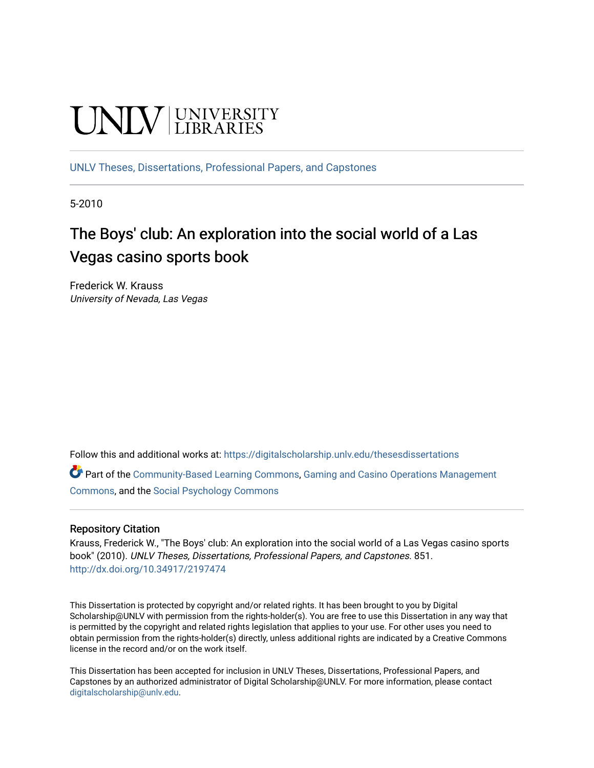# **UNIVERSITY**

[UNLV Theses, Dissertations, Professional Papers, and Capstones](https://digitalscholarship.unlv.edu/thesesdissertations)

5-2010

# The Boys' club: An exploration into the social world of a Las Vegas casino sports book

Frederick W. Krauss University of Nevada, Las Vegas

Follow this and additional works at: [https://digitalscholarship.unlv.edu/thesesdissertations](https://digitalscholarship.unlv.edu/thesesdissertations?utm_source=digitalscholarship.unlv.edu%2Fthesesdissertations%2F851&utm_medium=PDF&utm_campaign=PDFCoverPages)

Part of the [Community-Based Learning Commons,](http://network.bepress.com/hgg/discipline/1046?utm_source=digitalscholarship.unlv.edu%2Fthesesdissertations%2F851&utm_medium=PDF&utm_campaign=PDFCoverPages) [Gaming and Casino Operations Management](http://network.bepress.com/hgg/discipline/1088?utm_source=digitalscholarship.unlv.edu%2Fthesesdissertations%2F851&utm_medium=PDF&utm_campaign=PDFCoverPages) [Commons](http://network.bepress.com/hgg/discipline/1088?utm_source=digitalscholarship.unlv.edu%2Fthesesdissertations%2F851&utm_medium=PDF&utm_campaign=PDFCoverPages), and the [Social Psychology Commons](http://network.bepress.com/hgg/discipline/414?utm_source=digitalscholarship.unlv.edu%2Fthesesdissertations%2F851&utm_medium=PDF&utm_campaign=PDFCoverPages)

#### Repository Citation

Krauss, Frederick W., "The Boys' club: An exploration into the social world of a Las Vegas casino sports book" (2010). UNLV Theses, Dissertations, Professional Papers, and Capstones. 851. <http://dx.doi.org/10.34917/2197474>

This Dissertation is protected by copyright and/or related rights. It has been brought to you by Digital Scholarship@UNLV with permission from the rights-holder(s). You are free to use this Dissertation in any way that is permitted by the copyright and related rights legislation that applies to your use. For other uses you need to obtain permission from the rights-holder(s) directly, unless additional rights are indicated by a Creative Commons license in the record and/or on the work itself.

This Dissertation has been accepted for inclusion in UNLV Theses, Dissertations, Professional Papers, and Capstones by an authorized administrator of Digital Scholarship@UNLV. For more information, please contact [digitalscholarship@unlv.edu](mailto:digitalscholarship@unlv.edu).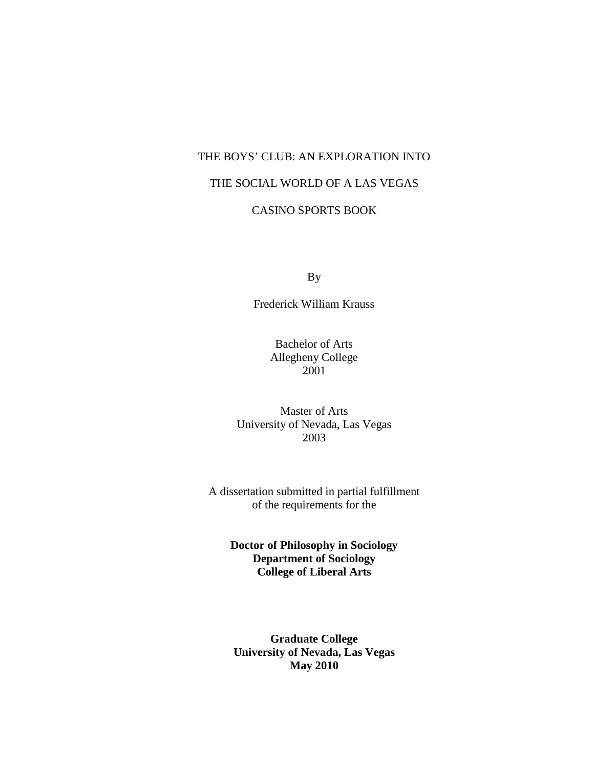# THE BOYS' CLUB: AN EXPLORATION INTO THE SOCIAL WORLD OF A LAS VEGAS

# CASINO SPORTS BOOK

By

Frederick William Krauss

Bachelor of Arts Allegheny College 2001

Master of Arts University of Nevada, Las Vegas 2003

A dissertation submitted in partial fulfillment of the requirements for the

> **Doctor of Philosophy in Sociology Department of Sociology College of Liberal Arts**

**Graduate College University of Nevada, Las Vegas May 2010**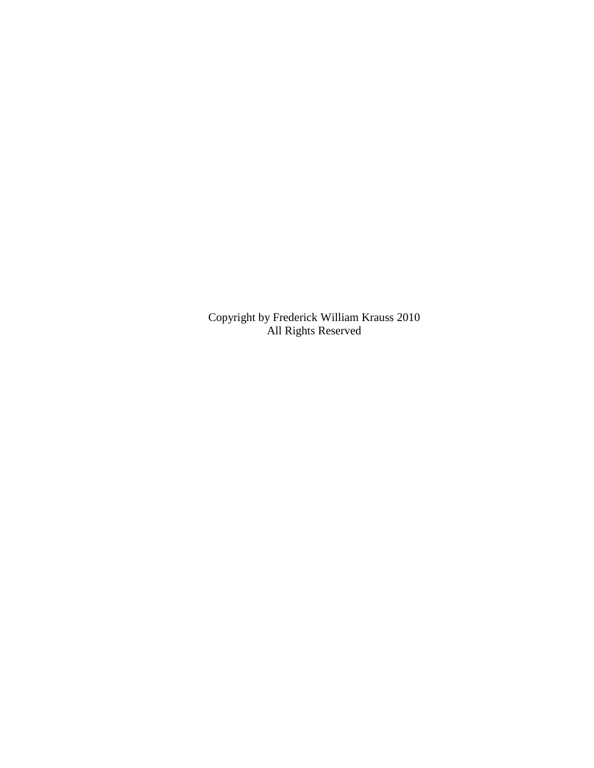Copyright by Frederick William Krauss 2010 All Rights Reserved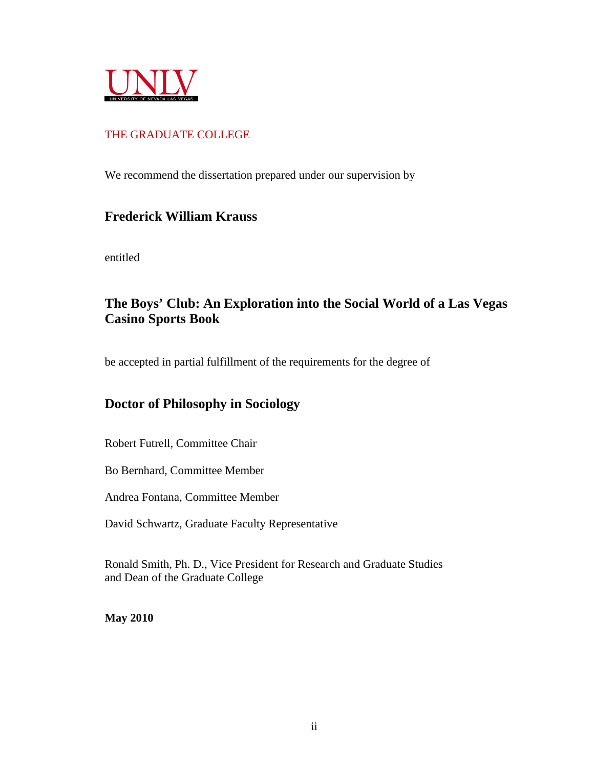

### THE GRADUATE COLLEGE

We recommend the dissertation prepared under our supervision by

## **Frederick William Krauss**

entitled

# **The Boys' Club: An Exploration into the Social World of a Las Vegas Casino Sports Book**

be accepted in partial fulfillment of the requirements for the degree of

# **Doctor of Philosophy in Sociology**

Robert Futrell, Committee Chair

Bo Bernhard, Committee Member

Andrea Fontana, Committee Member

David Schwartz, Graduate Faculty Representative

Ronald Smith, Ph. D., Vice President for Research and Graduate Studies and Dean of the Graduate College

**May 2010**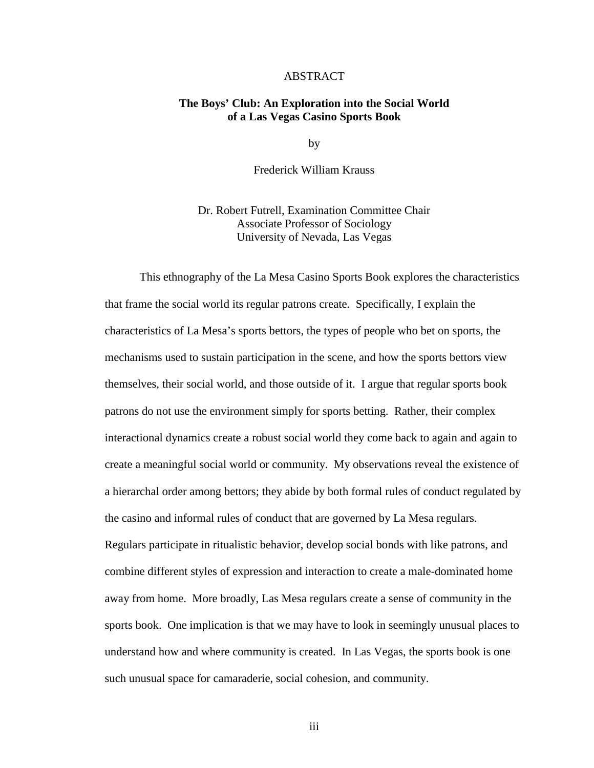#### ABSTRACT

#### **The Boys' Club: An Exploration into the Social World of a Las Vegas Casino Sports Book**

by

Frederick William Krauss

Dr. Robert Futrell, Examination Committee Chair Associate Professor of Sociology University of Nevada, Las Vegas

This ethnography of the La Mesa Casino Sports Book explores the characteristics that frame the social world its regular patrons create. Specifically, I explain the characteristics of La Mesa's sports bettors, the types of people who bet on sports, the mechanisms used to sustain participation in the scene, and how the sports bettors view themselves, their social world, and those outside of it. I argue that regular sports book patrons do not use the environment simply for sports betting. Rather, their complex interactional dynamics create a robust social world they come back to again and again to create a meaningful social world or community. My observations reveal the existence of a hierarchal order among bettors; they abide by both formal rules of conduct regulated by the casino and informal rules of conduct that are governed by La Mesa regulars. Regulars participate in ritualistic behavior, develop social bonds with like patrons, and combine different styles of expression and interaction to create a male-dominated home away from home. More broadly, Las Mesa regulars create a sense of community in the sports book. One implication is that we may have to look in seemingly unusual places to understand how and where community is created. In Las Vegas, the sports book is one such unusual space for camaraderie, social cohesion, and community.

iii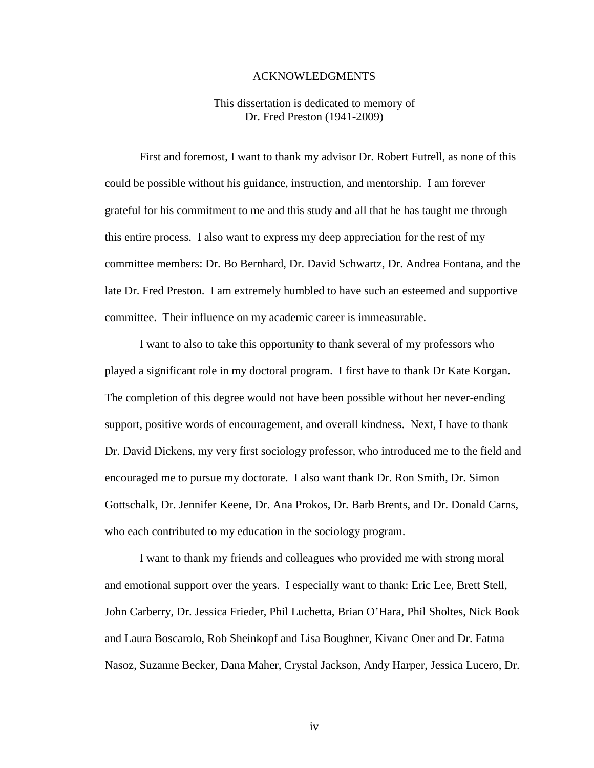#### ACKNOWLEDGMENTS

#### This dissertation is dedicated to memory of Dr. Fred Preston (1941-2009)

First and foremost, I want to thank my advisor Dr. Robert Futrell, as none of this could be possible without his guidance, instruction, and mentorship. I am forever grateful for his commitment to me and this study and all that he has taught me through this entire process. I also want to express my deep appreciation for the rest of my committee members: Dr. Bo Bernhard, Dr. David Schwartz, Dr. Andrea Fontana, and the late Dr. Fred Preston. I am extremely humbled to have such an esteemed and supportive committee. Their influence on my academic career is immeasurable.

I want to also to take this opportunity to thank several of my professors who played a significant role in my doctoral program. I first have to thank Dr Kate Korgan. The completion of this degree would not have been possible without her never-ending support, positive words of encouragement, and overall kindness. Next, I have to thank Dr. David Dickens, my very first sociology professor, who introduced me to the field and encouraged me to pursue my doctorate. I also want thank Dr. Ron Smith, Dr. Simon Gottschalk, Dr. Jennifer Keene, Dr. Ana Prokos, Dr. Barb Brents, and Dr. Donald Carns, who each contributed to my education in the sociology program.

I want to thank my friends and colleagues who provided me with strong moral and emotional support over the years. I especially want to thank: Eric Lee, Brett Stell, John Carberry, Dr. Jessica Frieder, Phil Luchetta, Brian O'Hara, Phil Sholtes, Nick Book and Laura Boscarolo, Rob Sheinkopf and Lisa Boughner, Kivanc Oner and Dr. Fatma Nasoz, Suzanne Becker, Dana Maher, Crystal Jackson, Andy Harper, Jessica Lucero, Dr.

iv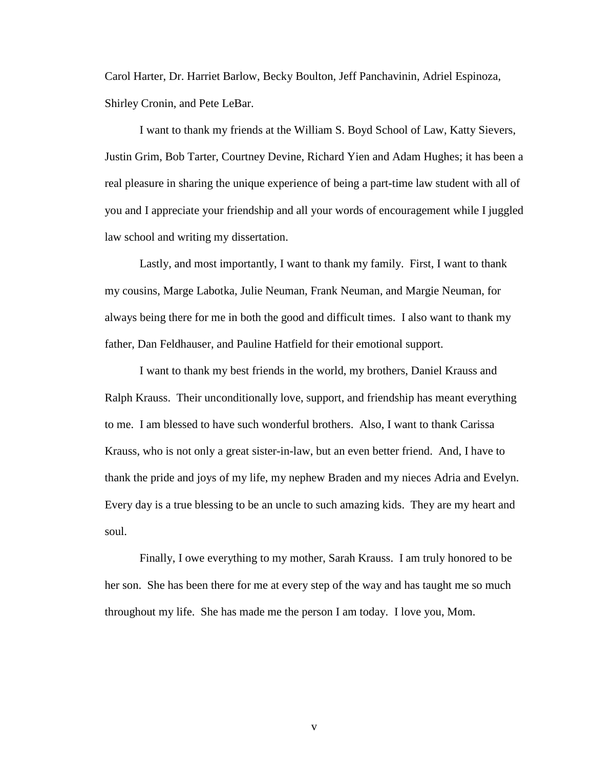Carol Harter, Dr. Harriet Barlow, Becky Boulton, Jeff Panchavinin, Adriel Espinoza, Shirley Cronin, and Pete LeBar.

I want to thank my friends at the William S. Boyd School of Law, Katty Sievers, Justin Grim, Bob Tarter, Courtney Devine, Richard Yien and Adam Hughes; it has been a real pleasure in sharing the unique experience of being a part-time law student with all of you and I appreciate your friendship and all your words of encouragement while I juggled law school and writing my dissertation.

Lastly, and most importantly, I want to thank my family. First, I want to thank my cousins, Marge Labotka, Julie Neuman, Frank Neuman, and Margie Neuman, for always being there for me in both the good and difficult times. I also want to thank my father, Dan Feldhauser, and Pauline Hatfield for their emotional support.

I want to thank my best friends in the world, my brothers, Daniel Krauss and Ralph Krauss. Their unconditionally love, support, and friendship has meant everything to me. I am blessed to have such wonderful brothers. Also, I want to thank Carissa Krauss, who is not only a great sister-in-law, but an even better friend. And, I have to thank the pride and joys of my life, my nephew Braden and my nieces Adria and Evelyn. Every day is a true blessing to be an uncle to such amazing kids. They are my heart and soul.

Finally, I owe everything to my mother, Sarah Krauss. I am truly honored to be her son. She has been there for me at every step of the way and has taught me so much throughout my life. She has made me the person I am today. I love you, Mom.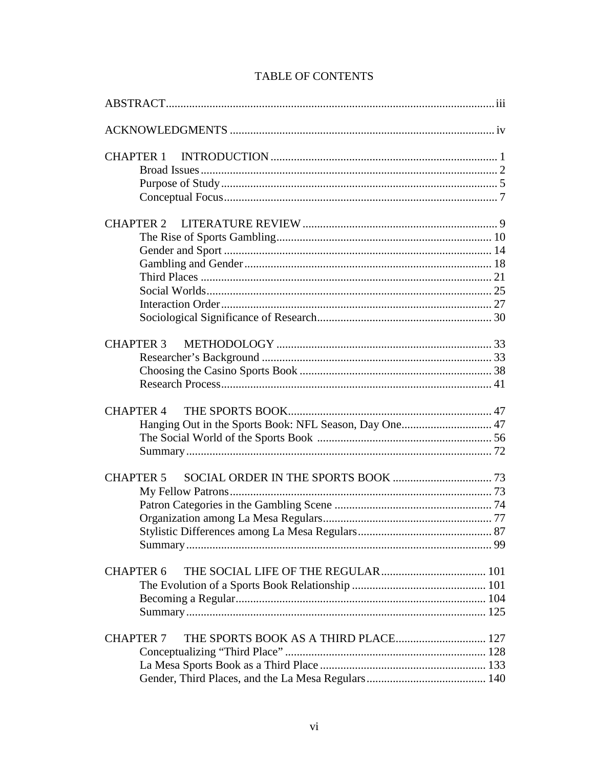| <b>CHAPTER 1</b>                                                           |
|----------------------------------------------------------------------------|
|                                                                            |
|                                                                            |
| <b>CHAPTER 4</b><br>Hanging Out in the Sports Book: NFL Season, Day One 47 |
| <b>CHAPTER 5</b>                                                           |
| <b>CHAPTER 6</b>                                                           |
| THE SPORTS BOOK AS A THIRD PLACE 127<br><b>CHAPTER 7</b>                   |

## **TABLE OF CONTENTS**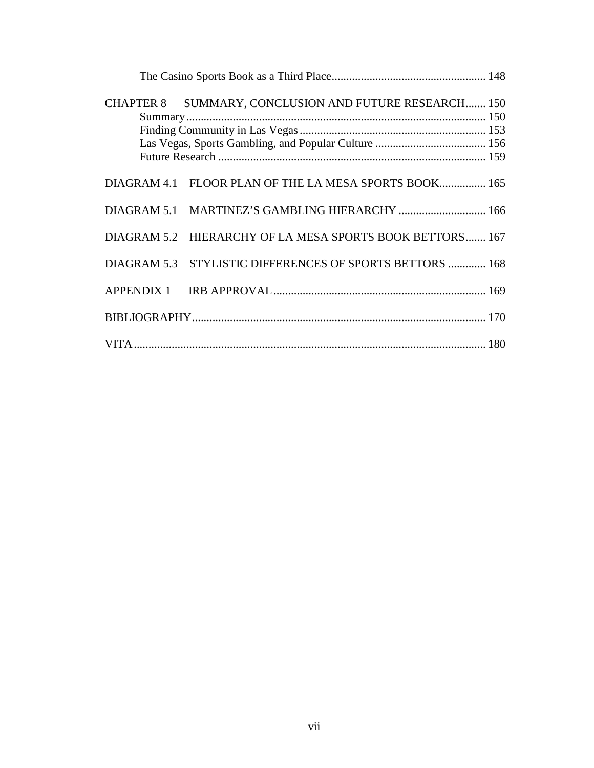|  | CHAPTER 8 SUMMARY, CONCLUSION AND FUTURE RESEARCH 150    |
|--|----------------------------------------------------------|
|  | DIAGRAM 4.1 FLOOR PLAN OF THE LA MESA SPORTS BOOK 165    |
|  | DIAGRAM 5.1 MARTINEZ'S GAMBLING HIERARCHY  166           |
|  | DIAGRAM 5.2 HIERARCHY OF LA MESA SPORTS BOOK BETTORS 167 |
|  | DIAGRAM 5.3 STYLISTIC DIFFERENCES OF SPORTS BETTORS  168 |
|  |                                                          |
|  |                                                          |
|  |                                                          |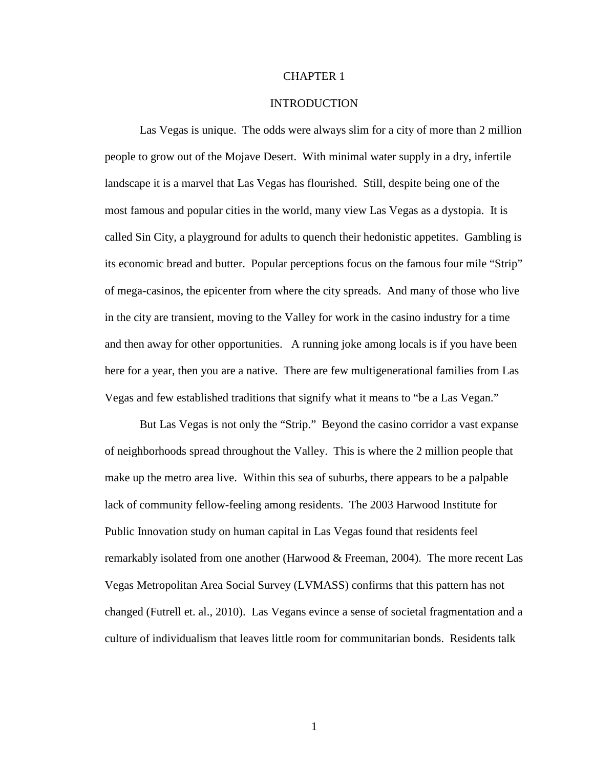#### CHAPTER 1

#### INTRODUCTION

Las Vegas is unique. The odds were always slim for a city of more than 2 million people to grow out of the Mojave Desert. With minimal water supply in a dry, infertile landscape it is a marvel that Las Vegas has flourished. Still, despite being one of the most famous and popular cities in the world, many view Las Vegas as a dystopia. It is called Sin City, a playground for adults to quench their hedonistic appetites. Gambling is its economic bread and butter. Popular perceptions focus on the famous four mile "Strip" of mega-casinos, the epicenter from where the city spreads. And many of those who live in the city are transient, moving to the Valley for work in the casino industry for a time and then away for other opportunities. A running joke among locals is if you have been here for a year, then you are a native. There are few multigenerational families from Las Vegas and few established traditions that signify what it means to "be a Las Vegan."

But Las Vegas is not only the "Strip." Beyond the casino corridor a vast expanse of neighborhoods spread throughout the Valley. This is where the 2 million people that make up the metro area live. Within this sea of suburbs, there appears to be a palpable lack of community fellow-feeling among residents. The 2003 Harwood Institute for Public Innovation study on human capital in Las Vegas found that residents feel remarkably isolated from one another (Harwood & Freeman, 2004). The more recent Las Vegas Metropolitan Area Social Survey (LVMASS) confirms that this pattern has not changed (Futrell et. al., 2010). Las Vegans evince a sense of societal fragmentation and a culture of individualism that leaves little room for communitarian bonds. Residents talk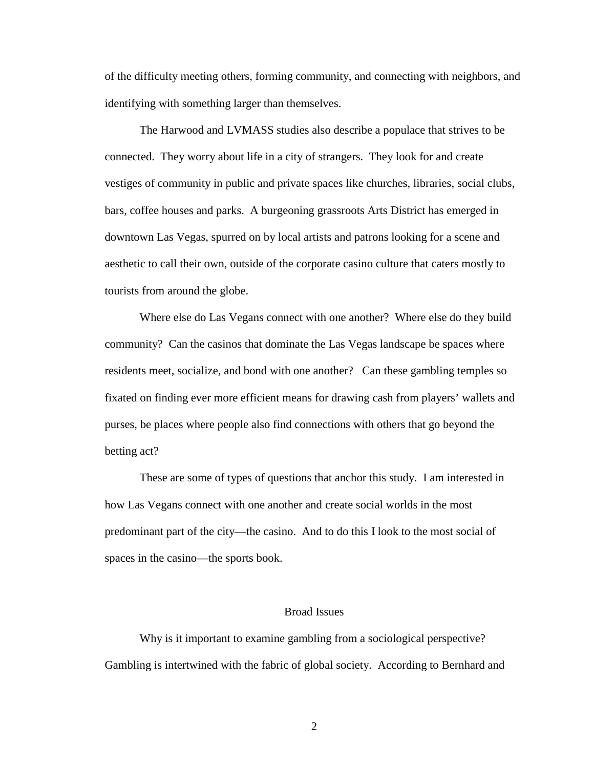of the difficulty meeting others, forming community, and connecting with neighbors, and identifying with something larger than themselves.

The Harwood and LVMASS studies also describe a populace that strives to be connected. They worry about life in a city of strangers. They look for and create vestiges of community in public and private spaces like churches, libraries, social clubs, bars, coffee houses and parks. A burgeoning grassroots Arts District has emerged in downtown Las Vegas, spurred on by local artists and patrons looking for a scene and aesthetic to call their own, outside of the corporate casino culture that caters mostly to tourists from around the globe.

Where else do Las Vegans connect with one another? Where else do they build community? Can the casinos that dominate the Las Vegas landscape be spaces where residents meet, socialize, and bond with one another? Can these gambling temples so fixated on finding ever more efficient means for drawing cash from players' wallets and purses, be places where people also find connections with others that go beyond the betting act?

These are some of types of questions that anchor this study. I am interested in how Las Vegans connect with one another and create social worlds in the most predominant part of the city—the casino. And to do this I look to the most social of spaces in the casino—the sports book.

#### Broad Issues

Why is it important to examine gambling from a sociological perspective? Gambling is intertwined with the fabric of global society. According to Bernhard and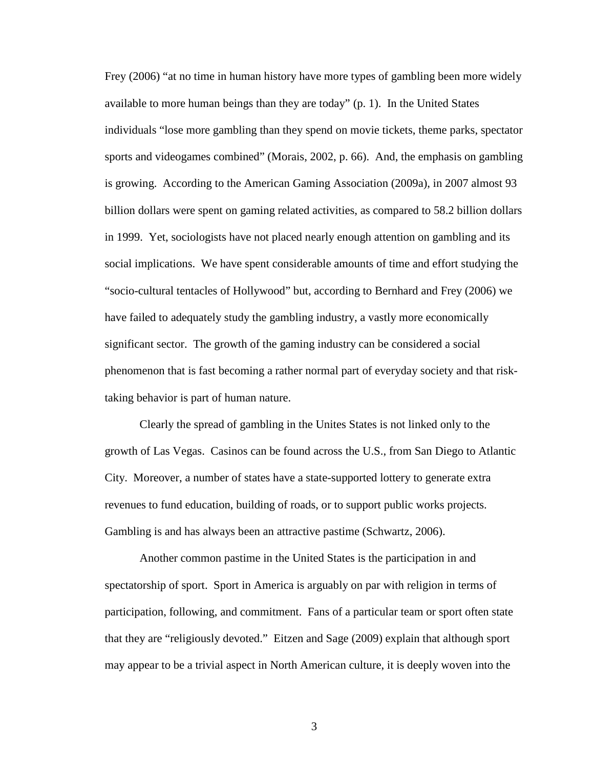Frey (2006) "at no time in human history have more types of gambling been more widely available to more human beings than they are today" (p. 1). In the United States individuals "lose more gambling than they spend on movie tickets, theme parks, spectator sports and videogames combined" (Morais, 2002, p. 66). And, the emphasis on gambling is growing. According to the American Gaming Association (2009a), in 2007 almost 93 billion dollars were spent on gaming related activities, as compared to 58.2 billion dollars in 1999. Yet, sociologists have not placed nearly enough attention on gambling and its social implications. We have spent considerable amounts of time and effort studying the "socio-cultural tentacles of Hollywood" but, according to Bernhard and Frey (2006) we have failed to adequately study the gambling industry, a vastly more economically significant sector. The growth of the gaming industry can be considered a social phenomenon that is fast becoming a rather normal part of everyday society and that risktaking behavior is part of human nature.

Clearly the spread of gambling in the Unites States is not linked only to the growth of Las Vegas. Casinos can be found across the U.S., from San Diego to Atlantic City. Moreover, a number of states have a state-supported lottery to generate extra revenues to fund education, building of roads, or to support public works projects. Gambling is and has always been an attractive pastime (Schwartz, 2006).

Another common pastime in the United States is the participation in and spectatorship of sport. Sport in America is arguably on par with religion in terms of participation, following, and commitment. Fans of a particular team or sport often state that they are "religiously devoted." Eitzen and Sage (2009) explain that although sport may appear to be a trivial aspect in North American culture, it is deeply woven into the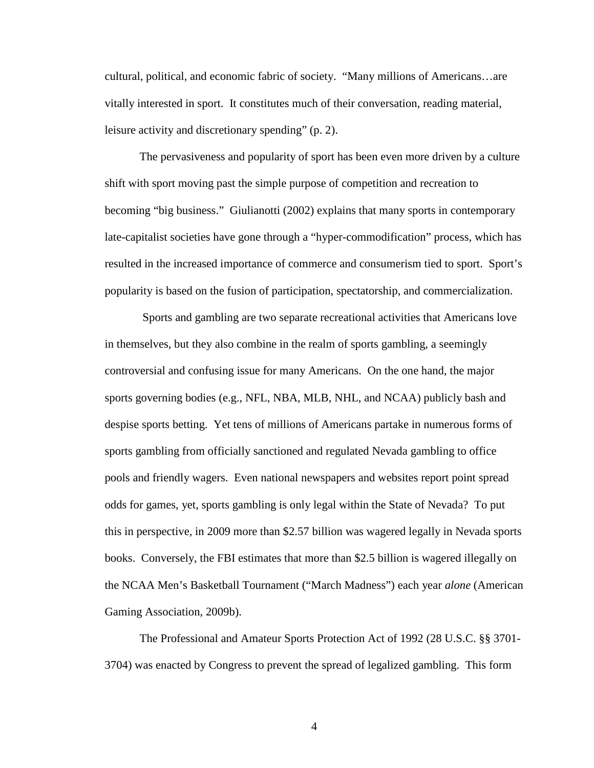cultural, political, and economic fabric of society. "Many millions of Americans…are vitally interested in sport. It constitutes much of their conversation, reading material, leisure activity and discretionary spending" (p. 2).

The pervasiveness and popularity of sport has been even more driven by a culture shift with sport moving past the simple purpose of competition and recreation to becoming "big business." Giulianotti (2002) explains that many sports in contemporary late-capitalist societies have gone through a "hyper-commodification" process, which has resulted in the increased importance of commerce and consumerism tied to sport. Sport's popularity is based on the fusion of participation, spectatorship, and commercialization.

 Sports and gambling are two separate recreational activities that Americans love in themselves, but they also combine in the realm of sports gambling, a seemingly controversial and confusing issue for many Americans. On the one hand, the major sports governing bodies (e.g., NFL, NBA, MLB, NHL, and NCAA) publicly bash and despise sports betting. Yet tens of millions of Americans partake in numerous forms of sports gambling from officially sanctioned and regulated Nevada gambling to office pools and friendly wagers. Even national newspapers and websites report point spread odds for games, yet, sports gambling is only legal within the State of Nevada? To put this in perspective, in 2009 more than \$2.57 billion was wagered legally in Nevada sports books. Conversely, the FBI estimates that more than \$2.5 billion is wagered illegally on the NCAA Men's Basketball Tournament ("March Madness") each year *alone* (American Gaming Association, 2009b).

The Professional and Amateur Sports Protection Act of 1992 (28 U.S.C. §§ 3701- 3704) was enacted by Congress to prevent the spread of legalized gambling. This form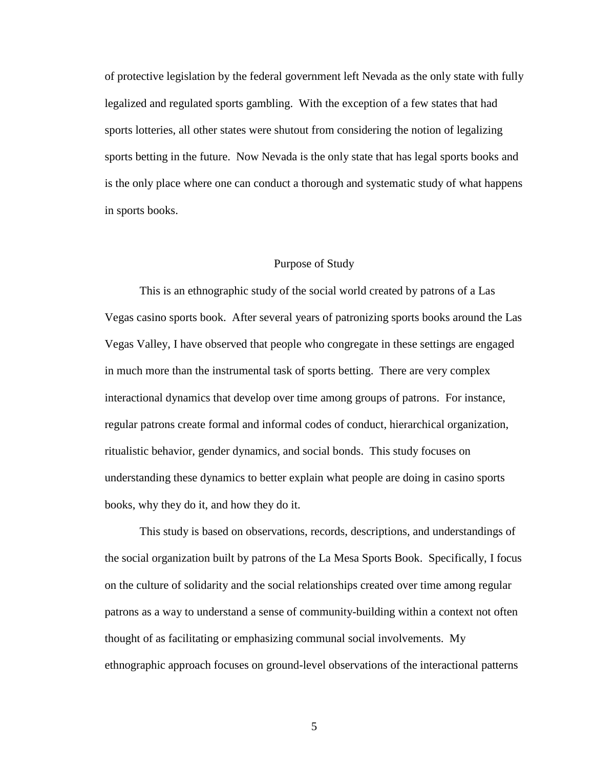of protective legislation by the federal government left Nevada as the only state with fully legalized and regulated sports gambling. With the exception of a few states that had sports lotteries, all other states were shutout from considering the notion of legalizing sports betting in the future. Now Nevada is the only state that has legal sports books and is the only place where one can conduct a thorough and systematic study of what happens in sports books.

#### Purpose of Study

This is an ethnographic study of the social world created by patrons of a Las Vegas casino sports book. After several years of patronizing sports books around the Las Vegas Valley, I have observed that people who congregate in these settings are engaged in much more than the instrumental task of sports betting. There are very complex interactional dynamics that develop over time among groups of patrons. For instance, regular patrons create formal and informal codes of conduct, hierarchical organization, ritualistic behavior, gender dynamics, and social bonds. This study focuses on understanding these dynamics to better explain what people are doing in casino sports books, why they do it, and how they do it.

This study is based on observations, records, descriptions, and understandings of the social organization built by patrons of the La Mesa Sports Book. Specifically, I focus on the culture of solidarity and the social relationships created over time among regular patrons as a way to understand a sense of community-building within a context not often thought of as facilitating or emphasizing communal social involvements. My ethnographic approach focuses on ground-level observations of the interactional patterns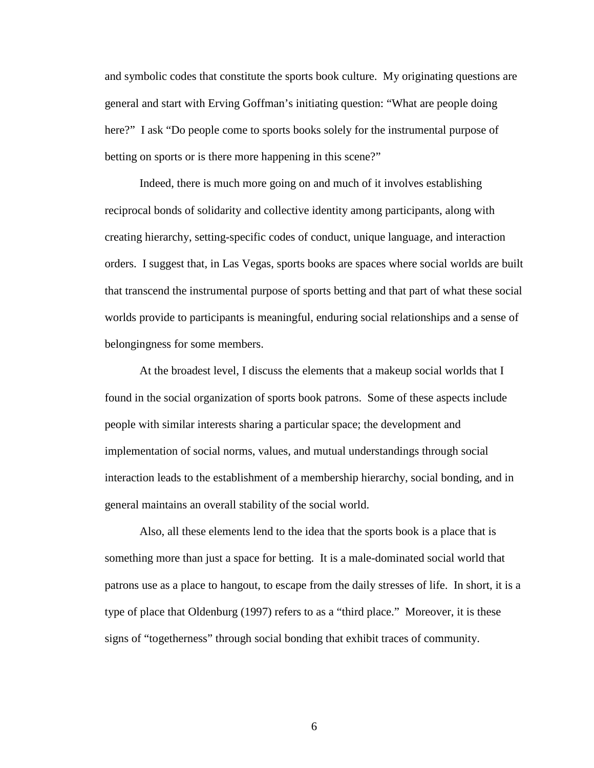and symbolic codes that constitute the sports book culture. My originating questions are general and start with Erving Goffman's initiating question: "What are people doing here?" I ask "Do people come to sports books solely for the instrumental purpose of betting on sports or is there more happening in this scene?"

Indeed, there is much more going on and much of it involves establishing reciprocal bonds of solidarity and collective identity among participants, along with creating hierarchy, setting-specific codes of conduct, unique language, and interaction orders. I suggest that, in Las Vegas, sports books are spaces where social worlds are built that transcend the instrumental purpose of sports betting and that part of what these social worlds provide to participants is meaningful, enduring social relationships and a sense of belongingness for some members.

At the broadest level, I discuss the elements that a makeup social worlds that I found in the social organization of sports book patrons. Some of these aspects include people with similar interests sharing a particular space; the development and implementation of social norms, values, and mutual understandings through social interaction leads to the establishment of a membership hierarchy, social bonding, and in general maintains an overall stability of the social world.

Also, all these elements lend to the idea that the sports book is a place that is something more than just a space for betting. It is a male-dominated social world that patrons use as a place to hangout, to escape from the daily stresses of life. In short, it is a type of place that Oldenburg (1997) refers to as a "third place." Moreover, it is these signs of "togetherness" through social bonding that exhibit traces of community.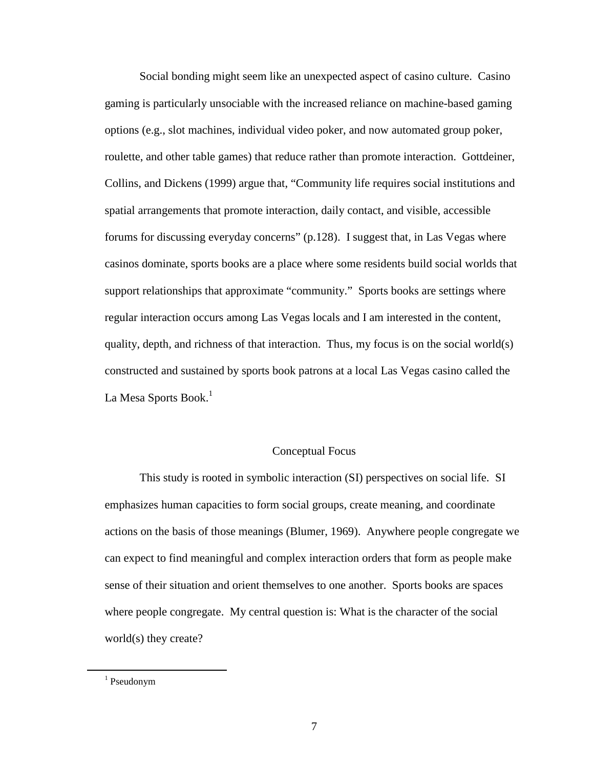Social bonding might seem like an unexpected aspect of casino culture. Casino gaming is particularly unsociable with the increased reliance on machine-based gaming options (e.g., slot machines, individual video poker, and now automated group poker, roulette, and other table games) that reduce rather than promote interaction. Gottdeiner, Collins, and Dickens (1999) argue that, "Community life requires social institutions and spatial arrangements that promote interaction, daily contact, and visible, accessible forums for discussing everyday concerns" (p.128). I suggest that, in Las Vegas where casinos dominate, sports books are a place where some residents build social worlds that support relationships that approximate "community." Sports books are settings where regular interaction occurs among Las Vegas locals and I am interested in the content, quality, depth, and richness of that interaction. Thus, my focus is on the social world(s) constructed and sustained by sports book patrons at a local Las Vegas casino called the La Mesa Sports Book.<sup>1</sup>

#### Conceptual Focus

This study is rooted in symbolic interaction (SI) perspectives on social life. SI emphasizes human capacities to form social groups, create meaning, and coordinate actions on the basis of those meanings (Blumer, 1969). Anywhere people congregate we can expect to find meaningful and complex interaction orders that form as people make sense of their situation and orient themselves to one another. Sports books are spaces where people congregate. My central question is: What is the character of the social world(s) they create?

 $\overline{a}$ 

<sup>&</sup>lt;sup>1</sup> Pseudonym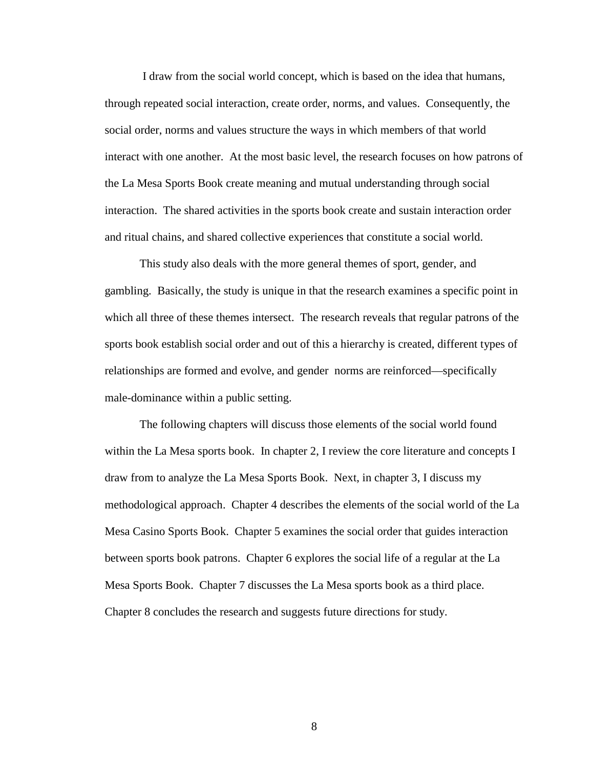I draw from the social world concept, which is based on the idea that humans, through repeated social interaction, create order, norms, and values. Consequently, the social order, norms and values structure the ways in which members of that world interact with one another. At the most basic level, the research focuses on how patrons of the La Mesa Sports Book create meaning and mutual understanding through social interaction. The shared activities in the sports book create and sustain interaction order and ritual chains, and shared collective experiences that constitute a social world.

This study also deals with the more general themes of sport, gender, and gambling. Basically, the study is unique in that the research examines a specific point in which all three of these themes intersect. The research reveals that regular patrons of the sports book establish social order and out of this a hierarchy is created, different types of relationships are formed and evolve, and gender norms are reinforced—specifically male-dominance within a public setting.

The following chapters will discuss those elements of the social world found within the La Mesa sports book. In chapter 2, I review the core literature and concepts I draw from to analyze the La Mesa Sports Book. Next, in chapter 3, I discuss my methodological approach. Chapter 4 describes the elements of the social world of the La Mesa Casino Sports Book. Chapter 5 examines the social order that guides interaction between sports book patrons. Chapter 6 explores the social life of a regular at the La Mesa Sports Book. Chapter 7 discusses the La Mesa sports book as a third place. Chapter 8 concludes the research and suggests future directions for study.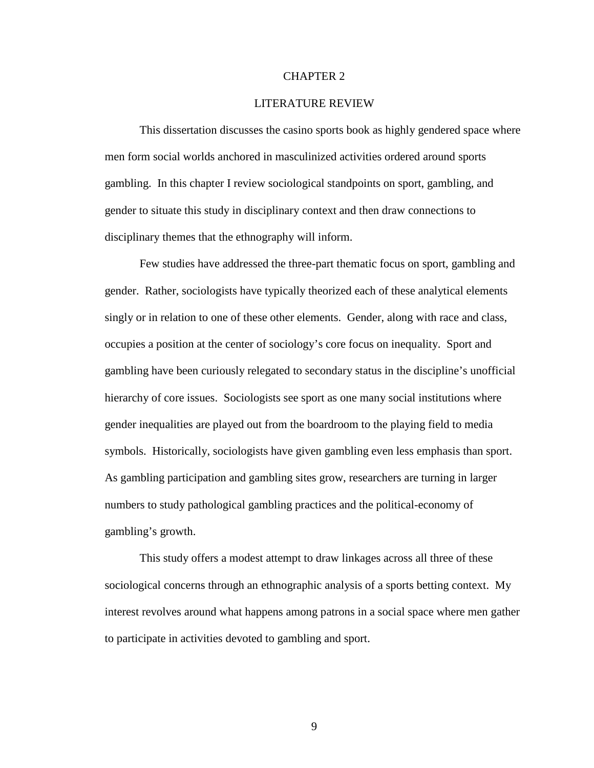#### CHAPTER 2

#### LITERATURE REVIEW

This dissertation discusses the casino sports book as highly gendered space where men form social worlds anchored in masculinized activities ordered around sports gambling. In this chapter I review sociological standpoints on sport, gambling, and gender to situate this study in disciplinary context and then draw connections to disciplinary themes that the ethnography will inform.

Few studies have addressed the three-part thematic focus on sport, gambling and gender. Rather, sociologists have typically theorized each of these analytical elements singly or in relation to one of these other elements. Gender, along with race and class, occupies a position at the center of sociology's core focus on inequality. Sport and gambling have been curiously relegated to secondary status in the discipline's unofficial hierarchy of core issues. Sociologists see sport as one many social institutions where gender inequalities are played out from the boardroom to the playing field to media symbols. Historically, sociologists have given gambling even less emphasis than sport. As gambling participation and gambling sites grow, researchers are turning in larger numbers to study pathological gambling practices and the political-economy of gambling's growth.

This study offers a modest attempt to draw linkages across all three of these sociological concerns through an ethnographic analysis of a sports betting context. My interest revolves around what happens among patrons in a social space where men gather to participate in activities devoted to gambling and sport.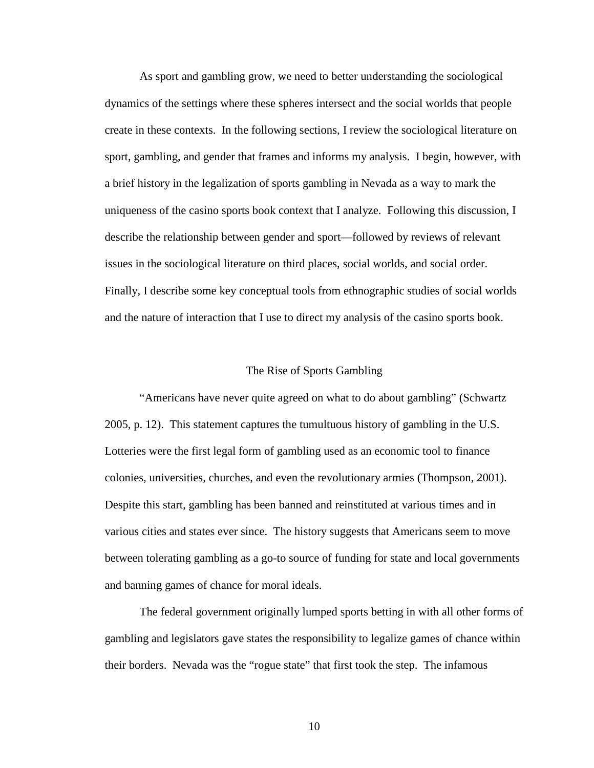As sport and gambling grow, we need to better understanding the sociological dynamics of the settings where these spheres intersect and the social worlds that people create in these contexts. In the following sections, I review the sociological literature on sport, gambling, and gender that frames and informs my analysis. I begin, however, with a brief history in the legalization of sports gambling in Nevada as a way to mark the uniqueness of the casino sports book context that I analyze. Following this discussion, I describe the relationship between gender and sport—followed by reviews of relevant issues in the sociological literature on third places, social worlds, and social order. Finally, I describe some key conceptual tools from ethnographic studies of social worlds and the nature of interaction that I use to direct my analysis of the casino sports book.

#### The Rise of Sports Gambling

"Americans have never quite agreed on what to do about gambling" (Schwartz 2005, p. 12). This statement captures the tumultuous history of gambling in the U.S. Lotteries were the first legal form of gambling used as an economic tool to finance colonies, universities, churches, and even the revolutionary armies (Thompson, 2001). Despite this start, gambling has been banned and reinstituted at various times and in various cities and states ever since. The history suggests that Americans seem to move between tolerating gambling as a go-to source of funding for state and local governments and banning games of chance for moral ideals.

The federal government originally lumped sports betting in with all other forms of gambling and legislators gave states the responsibility to legalize games of chance within their borders. Nevada was the "rogue state" that first took the step. The infamous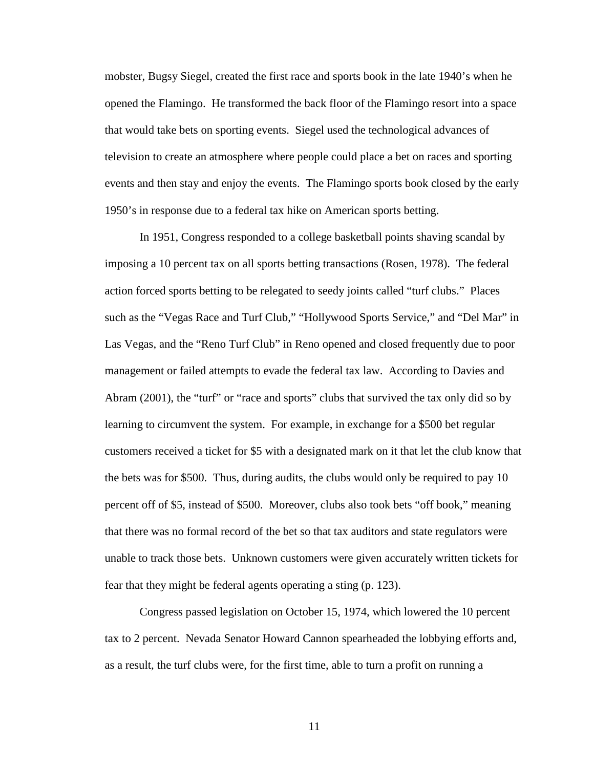mobster, Bugsy Siegel, created the first race and sports book in the late 1940's when he opened the Flamingo. He transformed the back floor of the Flamingo resort into a space that would take bets on sporting events. Siegel used the technological advances of television to create an atmosphere where people could place a bet on races and sporting events and then stay and enjoy the events. The Flamingo sports book closed by the early 1950's in response due to a federal tax hike on American sports betting.

In 1951, Congress responded to a college basketball points shaving scandal by imposing a 10 percent tax on all sports betting transactions (Rosen, 1978). The federal action forced sports betting to be relegated to seedy joints called "turf clubs." Places such as the "Vegas Race and Turf Club," "Hollywood Sports Service," and "Del Mar" in Las Vegas, and the "Reno Turf Club" in Reno opened and closed frequently due to poor management or failed attempts to evade the federal tax law. According to Davies and Abram (2001), the "turf" or "race and sports" clubs that survived the tax only did so by learning to circumvent the system. For example, in exchange for a \$500 bet regular customers received a ticket for \$5 with a designated mark on it that let the club know that the bets was for \$500. Thus, during audits, the clubs would only be required to pay 10 percent off of \$5, instead of \$500. Moreover, clubs also took bets "off book," meaning that there was no formal record of the bet so that tax auditors and state regulators were unable to track those bets. Unknown customers were given accurately written tickets for fear that they might be federal agents operating a sting (p. 123).

Congress passed legislation on October 15, 1974, which lowered the 10 percent tax to 2 percent. Nevada Senator Howard Cannon spearheaded the lobbying efforts and, as a result, the turf clubs were, for the first time, able to turn a profit on running a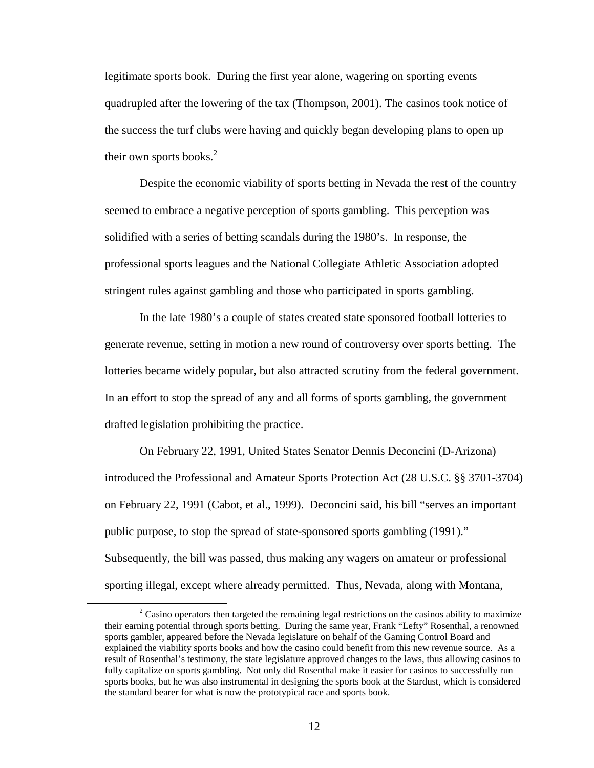legitimate sports book. During the first year alone, wagering on sporting events quadrupled after the lowering of the tax (Thompson, 2001). The casinos took notice of the success the turf clubs were having and quickly began developing plans to open up their own sports books. $^{2}$ 

Despite the economic viability of sports betting in Nevada the rest of the country seemed to embrace a negative perception of sports gambling. This perception was solidified with a series of betting scandals during the 1980's. In response, the professional sports leagues and the National Collegiate Athletic Association adopted stringent rules against gambling and those who participated in sports gambling.

In the late 1980's a couple of states created state sponsored football lotteries to generate revenue, setting in motion a new round of controversy over sports betting. The lotteries became widely popular, but also attracted scrutiny from the federal government. In an effort to stop the spread of any and all forms of sports gambling, the government drafted legislation prohibiting the practice.

On February 22, 1991, United States Senator Dennis Deconcini (D-Arizona) introduced the Professional and Amateur Sports Protection Act (28 U.S.C. §§ 3701-3704) on February 22, 1991 (Cabot, et al., 1999). Deconcini said, his bill "serves an important public purpose, to stop the spread of state-sponsored sports gambling (1991)." Subsequently, the bill was passed, thus making any wagers on amateur or professional sporting illegal, except where already permitted. Thus, Nevada, along with Montana,

 $\overline{a}$ 

 $2^2$  Casino operators then targeted the remaining legal restrictions on the casinos ability to maximize their earning potential through sports betting. During the same year, Frank "Lefty" Rosenthal, a renowned sports gambler, appeared before the Nevada legislature on behalf of the Gaming Control Board and explained the viability sports books and how the casino could benefit from this new revenue source. As a result of Rosenthal's testimony, the state legislature approved changes to the laws, thus allowing casinos to fully capitalize on sports gambling. Not only did Rosenthal make it easier for casinos to successfully run sports books, but he was also instrumental in designing the sports book at the Stardust, which is considered the standard bearer for what is now the prototypical race and sports book.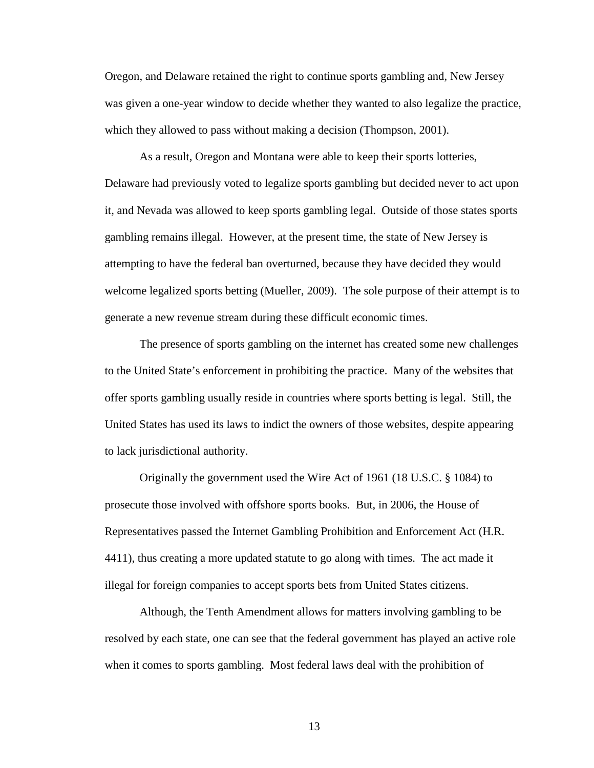Oregon, and Delaware retained the right to continue sports gambling and, New Jersey was given a one-year window to decide whether they wanted to also legalize the practice, which they allowed to pass without making a decision (Thompson, 2001).

As a result, Oregon and Montana were able to keep their sports lotteries, Delaware had previously voted to legalize sports gambling but decided never to act upon it, and Nevada was allowed to keep sports gambling legal. Outside of those states sports gambling remains illegal. However, at the present time, the state of New Jersey is attempting to have the federal ban overturned, because they have decided they would welcome legalized sports betting (Mueller, 2009). The sole purpose of their attempt is to generate a new revenue stream during these difficult economic times.

The presence of sports gambling on the internet has created some new challenges to the United State's enforcement in prohibiting the practice. Many of the websites that offer sports gambling usually reside in countries where sports betting is legal. Still, the United States has used its laws to indict the owners of those websites, despite appearing to lack jurisdictional authority.

Originally the government used the Wire Act of 1961 (18 U.S.C. § 1084) to prosecute those involved with offshore sports books. But, in 2006, the House of Representatives passed the Internet Gambling Prohibition and Enforcement Act (H.R. 4411), thus creating a more updated statute to go along with times. The act made it illegal for foreign companies to accept sports bets from United States citizens.

Although, the Tenth Amendment allows for matters involving gambling to be resolved by each state, one can see that the federal government has played an active role when it comes to sports gambling. Most federal laws deal with the prohibition of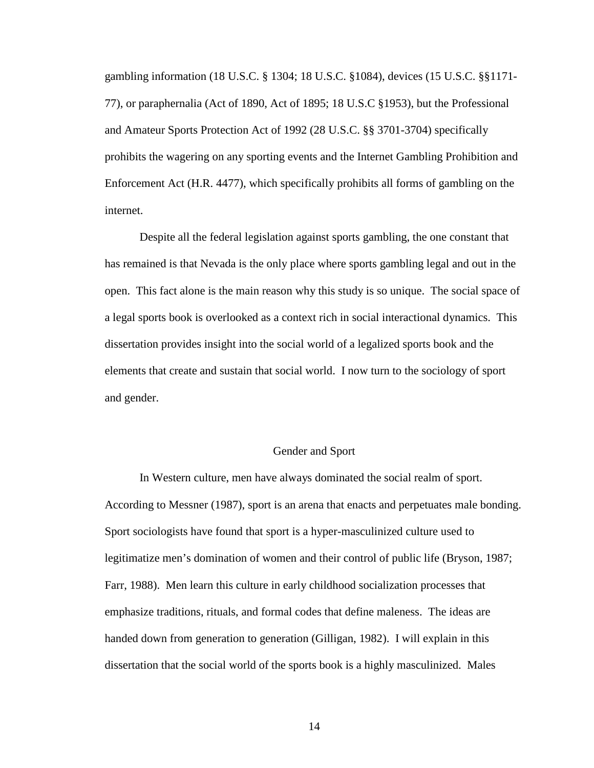gambling information (18 U.S.C. § 1304; 18 U.S.C. §1084), devices (15 U.S.C. §§1171- 77), or paraphernalia (Act of 1890, Act of 1895; 18 U.S.C §1953), but the Professional and Amateur Sports Protection Act of 1992 (28 U.S.C. §§ 3701-3704) specifically prohibits the wagering on any sporting events and the Internet Gambling Prohibition and Enforcement Act (H.R. 4477), which specifically prohibits all forms of gambling on the internet.

Despite all the federal legislation against sports gambling, the one constant that has remained is that Nevada is the only place where sports gambling legal and out in the open. This fact alone is the main reason why this study is so unique. The social space of a legal sports book is overlooked as a context rich in social interactional dynamics. This dissertation provides insight into the social world of a legalized sports book and the elements that create and sustain that social world. I now turn to the sociology of sport and gender.

#### Gender and Sport

In Western culture, men have always dominated the social realm of sport. According to Messner (1987), sport is an arena that enacts and perpetuates male bonding. Sport sociologists have found that sport is a hyper-masculinized culture used to legitimatize men's domination of women and their control of public life (Bryson, 1987; Farr, 1988). Men learn this culture in early childhood socialization processes that emphasize traditions, rituals, and formal codes that define maleness. The ideas are handed down from generation to generation (Gilligan, 1982). I will explain in this dissertation that the social world of the sports book is a highly masculinized. Males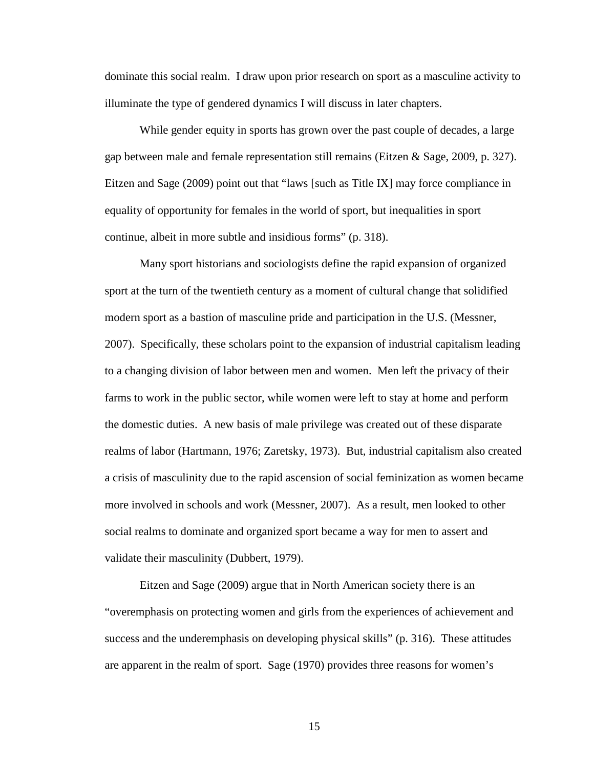dominate this social realm. I draw upon prior research on sport as a masculine activity to illuminate the type of gendered dynamics I will discuss in later chapters.

While gender equity in sports has grown over the past couple of decades, a large gap between male and female representation still remains (Eitzen & Sage, 2009, p. 327). Eitzen and Sage (2009) point out that "laws [such as Title IX] may force compliance in equality of opportunity for females in the world of sport, but inequalities in sport continue, albeit in more subtle and insidious forms" (p. 318).

Many sport historians and sociologists define the rapid expansion of organized sport at the turn of the twentieth century as a moment of cultural change that solidified modern sport as a bastion of masculine pride and participation in the U.S. (Messner, 2007). Specifically, these scholars point to the expansion of industrial capitalism leading to a changing division of labor between men and women. Men left the privacy of their farms to work in the public sector, while women were left to stay at home and perform the domestic duties. A new basis of male privilege was created out of these disparate realms of labor (Hartmann, 1976; Zaretsky, 1973). But, industrial capitalism also created a crisis of masculinity due to the rapid ascension of social feminization as women became more involved in schools and work (Messner, 2007). As a result, men looked to other social realms to dominate and organized sport became a way for men to assert and validate their masculinity (Dubbert, 1979).

Eitzen and Sage (2009) argue that in North American society there is an "overemphasis on protecting women and girls from the experiences of achievement and success and the underemphasis on developing physical skills" (p. 316). These attitudes are apparent in the realm of sport. Sage (1970) provides three reasons for women's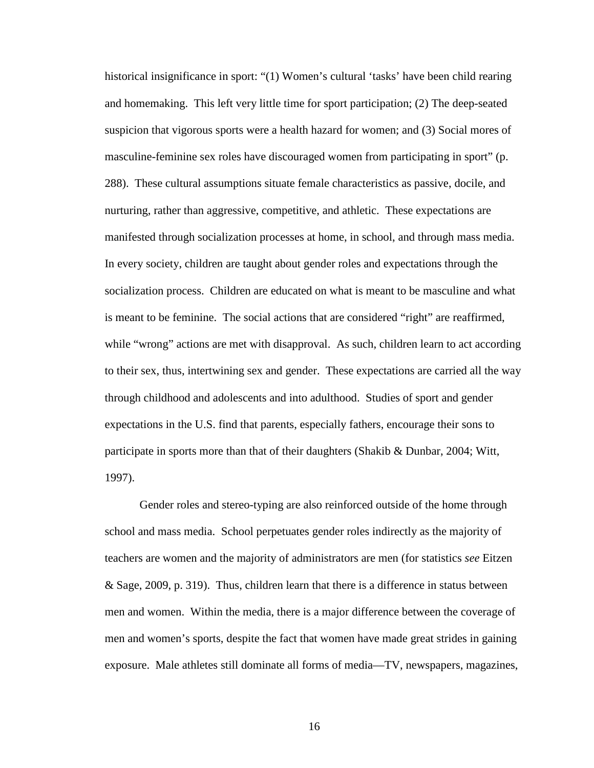historical insignificance in sport: "(1) Women's cultural 'tasks' have been child rearing and homemaking. This left very little time for sport participation; (2) The deep-seated suspicion that vigorous sports were a health hazard for women; and (3) Social mores of masculine-feminine sex roles have discouraged women from participating in sport" (p. 288). These cultural assumptions situate female characteristics as passive, docile, and nurturing, rather than aggressive, competitive, and athletic. These expectations are manifested through socialization processes at home, in school, and through mass media. In every society, children are taught about gender roles and expectations through the socialization process. Children are educated on what is meant to be masculine and what is meant to be feminine. The social actions that are considered "right" are reaffirmed, while "wrong" actions are met with disapproval. As such, children learn to act according to their sex, thus, intertwining sex and gender. These expectations are carried all the way through childhood and adolescents and into adulthood. Studies of sport and gender expectations in the U.S. find that parents, especially fathers, encourage their sons to participate in sports more than that of their daughters (Shakib & Dunbar, 2004; Witt, 1997).

Gender roles and stereo-typing are also reinforced outside of the home through school and mass media. School perpetuates gender roles indirectly as the majority of teachers are women and the majority of administrators are men (for statistics *see* Eitzen & Sage, 2009, p. 319). Thus, children learn that there is a difference in status between men and women. Within the media, there is a major difference between the coverage of men and women's sports, despite the fact that women have made great strides in gaining exposure. Male athletes still dominate all forms of media—TV, newspapers, magazines,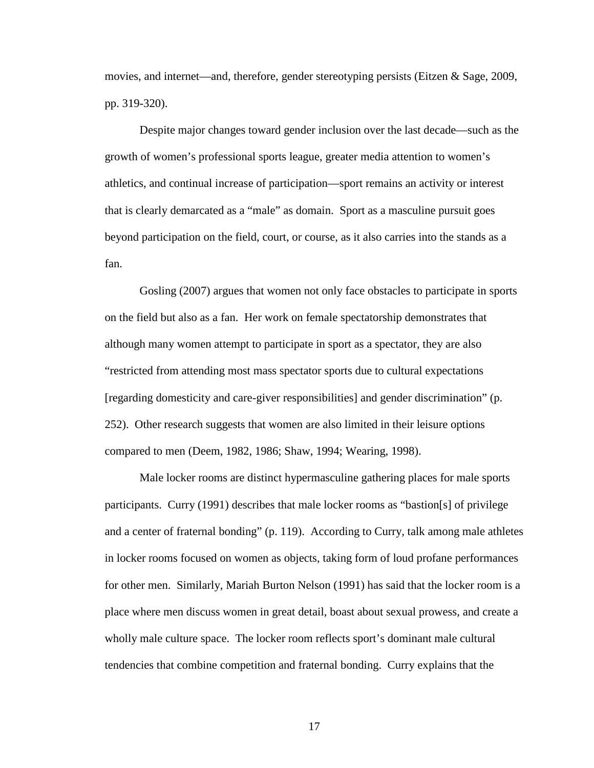movies, and internet—and, therefore, gender stereotyping persists (Eitzen  $\&$  Sage, 2009, pp. 319-320).

Despite major changes toward gender inclusion over the last decade—such as the growth of women's professional sports league, greater media attention to women's athletics, and continual increase of participation—sport remains an activity or interest that is clearly demarcated as a "male" as domain. Sport as a masculine pursuit goes beyond participation on the field, court, or course, as it also carries into the stands as a fan.

Gosling (2007) argues that women not only face obstacles to participate in sports on the field but also as a fan. Her work on female spectatorship demonstrates that although many women attempt to participate in sport as a spectator, they are also "restricted from attending most mass spectator sports due to cultural expectations [regarding domesticity and care-giver responsibilities] and gender discrimination" (p. 252). Other research suggests that women are also limited in their leisure options compared to men (Deem, 1982, 1986; Shaw, 1994; Wearing, 1998).

Male locker rooms are distinct hypermasculine gathering places for male sports participants. Curry (1991) describes that male locker rooms as "bastion[s] of privilege and a center of fraternal bonding" (p. 119). According to Curry, talk among male athletes in locker rooms focused on women as objects, taking form of loud profane performances for other men. Similarly, Mariah Burton Nelson (1991) has said that the locker room is a place where men discuss women in great detail, boast about sexual prowess, and create a wholly male culture space. The locker room reflects sport's dominant male cultural tendencies that combine competition and fraternal bonding. Curry explains that the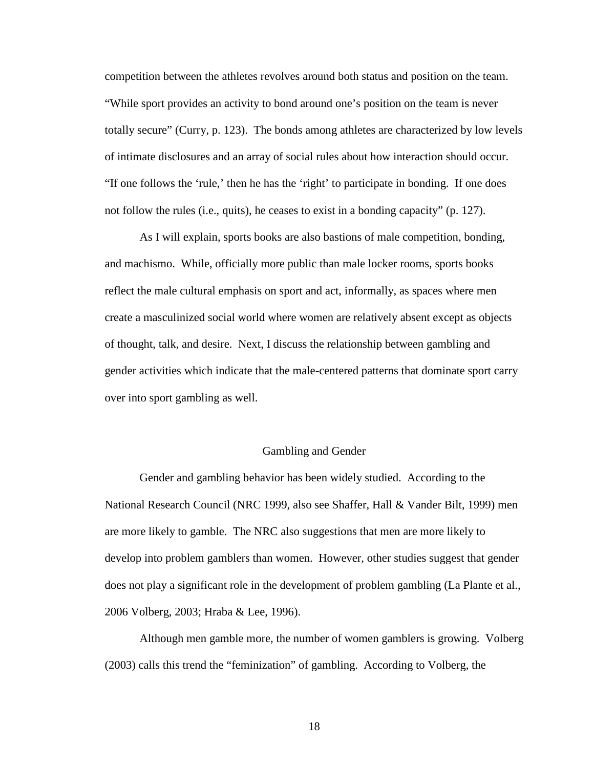competition between the athletes revolves around both status and position on the team. "While sport provides an activity to bond around one's position on the team is never totally secure" (Curry, p. 123). The bonds among athletes are characterized by low levels of intimate disclosures and an array of social rules about how interaction should occur. "If one follows the 'rule,' then he has the 'right' to participate in bonding. If one does not follow the rules (i.e., quits), he ceases to exist in a bonding capacity" (p. 127).

As I will explain, sports books are also bastions of male competition, bonding, and machismo. While, officially more public than male locker rooms, sports books reflect the male cultural emphasis on sport and act, informally, as spaces where men create a masculinized social world where women are relatively absent except as objects of thought, talk, and desire. Next, I discuss the relationship between gambling and gender activities which indicate that the male-centered patterns that dominate sport carry over into sport gambling as well.

#### Gambling and Gender

Gender and gambling behavior has been widely studied. According to the National Research Council (NRC 1999, also see Shaffer, Hall & Vander Bilt, 1999) men are more likely to gamble. The NRC also suggestions that men are more likely to develop into problem gamblers than women. However, other studies suggest that gender does not play a significant role in the development of problem gambling (La Plante et al., 2006 Volberg, 2003; Hraba & Lee, 1996).

Although men gamble more, the number of women gamblers is growing. Volberg (2003) calls this trend the "feminization" of gambling. According to Volberg, the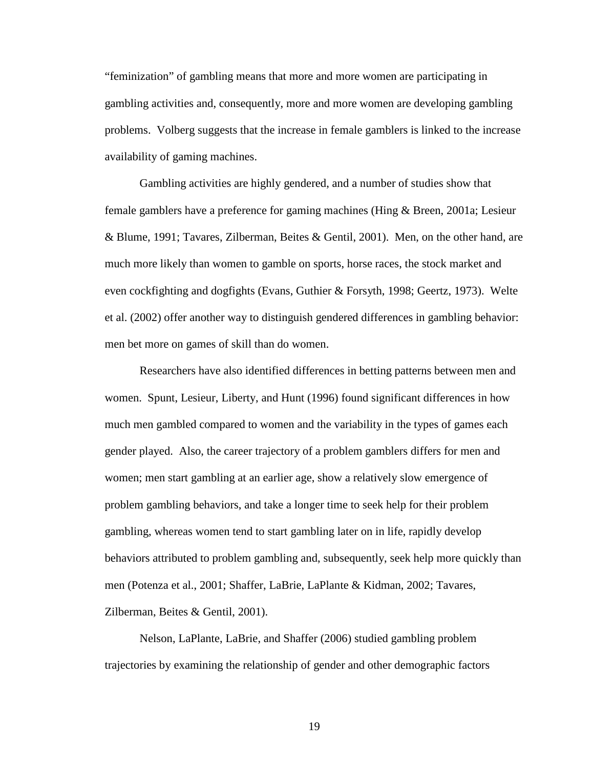"feminization" of gambling means that more and more women are participating in gambling activities and, consequently, more and more women are developing gambling problems. Volberg suggests that the increase in female gamblers is linked to the increase availability of gaming machines.

Gambling activities are highly gendered, and a number of studies show that female gamblers have a preference for gaming machines (Hing & Breen, 2001a; Lesieur & Blume, 1991; Tavares, Zilberman, Beites & Gentil, 2001). Men, on the other hand, are much more likely than women to gamble on sports, horse races, the stock market and even cockfighting and dogfights (Evans, Guthier & Forsyth, 1998; Geertz, 1973). Welte et al. (2002) offer another way to distinguish gendered differences in gambling behavior: men bet more on games of skill than do women.

Researchers have also identified differences in betting patterns between men and women. Spunt, Lesieur, Liberty, and Hunt (1996) found significant differences in how much men gambled compared to women and the variability in the types of games each gender played. Also, the career trajectory of a problem gamblers differs for men and women; men start gambling at an earlier age, show a relatively slow emergence of problem gambling behaviors, and take a longer time to seek help for their problem gambling, whereas women tend to start gambling later on in life, rapidly develop behaviors attributed to problem gambling and, subsequently, seek help more quickly than men (Potenza et al., 2001; Shaffer, LaBrie, LaPlante & Kidman, 2002; Tavares, Zilberman, Beites & Gentil, 2001).

Nelson, LaPlante, LaBrie, and Shaffer (2006) studied gambling problem trajectories by examining the relationship of gender and other demographic factors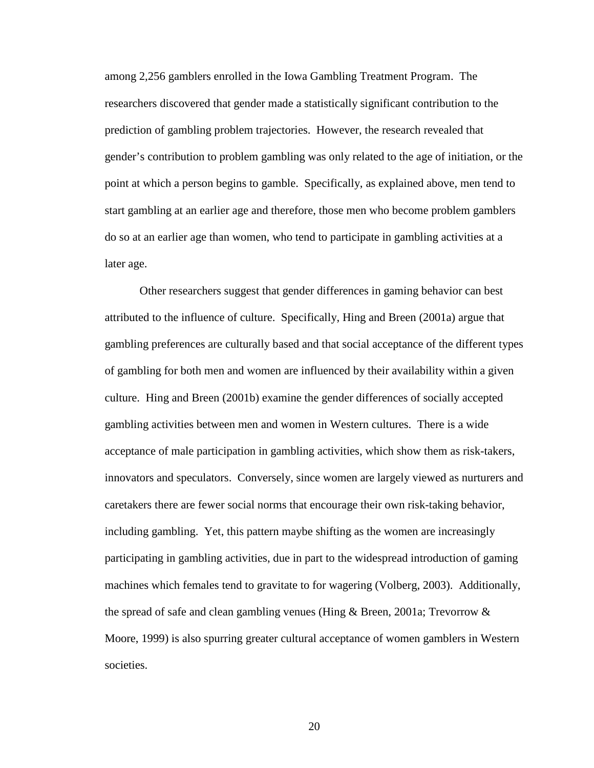among 2,256 gamblers enrolled in the Iowa Gambling Treatment Program. The researchers discovered that gender made a statistically significant contribution to the prediction of gambling problem trajectories. However, the research revealed that gender's contribution to problem gambling was only related to the age of initiation, or the point at which a person begins to gamble. Specifically, as explained above, men tend to start gambling at an earlier age and therefore, those men who become problem gamblers do so at an earlier age than women, who tend to participate in gambling activities at a later age.

Other researchers suggest that gender differences in gaming behavior can best attributed to the influence of culture. Specifically, Hing and Breen (2001a) argue that gambling preferences are culturally based and that social acceptance of the different types of gambling for both men and women are influenced by their availability within a given culture. Hing and Breen (2001b) examine the gender differences of socially accepted gambling activities between men and women in Western cultures. There is a wide acceptance of male participation in gambling activities, which show them as risk-takers, innovators and speculators. Conversely, since women are largely viewed as nurturers and caretakers there are fewer social norms that encourage their own risk-taking behavior, including gambling. Yet, this pattern maybe shifting as the women are increasingly participating in gambling activities, due in part to the widespread introduction of gaming machines which females tend to gravitate to for wagering (Volberg, 2003). Additionally, the spread of safe and clean gambling venues (Hing & Breen, 2001a; Trevorrow & Moore, 1999) is also spurring greater cultural acceptance of women gamblers in Western societies.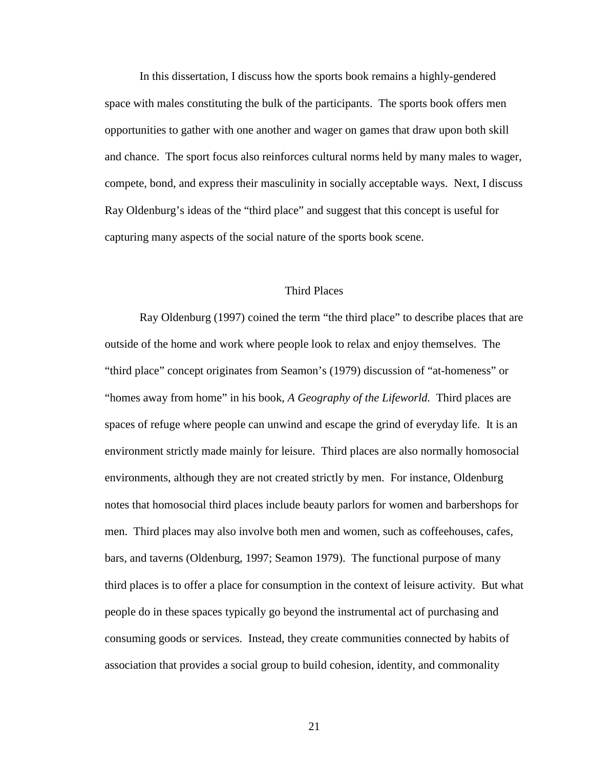In this dissertation, I discuss how the sports book remains a highly-gendered space with males constituting the bulk of the participants. The sports book offers men opportunities to gather with one another and wager on games that draw upon both skill and chance. The sport focus also reinforces cultural norms held by many males to wager, compete, bond, and express their masculinity in socially acceptable ways. Next, I discuss Ray Oldenburg's ideas of the "third place" and suggest that this concept is useful for capturing many aspects of the social nature of the sports book scene.

#### Third Places

Ray Oldenburg (1997) coined the term "the third place" to describe places that are outside of the home and work where people look to relax and enjoy themselves. The "third place" concept originates from Seamon's (1979) discussion of "at-homeness" or "homes away from home" in his book, *A Geography of the Lifeworld.* Third places are spaces of refuge where people can unwind and escape the grind of everyday life. It is an environment strictly made mainly for leisure. Third places are also normally homosocial environments, although they are not created strictly by men. For instance, Oldenburg notes that homosocial third places include beauty parlors for women and barbershops for men. Third places may also involve both men and women, such as coffeehouses, cafes, bars, and taverns (Oldenburg, 1997; Seamon 1979). The functional purpose of many third places is to offer a place for consumption in the context of leisure activity. But what people do in these spaces typically go beyond the instrumental act of purchasing and consuming goods or services. Instead, they create communities connected by habits of association that provides a social group to build cohesion, identity, and commonality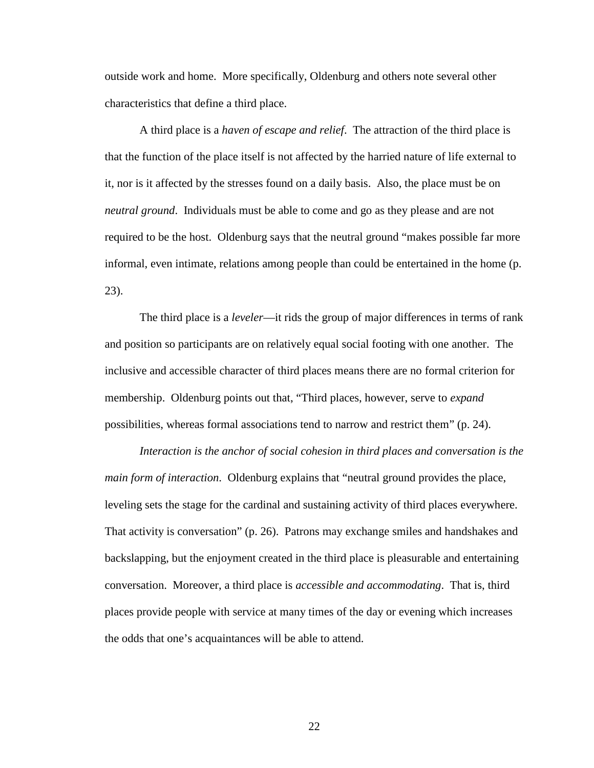outside work and home. More specifically, Oldenburg and others note several other characteristics that define a third place.

A third place is a *haven of escape and relief*. The attraction of the third place is that the function of the place itself is not affected by the harried nature of life external to it, nor is it affected by the stresses found on a daily basis. Also, the place must be on *neutral ground*. Individuals must be able to come and go as they please and are not required to be the host. Oldenburg says that the neutral ground "makes possible far more informal, even intimate, relations among people than could be entertained in the home (p. 23).

The third place is a *leveler*—it rids the group of major differences in terms of rank and position so participants are on relatively equal social footing with one another. The inclusive and accessible character of third places means there are no formal criterion for membership. Oldenburg points out that, "Third places, however, serve to *expand* possibilities, whereas formal associations tend to narrow and restrict them" (p. 24).

*Interaction is the anchor of social cohesion in third places and conversation is the main form of interaction*. Oldenburg explains that "neutral ground provides the place, leveling sets the stage for the cardinal and sustaining activity of third places everywhere. That activity is conversation" (p. 26). Patrons may exchange smiles and handshakes and backslapping, but the enjoyment created in the third place is pleasurable and entertaining conversation. Moreover, a third place is *accessible and accommodating*. That is, third places provide people with service at many times of the day or evening which increases the odds that one's acquaintances will be able to attend.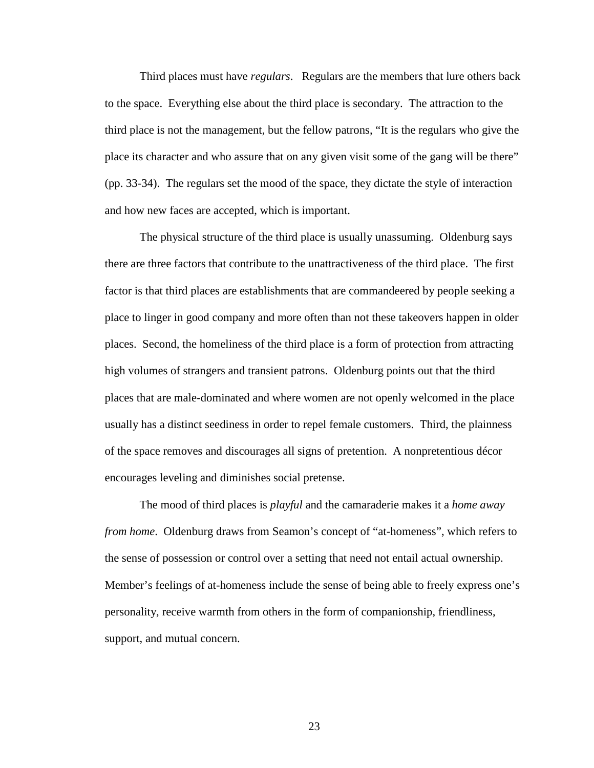Third places must have *regulars*. Regulars are the members that lure others back to the space. Everything else about the third place is secondary. The attraction to the third place is not the management, but the fellow patrons, "It is the regulars who give the place its character and who assure that on any given visit some of the gang will be there" (pp. 33-34). The regulars set the mood of the space, they dictate the style of interaction and how new faces are accepted, which is important.

The physical structure of the third place is usually unassuming. Oldenburg says there are three factors that contribute to the unattractiveness of the third place. The first factor is that third places are establishments that are commandeered by people seeking a place to linger in good company and more often than not these takeovers happen in older places. Second, the homeliness of the third place is a form of protection from attracting high volumes of strangers and transient patrons. Oldenburg points out that the third places that are male-dominated and where women are not openly welcomed in the place usually has a distinct seediness in order to repel female customers. Third, the plainness of the space removes and discourages all signs of pretention. A nonpretentious décor encourages leveling and diminishes social pretense.

The mood of third places is *playful* and the camaraderie makes it a *home away from home*. Oldenburg draws from Seamon's concept of "at-homeness", which refers to the sense of possession or control over a setting that need not entail actual ownership. Member's feelings of at-homeness include the sense of being able to freely express one's personality, receive warmth from others in the form of companionship, friendliness, support, and mutual concern.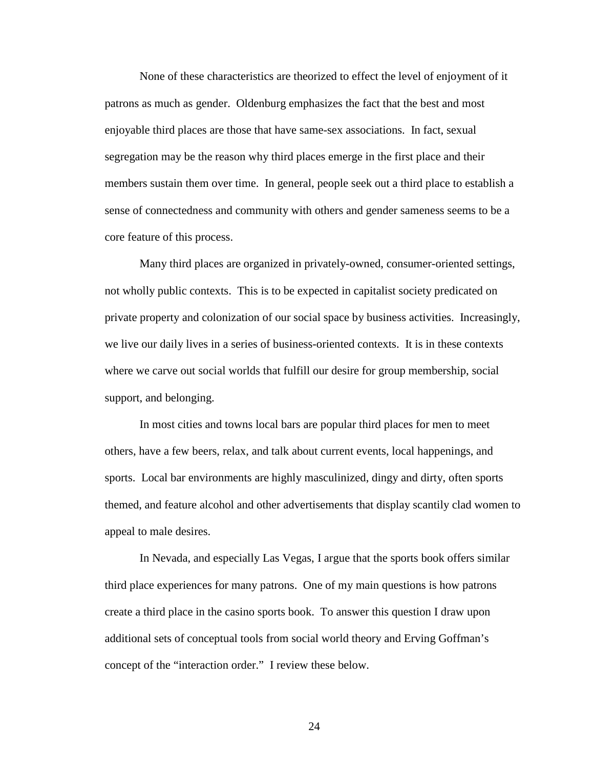None of these characteristics are theorized to effect the level of enjoyment of it patrons as much as gender. Oldenburg emphasizes the fact that the best and most enjoyable third places are those that have same-sex associations. In fact, sexual segregation may be the reason why third places emerge in the first place and their members sustain them over time. In general, people seek out a third place to establish a sense of connectedness and community with others and gender sameness seems to be a core feature of this process.

Many third places are organized in privately-owned, consumer-oriented settings, not wholly public contexts. This is to be expected in capitalist society predicated on private property and colonization of our social space by business activities. Increasingly, we live our daily lives in a series of business-oriented contexts. It is in these contexts where we carve out social worlds that fulfill our desire for group membership, social support, and belonging.

In most cities and towns local bars are popular third places for men to meet others, have a few beers, relax, and talk about current events, local happenings, and sports. Local bar environments are highly masculinized, dingy and dirty, often sports themed, and feature alcohol and other advertisements that display scantily clad women to appeal to male desires.

In Nevada, and especially Las Vegas, I argue that the sports book offers similar third place experiences for many patrons. One of my main questions is how patrons create a third place in the casino sports book. To answer this question I draw upon additional sets of conceptual tools from social world theory and Erving Goffman's concept of the "interaction order." I review these below.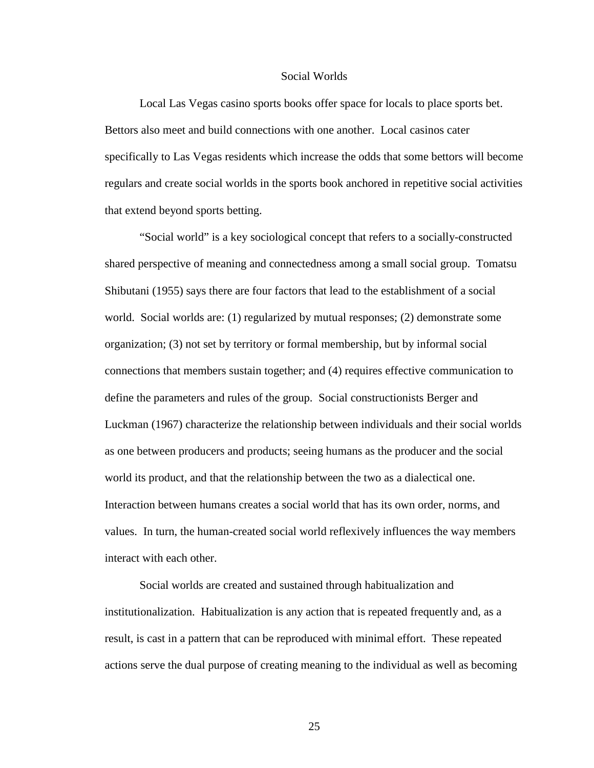#### Social Worlds

Local Las Vegas casino sports books offer space for locals to place sports bet. Bettors also meet and build connections with one another. Local casinos cater specifically to Las Vegas residents which increase the odds that some bettors will become regulars and create social worlds in the sports book anchored in repetitive social activities that extend beyond sports betting.

"Social world" is a key sociological concept that refers to a socially-constructed shared perspective of meaning and connectedness among a small social group. Tomatsu Shibutani (1955) says there are four factors that lead to the establishment of a social world. Social worlds are: (1) regularized by mutual responses; (2) demonstrate some organization; (3) not set by territory or formal membership, but by informal social connections that members sustain together; and (4) requires effective communication to define the parameters and rules of the group. Social constructionists Berger and Luckman (1967) characterize the relationship between individuals and their social worlds as one between producers and products; seeing humans as the producer and the social world its product, and that the relationship between the two as a dialectical one. Interaction between humans creates a social world that has its own order, norms, and values. In turn, the human-created social world reflexively influences the way members interact with each other.

Social worlds are created and sustained through habitualization and institutionalization. Habitualization is any action that is repeated frequently and, as a result, is cast in a pattern that can be reproduced with minimal effort. These repeated actions serve the dual purpose of creating meaning to the individual as well as becoming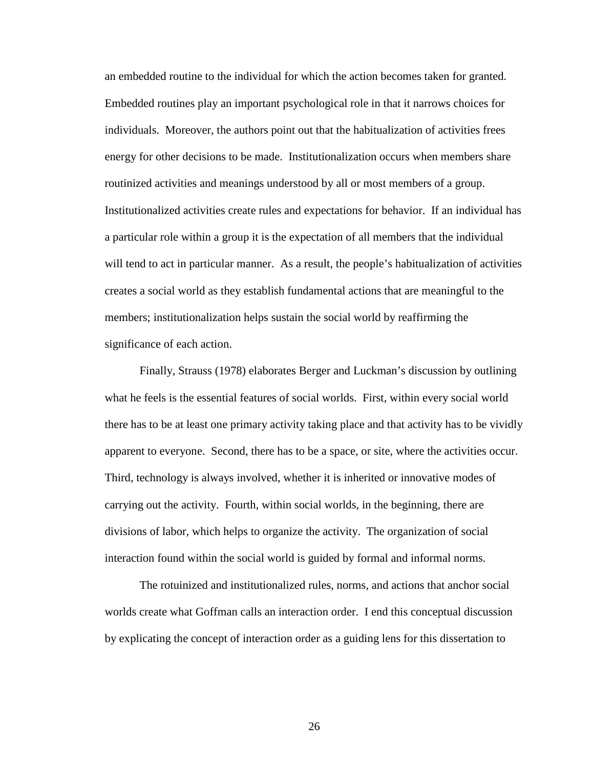an embedded routine to the individual for which the action becomes taken for granted. Embedded routines play an important psychological role in that it narrows choices for individuals. Moreover, the authors point out that the habitualization of activities frees energy for other decisions to be made. Institutionalization occurs when members share routinized activities and meanings understood by all or most members of a group. Institutionalized activities create rules and expectations for behavior. If an individual has a particular role within a group it is the expectation of all members that the individual will tend to act in particular manner. As a result, the people's habitualization of activities creates a social world as they establish fundamental actions that are meaningful to the members; institutionalization helps sustain the social world by reaffirming the significance of each action.

Finally, Strauss (1978) elaborates Berger and Luckman's discussion by outlining what he feels is the essential features of social worlds. First, within every social world there has to be at least one primary activity taking place and that activity has to be vividly apparent to everyone. Second, there has to be a space, or site, where the activities occur. Third, technology is always involved, whether it is inherited or innovative modes of carrying out the activity. Fourth, within social worlds, in the beginning, there are divisions of labor, which helps to organize the activity. The organization of social interaction found within the social world is guided by formal and informal norms.

The rotuinized and institutionalized rules, norms, and actions that anchor social worlds create what Goffman calls an interaction order. I end this conceptual discussion by explicating the concept of interaction order as a guiding lens for this dissertation to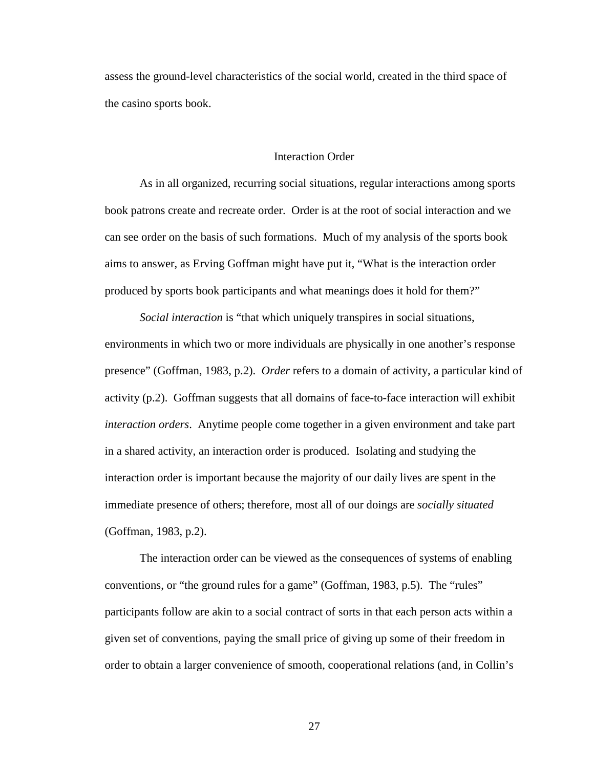assess the ground-level characteristics of the social world, created in the third space of the casino sports book.

#### Interaction Order

As in all organized, recurring social situations, regular interactions among sports book patrons create and recreate order. Order is at the root of social interaction and we can see order on the basis of such formations. Much of my analysis of the sports book aims to answer, as Erving Goffman might have put it, "What is the interaction order produced by sports book participants and what meanings does it hold for them?"

*Social interaction* is "that which uniquely transpires in social situations, environments in which two or more individuals are physically in one another's response presence" (Goffman, 1983, p.2). *Order* refers to a domain of activity, a particular kind of activity (p.2). Goffman suggests that all domains of face-to-face interaction will exhibit *interaction orders*. Anytime people come together in a given environment and take part in a shared activity, an interaction order is produced. Isolating and studying the interaction order is important because the majority of our daily lives are spent in the immediate presence of others; therefore, most all of our doings are *socially situated* (Goffman, 1983, p.2).

The interaction order can be viewed as the consequences of systems of enabling conventions, or "the ground rules for a game" (Goffman, 1983, p.5). The "rules" participants follow are akin to a social contract of sorts in that each person acts within a given set of conventions, paying the small price of giving up some of their freedom in order to obtain a larger convenience of smooth, cooperational relations (and, in Collin's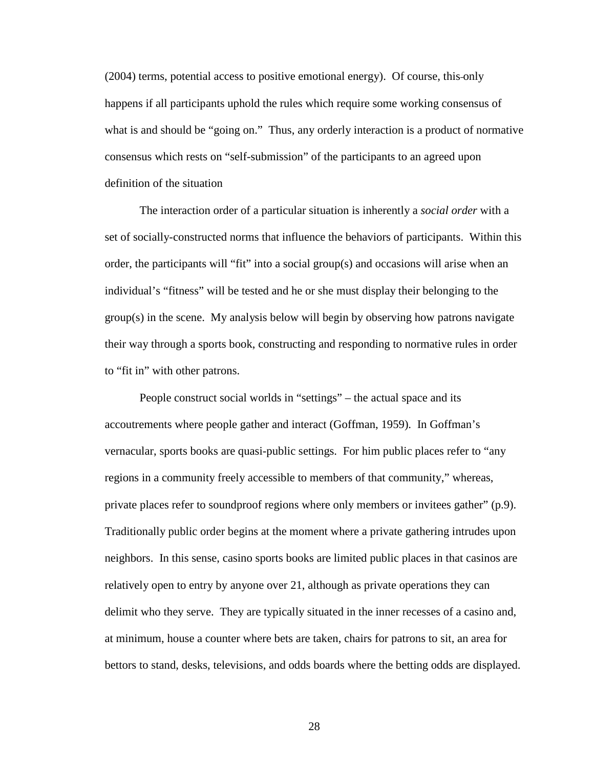(2004) terms, potential access to positive emotional energy). Of course, this only happens if all participants uphold the rules which require some working consensus of what is and should be "going on."Thus, any orderly interaction is a product of normative consensus which rests on "self-submission" of the participants to an agreed upon definition of the situation

The interaction order of a particular situation is inherently a *social order* with a set of socially-constructed norms that influence the behaviors of participants. Within this order, the participants will "fit" into a social group(s) and occasions will arise when an individual's "fitness" will be tested and he or she must display their belonging to the group(s) in the scene. My analysis below will begin by observing how patrons navigate their way through a sports book, constructing and responding to normative rules in order to "fit in" with other patrons.

People construct social worlds in "settings" – the actual space and its accoutrements where people gather and interact (Goffman, 1959). In Goffman's vernacular, sports books are quasi-public settings. For him public places refer to "any regions in a community freely accessible to members of that community," whereas, private places refer to soundproof regions where only members or invitees gather" (p.9). Traditionally public order begins at the moment where a private gathering intrudes upon neighbors. In this sense, casino sports books are limited public places in that casinos are relatively open to entry by anyone over 21, although as private operations they can delimit who they serve. They are typically situated in the inner recesses of a casino and, at minimum, house a counter where bets are taken, chairs for patrons to sit, an area for bettors to stand, desks, televisions, and odds boards where the betting odds are displayed.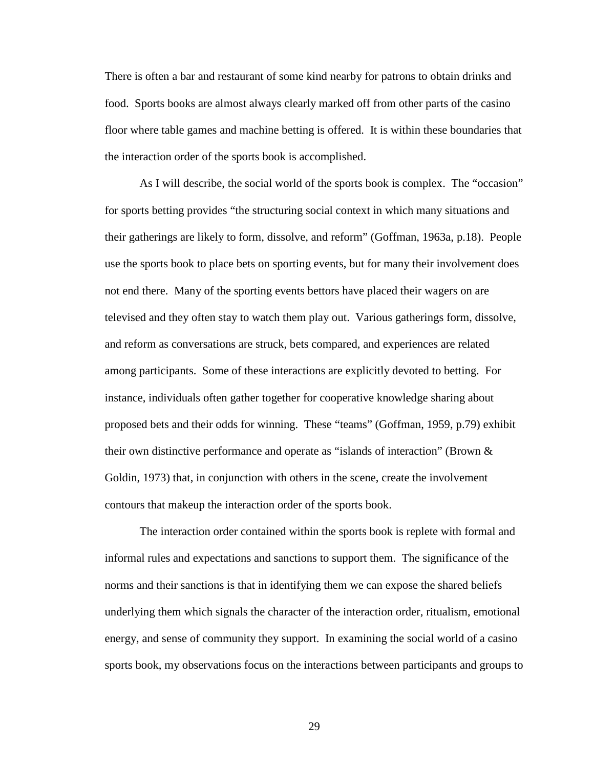There is often a bar and restaurant of some kind nearby for patrons to obtain drinks and food. Sports books are almost always clearly marked off from other parts of the casino floor where table games and machine betting is offered. It is within these boundaries that the interaction order of the sports book is accomplished.

As I will describe, the social world of the sports book is complex. The "occasion" for sports betting provides "the structuring social context in which many situations and their gatherings are likely to form, dissolve, and reform" (Goffman, 1963a, p.18). People use the sports book to place bets on sporting events, but for many their involvement does not end there. Many of the sporting events bettors have placed their wagers on are televised and they often stay to watch them play out. Various gatherings form, dissolve, and reform as conversations are struck, bets compared, and experiences are related among participants. Some of these interactions are explicitly devoted to betting. For instance, individuals often gather together for cooperative knowledge sharing about proposed bets and their odds for winning.These "teams" (Goffman, 1959, p.79) exhibit their own distinctive performance and operate as "islands of interaction" (Brown & Goldin, 1973) that, in conjunction with others in the scene, create the involvement contours that makeup the interaction order of the sports book.

The interaction order contained within the sports book is replete with formal and informal rules and expectations and sanctions to support them. The significance of the norms and their sanctions is that in identifying them we can expose the shared beliefs underlying them which signals the character of the interaction order, ritualism, emotional energy, and sense of community they support.In examining the social world of a casino sports book, my observations focus on the interactions between participants and groups to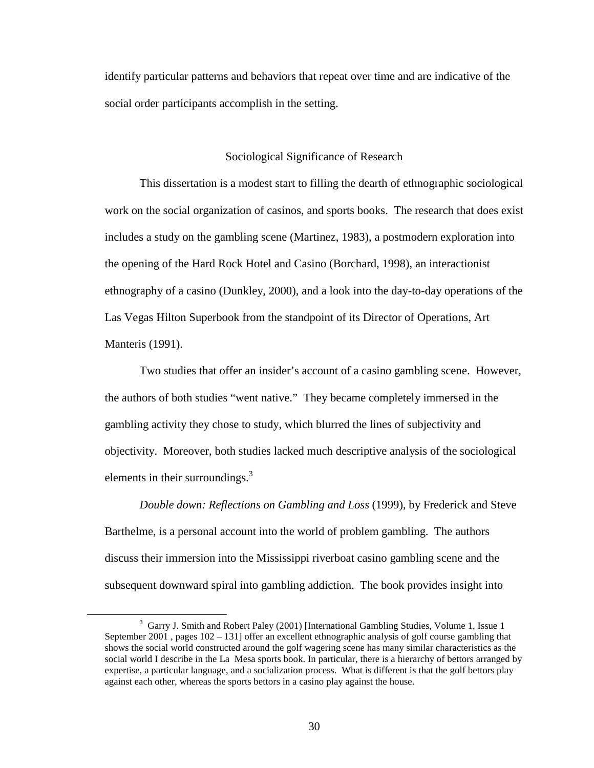identify particular patterns and behaviors that repeat over time and are indicative of the social order participants accomplish in the setting.

# Sociological Significance of Research

This dissertation is a modest start to filling the dearth of ethnographic sociological work on the social organization of casinos, and sports books. The research that does exist includes a study on the gambling scene (Martinez, 1983), a postmodern exploration into the opening of the Hard Rock Hotel and Casino (Borchard, 1998), an interactionist ethnography of a casino (Dunkley, 2000), and a look into the day-to-day operations of the Las Vegas Hilton Superbook from the standpoint of its Director of Operations, Art Manteris (1991).

Two studies that offer an insider's account of a casino gambling scene. However, the authors of both studies "went native." They became completely immersed in the gambling activity they chose to study, which blurred the lines of subjectivity and objectivity. Moreover, both studies lacked much descriptive analysis of the sociological elements in their surroundings. $3$ 

*Double down: Reflections on Gambling and Loss* (1999), by Frederick and Steve Barthelme, is a personal account into the world of problem gambling. The authors discuss their immersion into the Mississippi riverboat casino gambling scene and the subsequent downward spiral into gambling addiction. The book provides insight into

 $\overline{a}$ 

<sup>&</sup>lt;sup>3</sup> Garry J. Smith and Robert Paley (2001) [International Gambling Studies, Volume 1, Issue 1 September 2001 , pages 102 – 131] offer an excellent ethnographic analysis of golf course gambling that shows the social world constructed around the golf wagering scene has many similar characteristics as the social world I describe in the La Mesa sports book. In particular, there is a hierarchy of bettors arranged by expertise, a particular language, and a socialization process. What is different is that the golf bettors play against each other, whereas the sports bettors in a casino play against the house.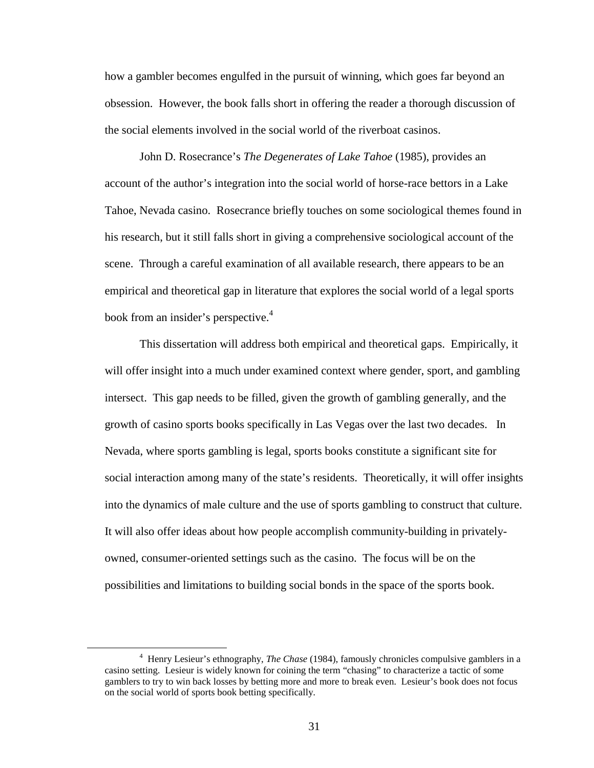how a gambler becomes engulfed in the pursuit of winning, which goes far beyond an obsession. However, the book falls short in offering the reader a thorough discussion of the social elements involved in the social world of the riverboat casinos.

John D. Rosecrance's *The Degenerates of Lake Tahoe* (1985), provides an account of the author's integration into the social world of horse-race bettors in a Lake Tahoe, Nevada casino. Rosecrance briefly touches on some sociological themes found in his research, but it still falls short in giving a comprehensive sociological account of the scene. Through a careful examination of all available research, there appears to be an empirical and theoretical gap in literature that explores the social world of a legal sports book from an insider's perspective.<sup>4</sup>

This dissertation will address both empirical and theoretical gaps. Empirically, it will offer insight into a much under examined context where gender, sport, and gambling intersect. This gap needs to be filled, given the growth of gambling generally, and the growth of casino sports books specifically in Las Vegas over the last two decades. In Nevada, where sports gambling is legal, sports books constitute a significant site for social interaction among many of the state's residents. Theoretically, it will offer insights into the dynamics of male culture and the use of sports gambling to construct that culture. It will also offer ideas about how people accomplish community-building in privatelyowned, consumer-oriented settings such as the casino. The focus will be on the possibilities and limitations to building social bonds in the space of the sports book.

<u>.</u>

<sup>4</sup> Henry Lesieur's ethnography, *The Chase* (1984), famously chronicles compulsive gamblers in a casino setting. Lesieur is widely known for coining the term "chasing" to characterize a tactic of some gamblers to try to win back losses by betting more and more to break even. Lesieur's book does not focus on the social world of sports book betting specifically.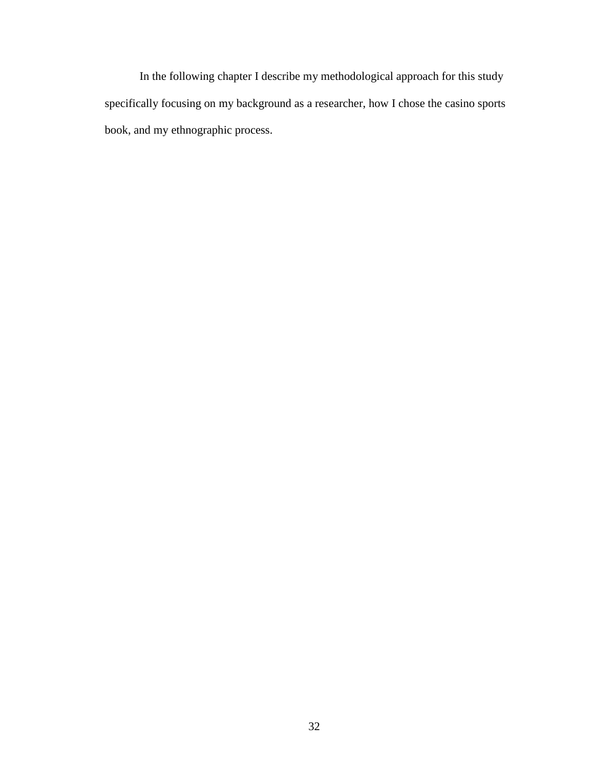In the following chapter I describe my methodological approach for this study specifically focusing on my background as a researcher, how I chose the casino sports book, and my ethnographic process.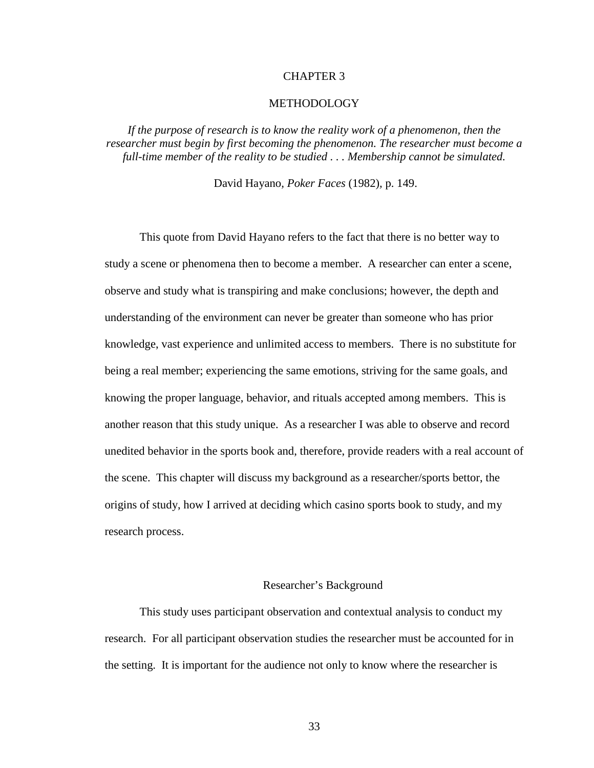## CHAPTER 3

## METHODOLOGY

If the purpose of research is to know the reality work of a phenomenon, then the *researcher must begin by first becoming the phenomenon. The researcher must become a full-time member of the reality to be studied . . . Membership cannot be simulated.* 

David Hayano*, Poker Faces* (1982)*,* p. 149.

This quote from David Hayano refers to the fact that there is no better way to study a scene or phenomena then to become a member. A researcher can enter a scene, observe and study what is transpiring and make conclusions; however, the depth and understanding of the environment can never be greater than someone who has prior knowledge, vast experience and unlimited access to members. There is no substitute for being a real member; experiencing the same emotions, striving for the same goals, and knowing the proper language, behavior, and rituals accepted among members. This is another reason that this study unique. As a researcher I was able to observe and record unedited behavior in the sports book and, therefore, provide readers with a real account of the scene. This chapter will discuss my background as a researcher/sports bettor, the origins of study, how I arrived at deciding which casino sports book to study, and my research process.

#### Researcher's Background

This study uses participant observation and contextual analysis to conduct my research. For all participant observation studies the researcher must be accounted for in the setting. It is important for the audience not only to know where the researcher is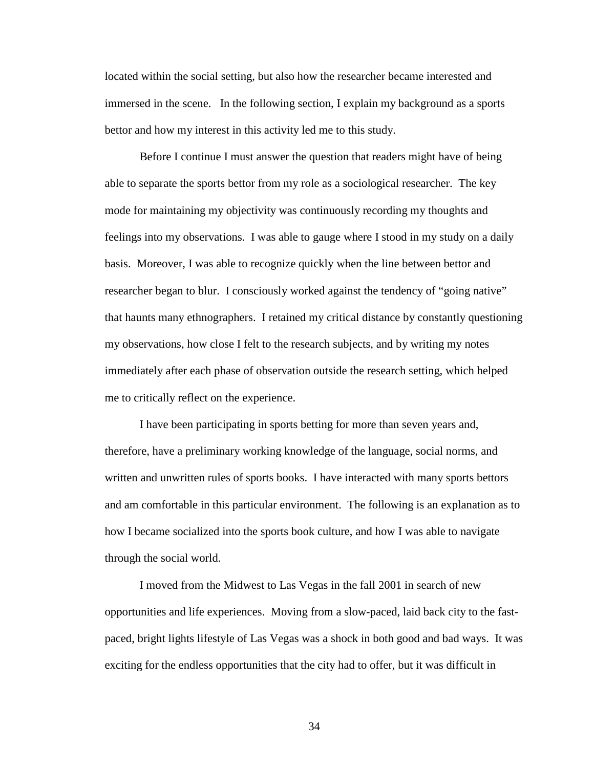located within the social setting, but also how the researcher became interested and immersed in the scene. In the following section, I explain my background as a sports bettor and how my interest in this activity led me to this study.

Before I continue I must answer the question that readers might have of being able to separate the sports bettor from my role as a sociological researcher. The key mode for maintaining my objectivity was continuously recording my thoughts and feelings into my observations. I was able to gauge where I stood in my study on a daily basis. Moreover, I was able to recognize quickly when the line between bettor and researcher began to blur. I consciously worked against the tendency of "going native" that haunts many ethnographers. I retained my critical distance by constantly questioning my observations, how close I felt to the research subjects, and by writing my notes immediately after each phase of observation outside the research setting, which helped me to critically reflect on the experience.

I have been participating in sports betting for more than seven years and, therefore, have a preliminary working knowledge of the language, social norms, and written and unwritten rules of sports books. I have interacted with many sports bettors and am comfortable in this particular environment. The following is an explanation as to how I became socialized into the sports book culture, and how I was able to navigate through the social world.

I moved from the Midwest to Las Vegas in the fall 2001 in search of new opportunities and life experiences. Moving from a slow-paced, laid back city to the fastpaced, bright lights lifestyle of Las Vegas was a shock in both good and bad ways. It was exciting for the endless opportunities that the city had to offer, but it was difficult in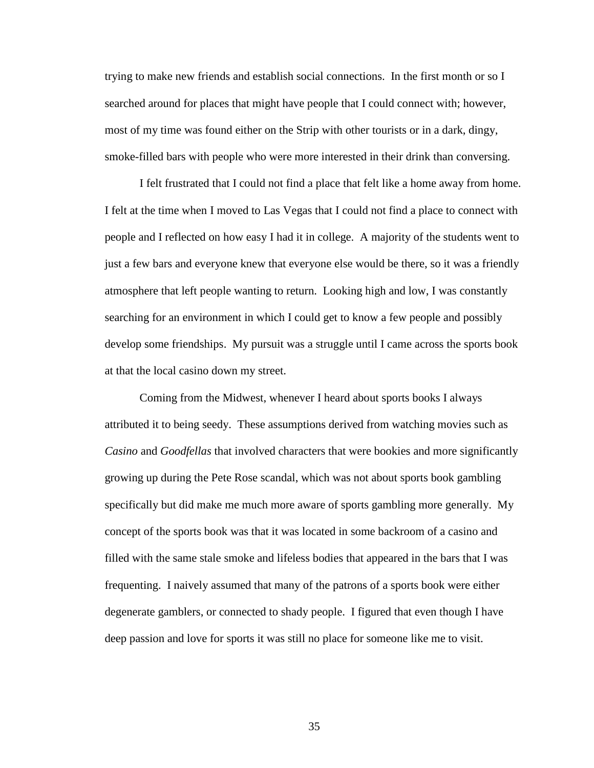trying to make new friends and establish social connections. In the first month or so I searched around for places that might have people that I could connect with; however, most of my time was found either on the Strip with other tourists or in a dark, dingy, smoke-filled bars with people who were more interested in their drink than conversing.

I felt frustrated that I could not find a place that felt like a home away from home. I felt at the time when I moved to Las Vegas that I could not find a place to connect with people and I reflected on how easy I had it in college. A majority of the students went to just a few bars and everyone knew that everyone else would be there, so it was a friendly atmosphere that left people wanting to return. Looking high and low, I was constantly searching for an environment in which I could get to know a few people and possibly develop some friendships. My pursuit was a struggle until I came across the sports book at that the local casino down my street.

Coming from the Midwest, whenever I heard about sports books I always attributed it to being seedy. These assumptions derived from watching movies such as *Casino* and *Goodfellas* that involved characters that were bookies and more significantly growing up during the Pete Rose scandal, which was not about sports book gambling specifically but did make me much more aware of sports gambling more generally. My concept of the sports book was that it was located in some backroom of a casino and filled with the same stale smoke and lifeless bodies that appeared in the bars that I was frequenting. I naively assumed that many of the patrons of a sports book were either degenerate gamblers, or connected to shady people. I figured that even though I have deep passion and love for sports it was still no place for someone like me to visit.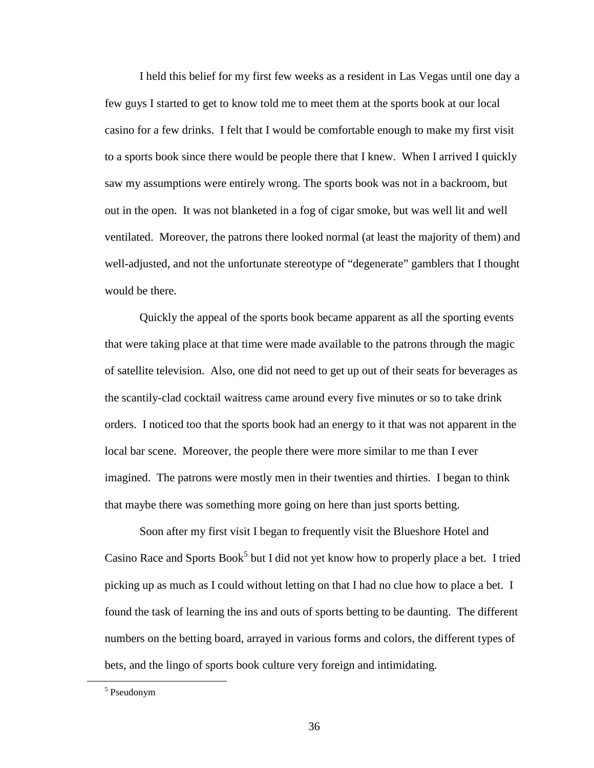I held this belief for my first few weeks as a resident in Las Vegas until one day a few guys I started to get to know told me to meet them at the sports book at our local casino for a few drinks. I felt that I would be comfortable enough to make my first visit to a sports book since there would be people there that I knew. When I arrived I quickly saw my assumptions were entirely wrong. The sports book was not in a backroom, but out in the open. It was not blanketed in a fog of cigar smoke, but was well lit and well ventilated. Moreover, the patrons there looked normal (at least the majority of them) and well-adjusted, and not the unfortunate stereotype of "degenerate" gamblers that I thought would be there.

Quickly the appeal of the sports book became apparent as all the sporting events that were taking place at that time were made available to the patrons through the magic of satellite television. Also, one did not need to get up out of their seats for beverages as the scantily-clad cocktail waitress came around every five minutes or so to take drink orders. I noticed too that the sports book had an energy to it that was not apparent in the local bar scene. Moreover, the people there were more similar to me than I ever imagined. The patrons were mostly men in their twenties and thirties. I began to think that maybe there was something more going on here than just sports betting.

Soon after my first visit I began to frequently visit the Blueshore Hotel and Casino Race and Sports Book<sup>5</sup> but I did not yet know how to properly place a bet. I tried picking up as much as I could without letting on that I had no clue how to place a bet. I found the task of learning the ins and outs of sports betting to be daunting. The different numbers on the betting board, arrayed in various forms and colors, the different types of bets, and the lingo of sports book culture very foreign and intimidating.

 $\overline{a}$ 

<sup>5</sup> Pseudonym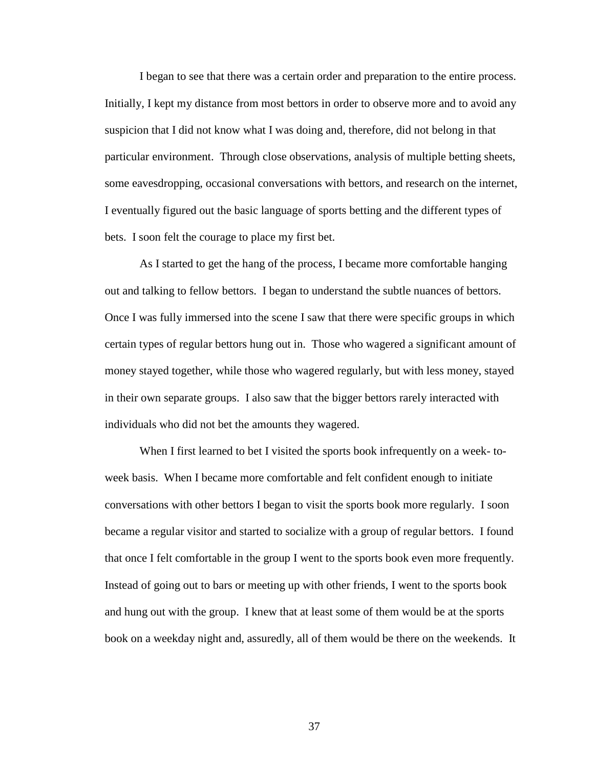I began to see that there was a certain order and preparation to the entire process. Initially, I kept my distance from most bettors in order to observe more and to avoid any suspicion that I did not know what I was doing and, therefore, did not belong in that particular environment. Through close observations, analysis of multiple betting sheets, some eavesdropping, occasional conversations with bettors, and research on the internet, I eventually figured out the basic language of sports betting and the different types of bets. I soon felt the courage to place my first bet.

As I started to get the hang of the process, I became more comfortable hanging out and talking to fellow bettors. I began to understand the subtle nuances of bettors. Once I was fully immersed into the scene I saw that there were specific groups in which certain types of regular bettors hung out in. Those who wagered a significant amount of money stayed together, while those who wagered regularly, but with less money, stayed in their own separate groups. I also saw that the bigger bettors rarely interacted with individuals who did not bet the amounts they wagered.

When I first learned to bet I visited the sports book infrequently on a week- toweek basis. When I became more comfortable and felt confident enough to initiate conversations with other bettors I began to visit the sports book more regularly. I soon became a regular visitor and started to socialize with a group of regular bettors. I found that once I felt comfortable in the group I went to the sports book even more frequently. Instead of going out to bars or meeting up with other friends, I went to the sports book and hung out with the group. I knew that at least some of them would be at the sports book on a weekday night and, assuredly, all of them would be there on the weekends. It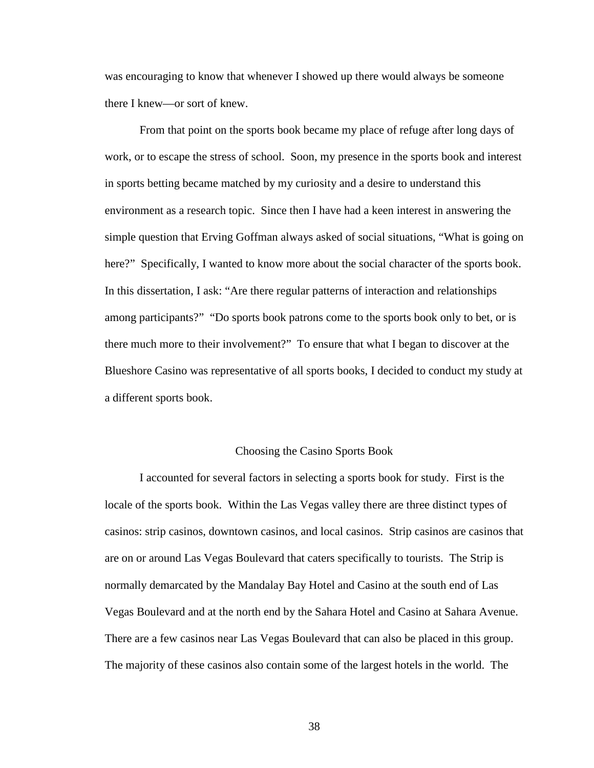was encouraging to know that whenever I showed up there would always be someone there I knew—or sort of knew.

From that point on the sports book became my place of refuge after long days of work, or to escape the stress of school. Soon, my presence in the sports book and interest in sports betting became matched by my curiosity and a desire to understand this environment as a research topic. Since then I have had a keen interest in answering the simple question that Erving Goffman always asked of social situations, "What is going on here?" Specifically, I wanted to know more about the social character of the sports book. In this dissertation, I ask: "Are there regular patterns of interaction and relationships among participants?" "Do sports book patrons come to the sports book only to bet, or is there much more to their involvement?" To ensure that what I began to discover at the Blueshore Casino was representative of all sports books, I decided to conduct my study at a different sports book.

## Choosing the Casino Sports Book

I accounted for several factors in selecting a sports book for study. First is the locale of the sports book. Within the Las Vegas valley there are three distinct types of casinos: strip casinos, downtown casinos, and local casinos. Strip casinos are casinos that are on or around Las Vegas Boulevard that caters specifically to tourists. The Strip is normally demarcated by the Mandalay Bay Hotel and Casino at the south end of Las Vegas Boulevard and at the north end by the Sahara Hotel and Casino at Sahara Avenue. There are a few casinos near Las Vegas Boulevard that can also be placed in this group. The majority of these casinos also contain some of the largest hotels in the world. The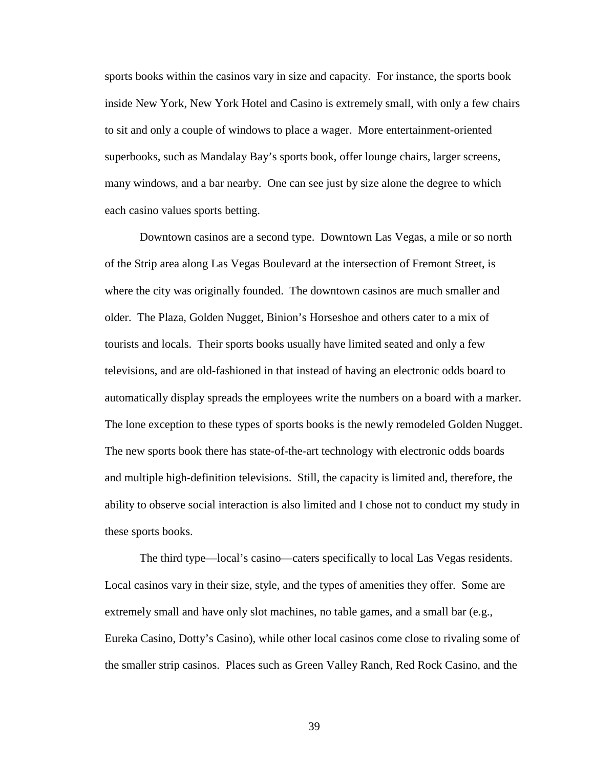sports books within the casinos vary in size and capacity. For instance, the sports book inside New York, New York Hotel and Casino is extremely small, with only a few chairs to sit and only a couple of windows to place a wager. More entertainment-oriented superbooks, such as Mandalay Bay's sports book, offer lounge chairs, larger screens, many windows, and a bar nearby. One can see just by size alone the degree to which each casino values sports betting.

Downtown casinos are a second type. Downtown Las Vegas, a mile or so north of the Strip area along Las Vegas Boulevard at the intersection of Fremont Street, is where the city was originally founded. The downtown casinos are much smaller and older. The Plaza, Golden Nugget, Binion's Horseshoe and others cater to a mix of tourists and locals. Their sports books usually have limited seated and only a few televisions, and are old-fashioned in that instead of having an electronic odds board to automatically display spreads the employees write the numbers on a board with a marker. The lone exception to these types of sports books is the newly remodeled Golden Nugget. The new sports book there has state-of-the-art technology with electronic odds boards and multiple high-definition televisions. Still, the capacity is limited and, therefore, the ability to observe social interaction is also limited and I chose not to conduct my study in these sports books.

The third type—local's casino—caters specifically to local Las Vegas residents. Local casinos vary in their size, style, and the types of amenities they offer. Some are extremely small and have only slot machines, no table games, and a small bar (e.g., Eureka Casino, Dotty's Casino), while other local casinos come close to rivaling some of the smaller strip casinos. Places such as Green Valley Ranch, Red Rock Casino, and the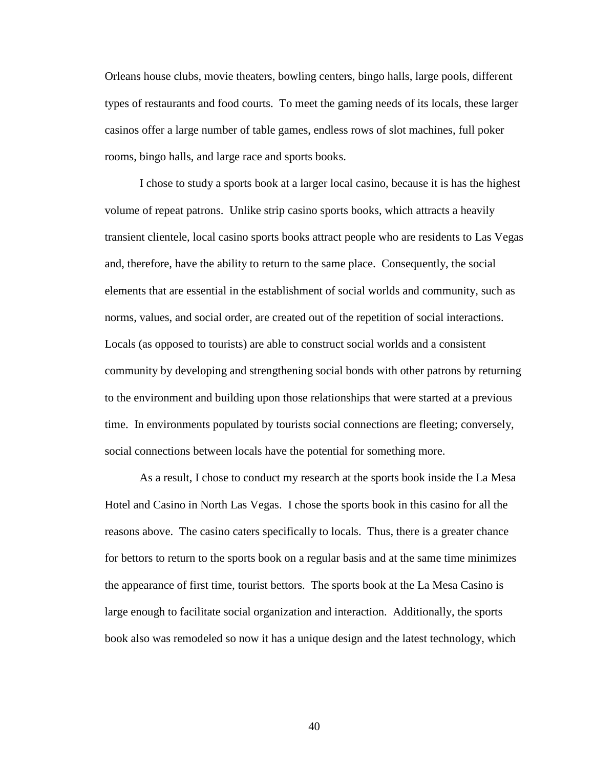Orleans house clubs, movie theaters, bowling centers, bingo halls, large pools, different types of restaurants and food courts. To meet the gaming needs of its locals, these larger casinos offer a large number of table games, endless rows of slot machines, full poker rooms, bingo halls, and large race and sports books.

I chose to study a sports book at a larger local casino, because it is has the highest volume of repeat patrons. Unlike strip casino sports books, which attracts a heavily transient clientele, local casino sports books attract people who are residents to Las Vegas and, therefore, have the ability to return to the same place. Consequently, the social elements that are essential in the establishment of social worlds and community, such as norms, values, and social order, are created out of the repetition of social interactions. Locals (as opposed to tourists) are able to construct social worlds and a consistent community by developing and strengthening social bonds with other patrons by returning to the environment and building upon those relationships that were started at a previous time. In environments populated by tourists social connections are fleeting; conversely, social connections between locals have the potential for something more.

As a result, I chose to conduct my research at the sports book inside the La Mesa Hotel and Casino in North Las Vegas. I chose the sports book in this casino for all the reasons above. The casino caters specifically to locals. Thus, there is a greater chance for bettors to return to the sports book on a regular basis and at the same time minimizes the appearance of first time, tourist bettors. The sports book at the La Mesa Casino is large enough to facilitate social organization and interaction. Additionally, the sports book also was remodeled so now it has a unique design and the latest technology, which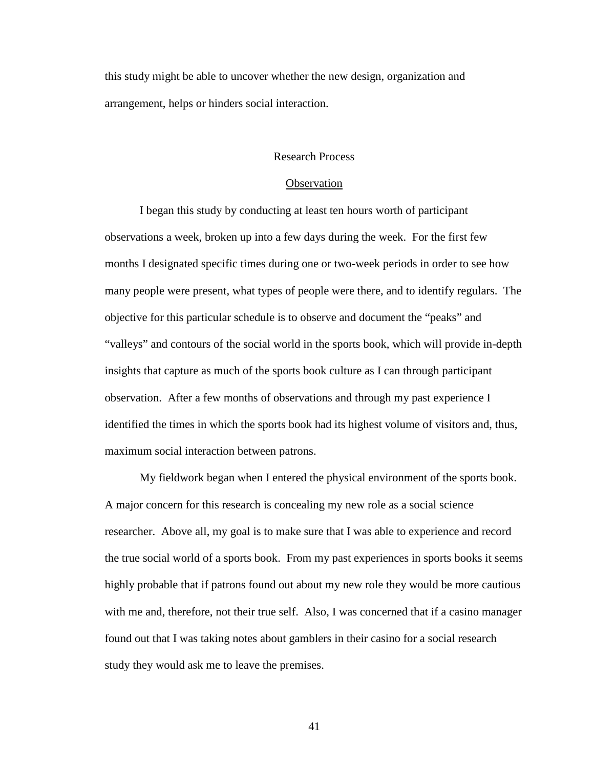this study might be able to uncover whether the new design, organization and arrangement, helps or hinders social interaction.

## Research Process

#### **Observation**

I began this study by conducting at least ten hours worth of participant observations a week, broken up into a few days during the week. For the first few months I designated specific times during one or two-week periods in order to see how many people were present, what types of people were there, and to identify regulars. The objective for this particular schedule is to observe and document the "peaks" and "valleys" and contours of the social world in the sports book, which will provide in-depth insights that capture as much of the sports book culture as I can through participant observation. After a few months of observations and through my past experience I identified the times in which the sports book had its highest volume of visitors and, thus, maximum social interaction between patrons.

My fieldwork began when I entered the physical environment of the sports book. A major concern for this research is concealing my new role as a social science researcher. Above all, my goal is to make sure that I was able to experience and record the true social world of a sports book. From my past experiences in sports books it seems highly probable that if patrons found out about my new role they would be more cautious with me and, therefore, not their true self. Also, I was concerned that if a casino manager found out that I was taking notes about gamblers in their casino for a social research study they would ask me to leave the premises.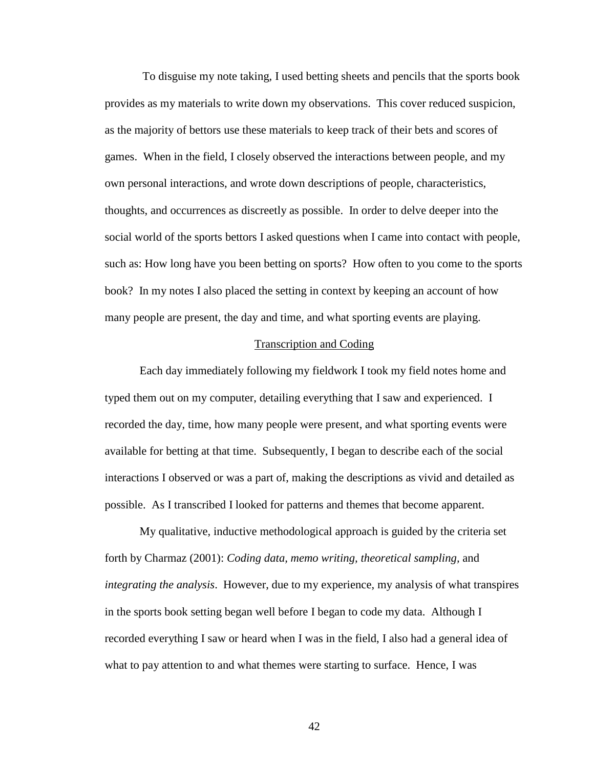To disguise my note taking, I used betting sheets and pencils that the sports book provides as my materials to write down my observations. This cover reduced suspicion, as the majority of bettors use these materials to keep track of their bets and scores of games. When in the field, I closely observed the interactions between people, and my own personal interactions, and wrote down descriptions of people, characteristics, thoughts, and occurrences as discreetly as possible. In order to delve deeper into the social world of the sports bettors I asked questions when I came into contact with people, such as: How long have you been betting on sports? How often to you come to the sports book? In my notes I also placed the setting in context by keeping an account of how many people are present, the day and time, and what sporting events are playing.

#### Transcription and Coding

Each day immediately following my fieldwork I took my field notes home and typed them out on my computer, detailing everything that I saw and experienced. I recorded the day, time, how many people were present, and what sporting events were available for betting at that time. Subsequently, I began to describe each of the social interactions I observed or was a part of, making the descriptions as vivid and detailed as possible. As I transcribed I looked for patterns and themes that become apparent.

My qualitative, inductive methodological approach is guided by the criteria set forth by Charmaz (2001): *Coding data, memo writing, theoretical sampling,* and *integrating the analysis*. However, due to my experience, my analysis of what transpires in the sports book setting began well before I began to code my data. Although I recorded everything I saw or heard when I was in the field, I also had a general idea of what to pay attention to and what themes were starting to surface. Hence, I was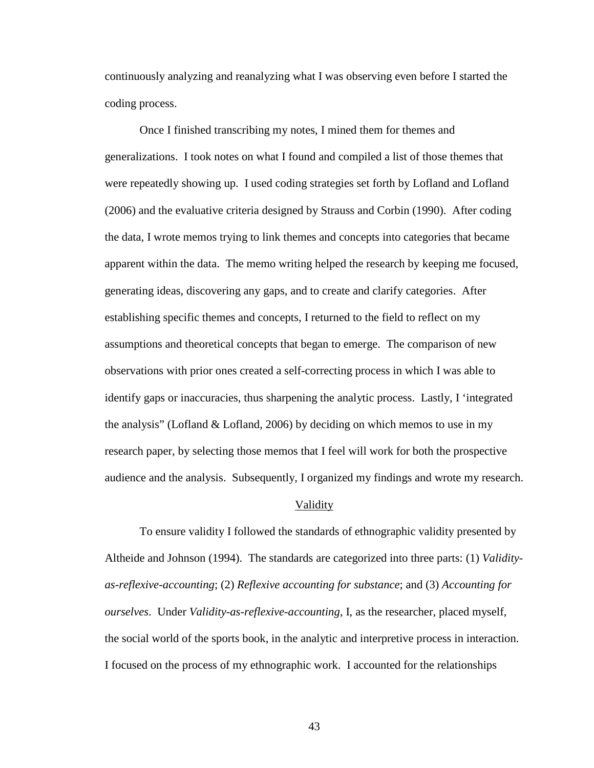continuously analyzing and reanalyzing what I was observing even before I started the coding process.

Once I finished transcribing my notes, I mined them for themes and generalizations. I took notes on what I found and compiled a list of those themes that were repeatedly showing up. I used coding strategies set forth by Lofland and Lofland (2006) and the evaluative criteria designed by Strauss and Corbin (1990). After coding the data, I wrote memos trying to link themes and concepts into categories that became apparent within the data. The memo writing helped the research by keeping me focused, generating ideas, discovering any gaps, and to create and clarify categories. After establishing specific themes and concepts, I returned to the field to reflect on my assumptions and theoretical concepts that began to emerge. The comparison of new observations with prior ones created a self-correcting process in which I was able to identify gaps or inaccuracies, thus sharpening the analytic process. Lastly, I 'integrated the analysis" (Lofland & Lofland, 2006) by deciding on which memos to use in my research paper, by selecting those memos that I feel will work for both the prospective audience and the analysis. Subsequently, I organized my findings and wrote my research.

#### Validity

To ensure validity I followed the standards of ethnographic validity presented by Altheide and Johnson (1994). The standards are categorized into three parts: (1) *Validityas-reflexive-accounting*; (2) *Reflexive accounting for substance*; and (3) *Accounting for ourselves*. Under *Validity-as-reflexive-accounting*, I, as the researcher, placed myself, the social world of the sports book, in the analytic and interpretive process in interaction. I focused on the process of my ethnographic work. I accounted for the relationships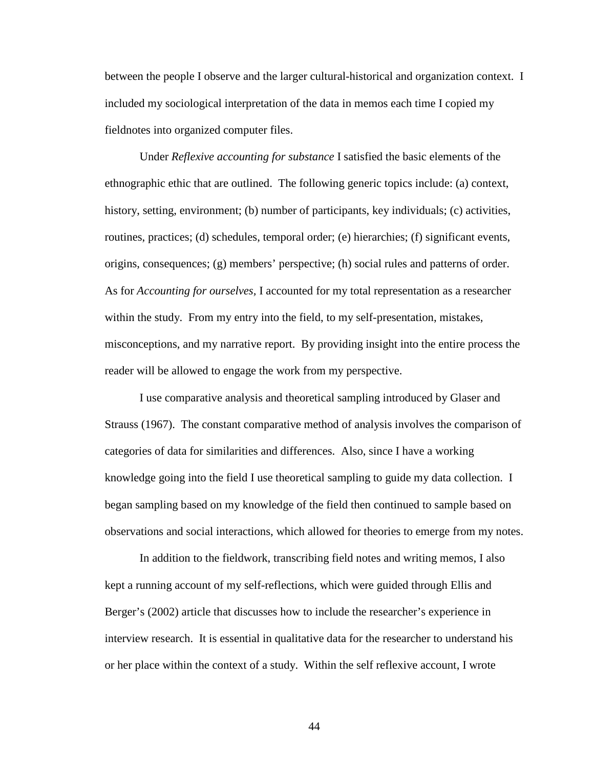between the people I observe and the larger cultural-historical and organization context. I included my sociological interpretation of the data in memos each time I copied my fieldnotes into organized computer files.

Under *Reflexive accounting for substance* I satisfied the basic elements of the ethnographic ethic that are outlined. The following generic topics include: (a) context, history, setting, environment; (b) number of participants, key individuals; (c) activities, routines, practices; (d) schedules, temporal order; (e) hierarchies; (f) significant events, origins, consequences; (g) members' perspective; (h) social rules and patterns of order. As for *Accounting for ourselves,* I accounted for my total representation as a researcher within the study. From my entry into the field, to my self-presentation, mistakes, misconceptions, and my narrative report. By providing insight into the entire process the reader will be allowed to engage the work from my perspective.

I use comparative analysis and theoretical sampling introduced by Glaser and Strauss (1967). The constant comparative method of analysis involves the comparison of categories of data for similarities and differences. Also, since I have a working knowledge going into the field I use theoretical sampling to guide my data collection. I began sampling based on my knowledge of the field then continued to sample based on observations and social interactions, which allowed for theories to emerge from my notes.

In addition to the fieldwork, transcribing field notes and writing memos, I also kept a running account of my self-reflections, which were guided through Ellis and Berger's (2002) article that discusses how to include the researcher's experience in interview research. It is essential in qualitative data for the researcher to understand his or her place within the context of a study. Within the self reflexive account, I wrote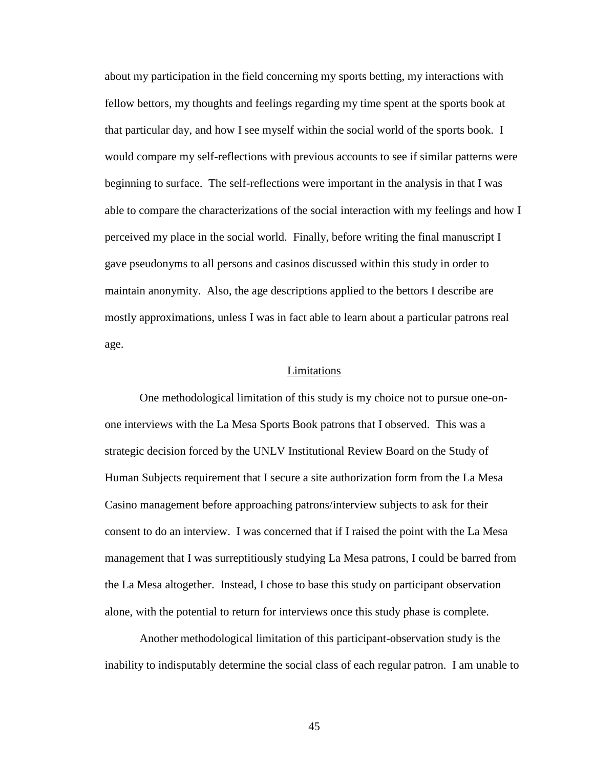about my participation in the field concerning my sports betting, my interactions with fellow bettors, my thoughts and feelings regarding my time spent at the sports book at that particular day, and how I see myself within the social world of the sports book. I would compare my self-reflections with previous accounts to see if similar patterns were beginning to surface. The self-reflections were important in the analysis in that I was able to compare the characterizations of the social interaction with my feelings and how I perceived my place in the social world. Finally, before writing the final manuscript I gave pseudonyms to all persons and casinos discussed within this study in order to maintain anonymity. Also, the age descriptions applied to the bettors I describe are mostly approximations, unless I was in fact able to learn about a particular patrons real age.

### Limitations

One methodological limitation of this study is my choice not to pursue one-onone interviews with the La Mesa Sports Book patrons that I observed. This was a strategic decision forced by the UNLV Institutional Review Board on the Study of Human Subjects requirement that I secure a site authorization form from the La Mesa Casino management before approaching patrons/interview subjects to ask for their consent to do an interview. I was concerned that if I raised the point with the La Mesa management that I was surreptitiously studying La Mesa patrons, I could be barred from the La Mesa altogether. Instead, I chose to base this study on participant observation alone, with the potential to return for interviews once this study phase is complete.

Another methodological limitation of this participant-observation study is the inability to indisputably determine the social class of each regular patron. I am unable to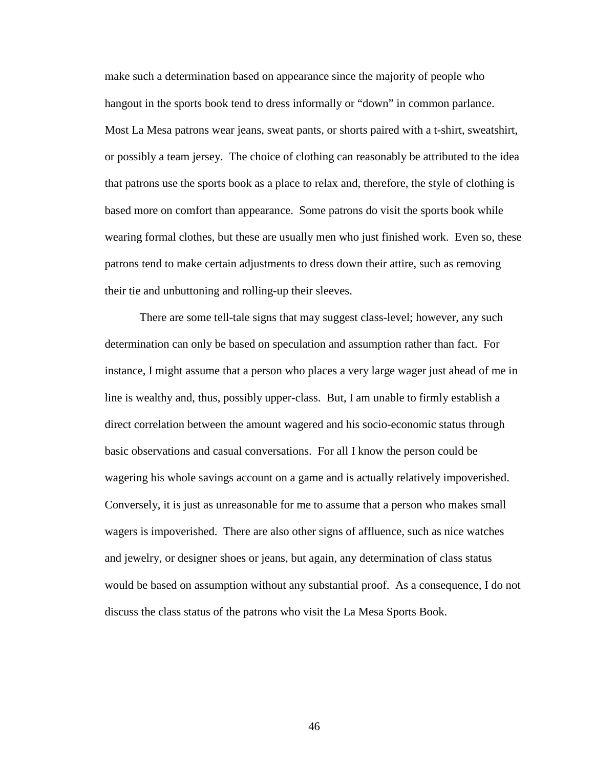make such a determination based on appearance since the majority of people who hangout in the sports book tend to dress informally or "down" in common parlance. Most La Mesa patrons wear jeans, sweat pants, or shorts paired with a t-shirt, sweatshirt, or possibly a team jersey. The choice of clothing can reasonably be attributed to the idea that patrons use the sports book as a place to relax and, therefore, the style of clothing is based more on comfort than appearance. Some patrons do visit the sports book while wearing formal clothes, but these are usually men who just finished work. Even so, these patrons tend to make certain adjustments to dress down their attire, such as removing their tie and unbuttoning and rolling-up their sleeves.

There are some tell-tale signs that may suggest class-level; however, any such determination can only be based on speculation and assumption rather than fact. For instance, I might assume that a person who places a very large wager just ahead of me in line is wealthy and, thus, possibly upper-class. But, I am unable to firmly establish a direct correlation between the amount wagered and his socio-economic status through basic observations and casual conversations. For all I know the person could be wagering his whole savings account on a game and is actually relatively impoverished. Conversely, it is just as unreasonable for me to assume that a person who makes small wagers is impoverished. There are also other signs of affluence, such as nice watches and jewelry, or designer shoes or jeans, but again, any determination of class status would be based on assumption without any substantial proof. As a consequence, I do not discuss the class status of the patrons who visit the La Mesa Sports Book.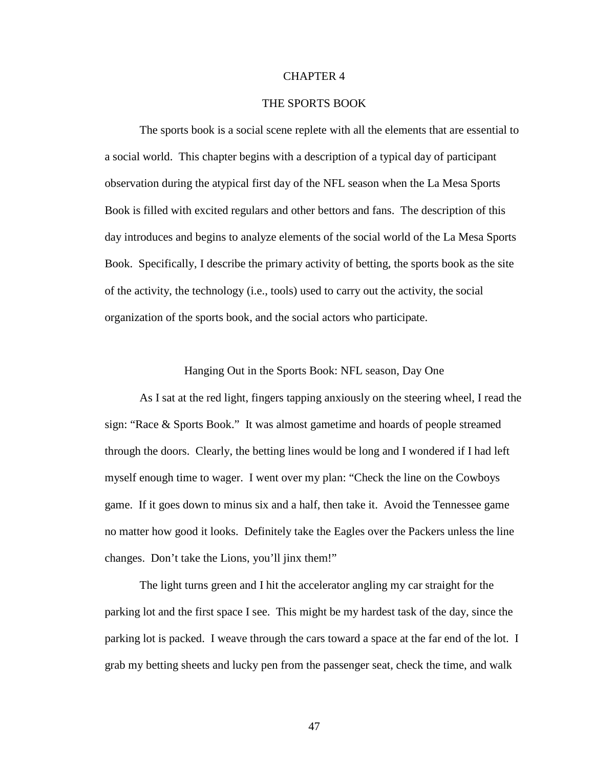# CHAPTER 4

# THE SPORTS BOOK

The sports book is a social scene replete with all the elements that are essential to a social world. This chapter begins with a description of a typical day of participant observation during the atypical first day of the NFL season when the La Mesa Sports Book is filled with excited regulars and other bettors and fans. The description of this day introduces and begins to analyze elements of the social world of the La Mesa Sports Book. Specifically, I describe the primary activity of betting, the sports book as the site of the activity, the technology (i.e., tools) used to carry out the activity, the social organization of the sports book, and the social actors who participate.

## Hanging Out in the Sports Book: NFL season, Day One

As I sat at the red light, fingers tapping anxiously on the steering wheel, I read the sign: "Race & Sports Book." It was almost gametime and hoards of people streamed through the doors. Clearly, the betting lines would be long and I wondered if I had left myself enough time to wager. I went over my plan: "Check the line on the Cowboys game. If it goes down to minus six and a half, then take it. Avoid the Tennessee game no matter how good it looks. Definitely take the Eagles over the Packers unless the line changes. Don't take the Lions, you'll jinx them!"

The light turns green and I hit the accelerator angling my car straight for the parking lot and the first space I see. This might be my hardest task of the day, since the parking lot is packed. I weave through the cars toward a space at the far end of the lot. I grab my betting sheets and lucky pen from the passenger seat, check the time, and walk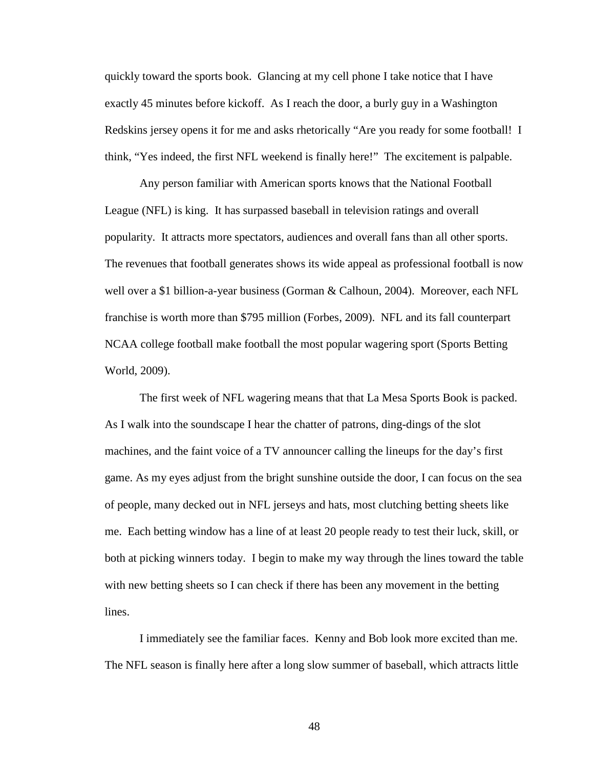quickly toward the sports book. Glancing at my cell phone I take notice that I have exactly 45 minutes before kickoff. As I reach the door, a burly guy in a Washington Redskins jersey opens it for me and asks rhetorically "Are you ready for some football! I think, "Yes indeed, the first NFL weekend is finally here!" The excitement is palpable.

Any person familiar with American sports knows that the National Football League (NFL) is king. It has surpassed baseball in television ratings and overall popularity. It attracts more spectators, audiences and overall fans than all other sports. The revenues that football generates shows its wide appeal as professional football is now well over a \$1 billion-a-year business (Gorman & Calhoun, 2004). Moreover, each NFL franchise is worth more than \$795 million (Forbes, 2009). NFL and its fall counterpart NCAA college football make football the most popular wagering sport (Sports Betting World, 2009).

The first week of NFL wagering means that that La Mesa Sports Book is packed. As I walk into the soundscape I hear the chatter of patrons, ding-dings of the slot machines, and the faint voice of a TV announcer calling the lineups for the day's first game. As my eyes adjust from the bright sunshine outside the door, I can focus on the sea of people, many decked out in NFL jerseys and hats, most clutching betting sheets like me. Each betting window has a line of at least 20 people ready to test their luck, skill, or both at picking winners today. I begin to make my way through the lines toward the table with new betting sheets so I can check if there has been any movement in the betting lines.

I immediately see the familiar faces. Kenny and Bob look more excited than me. The NFL season is finally here after a long slow summer of baseball, which attracts little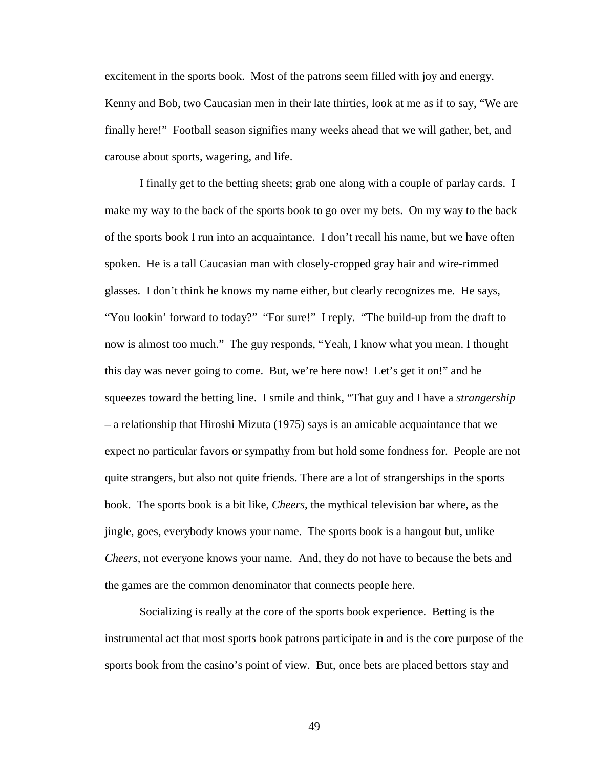excitement in the sports book. Most of the patrons seem filled with joy and energy. Kenny and Bob, two Caucasian men in their late thirties, look at me as if to say, "We are finally here!" Football season signifies many weeks ahead that we will gather, bet, and carouse about sports, wagering, and life.

I finally get to the betting sheets; grab one along with a couple of parlay cards. I make my way to the back of the sports book to go over my bets. On my way to the back of the sports book I run into an acquaintance. I don't recall his name, but we have often spoken. He is a tall Caucasian man with closely-cropped gray hair and wire-rimmed glasses. I don't think he knows my name either, but clearly recognizes me. He says, "You lookin' forward to today?" "For sure!" I reply. "The build-up from the draft to now is almost too much." The guy responds, "Yeah, I know what you mean. I thought this day was never going to come. But, we're here now! Let's get it on!" and he squeezes toward the betting line. I smile and think, "That guy and I have a *strangership* – a relationship that Hiroshi Mizuta (1975) says is an amicable acquaintance that we expect no particular favors or sympathy from but hold some fondness for. People are not quite strangers, but also not quite friends. There are a lot of strangerships in the sports book. The sports book is a bit like, *Cheers*, the mythical television bar where, as the jingle, goes, everybody knows your name. The sports book is a hangout but, unlike *Cheers*, not everyone knows your name. And, they do not have to because the bets and the games are the common denominator that connects people here.

Socializing is really at the core of the sports book experience. Betting is the instrumental act that most sports book patrons participate in and is the core purpose of the sports book from the casino's point of view. But, once bets are placed bettors stay and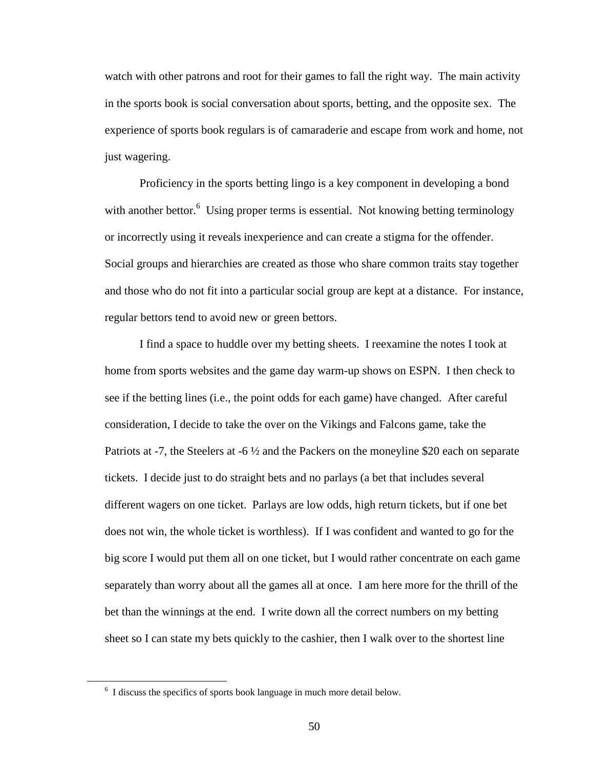watch with other patrons and root for their games to fall the right way. The main activity in the sports book is social conversation about sports, betting, and the opposite sex. The experience of sports book regulars is of camaraderie and escape from work and home, not just wagering.

Proficiency in the sports betting lingo is a key component in developing a bond with another bettor.<sup>6</sup> Using proper terms is essential. Not knowing betting terminology or incorrectly using it reveals inexperience and can create a stigma for the offender. Social groups and hierarchies are created as those who share common traits stay together and those who do not fit into a particular social group are kept at a distance. For instance, regular bettors tend to avoid new or green bettors.

I find a space to huddle over my betting sheets. I reexamine the notes I took at home from sports websites and the game day warm-up shows on ESPN. I then check to see if the betting lines (i.e., the point odds for each game) have changed. After careful consideration, I decide to take the over on the Vikings and Falcons game, take the Patriots at -7, the Steelers at -6 ½ and the Packers on the moneyline \$20 each on separate tickets. I decide just to do straight bets and no parlays (a bet that includes several different wagers on one ticket. Parlays are low odds, high return tickets, but if one bet does not win, the whole ticket is worthless). If I was confident and wanted to go for the big score I would put them all on one ticket, but I would rather concentrate on each game separately than worry about all the games all at once. I am here more for the thrill of the bet than the winnings at the end. I write down all the correct numbers on my betting sheet so I can state my bets quickly to the cashier, then I walk over to the shortest line

 $\overline{a}$ 

<sup>&</sup>lt;sup>6</sup> I discuss the specifics of sports book language in much more detail below.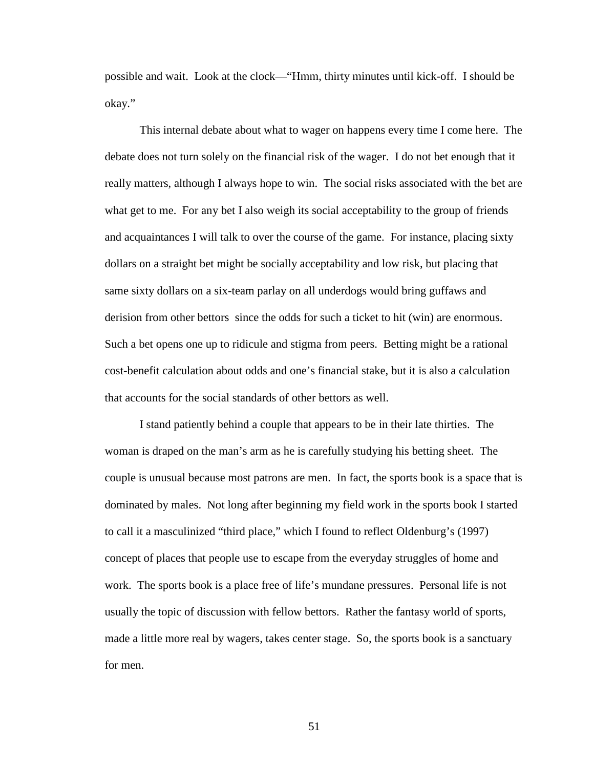possible and wait. Look at the clock—"Hmm, thirty minutes until kick-off. I should be okay."

This internal debate about what to wager on happens every time I come here. The debate does not turn solely on the financial risk of the wager. I do not bet enough that it really matters, although I always hope to win. The social risks associated with the bet are what get to me. For any bet I also weigh its social acceptability to the group of friends and acquaintances I will talk to over the course of the game. For instance, placing sixty dollars on a straight bet might be socially acceptability and low risk, but placing that same sixty dollars on a six-team parlay on all underdogs would bring guffaws and derision from other bettors since the odds for such a ticket to hit (win) are enormous. Such a bet opens one up to ridicule and stigma from peers. Betting might be a rational cost-benefit calculation about odds and one's financial stake, but it is also a calculation that accounts for the social standards of other bettors as well.

I stand patiently behind a couple that appears to be in their late thirties. The woman is draped on the man's arm as he is carefully studying his betting sheet. The couple is unusual because most patrons are men. In fact, the sports book is a space that is dominated by males. Not long after beginning my field work in the sports book I started to call it a masculinized "third place," which I found to reflect Oldenburg's (1997) concept of places that people use to escape from the everyday struggles of home and work. The sports book is a place free of life's mundane pressures. Personal life is not usually the topic of discussion with fellow bettors. Rather the fantasy world of sports, made a little more real by wagers, takes center stage. So, the sports book is a sanctuary for men.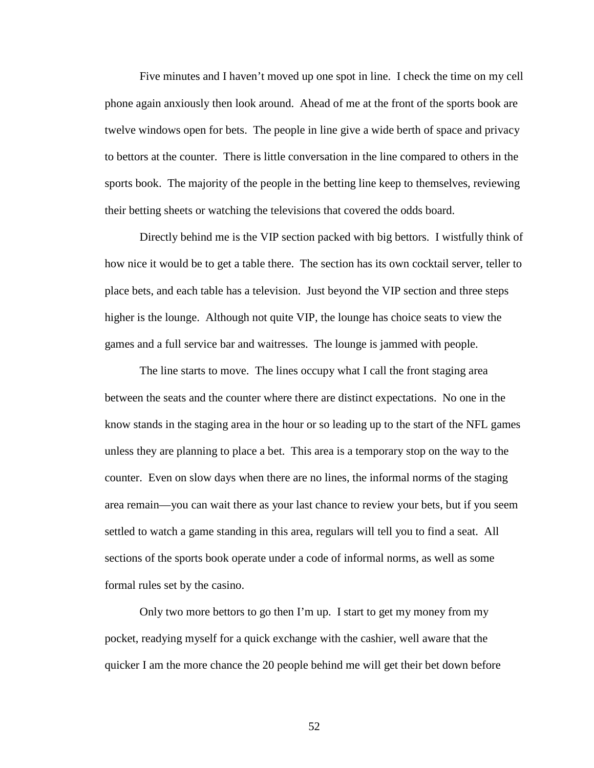Five minutes and I haven't moved up one spot in line. I check the time on my cell phone again anxiously then look around. Ahead of me at the front of the sports book are twelve windows open for bets. The people in line give a wide berth of space and privacy to bettors at the counter. There is little conversation in the line compared to others in the sports book. The majority of the people in the betting line keep to themselves, reviewing their betting sheets or watching the televisions that covered the odds board.

Directly behind me is the VIP section packed with big bettors. I wistfully think of how nice it would be to get a table there. The section has its own cocktail server, teller to place bets, and each table has a television. Just beyond the VIP section and three steps higher is the lounge. Although not quite VIP, the lounge has choice seats to view the games and a full service bar and waitresses. The lounge is jammed with people.

The line starts to move. The lines occupy what I call the front staging area between the seats and the counter where there are distinct expectations. No one in the know stands in the staging area in the hour or so leading up to the start of the NFL games unless they are planning to place a bet. This area is a temporary stop on the way to the counter. Even on slow days when there are no lines, the informal norms of the staging area remain—you can wait there as your last chance to review your bets, but if you seem settled to watch a game standing in this area, regulars will tell you to find a seat. All sections of the sports book operate under a code of informal norms, as well as some formal rules set by the casino.

Only two more bettors to go then I'm up. I start to get my money from my pocket, readying myself for a quick exchange with the cashier, well aware that the quicker I am the more chance the 20 people behind me will get their bet down before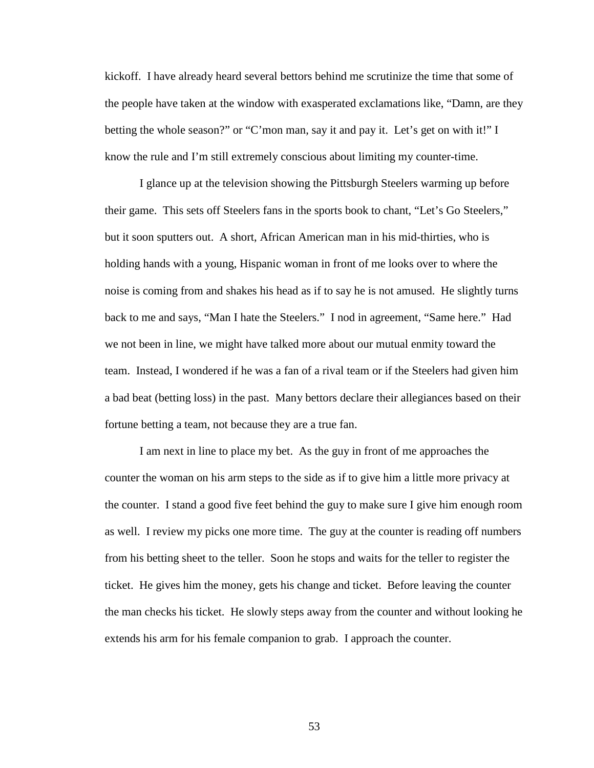kickoff. I have already heard several bettors behind me scrutinize the time that some of the people have taken at the window with exasperated exclamations like, "Damn, are they betting the whole season?" or "C'mon man, say it and pay it. Let's get on with it!" I know the rule and I'm still extremely conscious about limiting my counter-time.

I glance up at the television showing the Pittsburgh Steelers warming up before their game. This sets off Steelers fans in the sports book to chant, "Let's Go Steelers," but it soon sputters out. A short, African American man in his mid-thirties, who is holding hands with a young, Hispanic woman in front of me looks over to where the noise is coming from and shakes his head as if to say he is not amused. He slightly turns back to me and says, "Man I hate the Steelers." I nod in agreement, "Same here." Had we not been in line, we might have talked more about our mutual enmity toward the team. Instead, I wondered if he was a fan of a rival team or if the Steelers had given him a bad beat (betting loss) in the past. Many bettors declare their allegiances based on their fortune betting a team, not because they are a true fan.

I am next in line to place my bet. As the guy in front of me approaches the counter the woman on his arm steps to the side as if to give him a little more privacy at the counter. I stand a good five feet behind the guy to make sure I give him enough room as well. I review my picks one more time. The guy at the counter is reading off numbers from his betting sheet to the teller. Soon he stops and waits for the teller to register the ticket. He gives him the money, gets his change and ticket. Before leaving the counter the man checks his ticket. He slowly steps away from the counter and without looking he extends his arm for his female companion to grab. I approach the counter.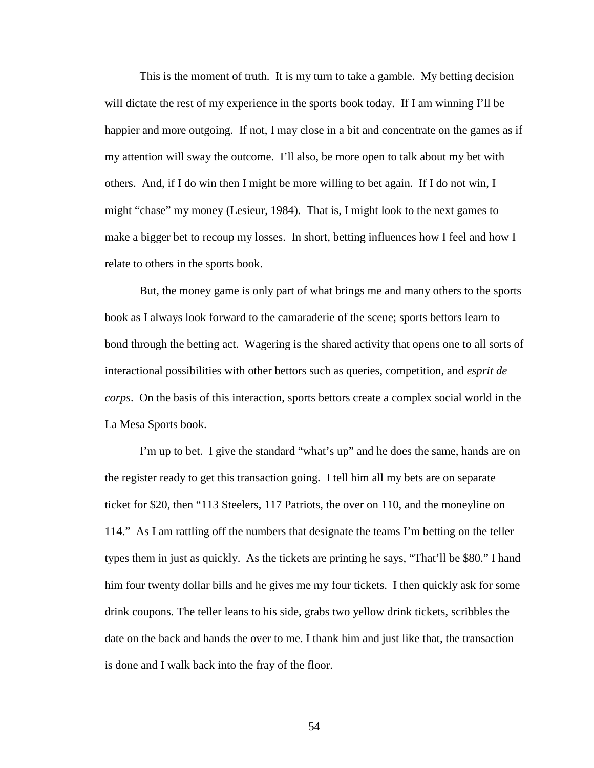This is the moment of truth. It is my turn to take a gamble. My betting decision will dictate the rest of my experience in the sports book today. If I am winning I'll be happier and more outgoing. If not, I may close in a bit and concentrate on the games as if my attention will sway the outcome. I'll also, be more open to talk about my bet with others. And, if I do win then I might be more willing to bet again. If I do not win, I might "chase" my money (Lesieur, 1984). That is, I might look to the next games to make a bigger bet to recoup my losses. In short, betting influences how I feel and how I relate to others in the sports book.

But, the money game is only part of what brings me and many others to the sports book as I always look forward to the camaraderie of the scene; sports bettors learn to bond through the betting act. Wagering is the shared activity that opens one to all sorts of interactional possibilities with other bettors such as queries, competition, and *esprit de corps*. On the basis of this interaction, sports bettors create a complex social world in the La Mesa Sports book.

I'm up to bet. I give the standard "what's up" and he does the same, hands are on the register ready to get this transaction going. I tell him all my bets are on separate ticket for \$20, then "113 Steelers, 117 Patriots, the over on 110, and the moneyline on 114." As I am rattling off the numbers that designate the teams I'm betting on the teller types them in just as quickly. As the tickets are printing he says, "That'll be \$80." I hand him four twenty dollar bills and he gives me my four tickets. I then quickly ask for some drink coupons. The teller leans to his side, grabs two yellow drink tickets, scribbles the date on the back and hands the over to me. I thank him and just like that, the transaction is done and I walk back into the fray of the floor.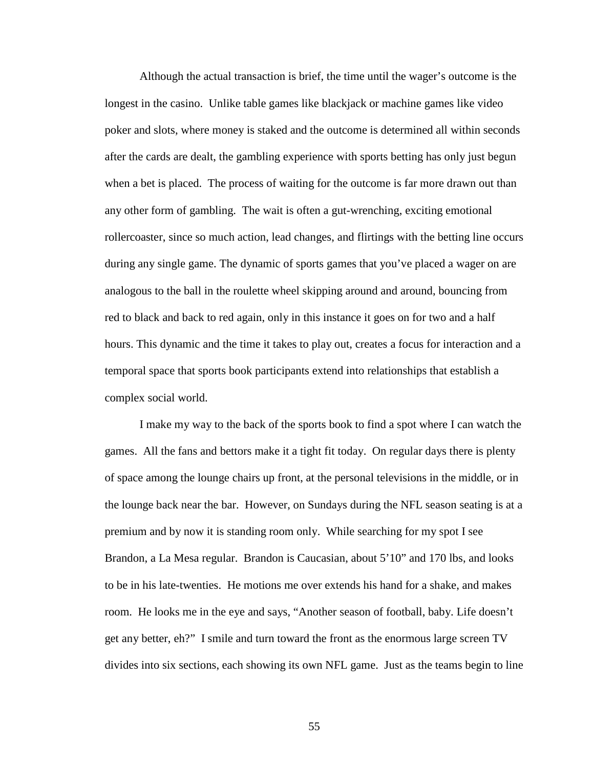Although the actual transaction is brief, the time until the wager's outcome is the longest in the casino. Unlike table games like blackjack or machine games like video poker and slots, where money is staked and the outcome is determined all within seconds after the cards are dealt, the gambling experience with sports betting has only just begun when a bet is placed. The process of waiting for the outcome is far more drawn out than any other form of gambling. The wait is often a gut-wrenching, exciting emotional rollercoaster, since so much action, lead changes, and flirtings with the betting line occurs during any single game. The dynamic of sports games that you've placed a wager on are analogous to the ball in the roulette wheel skipping around and around, bouncing from red to black and back to red again, only in this instance it goes on for two and a half hours. This dynamic and the time it takes to play out, creates a focus for interaction and a temporal space that sports book participants extend into relationships that establish a complex social world.

I make my way to the back of the sports book to find a spot where I can watch the games. All the fans and bettors make it a tight fit today. On regular days there is plenty of space among the lounge chairs up front, at the personal televisions in the middle, or in the lounge back near the bar. However, on Sundays during the NFL season seating is at a premium and by now it is standing room only. While searching for my spot I see Brandon, a La Mesa regular. Brandon is Caucasian, about 5'10" and 170 lbs, and looks to be in his late-twenties. He motions me over extends his hand for a shake, and makes room. He looks me in the eye and says, "Another season of football, baby. Life doesn't get any better, eh?" I smile and turn toward the front as the enormous large screen TV divides into six sections, each showing its own NFL game. Just as the teams begin to line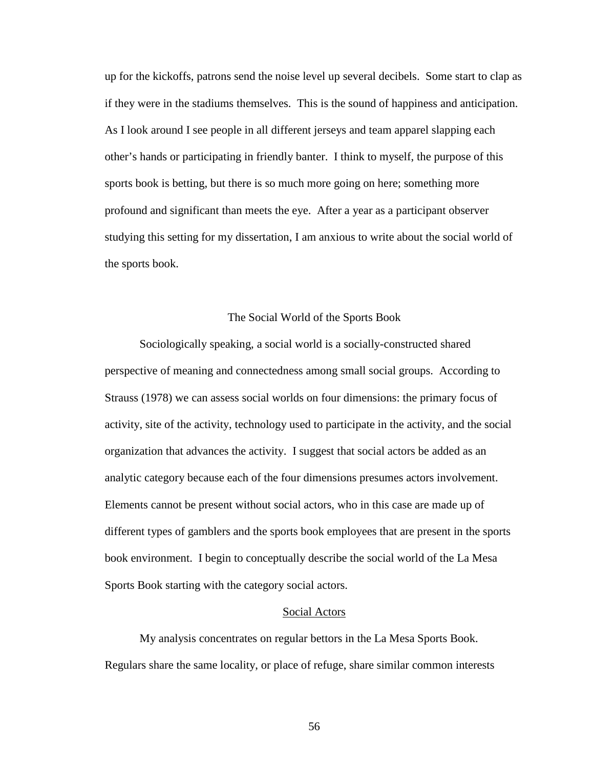up for the kickoffs, patrons send the noise level up several decibels. Some start to clap as if they were in the stadiums themselves. This is the sound of happiness and anticipation. As I look around I see people in all different jerseys and team apparel slapping each other's hands or participating in friendly banter. I think to myself, the purpose of this sports book is betting, but there is so much more going on here; something more profound and significant than meets the eye. After a year as a participant observer studying this setting for my dissertation, I am anxious to write about the social world of the sports book.

### The Social World of the Sports Book

Sociologically speaking, a social world is a socially-constructed shared perspective of meaning and connectedness among small social groups. According to Strauss (1978) we can assess social worlds on four dimensions: the primary focus of activity, site of the activity, technology used to participate in the activity, and the social organization that advances the activity. I suggest that social actors be added as an analytic category because each of the four dimensions presumes actors involvement. Elements cannot be present without social actors, who in this case are made up of different types of gamblers and the sports book employees that are present in the sports book environment. I begin to conceptually describe the social world of the La Mesa Sports Book starting with the category social actors.

### Social Actors

My analysis concentrates on regular bettors in the La Mesa Sports Book. Regulars share the same locality, or place of refuge, share similar common interests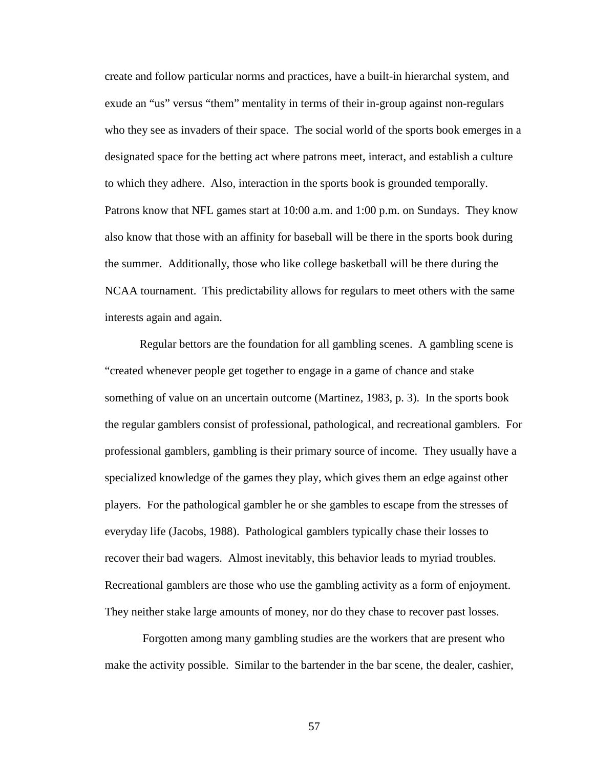create and follow particular norms and practices, have a built-in hierarchal system, and exude an "us" versus "them" mentality in terms of their in-group against non-regulars who they see as invaders of their space. The social world of the sports book emerges in a designated space for the betting act where patrons meet, interact, and establish a culture to which they adhere. Also, interaction in the sports book is grounded temporally. Patrons know that NFL games start at 10:00 a.m. and 1:00 p.m. on Sundays. They know also know that those with an affinity for baseball will be there in the sports book during the summer. Additionally, those who like college basketball will be there during the NCAA tournament. This predictability allows for regulars to meet others with the same interests again and again.

Regular bettors are the foundation for all gambling scenes. A gambling scene is "created whenever people get together to engage in a game of chance and stake something of value on an uncertain outcome (Martinez, 1983, p. 3). In the sports book the regular gamblers consist of professional, pathological, and recreational gamblers. For professional gamblers, gambling is their primary source of income. They usually have a specialized knowledge of the games they play, which gives them an edge against other players. For the pathological gambler he or she gambles to escape from the stresses of everyday life (Jacobs, 1988). Pathological gamblers typically chase their losses to recover their bad wagers. Almost inevitably, this behavior leads to myriad troubles. Recreational gamblers are those who use the gambling activity as a form of enjoyment. They neither stake large amounts of money, nor do they chase to recover past losses.

 Forgotten among many gambling studies are the workers that are present who make the activity possible. Similar to the bartender in the bar scene, the dealer, cashier,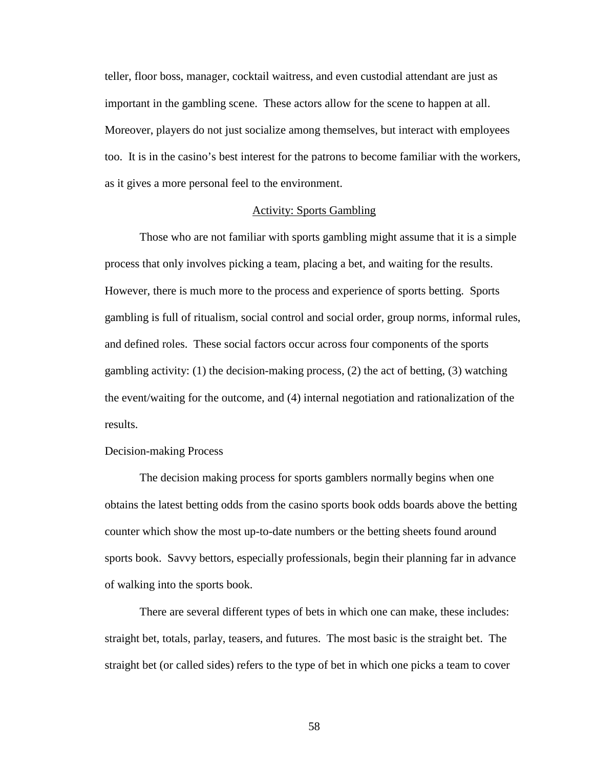teller, floor boss, manager, cocktail waitress, and even custodial attendant are just as important in the gambling scene. These actors allow for the scene to happen at all. Moreover, players do not just socialize among themselves, but interact with employees too. It is in the casino's best interest for the patrons to become familiar with the workers, as it gives a more personal feel to the environment.

## Activity: Sports Gambling

Those who are not familiar with sports gambling might assume that it is a simple process that only involves picking a team, placing a bet, and waiting for the results. However, there is much more to the process and experience of sports betting. Sports gambling is full of ritualism, social control and social order, group norms, informal rules, and defined roles. These social factors occur across four components of the sports gambling activity: (1) the decision-making process, (2) the act of betting, (3) watching the event/waiting for the outcome, and (4) internal negotiation and rationalization of the results.

## Decision-making Process

The decision making process for sports gamblers normally begins when one obtains the latest betting odds from the casino sports book odds boards above the betting counter which show the most up-to-date numbers or the betting sheets found around sports book. Savvy bettors, especially professionals, begin their planning far in advance of walking into the sports book.

There are several different types of bets in which one can make, these includes: straight bet, totals, parlay, teasers, and futures. The most basic is the straight bet. The straight bet (or called sides) refers to the type of bet in which one picks a team to cover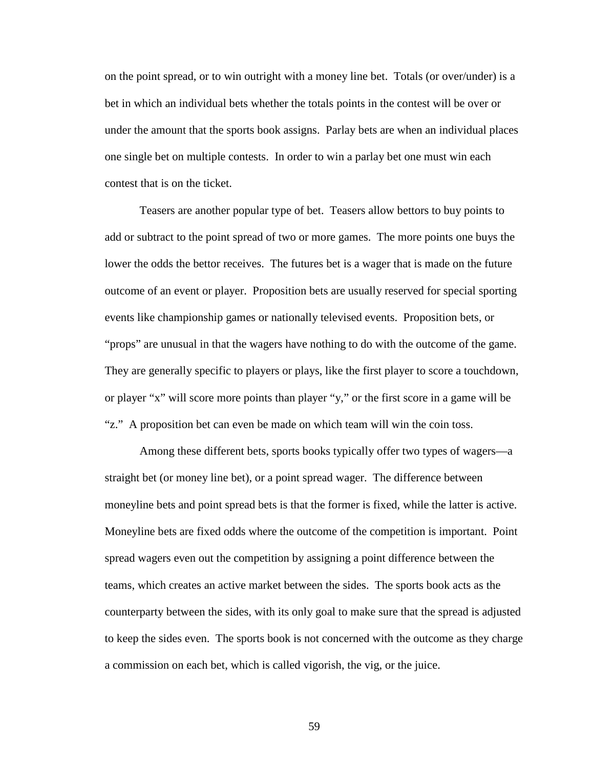on the point spread, or to win outright with a money line bet. Totals (or over/under) is a bet in which an individual bets whether the totals points in the contest will be over or under the amount that the sports book assigns. Parlay bets are when an individual places one single bet on multiple contests. In order to win a parlay bet one must win each contest that is on the ticket.

Teasers are another popular type of bet. Teasers allow bettors to buy points to add or subtract to the point spread of two or more games. The more points one buys the lower the odds the bettor receives. The futures bet is a wager that is made on the future outcome of an event or player. Proposition bets are usually reserved for special sporting events like championship games or nationally televised events. Proposition bets, or "props" are unusual in that the wagers have nothing to do with the outcome of the game. They are generally specific to players or plays, like the first player to score a touchdown, or player "x" will score more points than player "y," or the first score in a game will be "z." A proposition bet can even be made on which team will win the coin toss.

Among these different bets, sports books typically offer two types of wagers—a straight bet (or money line bet), or a point spread wager. The difference between moneyline bets and point spread bets is that the former is fixed, while the latter is active. Moneyline bets are fixed odds where the outcome of the competition is important. Point spread wagers even out the competition by assigning a point difference between the teams, which creates an active market between the sides. The sports book acts as the counterparty between the sides, with its only goal to make sure that the spread is adjusted to keep the sides even. The sports book is not concerned with the outcome as they charge a commission on each bet, which is called vigorish, the vig, or the juice.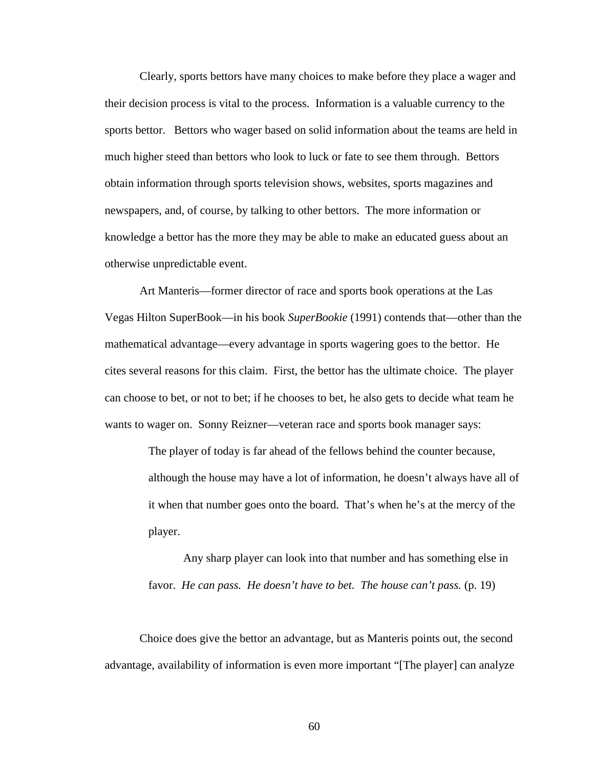Clearly, sports bettors have many choices to make before they place a wager and their decision process is vital to the process. Information is a valuable currency to the sports bettor. Bettors who wager based on solid information about the teams are held in much higher steed than bettors who look to luck or fate to see them through. Bettors obtain information through sports television shows, websites, sports magazines and newspapers, and, of course, by talking to other bettors. The more information or knowledge a bettor has the more they may be able to make an educated guess about an otherwise unpredictable event.

Art Manteris—former director of race and sports book operations at the Las Vegas Hilton SuperBook—in his book *SuperBookie* (1991) contends that—other than the mathematical advantage—every advantage in sports wagering goes to the bettor. He cites several reasons for this claim. First, the bettor has the ultimate choice. The player can choose to bet, or not to bet; if he chooses to bet, he also gets to decide what team he wants to wager on. Sonny Reizner—veteran race and sports book manager says:

> The player of today is far ahead of the fellows behind the counter because, although the house may have a lot of information, he doesn't always have all of it when that number goes onto the board. That's when he's at the mercy of the player.

Any sharp player can look into that number and has something else in favor. *He can pass. He doesn't have to bet. The house can't pass.* (p. 19)

Choice does give the bettor an advantage, but as Manteris points out, the second advantage, availability of information is even more important "[The player] can analyze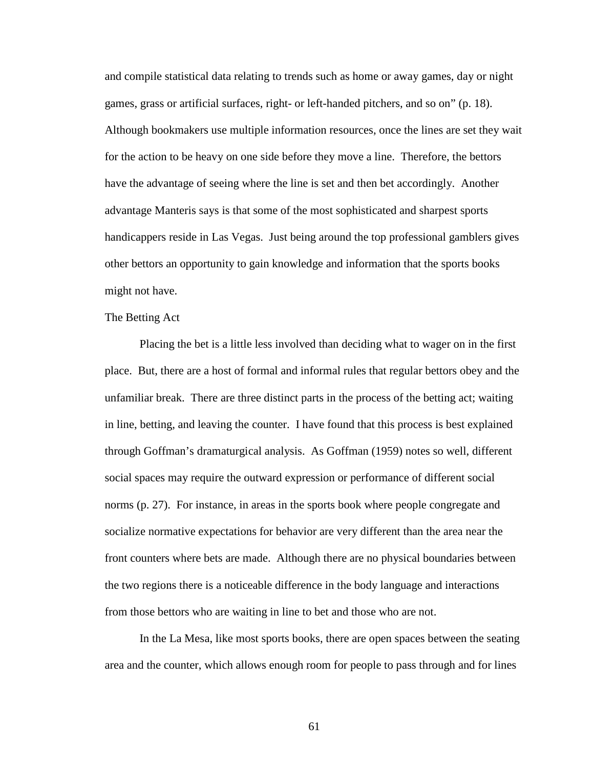and compile statistical data relating to trends such as home or away games, day or night games, grass or artificial surfaces, right- or left-handed pitchers, and so on" (p. 18). Although bookmakers use multiple information resources, once the lines are set they wait for the action to be heavy on one side before they move a line. Therefore, the bettors have the advantage of seeing where the line is set and then bet accordingly. Another advantage Manteris says is that some of the most sophisticated and sharpest sports handicappers reside in Las Vegas. Just being around the top professional gamblers gives other bettors an opportunity to gain knowledge and information that the sports books might not have.

## The Betting Act

Placing the bet is a little less involved than deciding what to wager on in the first place. But, there are a host of formal and informal rules that regular bettors obey and the unfamiliar break. There are three distinct parts in the process of the betting act; waiting in line, betting, and leaving the counter. I have found that this process is best explained through Goffman's dramaturgical analysis. As Goffman (1959) notes so well, different social spaces may require the outward expression or performance of different social norms (p. 27). For instance, in areas in the sports book where people congregate and socialize normative expectations for behavior are very different than the area near the front counters where bets are made. Although there are no physical boundaries between the two regions there is a noticeable difference in the body language and interactions from those bettors who are waiting in line to bet and those who are not.

In the La Mesa, like most sports books, there are open spaces between the seating area and the counter, which allows enough room for people to pass through and for lines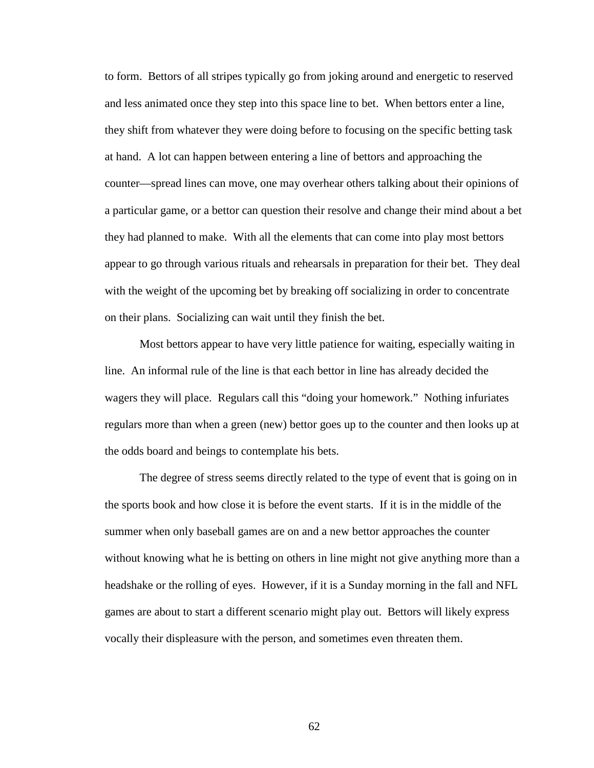to form. Bettors of all stripes typically go from joking around and energetic to reserved and less animated once they step into this space line to bet. When bettors enter a line, they shift from whatever they were doing before to focusing on the specific betting task at hand. A lot can happen between entering a line of bettors and approaching the counter—spread lines can move, one may overhear others talking about their opinions of a particular game, or a bettor can question their resolve and change their mind about a bet they had planned to make. With all the elements that can come into play most bettors appear to go through various rituals and rehearsals in preparation for their bet. They deal with the weight of the upcoming bet by breaking off socializing in order to concentrate on their plans. Socializing can wait until they finish the bet.

Most bettors appear to have very little patience for waiting, especially waiting in line. An informal rule of the line is that each bettor in line has already decided the wagers they will place. Regulars call this "doing your homework." Nothing infuriates regulars more than when a green (new) bettor goes up to the counter and then looks up at the odds board and beings to contemplate his bets.

The degree of stress seems directly related to the type of event that is going on in the sports book and how close it is before the event starts. If it is in the middle of the summer when only baseball games are on and a new bettor approaches the counter without knowing what he is betting on others in line might not give anything more than a headshake or the rolling of eyes. However, if it is a Sunday morning in the fall and NFL games are about to start a different scenario might play out. Bettors will likely express vocally their displeasure with the person, and sometimes even threaten them.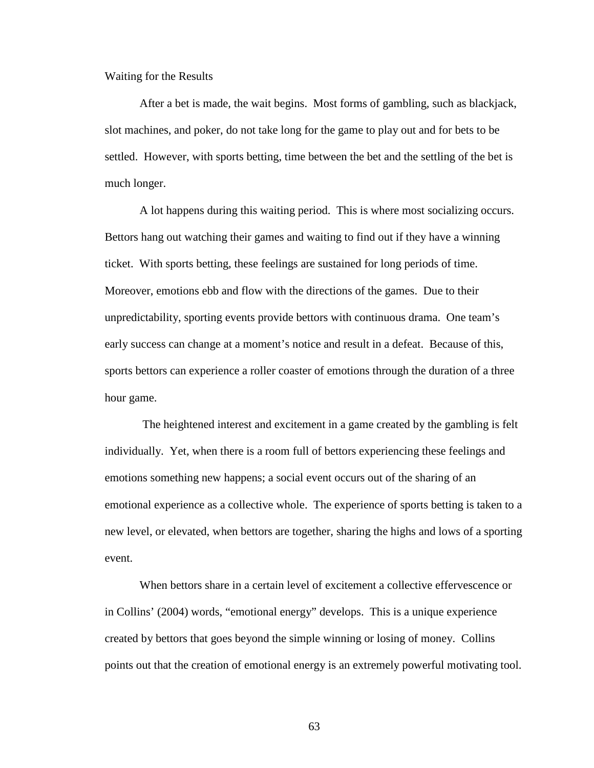Waiting for the Results

After a bet is made, the wait begins. Most forms of gambling, such as blackjack, slot machines, and poker, do not take long for the game to play out and for bets to be settled. However, with sports betting, time between the bet and the settling of the bet is much longer.

A lot happens during this waiting period. This is where most socializing occurs. Bettors hang out watching their games and waiting to find out if they have a winning ticket. With sports betting, these feelings are sustained for long periods of time. Moreover, emotions ebb and flow with the directions of the games. Due to their unpredictability, sporting events provide bettors with continuous drama. One team's early success can change at a moment's notice and result in a defeat. Because of this, sports bettors can experience a roller coaster of emotions through the duration of a three hour game.

 The heightened interest and excitement in a game created by the gambling is felt individually. Yet, when there is a room full of bettors experiencing these feelings and emotions something new happens; a social event occurs out of the sharing of an emotional experience as a collective whole. The experience of sports betting is taken to a new level, or elevated, when bettors are together, sharing the highs and lows of a sporting event.

When bettors share in a certain level of excitement a collective effervescence or in Collins' (2004) words, "emotional energy" develops. This is a unique experience created by bettors that goes beyond the simple winning or losing of money. Collins points out that the creation of emotional energy is an extremely powerful motivating tool.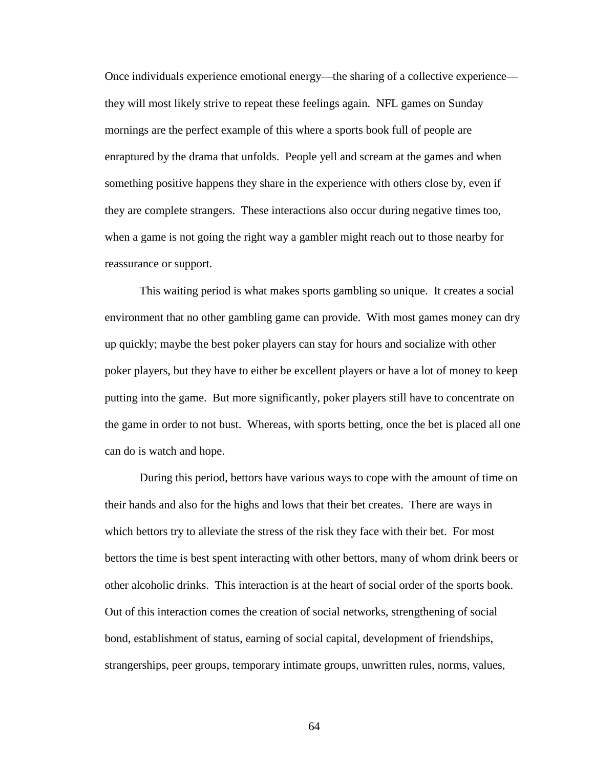Once individuals experience emotional energy—the sharing of a collective experience they will most likely strive to repeat these feelings again. NFL games on Sunday mornings are the perfect example of this where a sports book full of people are enraptured by the drama that unfolds. People yell and scream at the games and when something positive happens they share in the experience with others close by, even if they are complete strangers. These interactions also occur during negative times too, when a game is not going the right way a gambler might reach out to those nearby for reassurance or support.

This waiting period is what makes sports gambling so unique. It creates a social environment that no other gambling game can provide. With most games money can dry up quickly; maybe the best poker players can stay for hours and socialize with other poker players, but they have to either be excellent players or have a lot of money to keep putting into the game. But more significantly, poker players still have to concentrate on the game in order to not bust. Whereas, with sports betting, once the bet is placed all one can do is watch and hope.

During this period, bettors have various ways to cope with the amount of time on their hands and also for the highs and lows that their bet creates. There are ways in which bettors try to alleviate the stress of the risk they face with their bet. For most bettors the time is best spent interacting with other bettors, many of whom drink beers or other alcoholic drinks. This interaction is at the heart of social order of the sports book. Out of this interaction comes the creation of social networks, strengthening of social bond, establishment of status, earning of social capital, development of friendships, strangerships, peer groups, temporary intimate groups, unwritten rules, norms, values,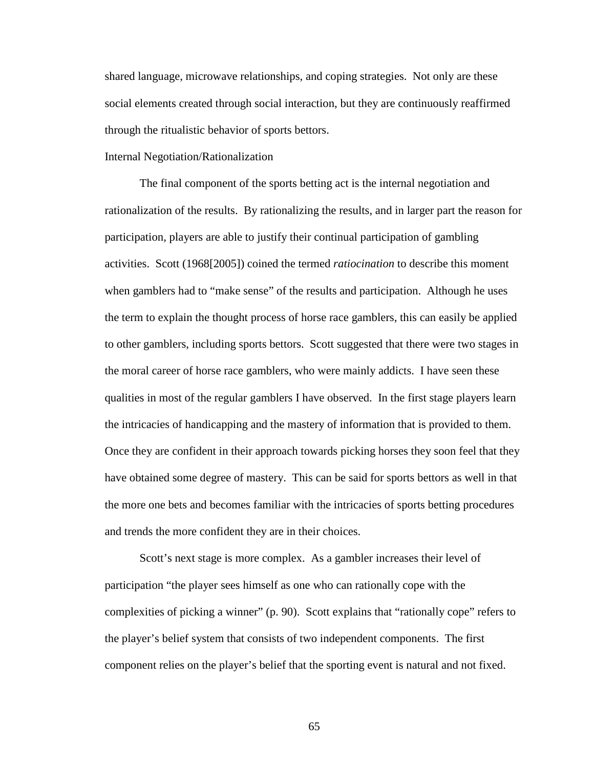shared language, microwave relationships, and coping strategies. Not only are these social elements created through social interaction, but they are continuously reaffirmed through the ritualistic behavior of sports bettors.

# Internal Negotiation/Rationalization

The final component of the sports betting act is the internal negotiation and rationalization of the results. By rationalizing the results, and in larger part the reason for participation, players are able to justify their continual participation of gambling activities. Scott (1968[2005]) coined the termed *ratiocination* to describe this moment when gamblers had to "make sense" of the results and participation. Although he uses the term to explain the thought process of horse race gamblers, this can easily be applied to other gamblers, including sports bettors. Scott suggested that there were two stages in the moral career of horse race gamblers, who were mainly addicts. I have seen these qualities in most of the regular gamblers I have observed. In the first stage players learn the intricacies of handicapping and the mastery of information that is provided to them. Once they are confident in their approach towards picking horses they soon feel that they have obtained some degree of mastery. This can be said for sports bettors as well in that the more one bets and becomes familiar with the intricacies of sports betting procedures and trends the more confident they are in their choices.

Scott's next stage is more complex. As a gambler increases their level of participation "the player sees himself as one who can rationally cope with the complexities of picking a winner" (p. 90). Scott explains that "rationally cope" refers to the player's belief system that consists of two independent components. The first component relies on the player's belief that the sporting event is natural and not fixed.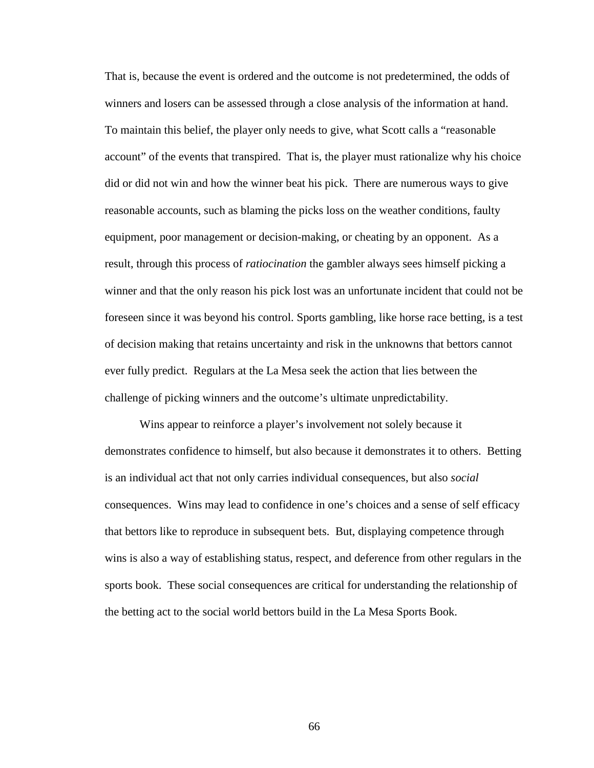That is, because the event is ordered and the outcome is not predetermined, the odds of winners and losers can be assessed through a close analysis of the information at hand. To maintain this belief, the player only needs to give, what Scott calls a "reasonable account" of the events that transpired. That is, the player must rationalize why his choice did or did not win and how the winner beat his pick. There are numerous ways to give reasonable accounts, such as blaming the picks loss on the weather conditions, faulty equipment, poor management or decision-making, or cheating by an opponent. As a result, through this process of *ratiocination* the gambler always sees himself picking a winner and that the only reason his pick lost was an unfortunate incident that could not be foreseen since it was beyond his control. Sports gambling, like horse race betting, is a test of decision making that retains uncertainty and risk in the unknowns that bettors cannot ever fully predict. Regulars at the La Mesa seek the action that lies between the challenge of picking winners and the outcome's ultimate unpredictability.

Wins appear to reinforce a player's involvement not solely because it demonstrates confidence to himself, but also because it demonstrates it to others. Betting is an individual act that not only carries individual consequences, but also *social* consequences. Wins may lead to confidence in one's choices and a sense of self efficacy that bettors like to reproduce in subsequent bets. But, displaying competence through wins is also a way of establishing status, respect, and deference from other regulars in the sports book. These social consequences are critical for understanding the relationship of the betting act to the social world bettors build in the La Mesa Sports Book.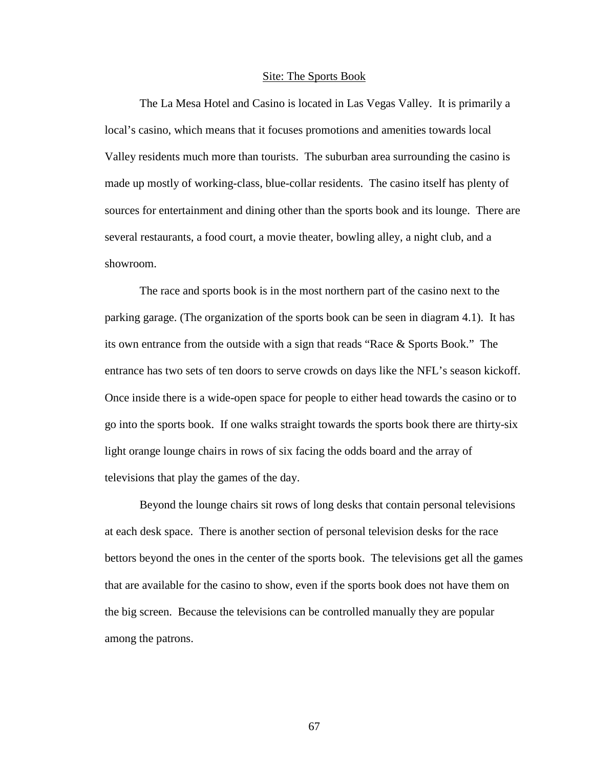### Site: The Sports Book

The La Mesa Hotel and Casino is located in Las Vegas Valley. It is primarily a local's casino, which means that it focuses promotions and amenities towards local Valley residents much more than tourists. The suburban area surrounding the casino is made up mostly of working-class, blue-collar residents. The casino itself has plenty of sources for entertainment and dining other than the sports book and its lounge. There are several restaurants, a food court, a movie theater, bowling alley, a night club, and a showroom.

The race and sports book is in the most northern part of the casino next to the parking garage. (The organization of the sports book can be seen in diagram 4.1). It has its own entrance from the outside with a sign that reads "Race & Sports Book." The entrance has two sets of ten doors to serve crowds on days like the NFL's season kickoff. Once inside there is a wide-open space for people to either head towards the casino or to go into the sports book. If one walks straight towards the sports book there are thirty-six light orange lounge chairs in rows of six facing the odds board and the array of televisions that play the games of the day.

Beyond the lounge chairs sit rows of long desks that contain personal televisions at each desk space. There is another section of personal television desks for the race bettors beyond the ones in the center of the sports book. The televisions get all the games that are available for the casino to show, even if the sports book does not have them on the big screen. Because the televisions can be controlled manually they are popular among the patrons.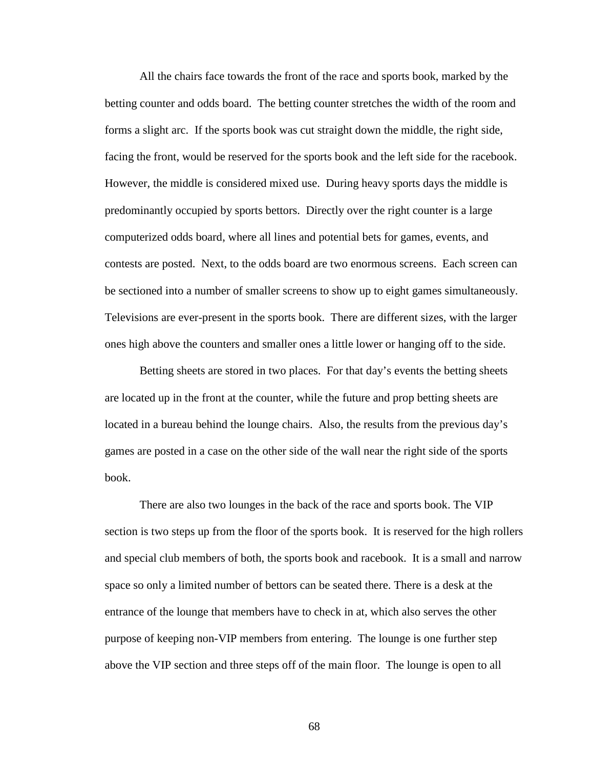All the chairs face towards the front of the race and sports book, marked by the betting counter and odds board. The betting counter stretches the width of the room and forms a slight arc. If the sports book was cut straight down the middle, the right side, facing the front, would be reserved for the sports book and the left side for the racebook. However, the middle is considered mixed use. During heavy sports days the middle is predominantly occupied by sports bettors. Directly over the right counter is a large computerized odds board, where all lines and potential bets for games, events, and contests are posted. Next, to the odds board are two enormous screens. Each screen can be sectioned into a number of smaller screens to show up to eight games simultaneously. Televisions are ever-present in the sports book. There are different sizes, with the larger ones high above the counters and smaller ones a little lower or hanging off to the side.

Betting sheets are stored in two places. For that day's events the betting sheets are located up in the front at the counter, while the future and prop betting sheets are located in a bureau behind the lounge chairs. Also, the results from the previous day's games are posted in a case on the other side of the wall near the right side of the sports book.

There are also two lounges in the back of the race and sports book. The VIP section is two steps up from the floor of the sports book. It is reserved for the high rollers and special club members of both, the sports book and racebook. It is a small and narrow space so only a limited number of bettors can be seated there. There is a desk at the entrance of the lounge that members have to check in at, which also serves the other purpose of keeping non-VIP members from entering. The lounge is one further step above the VIP section and three steps off of the main floor. The lounge is open to all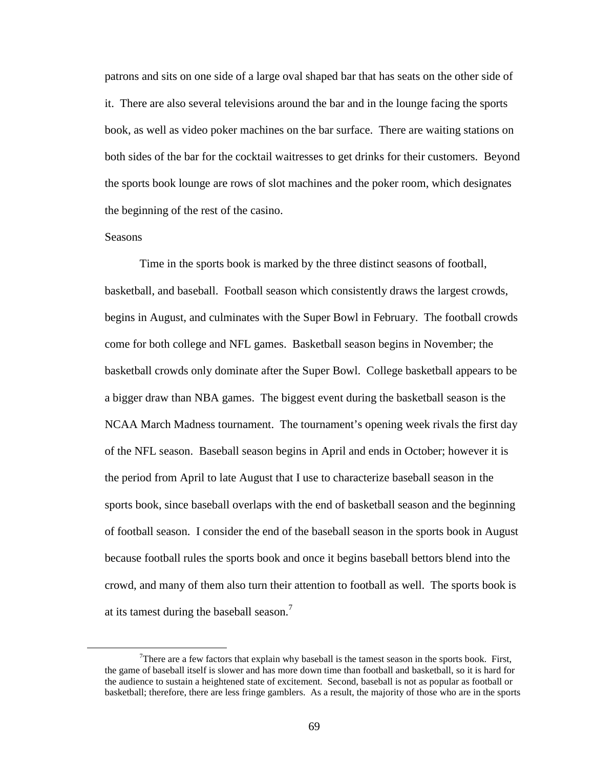patrons and sits on one side of a large oval shaped bar that has seats on the other side of it. There are also several televisions around the bar and in the lounge facing the sports book, as well as video poker machines on the bar surface. There are waiting stations on both sides of the bar for the cocktail waitresses to get drinks for their customers. Beyond the sports book lounge are rows of slot machines and the poker room, which designates the beginning of the rest of the casino.

# **Seasons**

 $\overline{a}$ 

Time in the sports book is marked by the three distinct seasons of football, basketball, and baseball. Football season which consistently draws the largest crowds, begins in August, and culminates with the Super Bowl in February. The football crowds come for both college and NFL games. Basketball season begins in November; the basketball crowds only dominate after the Super Bowl. College basketball appears to be a bigger draw than NBA games. The biggest event during the basketball season is the NCAA March Madness tournament. The tournament's opening week rivals the first day of the NFL season. Baseball season begins in April and ends in October; however it is the period from April to late August that I use to characterize baseball season in the sports book, since baseball overlaps with the end of basketball season and the beginning of football season. I consider the end of the baseball season in the sports book in August because football rules the sports book and once it begins baseball bettors blend into the crowd, and many of them also turn their attention to football as well. The sports book is at its tamest during the baseball season.<sup>7</sup>

There are a few factors that explain why baseball is the tamest season in the sports book. First, the game of baseball itself is slower and has more down time than football and basketball, so it is hard for the audience to sustain a heightened state of excitement. Second, baseball is not as popular as football or basketball; therefore, there are less fringe gamblers. As a result, the majority of those who are in the sports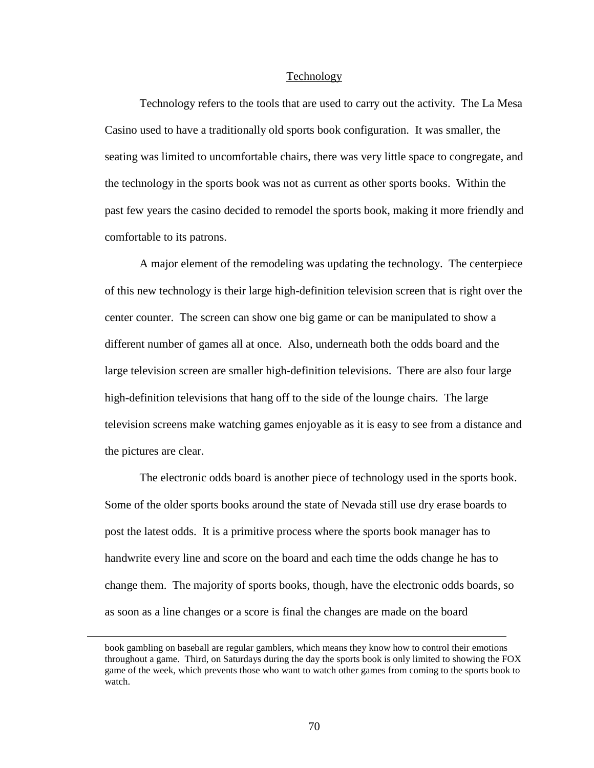#### Technology

Technology refers to the tools that are used to carry out the activity. The La Mesa Casino used to have a traditionally old sports book configuration. It was smaller, the seating was limited to uncomfortable chairs, there was very little space to congregate, and the technology in the sports book was not as current as other sports books. Within the past few years the casino decided to remodel the sports book, making it more friendly and comfortable to its patrons.

A major element of the remodeling was updating the technology. The centerpiece of this new technology is their large high-definition television screen that is right over the center counter. The screen can show one big game or can be manipulated to show a different number of games all at once. Also, underneath both the odds board and the large television screen are smaller high-definition televisions. There are also four large high-definition televisions that hang off to the side of the lounge chairs. The large television screens make watching games enjoyable as it is easy to see from a distance and the pictures are clear.

The electronic odds board is another piece of technology used in the sports book. Some of the older sports books around the state of Nevada still use dry erase boards to post the latest odds. It is a primitive process where the sports book manager has to handwrite every line and score on the board and each time the odds change he has to change them. The majority of sports books, though, have the electronic odds boards, so as soon as a line changes or a score is final the changes are made on the board

<u>.</u>

book gambling on baseball are regular gamblers, which means they know how to control their emotions throughout a game. Third, on Saturdays during the day the sports book is only limited to showing the FOX game of the week, which prevents those who want to watch other games from coming to the sports book to watch.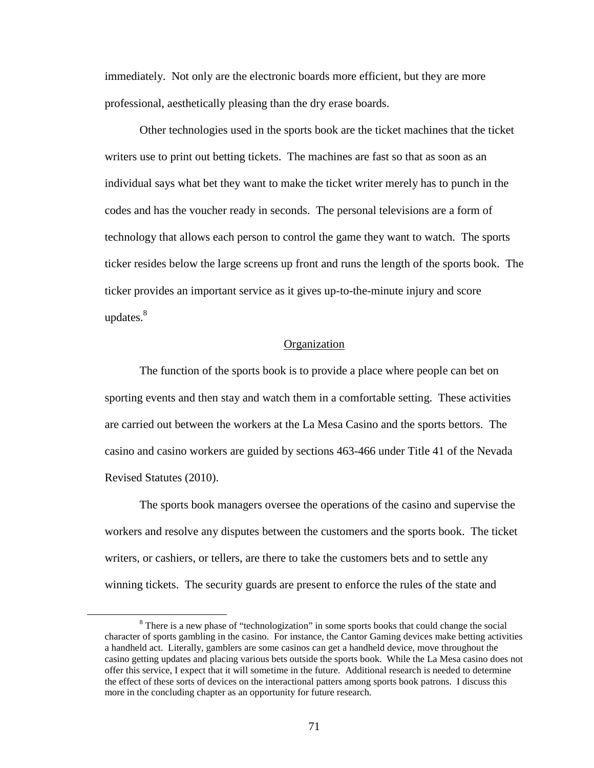immediately. Not only are the electronic boards more efficient, but they are more professional, aesthetically pleasing than the dry erase boards.

Other technologies used in the sports book are the ticket machines that the ticket writers use to print out betting tickets. The machines are fast so that as soon as an individual says what bet they want to make the ticket writer merely has to punch in the codes and has the voucher ready in seconds. The personal televisions are a form of technology that allows each person to control the game they want to watch. The sports ticker resides below the large screens up front and runs the length of the sports book. The ticker provides an important service as it gives up-to-the-minute injury and score updates.<sup>8</sup>

# **Organization**

The function of the sports book is to provide a place where people can bet on sporting events and then stay and watch them in a comfortable setting. These activities are carried out between the workers at the La Mesa Casino and the sports bettors. The casino and casino workers are guided by sections 463-466 under Title 41 of the Nevada Revised Statutes (2010).

The sports book managers oversee the operations of the casino and supervise the workers and resolve any disputes between the customers and the sports book. The ticket writers, or cashiers, or tellers, are there to take the customers bets and to settle any winning tickets. The security guards are present to enforce the rules of the state and

<u>.</u>

<sup>&</sup>lt;sup>8</sup> There is a new phase of "technologization" in some sports books that could change the social character of sports gambling in the casino. For instance, the Cantor Gaming devices make betting activities a handheld act. Literally, gamblers are some casinos can get a handheld device, move throughout the casino getting updates and placing various bets outside the sports book. While the La Mesa casino does not offer this service, I expect that it will sometime in the future. Additional research is needed to determine the effect of these sorts of devices on the interactional patters among sports book patrons. I discuss this more in the concluding chapter as an opportunity for future research.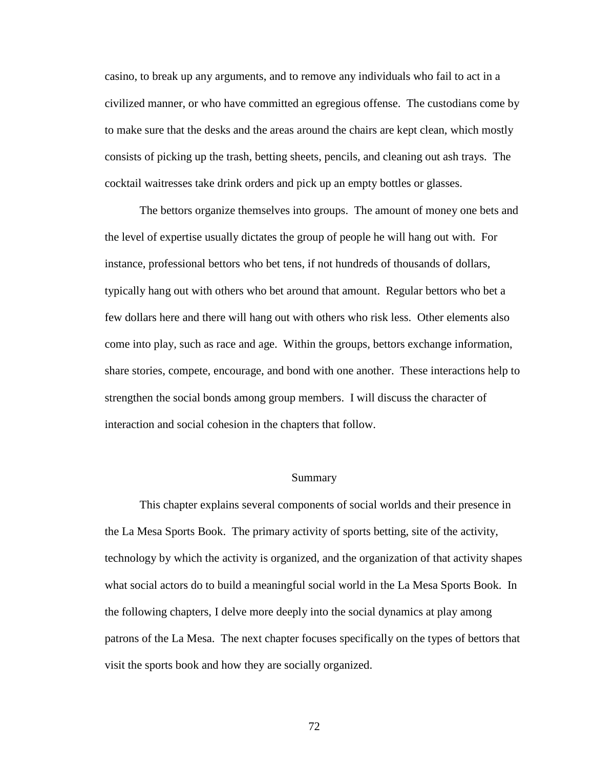casino, to break up any arguments, and to remove any individuals who fail to act in a civilized manner, or who have committed an egregious offense. The custodians come by to make sure that the desks and the areas around the chairs are kept clean, which mostly consists of picking up the trash, betting sheets, pencils, and cleaning out ash trays. The cocktail waitresses take drink orders and pick up an empty bottles or glasses.

The bettors organize themselves into groups. The amount of money one bets and the level of expertise usually dictates the group of people he will hang out with. For instance, professional bettors who bet tens, if not hundreds of thousands of dollars, typically hang out with others who bet around that amount. Regular bettors who bet a few dollars here and there will hang out with others who risk less. Other elements also come into play, such as race and age. Within the groups, bettors exchange information, share stories, compete, encourage, and bond with one another. These interactions help to strengthen the social bonds among group members. I will discuss the character of interaction and social cohesion in the chapters that follow.

# Summary

This chapter explains several components of social worlds and their presence in the La Mesa Sports Book. The primary activity of sports betting, site of the activity, technology by which the activity is organized, and the organization of that activity shapes what social actors do to build a meaningful social world in the La Mesa Sports Book. In the following chapters, I delve more deeply into the social dynamics at play among patrons of the La Mesa. The next chapter focuses specifically on the types of bettors that visit the sports book and how they are socially organized.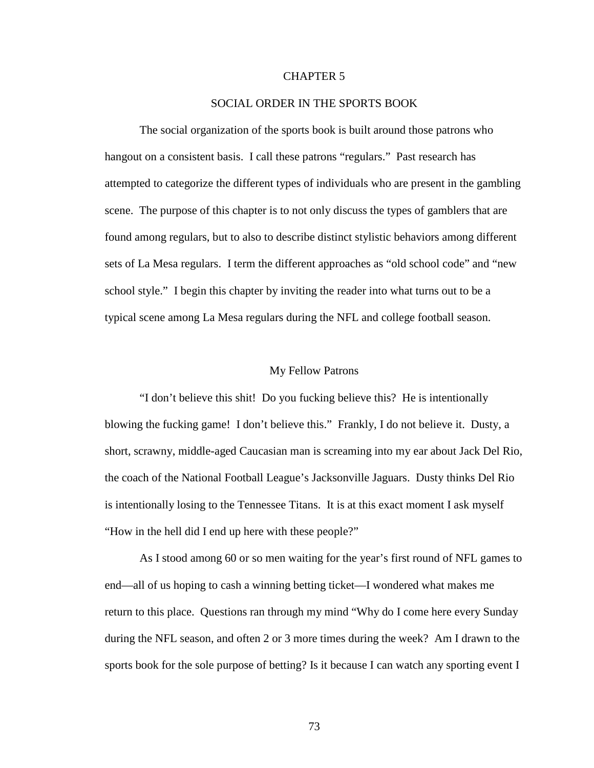# CHAPTER 5

# SOCIAL ORDER IN THE SPORTS BOOK

The social organization of the sports book is built around those patrons who hangout on a consistent basis. I call these patrons "regulars." Past research has attempted to categorize the different types of individuals who are present in the gambling scene. The purpose of this chapter is to not only discuss the types of gamblers that are found among regulars, but to also to describe distinct stylistic behaviors among different sets of La Mesa regulars. I term the different approaches as "old school code" and "new school style." I begin this chapter by inviting the reader into what turns out to be a typical scene among La Mesa regulars during the NFL and college football season.

### My Fellow Patrons

"I don't believe this shit! Do you fucking believe this? He is intentionally blowing the fucking game! I don't believe this." Frankly, I do not believe it. Dusty, a short, scrawny, middle-aged Caucasian man is screaming into my ear about Jack Del Rio, the coach of the National Football League's Jacksonville Jaguars. Dusty thinks Del Rio is intentionally losing to the Tennessee Titans. It is at this exact moment I ask myself "How in the hell did I end up here with these people?"

As I stood among 60 or so men waiting for the year's first round of NFL games to end—all of us hoping to cash a winning betting ticket—I wondered what makes me return to this place. Questions ran through my mind "Why do I come here every Sunday during the NFL season, and often 2 or 3 more times during the week? Am I drawn to the sports book for the sole purpose of betting? Is it because I can watch any sporting event I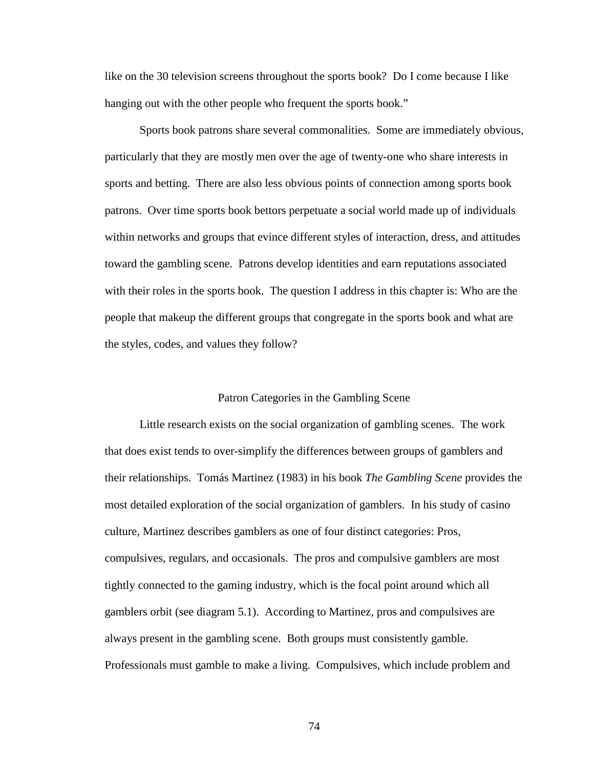like on the 30 television screens throughout the sports book? Do I come because I like hanging out with the other people who frequent the sports book."

Sports book patrons share several commonalities. Some are immediately obvious, particularly that they are mostly men over the age of twenty-one who share interests in sports and betting. There are also less obvious points of connection among sports book patrons. Over time sports book bettors perpetuate a social world made up of individuals within networks and groups that evince different styles of interaction, dress, and attitudes toward the gambling scene. Patrons develop identities and earn reputations associated with their roles in the sports book. The question I address in this chapter is: Who are the people that makeup the different groups that congregate in the sports book and what are the styles, codes, and values they follow?

### Patron Categories in the Gambling Scene

Little research exists on the social organization of gambling scenes. The work that does exist tends to over-simplify the differences between groups of gamblers and their relationships. Tomás Martinez (1983) in his book *The Gambling Scene* provides the most detailed exploration of the social organization of gamblers. In his study of casino culture, Martinez describes gamblers as one of four distinct categories: Pros, compulsives, regulars, and occasionals. The pros and compulsive gamblers are most tightly connected to the gaming industry, which is the focal point around which all gamblers orbit (see diagram 5.1). According to Martinez, pros and compulsives are always present in the gambling scene. Both groups must consistently gamble. Professionals must gamble to make a living. Compulsives, which include problem and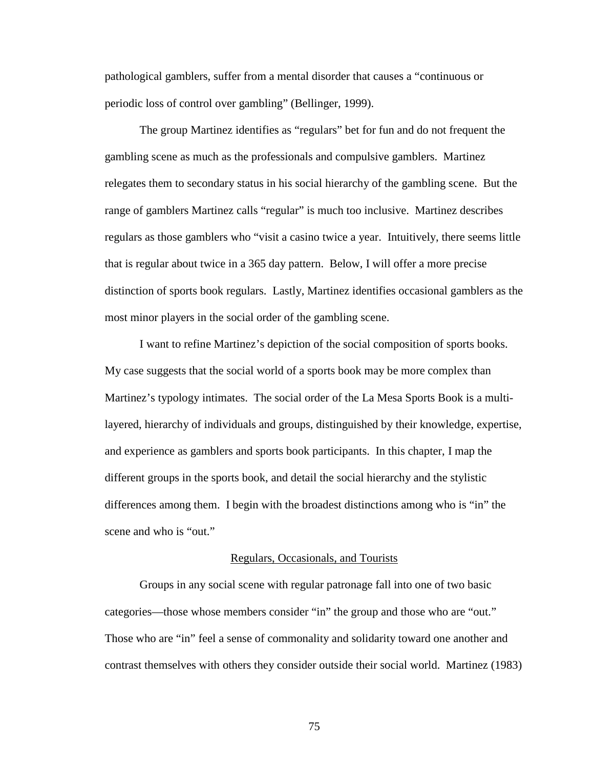pathological gamblers, suffer from a mental disorder that causes a "continuous or periodic loss of control over gambling" (Bellinger, 1999).

The group Martinez identifies as "regulars" bet for fun and do not frequent the gambling scene as much as the professionals and compulsive gamblers. Martinez relegates them to secondary status in his social hierarchy of the gambling scene. But the range of gamblers Martinez calls "regular" is much too inclusive. Martinez describes regulars as those gamblers who "visit a casino twice a year. Intuitively, there seems little that is regular about twice in a 365 day pattern. Below, I will offer a more precise distinction of sports book regulars. Lastly, Martinez identifies occasional gamblers as the most minor players in the social order of the gambling scene.

I want to refine Martinez's depiction of the social composition of sports books. My case suggests that the social world of a sports book may be more complex than Martinez's typology intimates. The social order of the La Mesa Sports Book is a multilayered, hierarchy of individuals and groups, distinguished by their knowledge, expertise, and experience as gamblers and sports book participants. In this chapter, I map the different groups in the sports book, and detail the social hierarchy and the stylistic differences among them. I begin with the broadest distinctions among who is "in" the scene and who is "out."

### Regulars, Occasionals, and Tourists

Groups in any social scene with regular patronage fall into one of two basic categories—those whose members consider "in" the group and those who are "out." Those who are "in" feel a sense of commonality and solidarity toward one another and contrast themselves with others they consider outside their social world. Martinez (1983)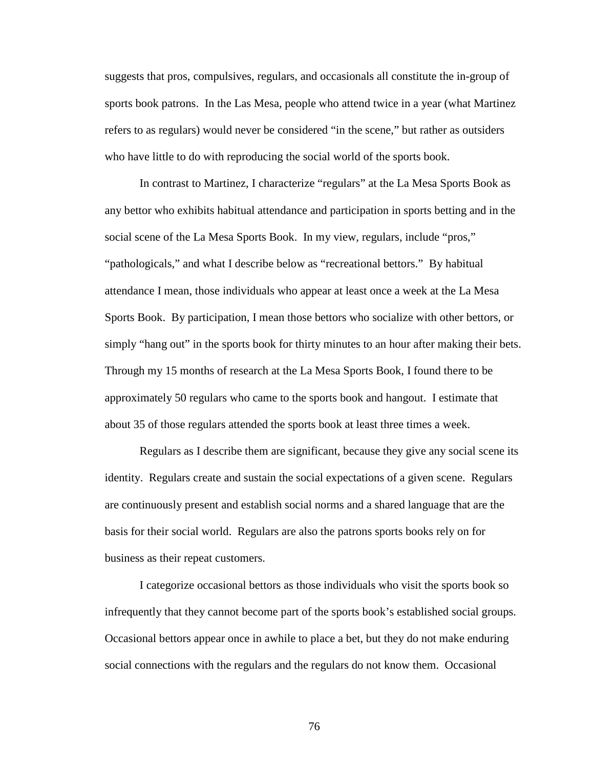suggests that pros, compulsives, regulars, and occasionals all constitute the in-group of sports book patrons. In the Las Mesa, people who attend twice in a year (what Martinez refers to as regulars) would never be considered "in the scene," but rather as outsiders who have little to do with reproducing the social world of the sports book.

In contrast to Martinez, I characterize "regulars" at the La Mesa Sports Book as any bettor who exhibits habitual attendance and participation in sports betting and in the social scene of the La Mesa Sports Book. In my view, regulars, include "pros," "pathologicals," and what I describe below as "recreational bettors." By habitual attendance I mean, those individuals who appear at least once a week at the La Mesa Sports Book. By participation, I mean those bettors who socialize with other bettors, or simply "hang out" in the sports book for thirty minutes to an hour after making their bets. Through my 15 months of research at the La Mesa Sports Book, I found there to be approximately 50 regulars who came to the sports book and hangout. I estimate that about 35 of those regulars attended the sports book at least three times a week.

Regulars as I describe them are significant, because they give any social scene its identity. Regulars create and sustain the social expectations of a given scene. Regulars are continuously present and establish social norms and a shared language that are the basis for their social world. Regulars are also the patrons sports books rely on for business as their repeat customers.

I categorize occasional bettors as those individuals who visit the sports book so infrequently that they cannot become part of the sports book's established social groups. Occasional bettors appear once in awhile to place a bet, but they do not make enduring social connections with the regulars and the regulars do not know them. Occasional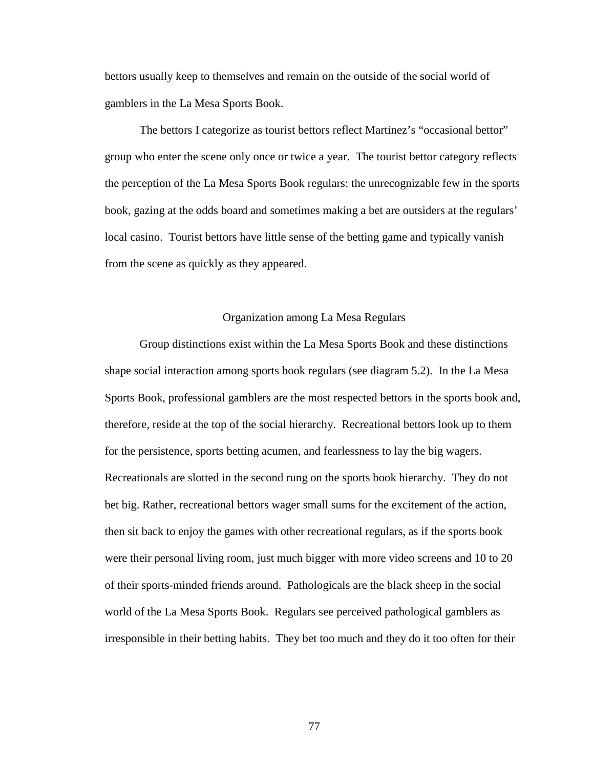bettors usually keep to themselves and remain on the outside of the social world of gamblers in the La Mesa Sports Book.

The bettors I categorize as tourist bettors reflect Martinez's "occasional bettor" group who enter the scene only once or twice a year. The tourist bettor category reflects the perception of the La Mesa Sports Book regulars: the unrecognizable few in the sports book, gazing at the odds board and sometimes making a bet are outsiders at the regulars' local casino. Tourist bettors have little sense of the betting game and typically vanish from the scene as quickly as they appeared.

## Organization among La Mesa Regulars

Group distinctions exist within the La Mesa Sports Book and these distinctions shape social interaction among sports book regulars (see diagram 5.2). In the La Mesa Sports Book, professional gamblers are the most respected bettors in the sports book and, therefore, reside at the top of the social hierarchy. Recreational bettors look up to them for the persistence, sports betting acumen, and fearlessness to lay the big wagers. Recreationals are slotted in the second rung on the sports book hierarchy. They do not bet big. Rather, recreational bettors wager small sums for the excitement of the action, then sit back to enjoy the games with other recreational regulars, as if the sports book were their personal living room, just much bigger with more video screens and 10 to 20 of their sports-minded friends around. Pathologicals are the black sheep in the social world of the La Mesa Sports Book. Regulars see perceived pathological gamblers as irresponsible in their betting habits. They bet too much and they do it too often for their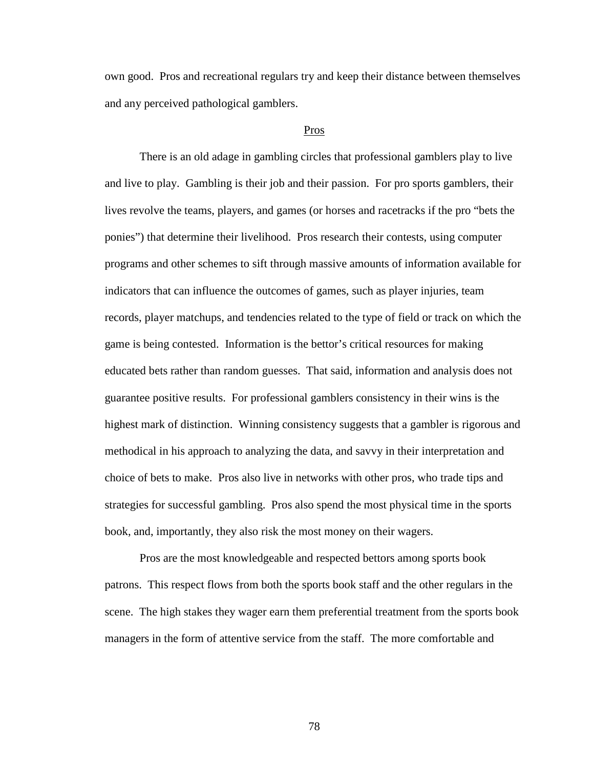own good. Pros and recreational regulars try and keep their distance between themselves and any perceived pathological gamblers.

# Pros

There is an old adage in gambling circles that professional gamblers play to live and live to play. Gambling is their job and their passion. For pro sports gamblers, their lives revolve the teams, players, and games (or horses and racetracks if the pro "bets the ponies") that determine their livelihood. Pros research their contests, using computer programs and other schemes to sift through massive amounts of information available for indicators that can influence the outcomes of games, such as player injuries, team records, player matchups, and tendencies related to the type of field or track on which the game is being contested. Information is the bettor's critical resources for making educated bets rather than random guesses. That said, information and analysis does not guarantee positive results. For professional gamblers consistency in their wins is the highest mark of distinction. Winning consistency suggests that a gambler is rigorous and methodical in his approach to analyzing the data, and savvy in their interpretation and choice of bets to make. Pros also live in networks with other pros, who trade tips and strategies for successful gambling. Pros also spend the most physical time in the sports book, and, importantly, they also risk the most money on their wagers.

Pros are the most knowledgeable and respected bettors among sports book patrons. This respect flows from both the sports book staff and the other regulars in the scene. The high stakes they wager earn them preferential treatment from the sports book managers in the form of attentive service from the staff. The more comfortable and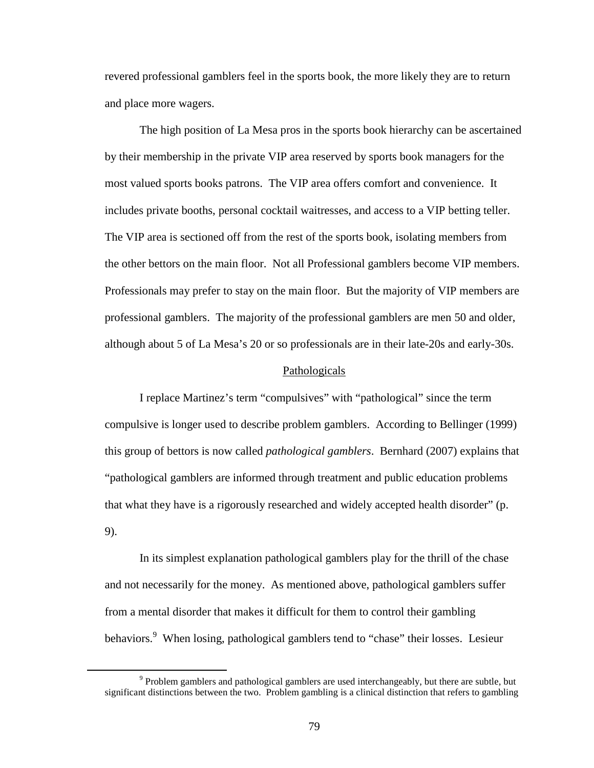revered professional gamblers feel in the sports book, the more likely they are to return and place more wagers.

The high position of La Mesa pros in the sports book hierarchy can be ascertained by their membership in the private VIP area reserved by sports book managers for the most valued sports books patrons. The VIP area offers comfort and convenience. It includes private booths, personal cocktail waitresses, and access to a VIP betting teller. The VIP area is sectioned off from the rest of the sports book, isolating members from the other bettors on the main floor. Not all Professional gamblers become VIP members. Professionals may prefer to stay on the main floor. But the majority of VIP members are professional gamblers. The majority of the professional gamblers are men 50 and older, although about 5 of La Mesa's 20 or so professionals are in their late-20s and early-30s.

### Pathologicals

I replace Martinez's term "compulsives" with "pathological" since the term compulsive is longer used to describe problem gamblers. According to Bellinger (1999) this group of bettors is now called *pathological gamblers*. Bernhard (2007) explains that "pathological gamblers are informed through treatment and public education problems that what they have is a rigorously researched and widely accepted health disorder" (p. 9).

In its simplest explanation pathological gamblers play for the thrill of the chase and not necessarily for the money. As mentioned above, pathological gamblers suffer from a mental disorder that makes it difficult for them to control their gambling behaviors.<sup>9</sup> When losing, pathological gamblers tend to "chase" their losses. Lesieur

<u>.</u>

 $9$  Problem gamblers and pathological gamblers are used interchangeably, but there are subtle, but significant distinctions between the two. Problem gambling is a clinical distinction that refers to gambling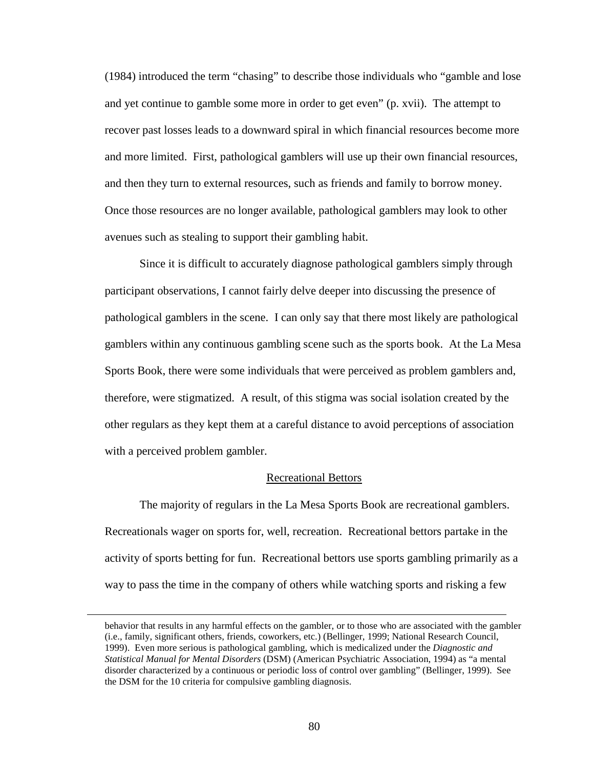(1984) introduced the term "chasing" to describe those individuals who "gamble and lose and yet continue to gamble some more in order to get even" (p. xvii). The attempt to recover past losses leads to a downward spiral in which financial resources become more and more limited. First, pathological gamblers will use up their own financial resources, and then they turn to external resources, such as friends and family to borrow money. Once those resources are no longer available, pathological gamblers may look to other avenues such as stealing to support their gambling habit.

Since it is difficult to accurately diagnose pathological gamblers simply through participant observations, I cannot fairly delve deeper into discussing the presence of pathological gamblers in the scene. I can only say that there most likely are pathological gamblers within any continuous gambling scene such as the sports book. At the La Mesa Sports Book, there were some individuals that were perceived as problem gamblers and, therefore, were stigmatized. A result, of this stigma was social isolation created by the other regulars as they kept them at a careful distance to avoid perceptions of association with a perceived problem gambler.

# Recreational Bettors

The majority of regulars in the La Mesa Sports Book are recreational gamblers. Recreationals wager on sports for, well, recreation. Recreational bettors partake in the activity of sports betting for fun. Recreational bettors use sports gambling primarily as a way to pass the time in the company of others while watching sports and risking a few

<u>.</u>

behavior that results in any harmful effects on the gambler, or to those who are associated with the gambler (i.e., family, significant others, friends, coworkers, etc.) (Bellinger, 1999; National Research Council, 1999). Even more serious is pathological gambling, which is medicalized under the *Diagnostic and Statistical Manual for Mental Disorders* (DSM) (American Psychiatric Association, 1994) as "a mental disorder characterized by a continuous or periodic loss of control over gambling" (Bellinger, 1999). See the DSM for the 10 criteria for compulsive gambling diagnosis.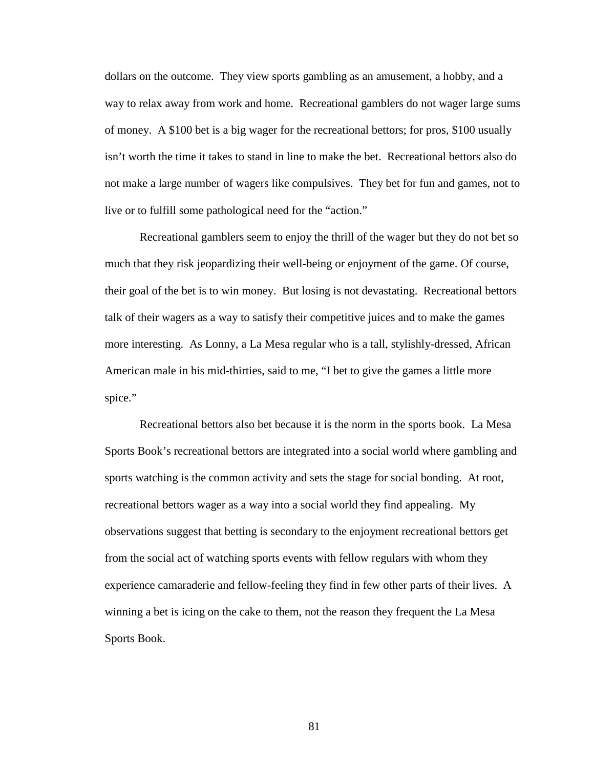dollars on the outcome. They view sports gambling as an amusement, a hobby, and a way to relax away from work and home. Recreational gamblers do not wager large sums of money. A \$100 bet is a big wager for the recreational bettors; for pros, \$100 usually isn't worth the time it takes to stand in line to make the bet. Recreational bettors also do not make a large number of wagers like compulsives. They bet for fun and games, not to live or to fulfill some pathological need for the "action."

Recreational gamblers seem to enjoy the thrill of the wager but they do not bet so much that they risk jeopardizing their well-being or enjoyment of the game. Of course, their goal of the bet is to win money. But losing is not devastating. Recreational bettors talk of their wagers as a way to satisfy their competitive juices and to make the games more interesting. As Lonny, a La Mesa regular who is a tall, stylishly-dressed, African American male in his mid-thirties, said to me, "I bet to give the games a little more spice."

Recreational bettors also bet because it is the norm in the sports book. La Mesa Sports Book's recreational bettors are integrated into a social world where gambling and sports watching is the common activity and sets the stage for social bonding. At root, recreational bettors wager as a way into a social world they find appealing. My observations suggest that betting is secondary to the enjoyment recreational bettors get from the social act of watching sports events with fellow regulars with whom they experience camaraderie and fellow-feeling they find in few other parts of their lives. A winning a bet is icing on the cake to them, not the reason they frequent the La Mesa Sports Book.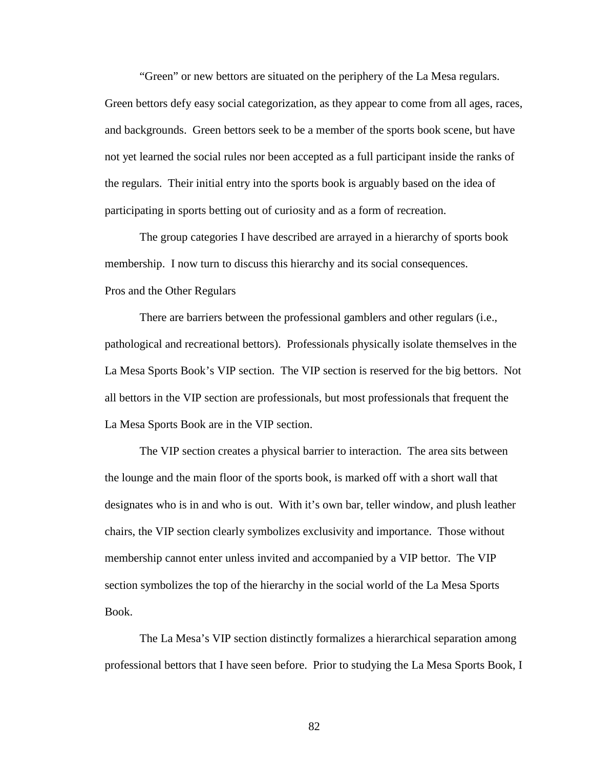"Green" or new bettors are situated on the periphery of the La Mesa regulars.

Green bettors defy easy social categorization, as they appear to come from all ages, races, and backgrounds. Green bettors seek to be a member of the sports book scene, but have not yet learned the social rules nor been accepted as a full participant inside the ranks of the regulars. Their initial entry into the sports book is arguably based on the idea of participating in sports betting out of curiosity and as a form of recreation.

The group categories I have described are arrayed in a hierarchy of sports book membership. I now turn to discuss this hierarchy and its social consequences. Pros and the Other Regulars

There are barriers between the professional gamblers and other regulars (i.e., pathological and recreational bettors). Professionals physically isolate themselves in the La Mesa Sports Book's VIP section. The VIP section is reserved for the big bettors. Not all bettors in the VIP section are professionals, but most professionals that frequent the La Mesa Sports Book are in the VIP section.

The VIP section creates a physical barrier to interaction. The area sits between the lounge and the main floor of the sports book, is marked off with a short wall that designates who is in and who is out. With it's own bar, teller window, and plush leather chairs, the VIP section clearly symbolizes exclusivity and importance. Those without membership cannot enter unless invited and accompanied by a VIP bettor. The VIP section symbolizes the top of the hierarchy in the social world of the La Mesa Sports Book.

The La Mesa's VIP section distinctly formalizes a hierarchical separation among professional bettors that I have seen before. Prior to studying the La Mesa Sports Book, I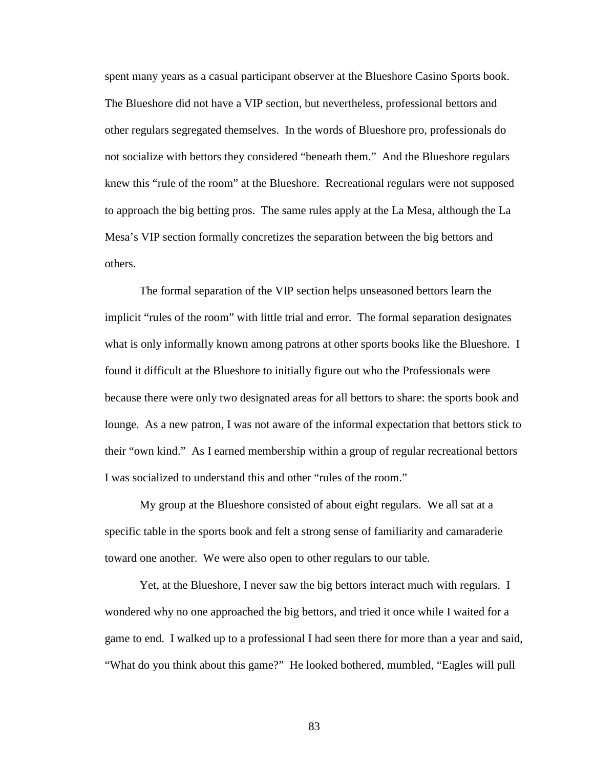spent many years as a casual participant observer at the Blueshore Casino Sports book. The Blueshore did not have a VIP section, but nevertheless, professional bettors and other regulars segregated themselves. In the words of Blueshore pro, professionals do not socialize with bettors they considered "beneath them." And the Blueshore regulars knew this "rule of the room" at the Blueshore. Recreational regulars were not supposed to approach the big betting pros. The same rules apply at the La Mesa, although the La Mesa's VIP section formally concretizes the separation between the big bettors and others.

The formal separation of the VIP section helps unseasoned bettors learn the implicit "rules of the room" with little trial and error. The formal separation designates what is only informally known among patrons at other sports books like the Blueshore. I found it difficult at the Blueshore to initially figure out who the Professionals were because there were only two designated areas for all bettors to share: the sports book and lounge. As a new patron, I was not aware of the informal expectation that bettors stick to their "own kind." As I earned membership within a group of regular recreational bettors I was socialized to understand this and other "rules of the room."

My group at the Blueshore consisted of about eight regulars. We all sat at a specific table in the sports book and felt a strong sense of familiarity and camaraderie toward one another. We were also open to other regulars to our table.

Yet, at the Blueshore, I never saw the big bettors interact much with regulars. I wondered why no one approached the big bettors, and tried it once while I waited for a game to end. I walked up to a professional I had seen there for more than a year and said, "What do you think about this game?" He looked bothered, mumbled, "Eagles will pull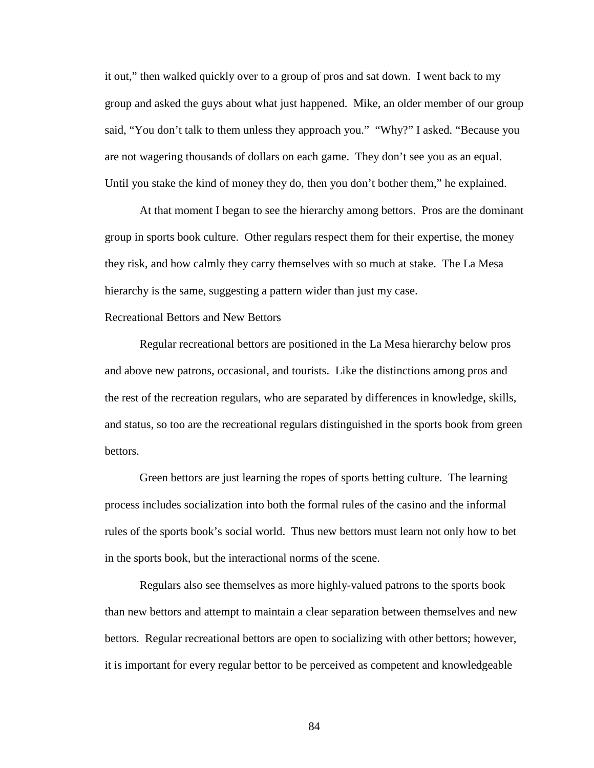it out," then walked quickly over to a group of pros and sat down. I went back to my group and asked the guys about what just happened. Mike, an older member of our group said, "You don't talk to them unless they approach you." "Why?" I asked. "Because you are not wagering thousands of dollars on each game. They don't see you as an equal. Until you stake the kind of money they do, then you don't bother them," he explained.

At that moment I began to see the hierarchy among bettors. Pros are the dominant group in sports book culture. Other regulars respect them for their expertise, the money they risk, and how calmly they carry themselves with so much at stake. The La Mesa hierarchy is the same, suggesting a pattern wider than just my case.

# Recreational Bettors and New Bettors

Regular recreational bettors are positioned in the La Mesa hierarchy below pros and above new patrons, occasional, and tourists. Like the distinctions among pros and the rest of the recreation regulars, who are separated by differences in knowledge, skills, and status, so too are the recreational regulars distinguished in the sports book from green bettors.

Green bettors are just learning the ropes of sports betting culture. The learning process includes socialization into both the formal rules of the casino and the informal rules of the sports book's social world. Thus new bettors must learn not only how to bet in the sports book, but the interactional norms of the scene.

Regulars also see themselves as more highly-valued patrons to the sports book than new bettors and attempt to maintain a clear separation between themselves and new bettors. Regular recreational bettors are open to socializing with other bettors; however, it is important for every regular bettor to be perceived as competent and knowledgeable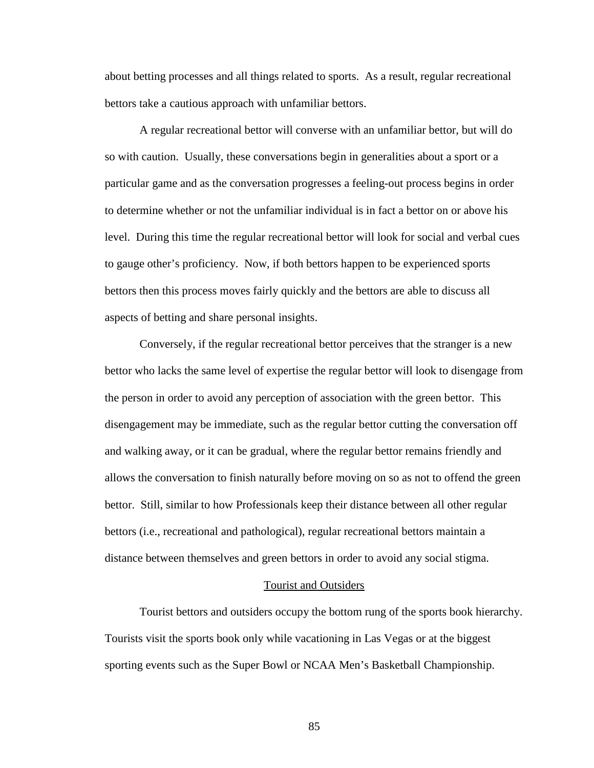about betting processes and all things related to sports. As a result, regular recreational bettors take a cautious approach with unfamiliar bettors.

A regular recreational bettor will converse with an unfamiliar bettor, but will do so with caution. Usually, these conversations begin in generalities about a sport or a particular game and as the conversation progresses a feeling-out process begins in order to determine whether or not the unfamiliar individual is in fact a bettor on or above his level. During this time the regular recreational bettor will look for social and verbal cues to gauge other's proficiency. Now, if both bettors happen to be experienced sports bettors then this process moves fairly quickly and the bettors are able to discuss all aspects of betting and share personal insights.

Conversely, if the regular recreational bettor perceives that the stranger is a new bettor who lacks the same level of expertise the regular bettor will look to disengage from the person in order to avoid any perception of association with the green bettor. This disengagement may be immediate, such as the regular bettor cutting the conversation off and walking away, or it can be gradual, where the regular bettor remains friendly and allows the conversation to finish naturally before moving on so as not to offend the green bettor. Still, similar to how Professionals keep their distance between all other regular bettors (i.e., recreational and pathological), regular recreational bettors maintain a distance between themselves and green bettors in order to avoid any social stigma.

### Tourist and Outsiders

Tourist bettors and outsiders occupy the bottom rung of the sports book hierarchy. Tourists visit the sports book only while vacationing in Las Vegas or at the biggest sporting events such as the Super Bowl or NCAA Men's Basketball Championship.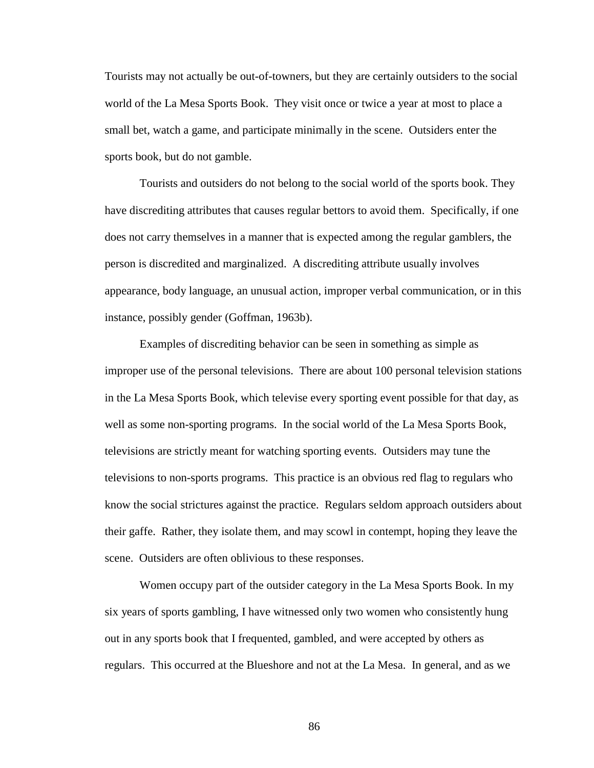Tourists may not actually be out-of-towners, but they are certainly outsiders to the social world of the La Mesa Sports Book. They visit once or twice a year at most to place a small bet, watch a game, and participate minimally in the scene. Outsiders enter the sports book, but do not gamble.

Tourists and outsiders do not belong to the social world of the sports book. They have discrediting attributes that causes regular bettors to avoid them. Specifically, if one does not carry themselves in a manner that is expected among the regular gamblers, the person is discredited and marginalized. A discrediting attribute usually involves appearance, body language, an unusual action, improper verbal communication, or in this instance, possibly gender (Goffman, 1963b).

Examples of discrediting behavior can be seen in something as simple as improper use of the personal televisions. There are about 100 personal television stations in the La Mesa Sports Book, which televise every sporting event possible for that day, as well as some non-sporting programs. In the social world of the La Mesa Sports Book, televisions are strictly meant for watching sporting events. Outsiders may tune the televisions to non-sports programs. This practice is an obvious red flag to regulars who know the social strictures against the practice. Regulars seldom approach outsiders about their gaffe. Rather, they isolate them, and may scowl in contempt, hoping they leave the scene. Outsiders are often oblivious to these responses.

Women occupy part of the outsider category in the La Mesa Sports Book. In my six years of sports gambling, I have witnessed only two women who consistently hung out in any sports book that I frequented, gambled, and were accepted by others as regulars. This occurred at the Blueshore and not at the La Mesa. In general, and as we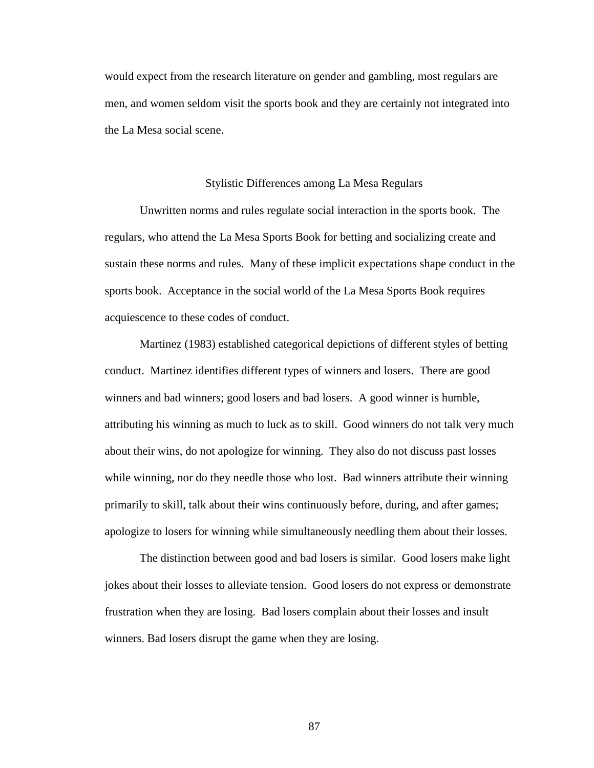would expect from the research literature on gender and gambling, most regulars are men, and women seldom visit the sports book and they are certainly not integrated into the La Mesa social scene.

### Stylistic Differences among La Mesa Regulars

Unwritten norms and rules regulate social interaction in the sports book. The regulars, who attend the La Mesa Sports Book for betting and socializing create and sustain these norms and rules. Many of these implicit expectations shape conduct in the sports book. Acceptance in the social world of the La Mesa Sports Book requires acquiescence to these codes of conduct.

Martinez (1983) established categorical depictions of different styles of betting conduct. Martinez identifies different types of winners and losers. There are good winners and bad winners; good losers and bad losers. A good winner is humble, attributing his winning as much to luck as to skill. Good winners do not talk very much about their wins, do not apologize for winning. They also do not discuss past losses while winning, nor do they needle those who lost. Bad winners attribute their winning primarily to skill, talk about their wins continuously before, during, and after games; apologize to losers for winning while simultaneously needling them about their losses.

The distinction between good and bad losers is similar. Good losers make light jokes about their losses to alleviate tension. Good losers do not express or demonstrate frustration when they are losing. Bad losers complain about their losses and insult winners. Bad losers disrupt the game when they are losing.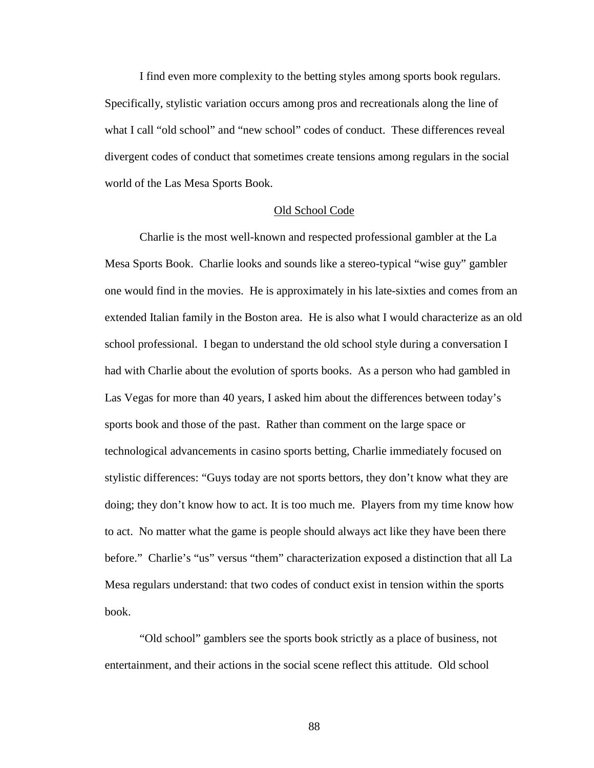I find even more complexity to the betting styles among sports book regulars. Specifically, stylistic variation occurs among pros and recreationals along the line of what I call "old school" and "new school" codes of conduct. These differences reveal divergent codes of conduct that sometimes create tensions among regulars in the social world of the Las Mesa Sports Book.

### Old School Code

Charlie is the most well-known and respected professional gambler at the La Mesa Sports Book. Charlie looks and sounds like a stereo-typical "wise guy" gambler one would find in the movies. He is approximately in his late-sixties and comes from an extended Italian family in the Boston area. He is also what I would characterize as an old school professional. I began to understand the old school style during a conversation I had with Charlie about the evolution of sports books. As a person who had gambled in Las Vegas for more than 40 years, I asked him about the differences between today's sports book and those of the past. Rather than comment on the large space or technological advancements in casino sports betting, Charlie immediately focused on stylistic differences: "Guys today are not sports bettors, they don't know what they are doing; they don't know how to act. It is too much me. Players from my time know how to act. No matter what the game is people should always act like they have been there before." Charlie's "us" versus "them" characterization exposed a distinction that all La Mesa regulars understand: that two codes of conduct exist in tension within the sports book.

"Old school" gamblers see the sports book strictly as a place of business, not entertainment, and their actions in the social scene reflect this attitude. Old school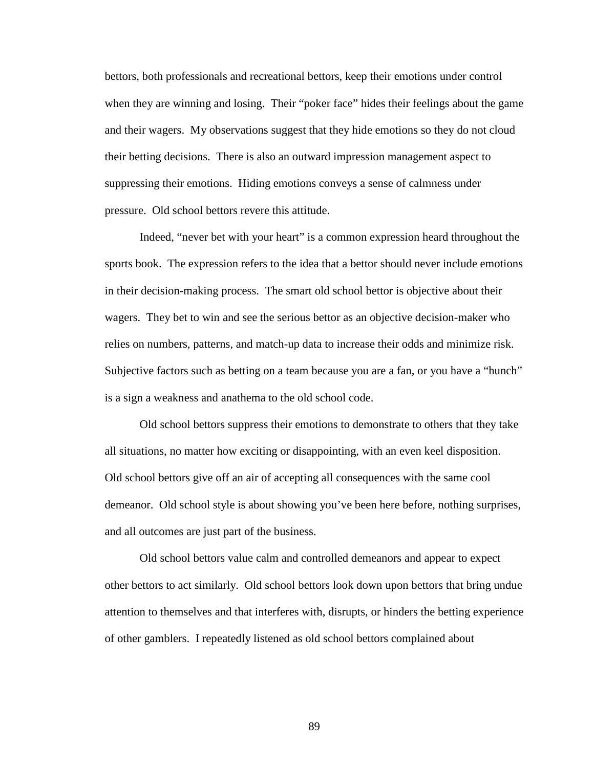bettors, both professionals and recreational bettors, keep their emotions under control when they are winning and losing. Their "poker face" hides their feelings about the game and their wagers. My observations suggest that they hide emotions so they do not cloud their betting decisions. There is also an outward impression management aspect to suppressing their emotions. Hiding emotions conveys a sense of calmness under pressure. Old school bettors revere this attitude.

Indeed, "never bet with your heart" is a common expression heard throughout the sports book. The expression refers to the idea that a bettor should never include emotions in their decision-making process. The smart old school bettor is objective about their wagers. They bet to win and see the serious bettor as an objective decision-maker who relies on numbers, patterns, and match-up data to increase their odds and minimize risk. Subjective factors such as betting on a team because you are a fan, or you have a "hunch" is a sign a weakness and anathema to the old school code.

Old school bettors suppress their emotions to demonstrate to others that they take all situations, no matter how exciting or disappointing, with an even keel disposition. Old school bettors give off an air of accepting all consequences with the same cool demeanor. Old school style is about showing you've been here before, nothing surprises, and all outcomes are just part of the business.

Old school bettors value calm and controlled demeanors and appear to expect other bettors to act similarly. Old school bettors look down upon bettors that bring undue attention to themselves and that interferes with, disrupts, or hinders the betting experience of other gamblers. I repeatedly listened as old school bettors complained about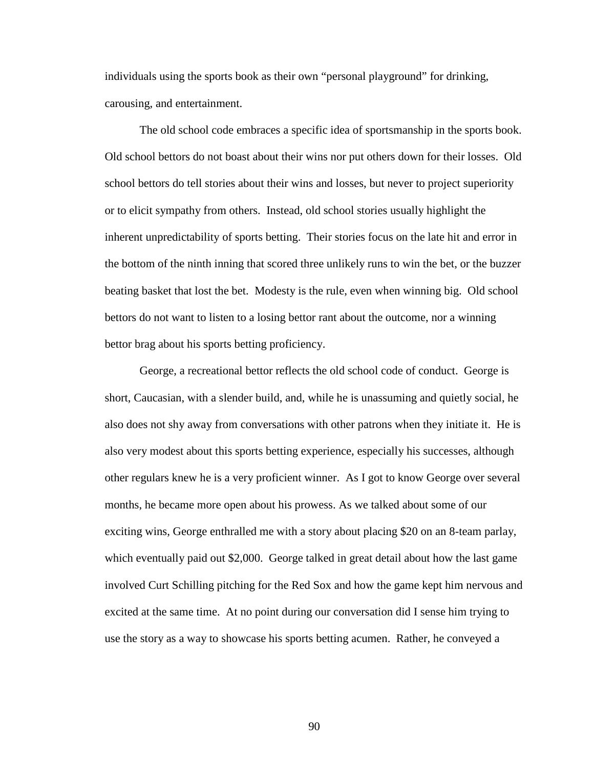individuals using the sports book as their own "personal playground" for drinking, carousing, and entertainment.

The old school code embraces a specific idea of sportsmanship in the sports book. Old school bettors do not boast about their wins nor put others down for their losses. Old school bettors do tell stories about their wins and losses, but never to project superiority or to elicit sympathy from others. Instead, old school stories usually highlight the inherent unpredictability of sports betting. Their stories focus on the late hit and error in the bottom of the ninth inning that scored three unlikely runs to win the bet, or the buzzer beating basket that lost the bet. Modesty is the rule, even when winning big. Old school bettors do not want to listen to a losing bettor rant about the outcome, nor a winning bettor brag about his sports betting proficiency.

George, a recreational bettor reflects the old school code of conduct. George is short, Caucasian, with a slender build, and, while he is unassuming and quietly social, he also does not shy away from conversations with other patrons when they initiate it. He is also very modest about this sports betting experience, especially his successes, although other regulars knew he is a very proficient winner. As I got to know George over several months, he became more open about his prowess. As we talked about some of our exciting wins, George enthralled me with a story about placing \$20 on an 8-team parlay, which eventually paid out \$2,000. George talked in great detail about how the last game involved Curt Schilling pitching for the Red Sox and how the game kept him nervous and excited at the same time. At no point during our conversation did I sense him trying to use the story as a way to showcase his sports betting acumen. Rather, he conveyed a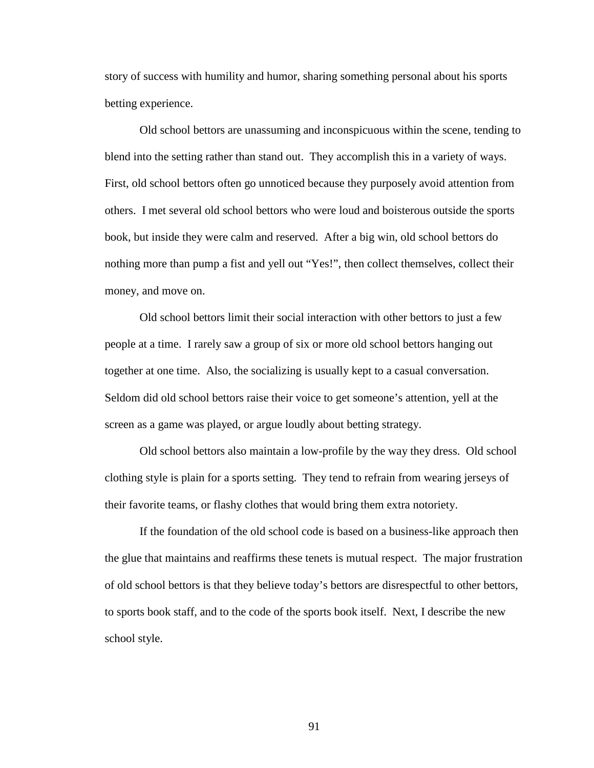story of success with humility and humor, sharing something personal about his sports betting experience.

Old school bettors are unassuming and inconspicuous within the scene, tending to blend into the setting rather than stand out. They accomplish this in a variety of ways. First, old school bettors often go unnoticed because they purposely avoid attention from others. I met several old school bettors who were loud and boisterous outside the sports book, but inside they were calm and reserved. After a big win, old school bettors do nothing more than pump a fist and yell out "Yes!", then collect themselves, collect their money, and move on.

Old school bettors limit their social interaction with other bettors to just a few people at a time. I rarely saw a group of six or more old school bettors hanging out together at one time. Also, the socializing is usually kept to a casual conversation. Seldom did old school bettors raise their voice to get someone's attention, yell at the screen as a game was played, or argue loudly about betting strategy.

Old school bettors also maintain a low-profile by the way they dress. Old school clothing style is plain for a sports setting. They tend to refrain from wearing jerseys of their favorite teams, or flashy clothes that would bring them extra notoriety.

If the foundation of the old school code is based on a business-like approach then the glue that maintains and reaffirms these tenets is mutual respect. The major frustration of old school bettors is that they believe today's bettors are disrespectful to other bettors, to sports book staff, and to the code of the sports book itself. Next, I describe the new school style.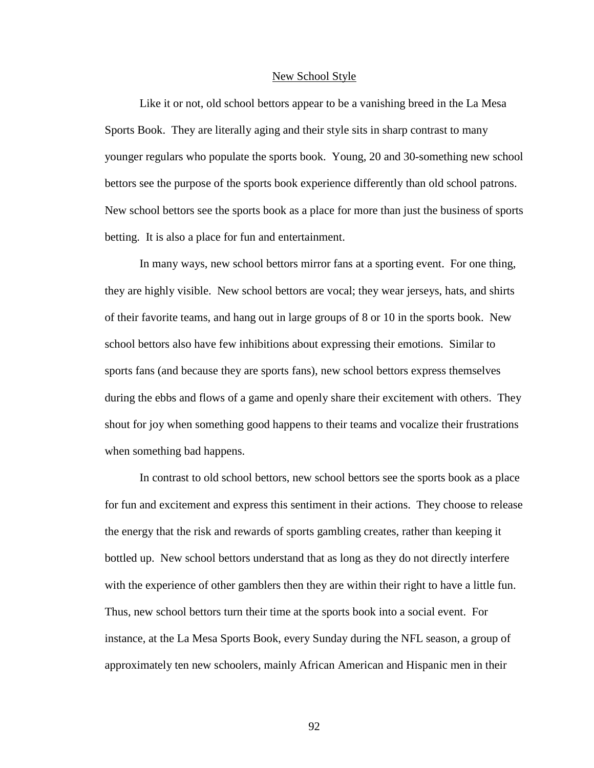#### New School Style

Like it or not, old school bettors appear to be a vanishing breed in the La Mesa Sports Book. They are literally aging and their style sits in sharp contrast to many younger regulars who populate the sports book. Young, 20 and 30-something new school bettors see the purpose of the sports book experience differently than old school patrons. New school bettors see the sports book as a place for more than just the business of sports betting. It is also a place for fun and entertainment.

In many ways, new school bettors mirror fans at a sporting event. For one thing, they are highly visible. New school bettors are vocal; they wear jerseys, hats, and shirts of their favorite teams, and hang out in large groups of 8 or 10 in the sports book. New school bettors also have few inhibitions about expressing their emotions. Similar to sports fans (and because they are sports fans), new school bettors express themselves during the ebbs and flows of a game and openly share their excitement with others. They shout for joy when something good happens to their teams and vocalize their frustrations when something bad happens.

In contrast to old school bettors, new school bettors see the sports book as a place for fun and excitement and express this sentiment in their actions. They choose to release the energy that the risk and rewards of sports gambling creates, rather than keeping it bottled up. New school bettors understand that as long as they do not directly interfere with the experience of other gamblers then they are within their right to have a little fun. Thus, new school bettors turn their time at the sports book into a social event. For instance, at the La Mesa Sports Book, every Sunday during the NFL season, a group of approximately ten new schoolers, mainly African American and Hispanic men in their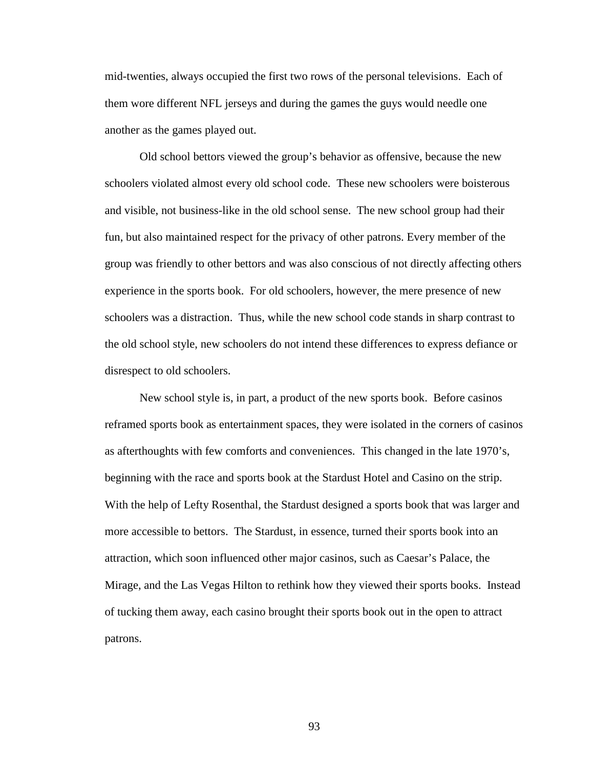mid-twenties, always occupied the first two rows of the personal televisions. Each of them wore different NFL jerseys and during the games the guys would needle one another as the games played out.

Old school bettors viewed the group's behavior as offensive, because the new schoolers violated almost every old school code. These new schoolers were boisterous and visible, not business-like in the old school sense. The new school group had their fun, but also maintained respect for the privacy of other patrons. Every member of the group was friendly to other bettors and was also conscious of not directly affecting others experience in the sports book. For old schoolers, however, the mere presence of new schoolers was a distraction. Thus, while the new school code stands in sharp contrast to the old school style, new schoolers do not intend these differences to express defiance or disrespect to old schoolers.

New school style is, in part, a product of the new sports book. Before casinos reframed sports book as entertainment spaces, they were isolated in the corners of casinos as afterthoughts with few comforts and conveniences. This changed in the late 1970's, beginning with the race and sports book at the Stardust Hotel and Casino on the strip. With the help of Lefty Rosenthal, the Stardust designed a sports book that was larger and more accessible to bettors. The Stardust, in essence, turned their sports book into an attraction, which soon influenced other major casinos, such as Caesar's Palace, the Mirage, and the Las Vegas Hilton to rethink how they viewed their sports books. Instead of tucking them away, each casino brought their sports book out in the open to attract patrons.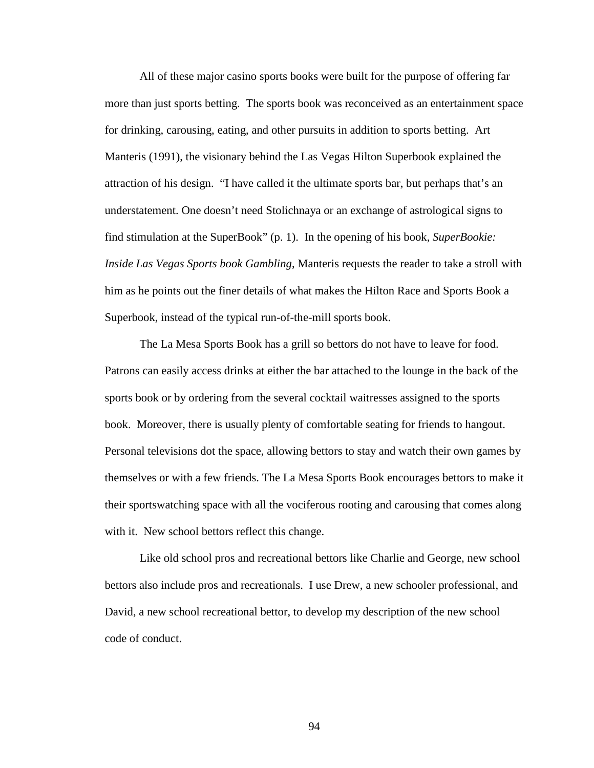All of these major casino sports books were built for the purpose of offering far more than just sports betting. The sports book was reconceived as an entertainment space for drinking, carousing, eating, and other pursuits in addition to sports betting. Art Manteris (1991), the visionary behind the Las Vegas Hilton Superbook explained the attraction of his design. "I have called it the ultimate sports bar, but perhaps that's an understatement. One doesn't need Stolichnaya or an exchange of astrological signs to find stimulation at the SuperBook" (p. 1).In the opening of his book, *SuperBookie: Inside Las Vegas Sports book Gambling*, Manteris requests the reader to take a stroll with him as he points out the finer details of what makes the Hilton Race and Sports Book a Superbook, instead of the typical run-of-the-mill sports book.

The La Mesa Sports Book has a grill so bettors do not have to leave for food. Patrons can easily access drinks at either the bar attached to the lounge in the back of the sports book or by ordering from the several cocktail waitresses assigned to the sports book. Moreover, there is usually plenty of comfortable seating for friends to hangout. Personal televisions dot the space, allowing bettors to stay and watch their own games by themselves or with a few friends. The La Mesa Sports Book encourages bettors to make it their sportswatching space with all the vociferous rooting and carousing that comes along with it. New school bettors reflect this change.

Like old school pros and recreational bettors like Charlie and George, new school bettors also include pros and recreationals. I use Drew, a new schooler professional, and David, a new school recreational bettor, to develop my description of the new school code of conduct.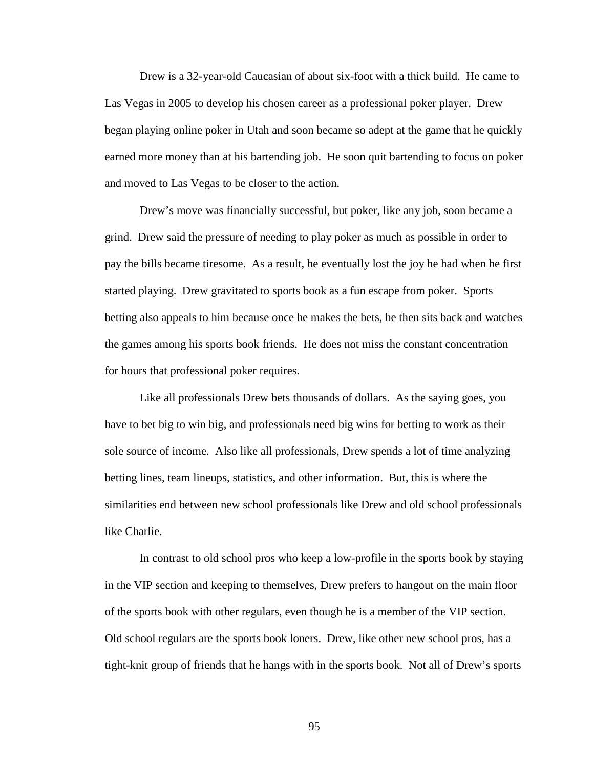Drew is a 32-year-old Caucasian of about six-foot with a thick build. He came to Las Vegas in 2005 to develop his chosen career as a professional poker player. Drew began playing online poker in Utah and soon became so adept at the game that he quickly earned more money than at his bartending job. He soon quit bartending to focus on poker and moved to Las Vegas to be closer to the action.

Drew's move was financially successful, but poker, like any job, soon became a grind. Drew said the pressure of needing to play poker as much as possible in order to pay the bills became tiresome. As a result, he eventually lost the joy he had when he first started playing. Drew gravitated to sports book as a fun escape from poker. Sports betting also appeals to him because once he makes the bets, he then sits back and watches the games among his sports book friends. He does not miss the constant concentration for hours that professional poker requires.

Like all professionals Drew bets thousands of dollars. As the saying goes, you have to bet big to win big, and professionals need big wins for betting to work as their sole source of income. Also like all professionals, Drew spends a lot of time analyzing betting lines, team lineups, statistics, and other information. But, this is where the similarities end between new school professionals like Drew and old school professionals like Charlie.

In contrast to old school pros who keep a low-profile in the sports book by staying in the VIP section and keeping to themselves, Drew prefers to hangout on the main floor of the sports book with other regulars, even though he is a member of the VIP section. Old school regulars are the sports book loners. Drew, like other new school pros, has a tight-knit group of friends that he hangs with in the sports book. Not all of Drew's sports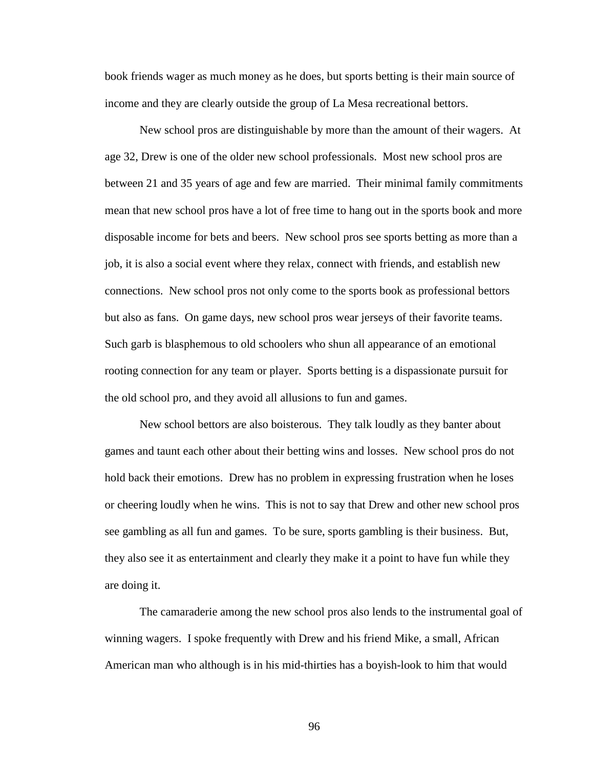book friends wager as much money as he does, but sports betting is their main source of income and they are clearly outside the group of La Mesa recreational bettors.

New school pros are distinguishable by more than the amount of their wagers. At age 32, Drew is one of the older new school professionals. Most new school pros are between 21 and 35 years of age and few are married. Their minimal family commitments mean that new school pros have a lot of free time to hang out in the sports book and more disposable income for bets and beers. New school pros see sports betting as more than a job, it is also a social event where they relax, connect with friends, and establish new connections. New school pros not only come to the sports book as professional bettors but also as fans. On game days, new school pros wear jerseys of their favorite teams. Such garb is blasphemous to old schoolers who shun all appearance of an emotional rooting connection for any team or player. Sports betting is a dispassionate pursuit for the old school pro, and they avoid all allusions to fun and games.

New school bettors are also boisterous. They talk loudly as they banter about games and taunt each other about their betting wins and losses. New school pros do not hold back their emotions. Drew has no problem in expressing frustration when he loses or cheering loudly when he wins. This is not to say that Drew and other new school pros see gambling as all fun and games. To be sure, sports gambling is their business. But, they also see it as entertainment and clearly they make it a point to have fun while they are doing it.

The camaraderie among the new school pros also lends to the instrumental goal of winning wagers. I spoke frequently with Drew and his friend Mike, a small, African American man who although is in his mid-thirties has a boyish-look to him that would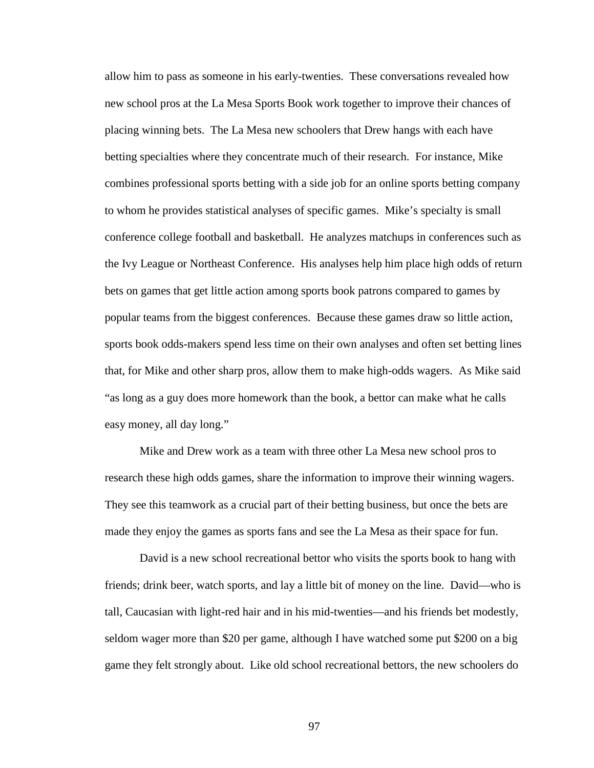allow him to pass as someone in his early-twenties. These conversations revealed how new school pros at the La Mesa Sports Book work together to improve their chances of placing winning bets. The La Mesa new schoolers that Drew hangs with each have betting specialties where they concentrate much of their research. For instance, Mike combines professional sports betting with a side job for an online sports betting company to whom he provides statistical analyses of specific games. Mike's specialty is small conference college football and basketball. He analyzes matchups in conferences such as the Ivy League or Northeast Conference. His analyses help him place high odds of return bets on games that get little action among sports book patrons compared to games by popular teams from the biggest conferences. Because these games draw so little action, sports book odds-makers spend less time on their own analyses and often set betting lines that, for Mike and other sharp pros, allow them to make high-odds wagers. As Mike said "as long as a guy does more homework than the book, a bettor can make what he calls easy money, all day long."

Mike and Drew work as a team with three other La Mesa new school pros to research these high odds games, share the information to improve their winning wagers. They see this teamwork as a crucial part of their betting business, but once the bets are made they enjoy the games as sports fans and see the La Mesa as their space for fun.

David is a new school recreational bettor who visits the sports book to hang with friends; drink beer, watch sports, and lay a little bit of money on the line. David—who is tall, Caucasian with light-red hair and in his mid-twenties—and his friends bet modestly, seldom wager more than \$20 per game, although I have watched some put \$200 on a big game they felt strongly about. Like old school recreational bettors, the new schoolers do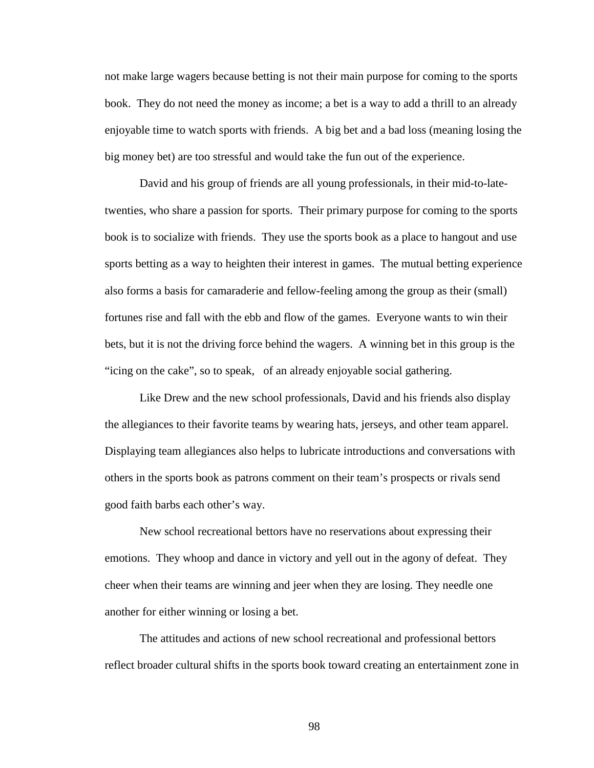not make large wagers because betting is not their main purpose for coming to the sports book. They do not need the money as income; a bet is a way to add a thrill to an already enjoyable time to watch sports with friends. A big bet and a bad loss (meaning losing the big money bet) are too stressful and would take the fun out of the experience.

David and his group of friends are all young professionals, in their mid-to-latetwenties, who share a passion for sports. Their primary purpose for coming to the sports book is to socialize with friends. They use the sports book as a place to hangout and use sports betting as a way to heighten their interest in games. The mutual betting experience also forms a basis for camaraderie and fellow-feeling among the group as their (small) fortunes rise and fall with the ebb and flow of the games. Everyone wants to win their bets, but it is not the driving force behind the wagers. A winning bet in this group is the "icing on the cake", so to speak, of an already enjoyable social gathering.

Like Drew and the new school professionals, David and his friends also display the allegiances to their favorite teams by wearing hats, jerseys, and other team apparel. Displaying team allegiances also helps to lubricate introductions and conversations with others in the sports book as patrons comment on their team's prospects or rivals send good faith barbs each other's way.

New school recreational bettors have no reservations about expressing their emotions. They whoop and dance in victory and yell out in the agony of defeat. They cheer when their teams are winning and jeer when they are losing. They needle one another for either winning or losing a bet.

The attitudes and actions of new school recreational and professional bettors reflect broader cultural shifts in the sports book toward creating an entertainment zone in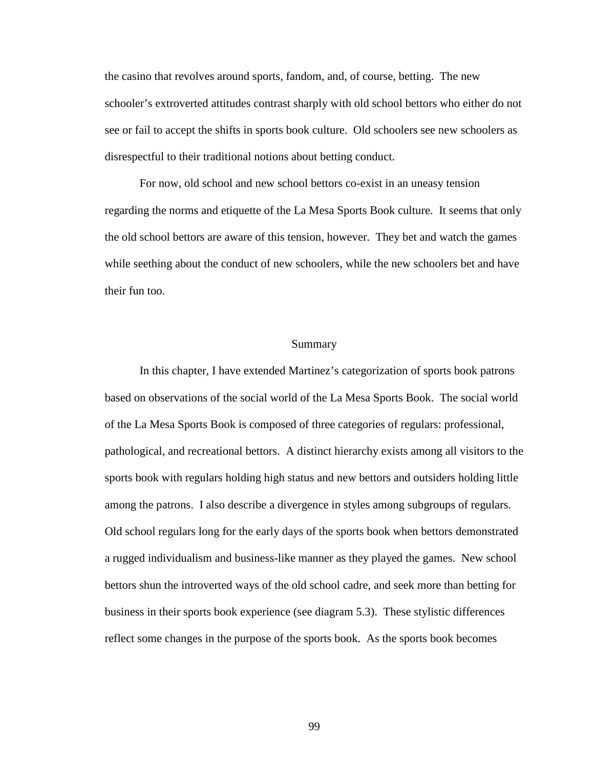the casino that revolves around sports, fandom, and, of course, betting. The new schooler's extroverted attitudes contrast sharply with old school bettors who either do not see or fail to accept the shifts in sports book culture. Old schoolers see new schoolers as disrespectful to their traditional notions about betting conduct.

For now, old school and new school bettors co-exist in an uneasy tension regarding the norms and etiquette of the La Mesa Sports Book culture. It seems that only the old school bettors are aware of this tension, however. They bet and watch the games while seething about the conduct of new schoolers, while the new schoolers bet and have their fun too.

## Summary

In this chapter, I have extended Martinez's categorization of sports book patrons based on observations of the social world of the La Mesa Sports Book. The social world of the La Mesa Sports Book is composed of three categories of regulars: professional, pathological, and recreational bettors. A distinct hierarchy exists among all visitors to the sports book with regulars holding high status and new bettors and outsiders holding little among the patrons. I also describe a divergence in styles among subgroups of regulars. Old school regulars long for the early days of the sports book when bettors demonstrated a rugged individualism and business-like manner as they played the games. New school bettors shun the introverted ways of the old school cadre, and seek more than betting for business in their sports book experience (see diagram 5.3). These stylistic differences reflect some changes in the purpose of the sports book. As the sports book becomes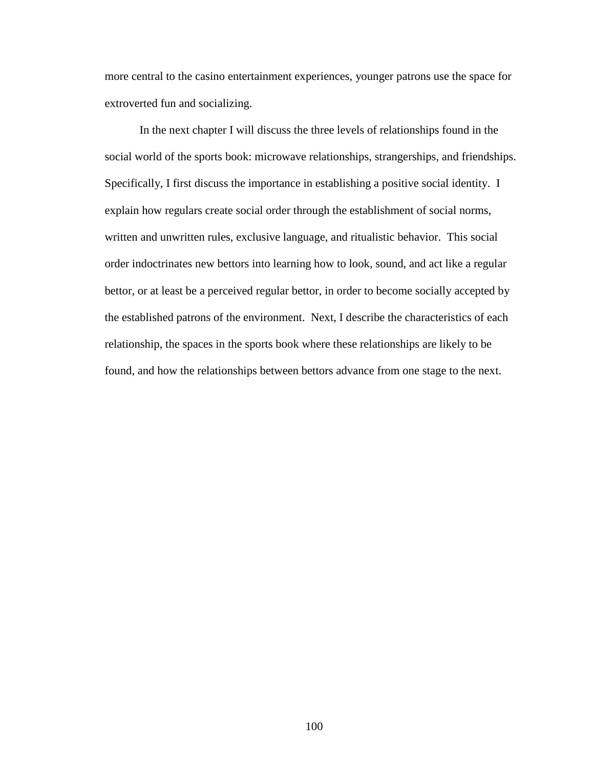more central to the casino entertainment experiences, younger patrons use the space for extroverted fun and socializing.

In the next chapter I will discuss the three levels of relationships found in the social world of the sports book: microwave relationships, strangerships, and friendships. Specifically, I first discuss the importance in establishing a positive social identity. I explain how regulars create social order through the establishment of social norms, written and unwritten rules, exclusive language, and ritualistic behavior. This social order indoctrinates new bettors into learning how to look, sound, and act like a regular bettor, or at least be a perceived regular bettor, in order to become socially accepted by the established patrons of the environment. Next, I describe the characteristics of each relationship, the spaces in the sports book where these relationships are likely to be found, and how the relationships between bettors advance from one stage to the next.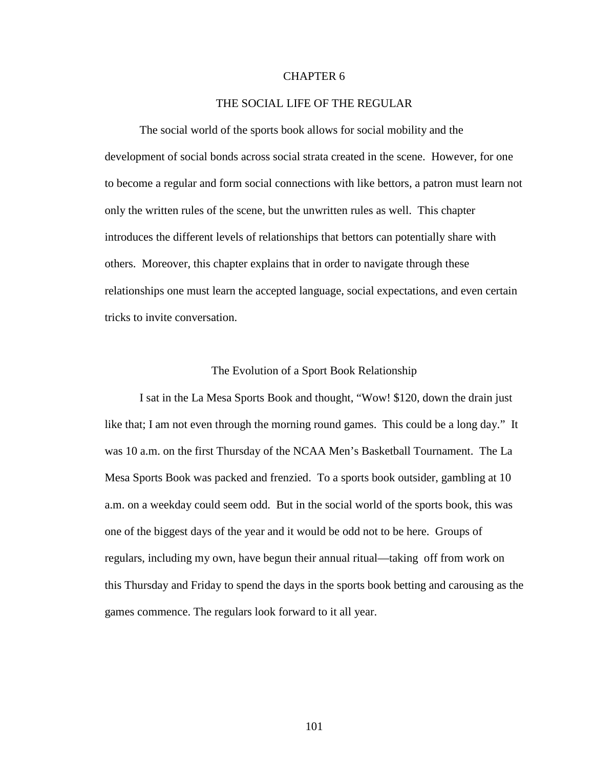## CHAPTER 6

## THE SOCIAL LIFE OF THE REGULAR

The social world of the sports book allows for social mobility and the development of social bonds across social strata created in the scene. However, for one to become a regular and form social connections with like bettors, a patron must learn not only the written rules of the scene, but the unwritten rules as well. This chapter introduces the different levels of relationships that bettors can potentially share with others. Moreover, this chapter explains that in order to navigate through these relationships one must learn the accepted language, social expectations, and even certain tricks to invite conversation.

#### The Evolution of a Sport Book Relationship

I sat in the La Mesa Sports Book and thought, "Wow! \$120, down the drain just like that; I am not even through the morning round games. This could be a long day." It was 10 a.m. on the first Thursday of the NCAA Men's Basketball Tournament. The La Mesa Sports Book was packed and frenzied. To a sports book outsider, gambling at 10 a.m. on a weekday could seem odd. But in the social world of the sports book, this was one of the biggest days of the year and it would be odd not to be here. Groups of regulars, including my own, have begun their annual ritual—taking off from work on this Thursday and Friday to spend the days in the sports book betting and carousing as the games commence. The regulars look forward to it all year.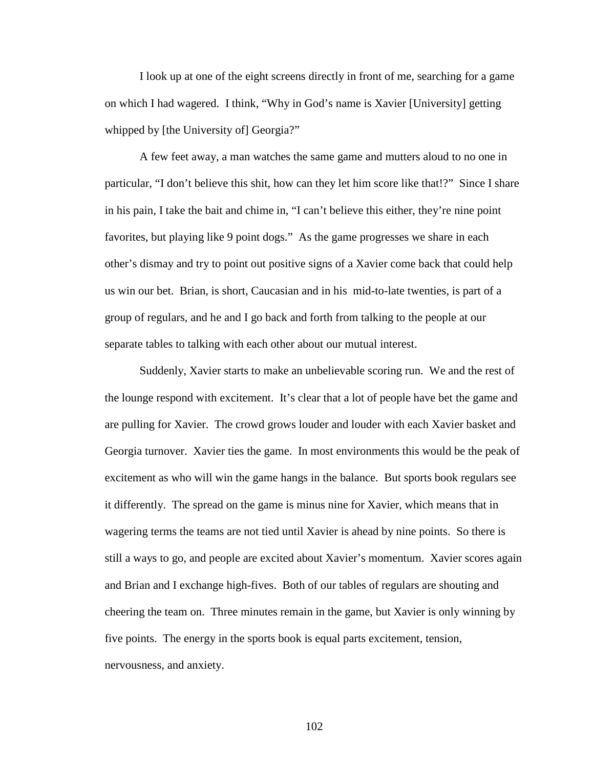I look up at one of the eight screens directly in front of me, searching for a game on which I had wagered. I think, "Why in God's name is Xavier [University] getting whipped by [the University of] Georgia?"

A few feet away, a man watches the same game and mutters aloud to no one in particular, "I don't believe this shit, how can they let him score like that!?" Since I share in his pain, I take the bait and chime in, "I can't believe this either, they're nine point favorites, but playing like 9 point dogs." As the game progresses we share in each other's dismay and try to point out positive signs of a Xavier come back that could help us win our bet. Brian, is short, Caucasian and in his mid-to-late twenties, is part of a group of regulars, and he and I go back and forth from talking to the people at our separate tables to talking with each other about our mutual interest.

Suddenly, Xavier starts to make an unbelievable scoring run. We and the rest of the lounge respond with excitement. It's clear that a lot of people have bet the game and are pulling for Xavier. The crowd grows louder and louder with each Xavier basket and Georgia turnover. Xavier ties the game. In most environments this would be the peak of excitement as who will win the game hangs in the balance. But sports book regulars see it differently. The spread on the game is minus nine for Xavier, which means that in wagering terms the teams are not tied until Xavier is ahead by nine points. So there is still a ways to go, and people are excited about Xavier's momentum. Xavier scores again and Brian and I exchange high-fives. Both of our tables of regulars are shouting and cheering the team on. Three minutes remain in the game, but Xavier is only winning by five points. The energy in the sports book is equal parts excitement, tension, nervousness, and anxiety.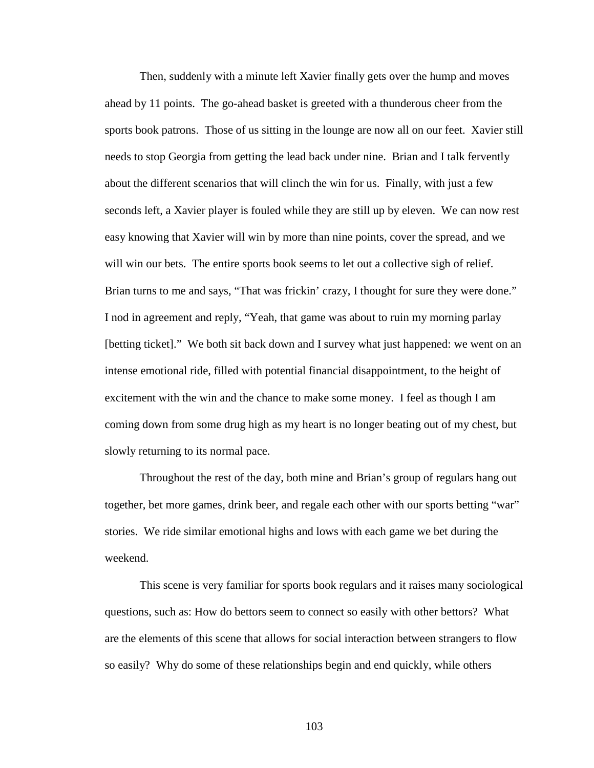Then, suddenly with a minute left Xavier finally gets over the hump and moves ahead by 11 points. The go-ahead basket is greeted with a thunderous cheer from the sports book patrons. Those of us sitting in the lounge are now all on our feet. Xavier still needs to stop Georgia from getting the lead back under nine. Brian and I talk fervently about the different scenarios that will clinch the win for us. Finally, with just a few seconds left, a Xavier player is fouled while they are still up by eleven. We can now rest easy knowing that Xavier will win by more than nine points, cover the spread, and we will win our bets. The entire sports book seems to let out a collective sigh of relief. Brian turns to me and says, "That was frickin' crazy, I thought for sure they were done." I nod in agreement and reply, "Yeah, that game was about to ruin my morning parlay [betting ticket]." We both sit back down and I survey what just happened: we went on an intense emotional ride, filled with potential financial disappointment, to the height of excitement with the win and the chance to make some money. I feel as though I am coming down from some drug high as my heart is no longer beating out of my chest, but slowly returning to its normal pace.

Throughout the rest of the day, both mine and Brian's group of regulars hang out together, bet more games, drink beer, and regale each other with our sports betting "war" stories. We ride similar emotional highs and lows with each game we bet during the weekend.

This scene is very familiar for sports book regulars and it raises many sociological questions, such as: How do bettors seem to connect so easily with other bettors? What are the elements of this scene that allows for social interaction between strangers to flow so easily? Why do some of these relationships begin and end quickly, while others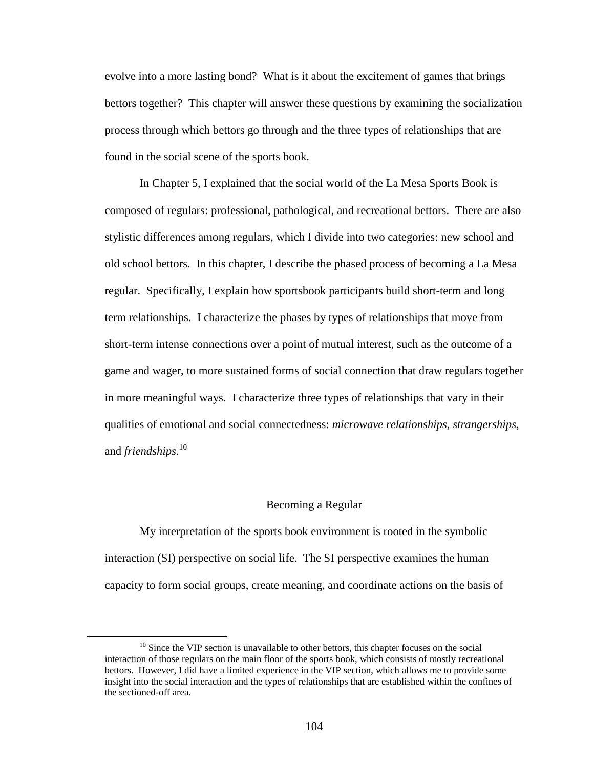evolve into a more lasting bond? What is it about the excitement of games that brings bettors together? This chapter will answer these questions by examining the socialization process through which bettors go through and the three types of relationships that are found in the social scene of the sports book.

In Chapter 5, I explained that the social world of the La Mesa Sports Book is composed of regulars: professional, pathological, and recreational bettors. There are also stylistic differences among regulars, which I divide into two categories: new school and old school bettors. In this chapter, I describe the phased process of becoming a La Mesa regular. Specifically, I explain how sportsbook participants build short-term and long term relationships. I characterize the phases by types of relationships that move from short-term intense connections over a point of mutual interest, such as the outcome of a game and wager, to more sustained forms of social connection that draw regulars together in more meaningful ways. I characterize three types of relationships that vary in their qualities of emotional and social connectedness: *microwave relationships*, *strangerships*, and *friendships*. 10

#### Becoming a Regular

My interpretation of the sports book environment is rooted in the symbolic interaction (SI) perspective on social life. The SI perspective examines the human capacity to form social groups, create meaning, and coordinate actions on the basis of

 $\overline{a}$ 

 $10$  Since the VIP section is unavailable to other bettors, this chapter focuses on the social interaction of those regulars on the main floor of the sports book, which consists of mostly recreational bettors. However, I did have a limited experience in the VIP section, which allows me to provide some insight into the social interaction and the types of relationships that are established within the confines of the sectioned-off area.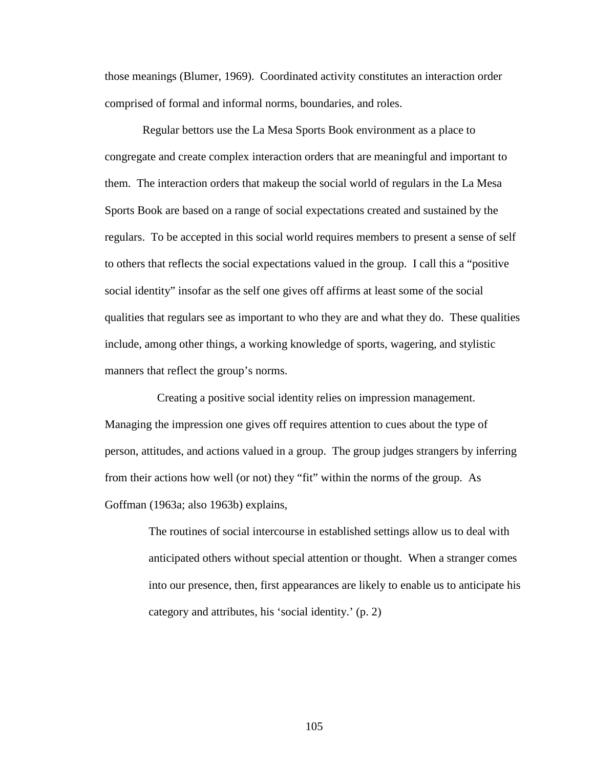those meanings (Blumer, 1969). Coordinated activity constitutes an interaction order comprised of formal and informal norms, boundaries, and roles.

 Regular bettors use the La Mesa Sports Book environment as a place to congregate and create complex interaction orders that are meaningful and important to them. The interaction orders that makeup the social world of regulars in the La Mesa Sports Book are based on a range of social expectations created and sustained by the regulars. To be accepted in this social world requires members to present a sense of self to others that reflects the social expectations valued in the group. I call this a "positive social identity" insofar as the self one gives off affirms at least some of the social qualities that regulars see as important to who they are and what they do. These qualities include, among other things, a working knowledge of sports, wagering, and stylistic manners that reflect the group's norms.

 Creating a positive social identity relies on impression management. Managing the impression one gives off requires attention to cues about the type of person, attitudes, and actions valued in a group. The group judges strangers by inferring from their actions how well (or not) they "fit" within the norms of the group. As Goffman (1963a; also 1963b) explains,

> The routines of social intercourse in established settings allow us to deal with anticipated others without special attention or thought. When a stranger comes into our presence, then, first appearances are likely to enable us to anticipate his category and attributes, his 'social identity.' (p. 2)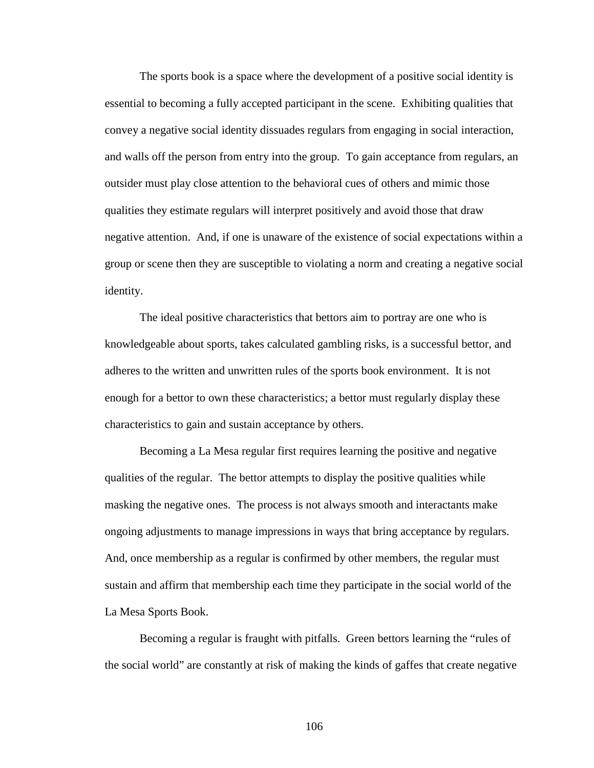The sports book is a space where the development of a positive social identity is essential to becoming a fully accepted participant in the scene. Exhibiting qualities that convey a negative social identity dissuades regulars from engaging in social interaction, and walls off the person from entry into the group. To gain acceptance from regulars, an outsider must play close attention to the behavioral cues of others and mimic those qualities they estimate regulars will interpret positively and avoid those that draw negative attention. And, if one is unaware of the existence of social expectations within a group or scene then they are susceptible to violating a norm and creating a negative social identity.

The ideal positive characteristics that bettors aim to portray are one who is knowledgeable about sports, takes calculated gambling risks, is a successful bettor, and adheres to the written and unwritten rules of the sports book environment. It is not enough for a bettor to own these characteristics; a bettor must regularly display these characteristics to gain and sustain acceptance by others.

Becoming a La Mesa regular first requires learning the positive and negative qualities of the regular. The bettor attempts to display the positive qualities while masking the negative ones. The process is not always smooth and interactants make ongoing adjustments to manage impressions in ways that bring acceptance by regulars. And, once membership as a regular is confirmed by other members, the regular must sustain and affirm that membership each time they participate in the social world of the La Mesa Sports Book.

Becoming a regular is fraught with pitfalls. Green bettors learning the "rules of the social world" are constantly at risk of making the kinds of gaffes that create negative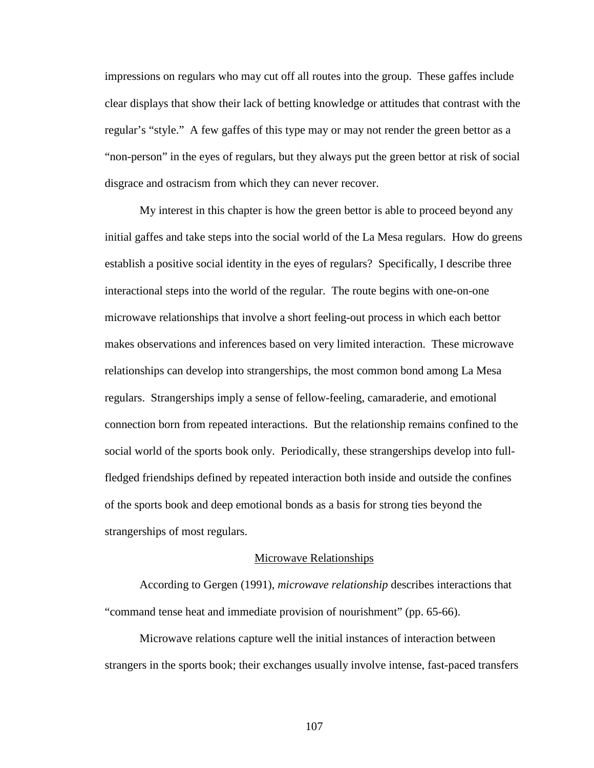impressions on regulars who may cut off all routes into the group. These gaffes include clear displays that show their lack of betting knowledge or attitudes that contrast with the regular's "style." A few gaffes of this type may or may not render the green bettor as a "non-person" in the eyes of regulars, but they always put the green bettor at risk of social disgrace and ostracism from which they can never recover.

My interest in this chapter is how the green bettor is able to proceed beyond any initial gaffes and take steps into the social world of the La Mesa regulars. How do greens establish a positive social identity in the eyes of regulars? Specifically, I describe three interactional steps into the world of the regular. The route begins with one-on-one microwave relationships that involve a short feeling-out process in which each bettor makes observations and inferences based on very limited interaction. These microwave relationships can develop into strangerships, the most common bond among La Mesa regulars. Strangerships imply a sense of fellow-feeling, camaraderie, and emotional connection born from repeated interactions. But the relationship remains confined to the social world of the sports book only. Periodically, these strangerships develop into fullfledged friendships defined by repeated interaction both inside and outside the confines of the sports book and deep emotional bonds as a basis for strong ties beyond the strangerships of most regulars.

#### Microwave Relationships

According to Gergen (1991), *microwave relationship* describes interactions that "command tense heat and immediate provision of nourishment" (pp. 65-66).

Microwave relations capture well the initial instances of interaction between strangers in the sports book; their exchanges usually involve intense, fast-paced transfers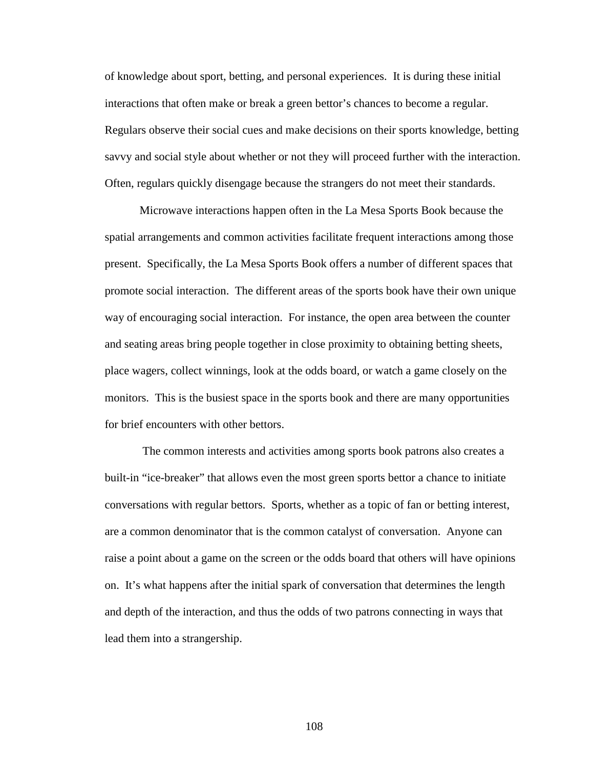of knowledge about sport, betting, and personal experiences. It is during these initial interactions that often make or break a green bettor's chances to become a regular. Regulars observe their social cues and make decisions on their sports knowledge, betting savvy and social style about whether or not they will proceed further with the interaction. Often, regulars quickly disengage because the strangers do not meet their standards.

Microwave interactions happen often in the La Mesa Sports Book because the spatial arrangements and common activities facilitate frequent interactions among those present. Specifically, the La Mesa Sports Book offers a number of different spaces that promote social interaction. The different areas of the sports book have their own unique way of encouraging social interaction. For instance, the open area between the counter and seating areas bring people together in close proximity to obtaining betting sheets, place wagers, collect winnings, look at the odds board, or watch a game closely on the monitors. This is the busiest space in the sports book and there are many opportunities for brief encounters with other bettors.

 The common interests and activities among sports book patrons also creates a built-in "ice-breaker" that allows even the most green sports bettor a chance to initiate conversations with regular bettors. Sports, whether as a topic of fan or betting interest, are a common denominator that is the common catalyst of conversation. Anyone can raise a point about a game on the screen or the odds board that others will have opinions on. It's what happens after the initial spark of conversation that determines the length and depth of the interaction, and thus the odds of two patrons connecting in ways that lead them into a strangership.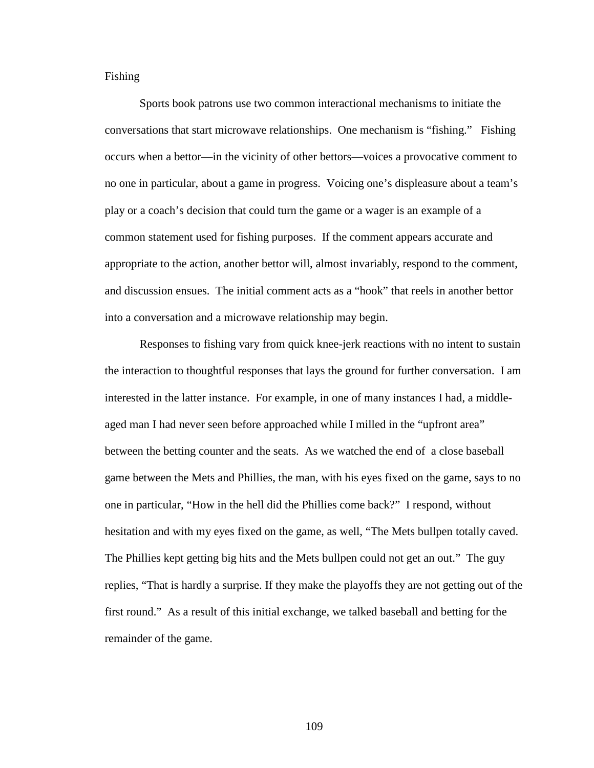Fishing

Sports book patrons use two common interactional mechanisms to initiate the conversations that start microwave relationships. One mechanism is "fishing." Fishing occurs when a bettor—in the vicinity of other bettors—voices a provocative comment to no one in particular, about a game in progress. Voicing one's displeasure about a team's play or a coach's decision that could turn the game or a wager is an example of a common statement used for fishing purposes. If the comment appears accurate and appropriate to the action, another bettor will, almost invariably, respond to the comment, and discussion ensues. The initial comment acts as a "hook" that reels in another bettor into a conversation and a microwave relationship may begin.

Responses to fishing vary from quick knee-jerk reactions with no intent to sustain the interaction to thoughtful responses that lays the ground for further conversation. I am interested in the latter instance. For example, in one of many instances I had, a middleaged man I had never seen before approached while I milled in the "upfront area" between the betting counter and the seats. As we watched the end of a close baseball game between the Mets and Phillies, the man, with his eyes fixed on the game, says to no one in particular, "How in the hell did the Phillies come back?" I respond, without hesitation and with my eyes fixed on the game, as well, "The Mets bullpen totally caved. The Phillies kept getting big hits and the Mets bullpen could not get an out." The guy replies, "That is hardly a surprise. If they make the playoffs they are not getting out of the first round." As a result of this initial exchange, we talked baseball and betting for the remainder of the game.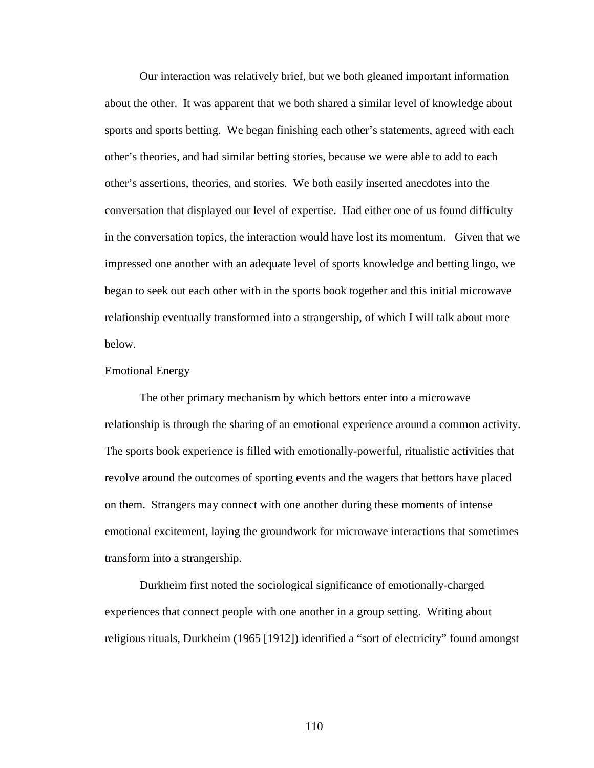Our interaction was relatively brief, but we both gleaned important information about the other. It was apparent that we both shared a similar level of knowledge about sports and sports betting. We began finishing each other's statements, agreed with each other's theories, and had similar betting stories, because we were able to add to each other's assertions, theories, and stories. We both easily inserted anecdotes into the conversation that displayed our level of expertise. Had either one of us found difficulty in the conversation topics, the interaction would have lost its momentum. Given that we impressed one another with an adequate level of sports knowledge and betting lingo, we began to seek out each other with in the sports book together and this initial microwave relationship eventually transformed into a strangership, of which I will talk about more below.

### Emotional Energy

The other primary mechanism by which bettors enter into a microwave relationship is through the sharing of an emotional experience around a common activity. The sports book experience is filled with emotionally-powerful, ritualistic activities that revolve around the outcomes of sporting events and the wagers that bettors have placed on them. Strangers may connect with one another during these moments of intense emotional excitement, laying the groundwork for microwave interactions that sometimes transform into a strangership.

Durkheim first noted the sociological significance of emotionally-charged experiences that connect people with one another in a group setting. Writing about religious rituals, Durkheim (1965 [1912]) identified a "sort of electricity" found amongst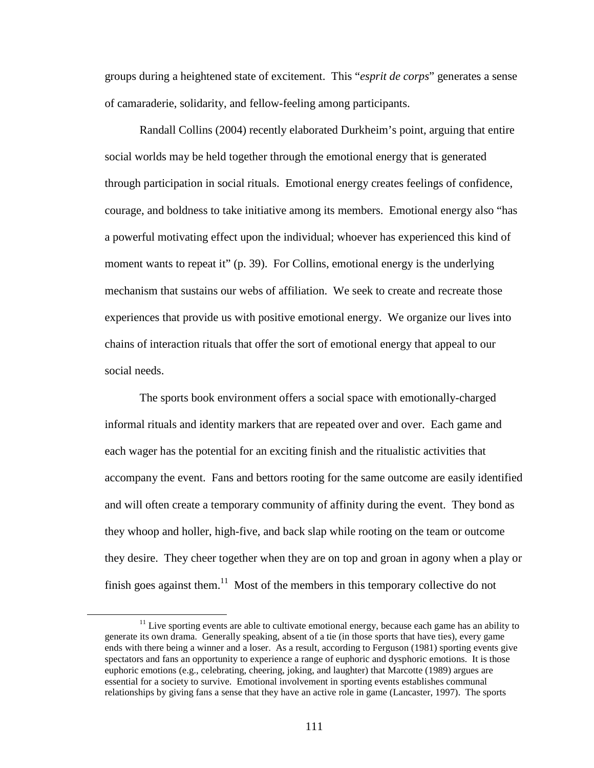groups during a heightened state of excitement. This "*esprit de corps*" generates a sense of camaraderie, solidarity, and fellow-feeling among participants.

Randall Collins (2004) recently elaborated Durkheim's point, arguing that entire social worlds may be held together through the emotional energy that is generated through participation in social rituals. Emotional energy creates feelings of confidence, courage, and boldness to take initiative among its members. Emotional energy also "has a powerful motivating effect upon the individual; whoever has experienced this kind of moment wants to repeat it" (p. 39). For Collins, emotional energy is the underlying mechanism that sustains our webs of affiliation. We seek to create and recreate those experiences that provide us with positive emotional energy. We organize our lives into chains of interaction rituals that offer the sort of emotional energy that appeal to our social needs.

The sports book environment offers a social space with emotionally-charged informal rituals and identity markers that are repeated over and over. Each game and each wager has the potential for an exciting finish and the ritualistic activities that accompany the event. Fans and bettors rooting for the same outcome are easily identified and will often create a temporary community of affinity during the event. They bond as they whoop and holler, high-five, and back slap while rooting on the team or outcome they desire. They cheer together when they are on top and groan in agony when a play or finish goes against them. $11$  Most of the members in this temporary collective do not

<u>.</u>

 $11$  Live sporting events are able to cultivate emotional energy, because each game has an ability to generate its own drama. Generally speaking, absent of a tie (in those sports that have ties), every game ends with there being a winner and a loser. As a result, according to Ferguson (1981) sporting events give spectators and fans an opportunity to experience a range of euphoric and dysphoric emotions. It is those euphoric emotions (e.g., celebrating, cheering, joking, and laughter) that Marcotte (1989) argues are essential for a society to survive. Emotional involvement in sporting events establishes communal relationships by giving fans a sense that they have an active role in game (Lancaster, 1997). The sports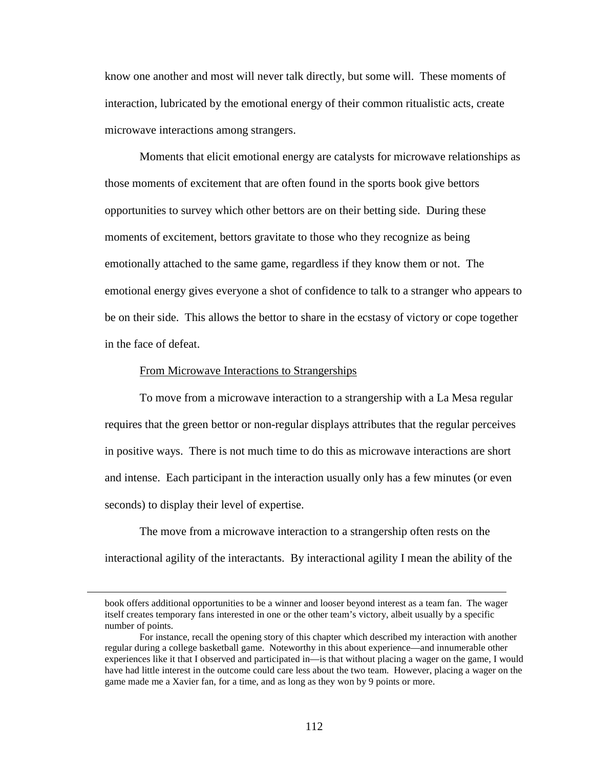know one another and most will never talk directly, but some will. These moments of interaction, lubricated by the emotional energy of their common ritualistic acts, create microwave interactions among strangers.

Moments that elicit emotional energy are catalysts for microwave relationships as those moments of excitement that are often found in the sports book give bettors opportunities to survey which other bettors are on their betting side. During these moments of excitement, bettors gravitate to those who they recognize as being emotionally attached to the same game, regardless if they know them or not. The emotional energy gives everyone a shot of confidence to talk to a stranger who appears to be on their side. This allows the bettor to share in the ecstasy of victory or cope together in the face of defeat.

#### From Microwave Interactions to Strangerships

<u>.</u>

To move from a microwave interaction to a strangership with a La Mesa regular requires that the green bettor or non-regular displays attributes that the regular perceives in positive ways. There is not much time to do this as microwave interactions are short and intense. Each participant in the interaction usually only has a few minutes (or even seconds) to display their level of expertise.

The move from a microwave interaction to a strangership often rests on the interactional agility of the interactants. By interactional agility I mean the ability of the

book offers additional opportunities to be a winner and looser beyond interest as a team fan. The wager itself creates temporary fans interested in one or the other team's victory, albeit usually by a specific number of points.

For instance, recall the opening story of this chapter which described my interaction with another regular during a college basketball game. Noteworthy in this about experience—and innumerable other experiences like it that I observed and participated in—is that without placing a wager on the game, I would have had little interest in the outcome could care less about the two team. However, placing a wager on the game made me a Xavier fan, for a time, and as long as they won by 9 points or more.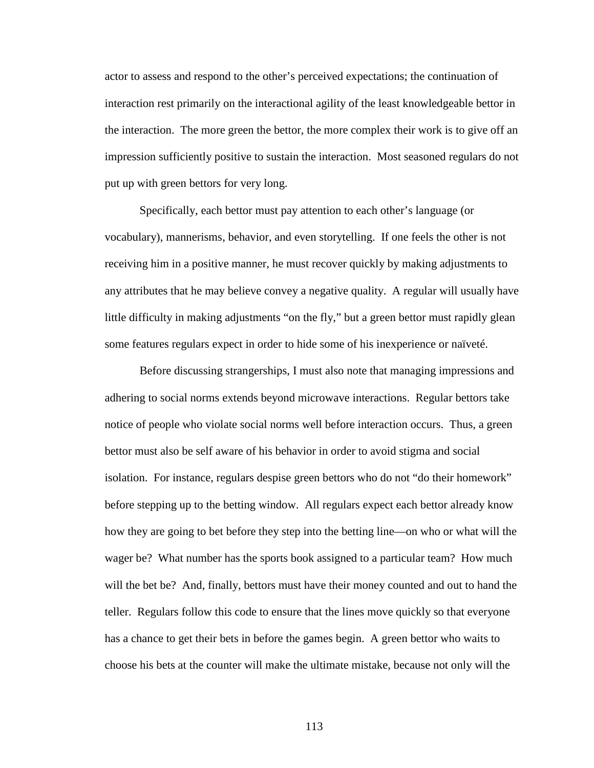actor to assess and respond to the other's perceived expectations; the continuation of interaction rest primarily on the interactional agility of the least knowledgeable bettor in the interaction. The more green the bettor, the more complex their work is to give off an impression sufficiently positive to sustain the interaction. Most seasoned regulars do not put up with green bettors for very long.

Specifically, each bettor must pay attention to each other's language (or vocabulary), mannerisms, behavior, and even storytelling. If one feels the other is not receiving him in a positive manner, he must recover quickly by making adjustments to any attributes that he may believe convey a negative quality. A regular will usually have little difficulty in making adjustments "on the fly," but a green bettor must rapidly glean some features regulars expect in order to hide some of his inexperience or naïveté.

Before discussing strangerships, I must also note that managing impressions and adhering to social norms extends beyond microwave interactions. Regular bettors take notice of people who violate social norms well before interaction occurs. Thus, a green bettor must also be self aware of his behavior in order to avoid stigma and social isolation. For instance, regulars despise green bettors who do not "do their homework" before stepping up to the betting window. All regulars expect each bettor already know how they are going to bet before they step into the betting line—on who or what will the wager be? What number has the sports book assigned to a particular team? How much will the bet be? And, finally, bettors must have their money counted and out to hand the teller. Regulars follow this code to ensure that the lines move quickly so that everyone has a chance to get their bets in before the games begin. A green bettor who waits to choose his bets at the counter will make the ultimate mistake, because not only will the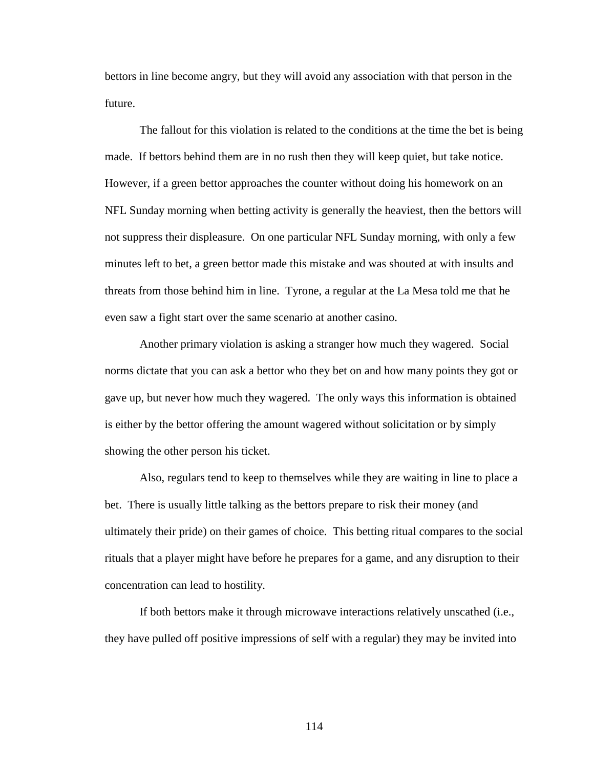bettors in line become angry, but they will avoid any association with that person in the future.

The fallout for this violation is related to the conditions at the time the bet is being made. If bettors behind them are in no rush then they will keep quiet, but take notice. However, if a green bettor approaches the counter without doing his homework on an NFL Sunday morning when betting activity is generally the heaviest, then the bettors will not suppress their displeasure. On one particular NFL Sunday morning, with only a few minutes left to bet, a green bettor made this mistake and was shouted at with insults and threats from those behind him in line. Tyrone, a regular at the La Mesa told me that he even saw a fight start over the same scenario at another casino.

Another primary violation is asking a stranger how much they wagered. Social norms dictate that you can ask a bettor who they bet on and how many points they got or gave up, but never how much they wagered. The only ways this information is obtained is either by the bettor offering the amount wagered without solicitation or by simply showing the other person his ticket.

Also, regulars tend to keep to themselves while they are waiting in line to place a bet. There is usually little talking as the bettors prepare to risk their money (and ultimately their pride) on their games of choice. This betting ritual compares to the social rituals that a player might have before he prepares for a game, and any disruption to their concentration can lead to hostility.

If both bettors make it through microwave interactions relatively unscathed (i.e., they have pulled off positive impressions of self with a regular) they may be invited into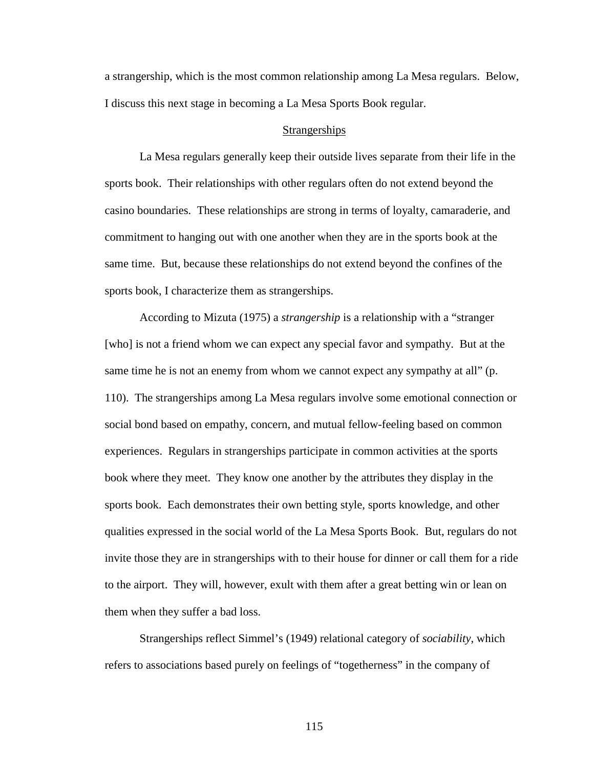a strangership, which is the most common relationship among La Mesa regulars. Below, I discuss this next stage in becoming a La Mesa Sports Book regular.

#### **Strangerships**

La Mesa regulars generally keep their outside lives separate from their life in the sports book. Their relationships with other regulars often do not extend beyond the casino boundaries. These relationships are strong in terms of loyalty, camaraderie, and commitment to hanging out with one another when they are in the sports book at the same time. But, because these relationships do not extend beyond the confines of the sports book, I characterize them as strangerships.

According to Mizuta (1975) a *strangership* is a relationship with a "stranger [who] is not a friend whom we can expect any special favor and sympathy. But at the same time he is not an enemy from whom we cannot expect any sympathy at all" (p. 110). The strangerships among La Mesa regulars involve some emotional connection or social bond based on empathy, concern, and mutual fellow-feeling based on common experiences. Regulars in strangerships participate in common activities at the sports book where they meet. They know one another by the attributes they display in the sports book. Each demonstrates their own betting style, sports knowledge, and other qualities expressed in the social world of the La Mesa Sports Book. But, regulars do not invite those they are in strangerships with to their house for dinner or call them for a ride to the airport. They will, however, exult with them after a great betting win or lean on them when they suffer a bad loss.

Strangerships reflect Simmel's (1949) relational category of *sociability*, which refers to associations based purely on feelings of "togetherness" in the company of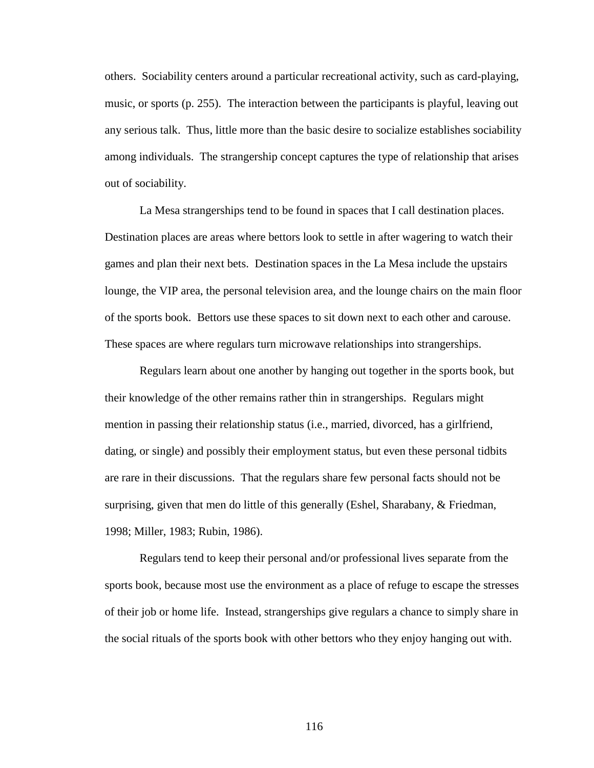others. Sociability centers around a particular recreational activity, such as card-playing, music, or sports (p. 255). The interaction between the participants is playful, leaving out any serious talk. Thus, little more than the basic desire to socialize establishes sociability among individuals. The strangership concept captures the type of relationship that arises out of sociability.

La Mesa strangerships tend to be found in spaces that I call destination places. Destination places are areas where bettors look to settle in after wagering to watch their games and plan their next bets. Destination spaces in the La Mesa include the upstairs lounge, the VIP area, the personal television area, and the lounge chairs on the main floor of the sports book. Bettors use these spaces to sit down next to each other and carouse. These spaces are where regulars turn microwave relationships into strangerships.

Regulars learn about one another by hanging out together in the sports book, but their knowledge of the other remains rather thin in strangerships. Regulars might mention in passing their relationship status (i.e., married, divorced, has a girlfriend, dating, or single) and possibly their employment status, but even these personal tidbits are rare in their discussions. That the regulars share few personal facts should not be surprising, given that men do little of this generally (Eshel, Sharabany, & Friedman, 1998; Miller, 1983; Rubin, 1986).

Regulars tend to keep their personal and/or professional lives separate from the sports book, because most use the environment as a place of refuge to escape the stresses of their job or home life. Instead, strangerships give regulars a chance to simply share in the social rituals of the sports book with other bettors who they enjoy hanging out with.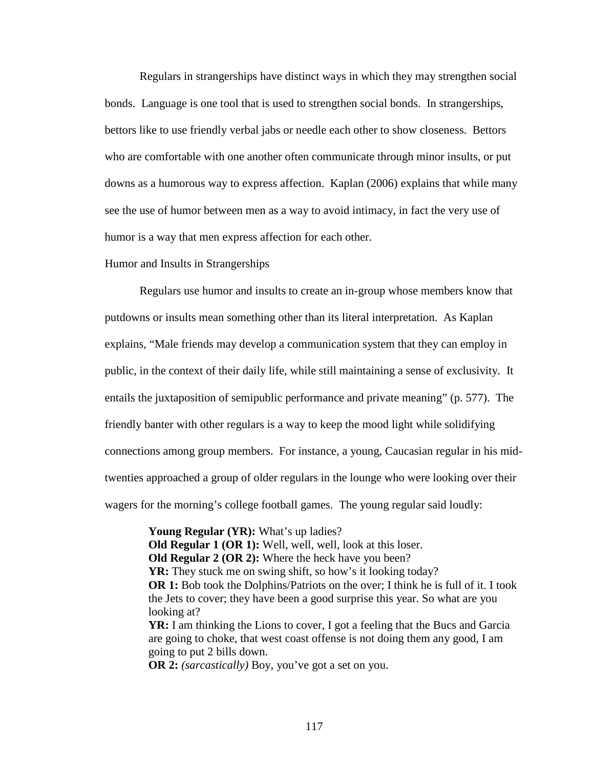Regulars in strangerships have distinct ways in which they may strengthen social bonds. Language is one tool that is used to strengthen social bonds. In strangerships, bettors like to use friendly verbal jabs or needle each other to show closeness. Bettors who are comfortable with one another often communicate through minor insults, or put downs as a humorous way to express affection. Kaplan (2006) explains that while many see the use of humor between men as a way to avoid intimacy, in fact the very use of humor is a way that men express affection for each other.

#### Humor and Insults in Strangerships

Regulars use humor and insults to create an in-group whose members know that putdowns or insults mean something other than its literal interpretation. As Kaplan explains, "Male friends may develop a communication system that they can employ in public, in the context of their daily life, while still maintaining a sense of exclusivity. It entails the juxtaposition of semipublic performance and private meaning" (p. 577). The friendly banter with other regulars is a way to keep the mood light while solidifying connections among group members. For instance, a young, Caucasian regular in his midtwenties approached a group of older regulars in the lounge who were looking over their wagers for the morning's college football games. The young regular said loudly:

> **Young Regular (YR):** What's up ladies? **Old Regular 1 (OR 1):** Well, well, well, look at this loser. **Old Regular 2 (OR 2):** Where the heck have you been? **YR:** They stuck me on swing shift, so how's it looking today? **OR 1:** Bob took the Dolphins/Patriots on the over; I think he is full of it. I took the Jets to cover; they have been a good surprise this year. So what are you looking at? **YR:** I am thinking the Lions to cover, I got a feeling that the Bucs and Garcia are going to choke, that west coast offense is not doing them any good, I am going to put 2 bills down.

**OR 2:** *(sarcastically)* Boy, you've got a set on you.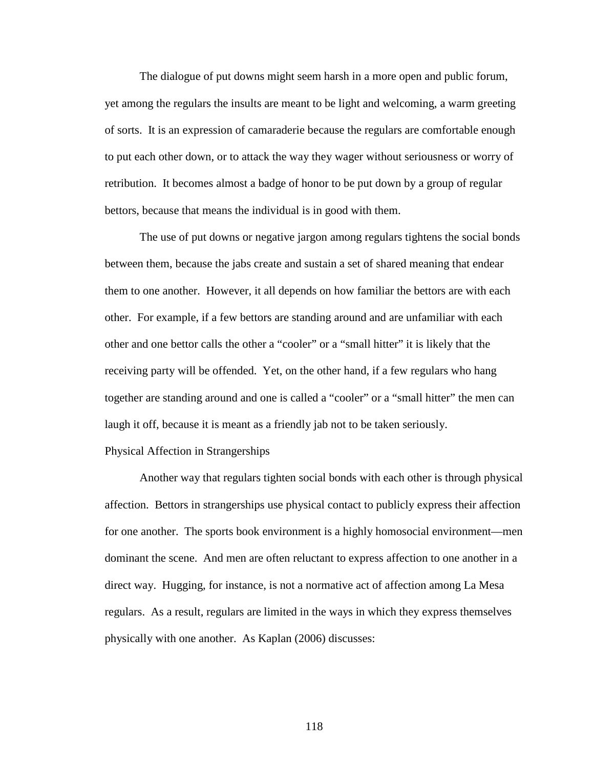The dialogue of put downs might seem harsh in a more open and public forum, yet among the regulars the insults are meant to be light and welcoming, a warm greeting of sorts. It is an expression of camaraderie because the regulars are comfortable enough to put each other down, or to attack the way they wager without seriousness or worry of retribution. It becomes almost a badge of honor to be put down by a group of regular bettors, because that means the individual is in good with them.

The use of put downs or negative jargon among regulars tightens the social bonds between them, because the jabs create and sustain a set of shared meaning that endear them to one another. However, it all depends on how familiar the bettors are with each other. For example, if a few bettors are standing around and are unfamiliar with each other and one bettor calls the other a "cooler" or a "small hitter" it is likely that the receiving party will be offended. Yet, on the other hand, if a few regulars who hang together are standing around and one is called a "cooler" or a "small hitter" the men can laugh it off, because it is meant as a friendly jab not to be taken seriously.

## Physical Affection in Strangerships

Another way that regulars tighten social bonds with each other is through physical affection. Bettors in strangerships use physical contact to publicly express their affection for one another. The sports book environment is a highly homosocial environment—men dominant the scene. And men are often reluctant to express affection to one another in a direct way. Hugging, for instance, is not a normative act of affection among La Mesa regulars. As a result, regulars are limited in the ways in which they express themselves physically with one another. As Kaplan (2006) discusses: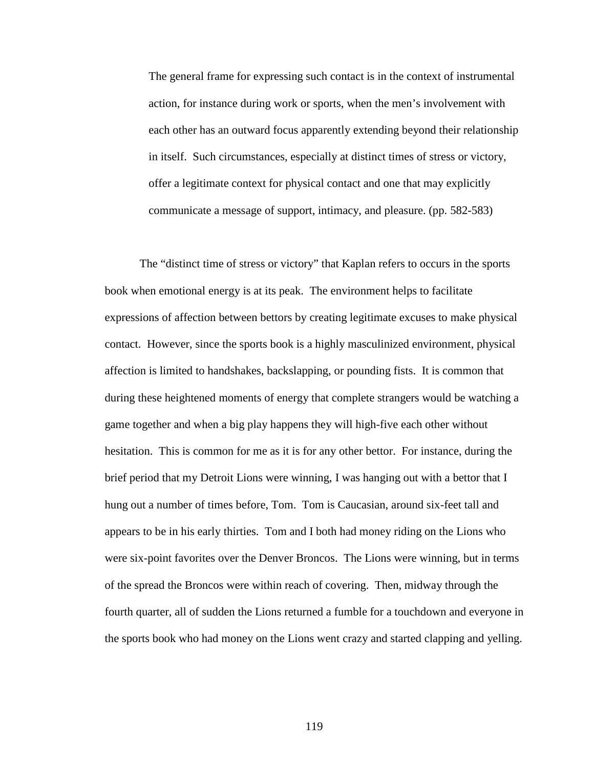The general frame for expressing such contact is in the context of instrumental action, for instance during work or sports, when the men's involvement with each other has an outward focus apparently extending beyond their relationship in itself. Such circumstances, especially at distinct times of stress or victory, offer a legitimate context for physical contact and one that may explicitly communicate a message of support, intimacy, and pleasure. (pp. 582-583)

The "distinct time of stress or victory" that Kaplan refers to occurs in the sports book when emotional energy is at its peak. The environment helps to facilitate expressions of affection between bettors by creating legitimate excuses to make physical contact. However, since the sports book is a highly masculinized environment, physical affection is limited to handshakes, backslapping, or pounding fists. It is common that during these heightened moments of energy that complete strangers would be watching a game together and when a big play happens they will high-five each other without hesitation. This is common for me as it is for any other bettor. For instance, during the brief period that my Detroit Lions were winning, I was hanging out with a bettor that I hung out a number of times before, Tom. Tom is Caucasian, around six-feet tall and appears to be in his early thirties. Tom and I both had money riding on the Lions who were six-point favorites over the Denver Broncos. The Lions were winning, but in terms of the spread the Broncos were within reach of covering. Then, midway through the fourth quarter, all of sudden the Lions returned a fumble for a touchdown and everyone in the sports book who had money on the Lions went crazy and started clapping and yelling.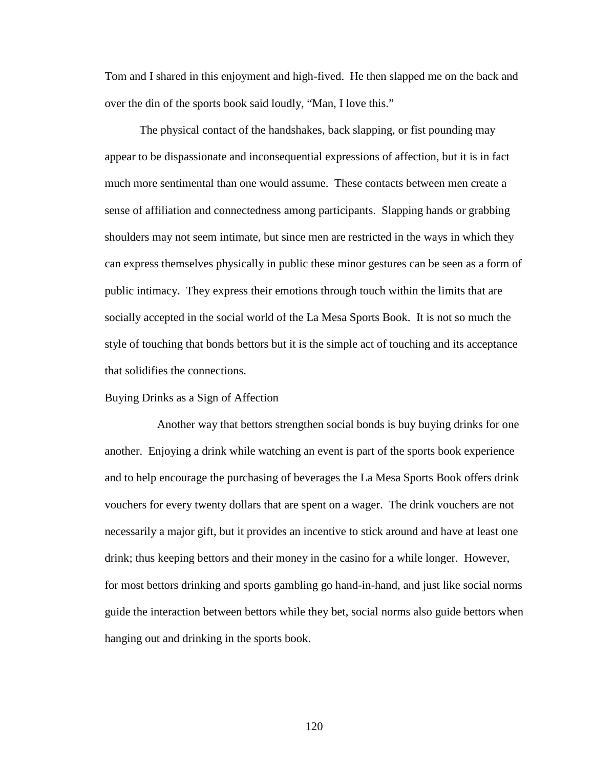Tom and I shared in this enjoyment and high-fived. He then slapped me on the back and over the din of the sports book said loudly, "Man, I love this."

The physical contact of the handshakes, back slapping, or fist pounding may appear to be dispassionate and inconsequential expressions of affection, but it is in fact much more sentimental than one would assume. These contacts between men create a sense of affiliation and connectedness among participants. Slapping hands or grabbing shoulders may not seem intimate, but since men are restricted in the ways in which they can express themselves physically in public these minor gestures can be seen as a form of public intimacy. They express their emotions through touch within the limits that are socially accepted in the social world of the La Mesa Sports Book. It is not so much the style of touching that bonds bettors but it is the simple act of touching and its acceptance that solidifies the connections.

#### Buying Drinks as a Sign of Affection

 Another way that bettors strengthen social bonds is buy buying drinks for one another. Enjoying a drink while watching an event is part of the sports book experience and to help encourage the purchasing of beverages the La Mesa Sports Book offers drink vouchers for every twenty dollars that are spent on a wager. The drink vouchers are not necessarily a major gift, but it provides an incentive to stick around and have at least one drink; thus keeping bettors and their money in the casino for a while longer. However, for most bettors drinking and sports gambling go hand-in-hand, and just like social norms guide the interaction between bettors while they bet, social norms also guide bettors when hanging out and drinking in the sports book.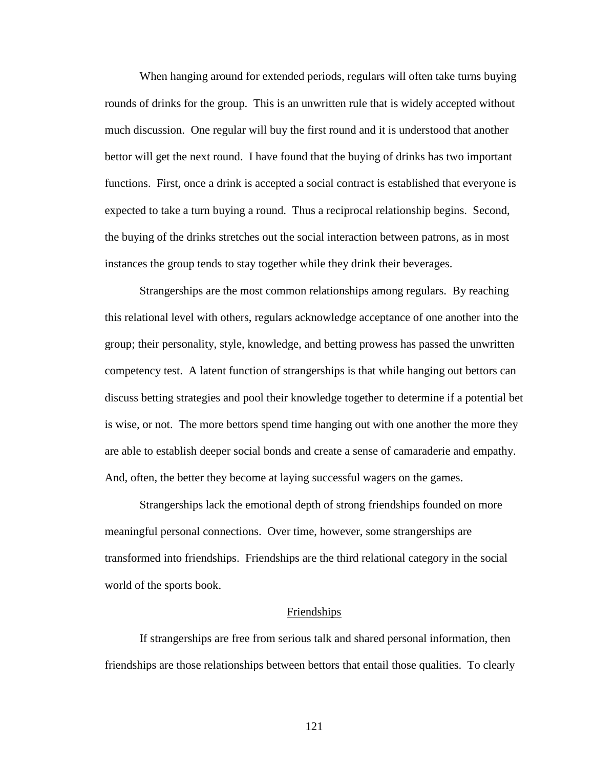When hanging around for extended periods, regulars will often take turns buying rounds of drinks for the group. This is an unwritten rule that is widely accepted without much discussion. One regular will buy the first round and it is understood that another bettor will get the next round. I have found that the buying of drinks has two important functions. First, once a drink is accepted a social contract is established that everyone is expected to take a turn buying a round. Thus a reciprocal relationship begins. Second, the buying of the drinks stretches out the social interaction between patrons, as in most instances the group tends to stay together while they drink their beverages.

Strangerships are the most common relationships among regulars. By reaching this relational level with others, regulars acknowledge acceptance of one another into the group; their personality, style, knowledge, and betting prowess has passed the unwritten competency test. A latent function of strangerships is that while hanging out bettors can discuss betting strategies and pool their knowledge together to determine if a potential bet is wise, or not. The more bettors spend time hanging out with one another the more they are able to establish deeper social bonds and create a sense of camaraderie and empathy. And, often, the better they become at laying successful wagers on the games.

Strangerships lack the emotional depth of strong friendships founded on more meaningful personal connections. Over time, however, some strangerships are transformed into friendships. Friendships are the third relational category in the social world of the sports book.

#### Friendships

If strangerships are free from serious talk and shared personal information, then friendships are those relationships between bettors that entail those qualities. To clearly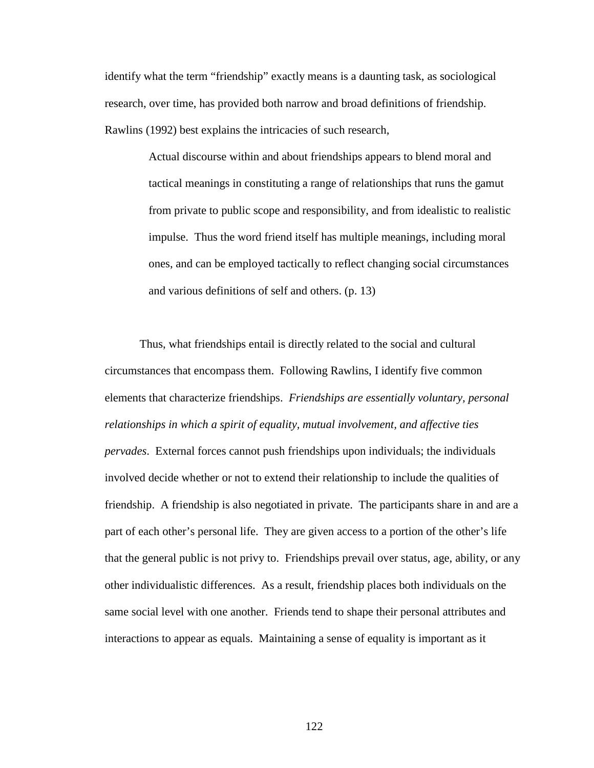identify what the term "friendship" exactly means is a daunting task, as sociological research, over time, has provided both narrow and broad definitions of friendship. Rawlins (1992) best explains the intricacies of such research,

> Actual discourse within and about friendships appears to blend moral and tactical meanings in constituting a range of relationships that runs the gamut from private to public scope and responsibility, and from idealistic to realistic impulse. Thus the word friend itself has multiple meanings, including moral ones, and can be employed tactically to reflect changing social circumstances and various definitions of self and others. (p. 13)

Thus, what friendships entail is directly related to the social and cultural circumstances that encompass them. Following Rawlins, I identify five common elements that characterize friendships. *Friendships are essentially voluntary, personal relationships in which a spirit of equality, mutual involvement, and affective ties pervades*. External forces cannot push friendships upon individuals; the individuals involved decide whether or not to extend their relationship to include the qualities of friendship. A friendship is also negotiated in private. The participants share in and are a part of each other's personal life. They are given access to a portion of the other's life that the general public is not privy to. Friendships prevail over status, age, ability, or any other individualistic differences. As a result, friendship places both individuals on the same social level with one another. Friends tend to shape their personal attributes and interactions to appear as equals. Maintaining a sense of equality is important as it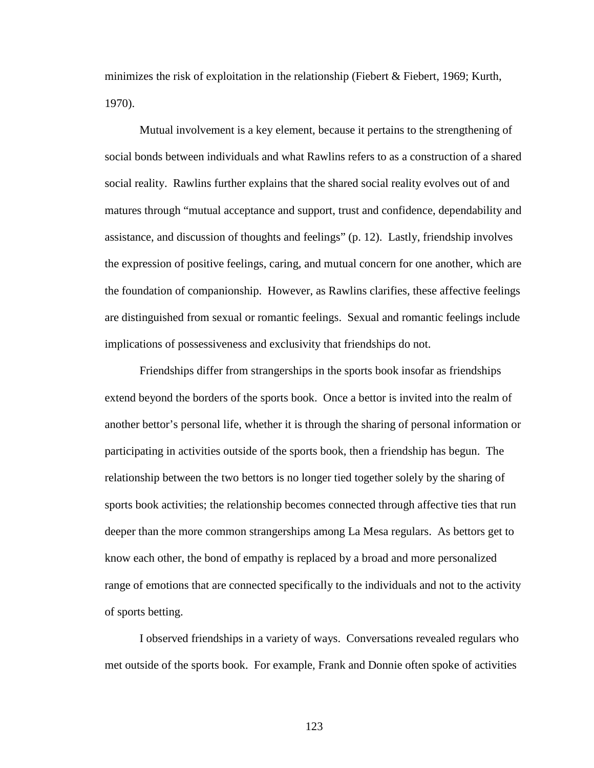minimizes the risk of exploitation in the relationship (Fiebert & Fiebert, 1969; Kurth, 1970).

Mutual involvement is a key element, because it pertains to the strengthening of social bonds between individuals and what Rawlins refers to as a construction of a shared social reality. Rawlins further explains that the shared social reality evolves out of and matures through "mutual acceptance and support, trust and confidence, dependability and assistance, and discussion of thoughts and feelings" (p. 12). Lastly, friendship involves the expression of positive feelings, caring, and mutual concern for one another, which are the foundation of companionship. However, as Rawlins clarifies, these affective feelings are distinguished from sexual or romantic feelings. Sexual and romantic feelings include implications of possessiveness and exclusivity that friendships do not.

Friendships differ from strangerships in the sports book insofar as friendships extend beyond the borders of the sports book. Once a bettor is invited into the realm of another bettor's personal life, whether it is through the sharing of personal information or participating in activities outside of the sports book, then a friendship has begun. The relationship between the two bettors is no longer tied together solely by the sharing of sports book activities; the relationship becomes connected through affective ties that run deeper than the more common strangerships among La Mesa regulars. As bettors get to know each other, the bond of empathy is replaced by a broad and more personalized range of emotions that are connected specifically to the individuals and not to the activity of sports betting.

I observed friendships in a variety of ways. Conversations revealed regulars who met outside of the sports book. For example, Frank and Donnie often spoke of activities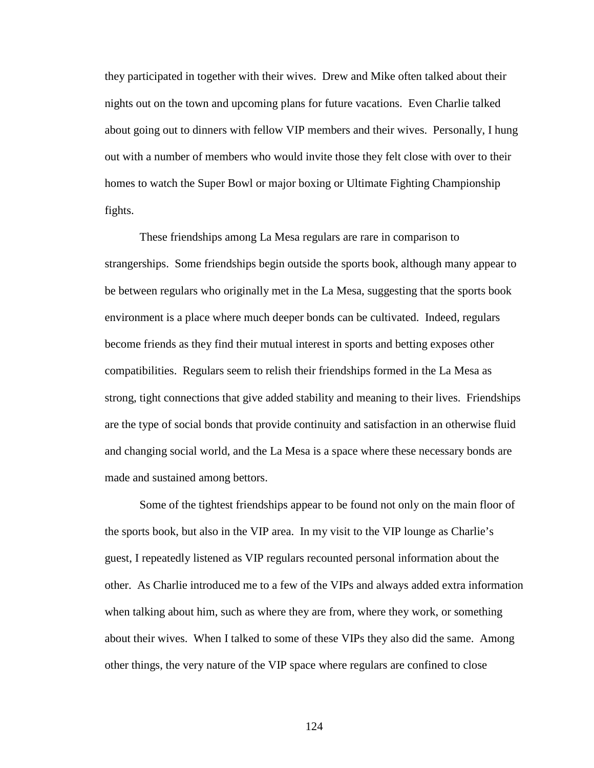they participated in together with their wives. Drew and Mike often talked about their nights out on the town and upcoming plans for future vacations. Even Charlie talked about going out to dinners with fellow VIP members and their wives. Personally, I hung out with a number of members who would invite those they felt close with over to their homes to watch the Super Bowl or major boxing or Ultimate Fighting Championship fights.

These friendships among La Mesa regulars are rare in comparison to strangerships. Some friendships begin outside the sports book, although many appear to be between regulars who originally met in the La Mesa, suggesting that the sports book environment is a place where much deeper bonds can be cultivated. Indeed, regulars become friends as they find their mutual interest in sports and betting exposes other compatibilities. Regulars seem to relish their friendships formed in the La Mesa as strong, tight connections that give added stability and meaning to their lives. Friendships are the type of social bonds that provide continuity and satisfaction in an otherwise fluid and changing social world, and the La Mesa is a space where these necessary bonds are made and sustained among bettors.

Some of the tightest friendships appear to be found not only on the main floor of the sports book, but also in the VIP area. In my visit to the VIP lounge as Charlie's guest, I repeatedly listened as VIP regulars recounted personal information about the other. As Charlie introduced me to a few of the VIPs and always added extra information when talking about him, such as where they are from, where they work, or something about their wives. When I talked to some of these VIPs they also did the same. Among other things, the very nature of the VIP space where regulars are confined to close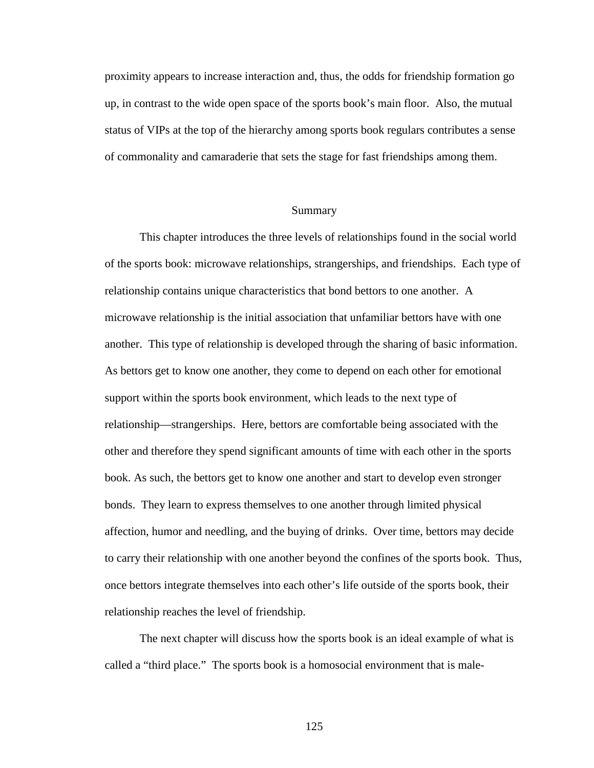proximity appears to increase interaction and, thus, the odds for friendship formation go up, in contrast to the wide open space of the sports book's main floor. Also, the mutual status of VIPs at the top of the hierarchy among sports book regulars contributes a sense of commonality and camaraderie that sets the stage for fast friendships among them.

#### Summary

This chapter introduces the three levels of relationships found in the social world of the sports book: microwave relationships, strangerships, and friendships. Each type of relationship contains unique characteristics that bond bettors to one another. A microwave relationship is the initial association that unfamiliar bettors have with one another. This type of relationship is developed through the sharing of basic information. As bettors get to know one another, they come to depend on each other for emotional support within the sports book environment, which leads to the next type of relationship—strangerships. Here, bettors are comfortable being associated with the other and therefore they spend significant amounts of time with each other in the sports book. As such, the bettors get to know one another and start to develop even stronger bonds. They learn to express themselves to one another through limited physical affection, humor and needling, and the buying of drinks. Over time, bettors may decide to carry their relationship with one another beyond the confines of the sports book. Thus, once bettors integrate themselves into each other's life outside of the sports book, their relationship reaches the level of friendship.

The next chapter will discuss how the sports book is an ideal example of what is called a "third place." The sports book is a homosocial environment that is male-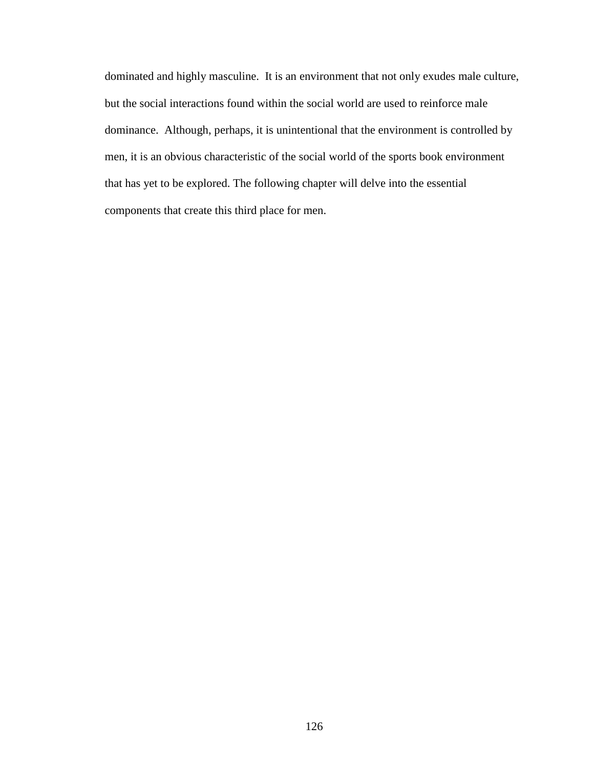dominated and highly masculine. It is an environment that not only exudes male culture, but the social interactions found within the social world are used to reinforce male dominance. Although, perhaps, it is unintentional that the environment is controlled by men, it is an obvious characteristic of the social world of the sports book environment that has yet to be explored. The following chapter will delve into the essential components that create this third place for men.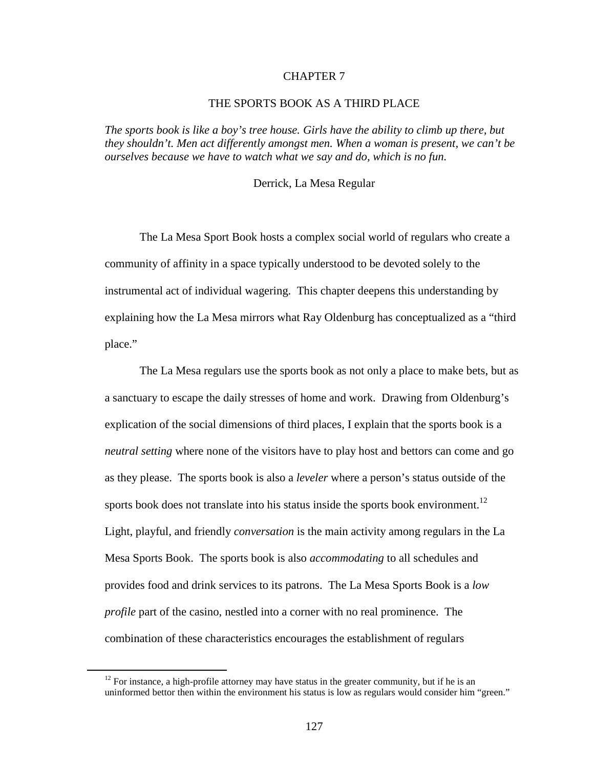### CHAPTER 7

# THE SPORTS BOOK AS A THIRD PLACE

*The sports book is like a boy's tree house. Girls have the ability to climb up there, but they shouldn't. Men act differently amongst men. When a woman is present, we can't be ourselves because we have to watch what we say and do, which is no fun.* 

#### Derrick, La Mesa Regular

The La Mesa Sport Book hosts a complex social world of regulars who create a community of affinity in a space typically understood to be devoted solely to the instrumental act of individual wagering. This chapter deepens this understanding by explaining how the La Mesa mirrors what Ray Oldenburg has conceptualized as a "third place."

The La Mesa regulars use the sports book as not only a place to make bets, but as a sanctuary to escape the daily stresses of home and work. Drawing from Oldenburg's explication of the social dimensions of third places, I explain that the sports book is a *neutral setting* where none of the visitors have to play host and bettors can come and go as they please. The sports book is also a *leveler* where a person's status outside of the sports book does not translate into his status inside the sports book environment.<sup>12</sup> Light, playful, and friendly *conversation* is the main activity among regulars in the La Mesa Sports Book. The sports book is also *accommodating* to all schedules and provides food and drink services to its patrons. The La Mesa Sports Book is a *low profile* part of the casino, nestled into a corner with no real prominence. The combination of these characteristics encourages the establishment of regulars

<u>.</u>

 $12$  For instance, a high-profile attorney may have status in the greater community, but if he is an uninformed bettor then within the environment his status is low as regulars would consider him "green."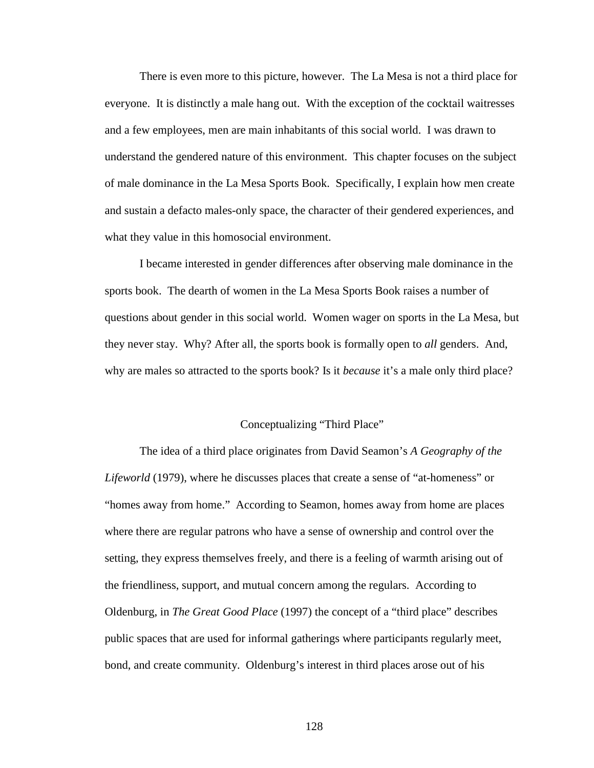There is even more to this picture, however. The La Mesa is not a third place for everyone. It is distinctly a male hang out. With the exception of the cocktail waitresses and a few employees, men are main inhabitants of this social world. I was drawn to understand the gendered nature of this environment. This chapter focuses on the subject of male dominance in the La Mesa Sports Book. Specifically, I explain how men create and sustain a defacto males-only space, the character of their gendered experiences, and what they value in this homosocial environment.

I became interested in gender differences after observing male dominance in the sports book. The dearth of women in the La Mesa Sports Book raises a number of questions about gender in this social world. Women wager on sports in the La Mesa, but they never stay. Why? After all, the sports book is formally open to *all* genders. And, why are males so attracted to the sports book? Is it *because* it's a male only third place?

### Conceptualizing "Third Place"

The idea of a third place originates from David Seamon's *A Geography of the Lifeworld* (1979), where he discusses places that create a sense of "at-homeness" or "homes away from home." According to Seamon, homes away from home are places where there are regular patrons who have a sense of ownership and control over the setting, they express themselves freely, and there is a feeling of warmth arising out of the friendliness, support, and mutual concern among the regulars. According to Oldenburg, in *The Great Good Place* (1997) the concept of a "third place" describes public spaces that are used for informal gatherings where participants regularly meet, bond, and create community. Oldenburg's interest in third places arose out of his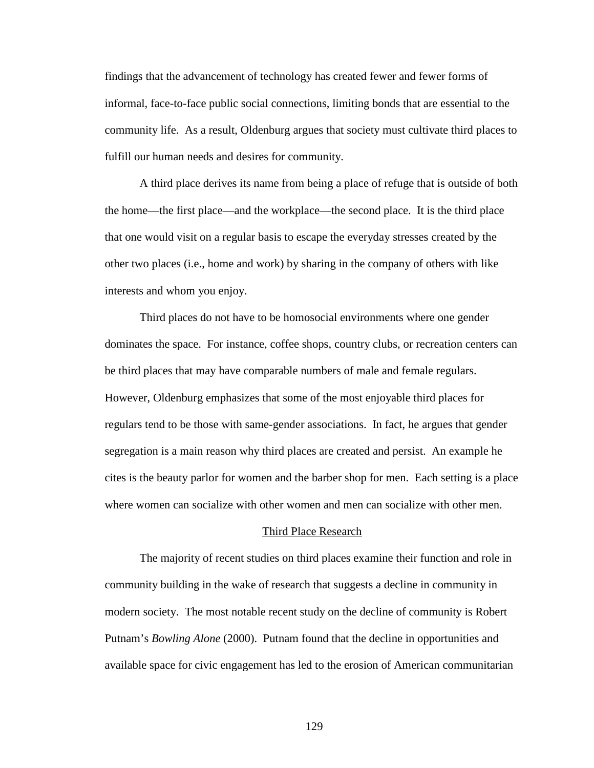findings that the advancement of technology has created fewer and fewer forms of informal, face-to-face public social connections, limiting bonds that are essential to the community life. As a result, Oldenburg argues that society must cultivate third places to fulfill our human needs and desires for community.

A third place derives its name from being a place of refuge that is outside of both the home—the first place—and the workplace—the second place. It is the third place that one would visit on a regular basis to escape the everyday stresses created by the other two places (i.e., home and work) by sharing in the company of others with like interests and whom you enjoy.

Third places do not have to be homosocial environments where one gender dominates the space. For instance, coffee shops, country clubs, or recreation centers can be third places that may have comparable numbers of male and female regulars. However, Oldenburg emphasizes that some of the most enjoyable third places for regulars tend to be those with same-gender associations. In fact, he argues that gender segregation is a main reason why third places are created and persist. An example he cites is the beauty parlor for women and the barber shop for men. Each setting is a place where women can socialize with other women and men can socialize with other men.

#### Third Place Research

The majority of recent studies on third places examine their function and role in community building in the wake of research that suggests a decline in community in modern society. The most notable recent study on the decline of community is Robert Putnam's *Bowling Alone* (2000). Putnam found that the decline in opportunities and available space for civic engagement has led to the erosion of American communitarian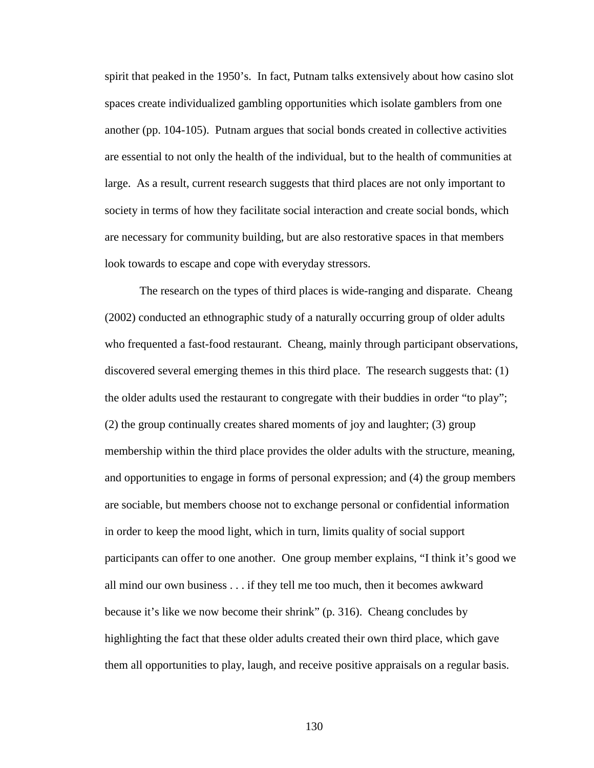spirit that peaked in the 1950's. In fact, Putnam talks extensively about how casino slot spaces create individualized gambling opportunities which isolate gamblers from one another (pp. 104-105). Putnam argues that social bonds created in collective activities are essential to not only the health of the individual, but to the health of communities at large. As a result, current research suggests that third places are not only important to society in terms of how they facilitate social interaction and create social bonds, which are necessary for community building, but are also restorative spaces in that members look towards to escape and cope with everyday stressors.

The research on the types of third places is wide-ranging and disparate. Cheang (2002) conducted an ethnographic study of a naturally occurring group of older adults who frequented a fast-food restaurant. Cheang, mainly through participant observations, discovered several emerging themes in this third place. The research suggests that: (1) the older adults used the restaurant to congregate with their buddies in order "to play"; (2) the group continually creates shared moments of joy and laughter; (3) group membership within the third place provides the older adults with the structure, meaning, and opportunities to engage in forms of personal expression; and (4) the group members are sociable, but members choose not to exchange personal or confidential information in order to keep the mood light, which in turn, limits quality of social support participants can offer to one another. One group member explains, "I think it's good we all mind our own business . . . if they tell me too much, then it becomes awkward because it's like we now become their shrink" (p. 316). Cheang concludes by highlighting the fact that these older adults created their own third place, which gave them all opportunities to play, laugh, and receive positive appraisals on a regular basis.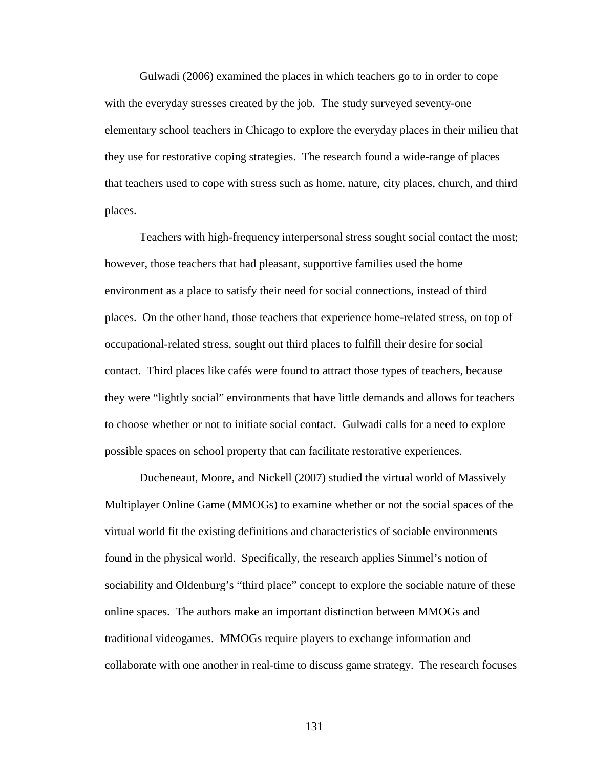Gulwadi (2006) examined the places in which teachers go to in order to cope with the everyday stresses created by the job. The study surveyed seventy-one elementary school teachers in Chicago to explore the everyday places in their milieu that they use for restorative coping strategies. The research found a wide-range of places that teachers used to cope with stress such as home, nature, city places, church, and third places.

Teachers with high-frequency interpersonal stress sought social contact the most; however, those teachers that had pleasant, supportive families used the home environment as a place to satisfy their need for social connections, instead of third places. On the other hand, those teachers that experience home-related stress, on top of occupational-related stress, sought out third places to fulfill their desire for social contact. Third places like cafés were found to attract those types of teachers, because they were "lightly social" environments that have little demands and allows for teachers to choose whether or not to initiate social contact. Gulwadi calls for a need to explore possible spaces on school property that can facilitate restorative experiences.

Ducheneaut, Moore, and Nickell (2007) studied the virtual world of Massively Multiplayer Online Game (MMOGs) to examine whether or not the social spaces of the virtual world fit the existing definitions and characteristics of sociable environments found in the physical world. Specifically, the research applies Simmel's notion of sociability and Oldenburg's "third place" concept to explore the sociable nature of these online spaces. The authors make an important distinction between MMOGs and traditional videogames. MMOGs require players to exchange information and collaborate with one another in real-time to discuss game strategy. The research focuses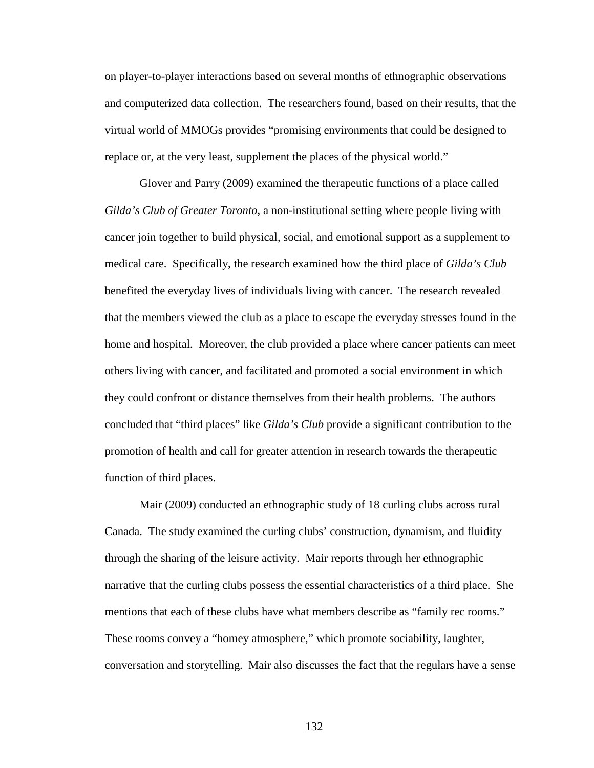on player-to-player interactions based on several months of ethnographic observations and computerized data collection. The researchers found, based on their results, that the virtual world of MMOGs provides "promising environments that could be designed to replace or, at the very least, supplement the places of the physical world."

Glover and Parry (2009) examined the therapeutic functions of a place called *Gilda's Club of Greater Toronto*, a non-institutional setting where people living with cancer join together to build physical, social, and emotional support as a supplement to medical care. Specifically, the research examined how the third place of *Gilda's Club* benefited the everyday lives of individuals living with cancer. The research revealed that the members viewed the club as a place to escape the everyday stresses found in the home and hospital. Moreover, the club provided a place where cancer patients can meet others living with cancer, and facilitated and promoted a social environment in which they could confront or distance themselves from their health problems. The authors concluded that "third places" like *Gilda's Club* provide a significant contribution to the promotion of health and call for greater attention in research towards the therapeutic function of third places.

Mair (2009) conducted an ethnographic study of 18 curling clubs across rural Canada. The study examined the curling clubs' construction, dynamism, and fluidity through the sharing of the leisure activity. Mair reports through her ethnographic narrative that the curling clubs possess the essential characteristics of a third place. She mentions that each of these clubs have what members describe as "family rec rooms." These rooms convey a "homey atmosphere," which promote sociability, laughter, conversation and storytelling. Mair also discusses the fact that the regulars have a sense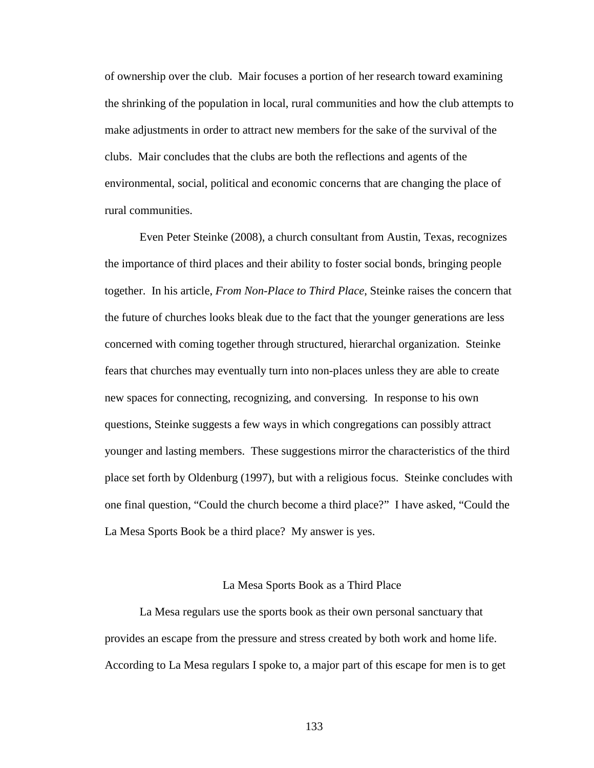of ownership over the club. Mair focuses a portion of her research toward examining the shrinking of the population in local, rural communities and how the club attempts to make adjustments in order to attract new members for the sake of the survival of the clubs. Mair concludes that the clubs are both the reflections and agents of the environmental, social, political and economic concerns that are changing the place of rural communities.

Even Peter Steinke (2008), a church consultant from Austin, Texas, recognizes the importance of third places and their ability to foster social bonds, bringing people together. In his article, *From Non-Place to Third Place*, Steinke raises the concern that the future of churches looks bleak due to the fact that the younger generations are less concerned with coming together through structured, hierarchal organization. Steinke fears that churches may eventually turn into non-places unless they are able to create new spaces for connecting, recognizing, and conversing. In response to his own questions, Steinke suggests a few ways in which congregations can possibly attract younger and lasting members. These suggestions mirror the characteristics of the third place set forth by Oldenburg (1997), but with a religious focus. Steinke concludes with one final question, "Could the church become a third place?" I have asked, "Could the La Mesa Sports Book be a third place? My answer is yes.

#### La Mesa Sports Book as a Third Place

La Mesa regulars use the sports book as their own personal sanctuary that provides an escape from the pressure and stress created by both work and home life. According to La Mesa regulars I spoke to, a major part of this escape for men is to get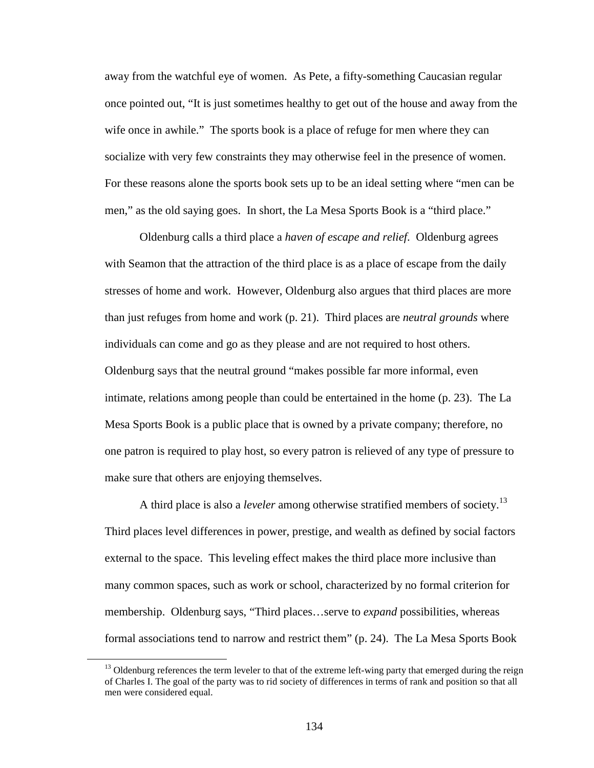away from the watchful eye of women. As Pete, a fifty-something Caucasian regular once pointed out, "It is just sometimes healthy to get out of the house and away from the wife once in awhile." The sports book is a place of refuge for men where they can socialize with very few constraints they may otherwise feel in the presence of women. For these reasons alone the sports book sets up to be an ideal setting where "men can be men," as the old saying goes. In short, the La Mesa Sports Book is a "third place."

Oldenburg calls a third place a *haven of escape and relief*. Oldenburg agrees with Seamon that the attraction of the third place is as a place of escape from the daily stresses of home and work. However, Oldenburg also argues that third places are more than just refuges from home and work (p. 21). Third places are *neutral grounds* where individuals can come and go as they please and are not required to host others. Oldenburg says that the neutral ground "makes possible far more informal, even intimate, relations among people than could be entertained in the home (p. 23). The La Mesa Sports Book is a public place that is owned by a private company; therefore, no one patron is required to play host, so every patron is relieved of any type of pressure to make sure that others are enjoying themselves.

A third place is also a *leveler* among otherwise stratified members of society.<sup>13</sup> Third places level differences in power, prestige, and wealth as defined by social factors external to the space. This leveling effect makes the third place more inclusive than many common spaces, such as work or school, characterized by no formal criterion for membership. Oldenburg says, "Third places…serve to *expand* possibilities, whereas formal associations tend to narrow and restrict them" (p. 24). The La Mesa Sports Book

<u>.</u>

<sup>&</sup>lt;sup>13</sup> Oldenburg references the term leveler to that of the extreme left-wing party that emerged during the reign of Charles I. The goal of the party was to rid society of differences in terms of rank and position so that all men were considered equal.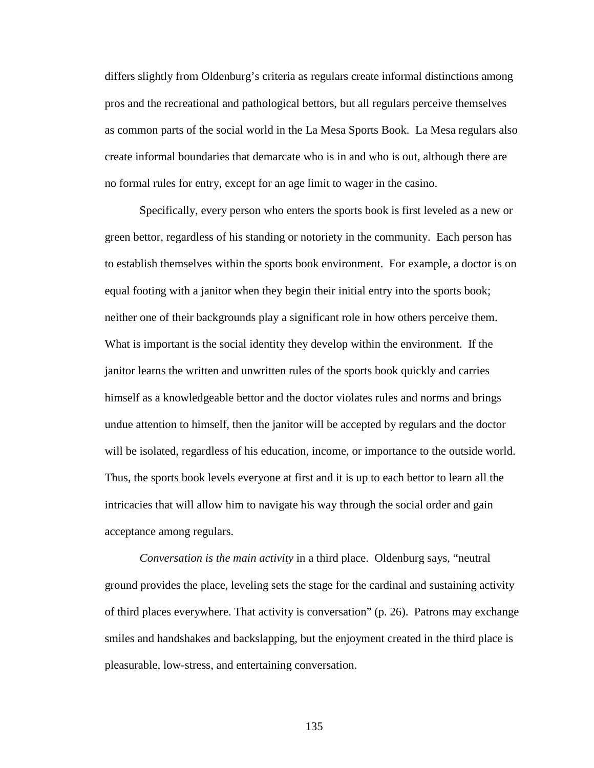differs slightly from Oldenburg's criteria as regulars create informal distinctions among pros and the recreational and pathological bettors, but all regulars perceive themselves as common parts of the social world in the La Mesa Sports Book. La Mesa regulars also create informal boundaries that demarcate who is in and who is out, although there are no formal rules for entry, except for an age limit to wager in the casino.

Specifically, every person who enters the sports book is first leveled as a new or green bettor, regardless of his standing or notoriety in the community. Each person has to establish themselves within the sports book environment. For example, a doctor is on equal footing with a janitor when they begin their initial entry into the sports book; neither one of their backgrounds play a significant role in how others perceive them. What is important is the social identity they develop within the environment. If the janitor learns the written and unwritten rules of the sports book quickly and carries himself as a knowledgeable bettor and the doctor violates rules and norms and brings undue attention to himself, then the janitor will be accepted by regulars and the doctor will be isolated, regardless of his education, income, or importance to the outside world. Thus, the sports book levels everyone at first and it is up to each bettor to learn all the intricacies that will allow him to navigate his way through the social order and gain acceptance among regulars.

*Conversation is the main activity* in a third place. Oldenburg says, "neutral ground provides the place, leveling sets the stage for the cardinal and sustaining activity of third places everywhere. That activity is conversation" (p. 26). Patrons may exchange smiles and handshakes and backslapping, but the enjoyment created in the third place is pleasurable, low-stress, and entertaining conversation.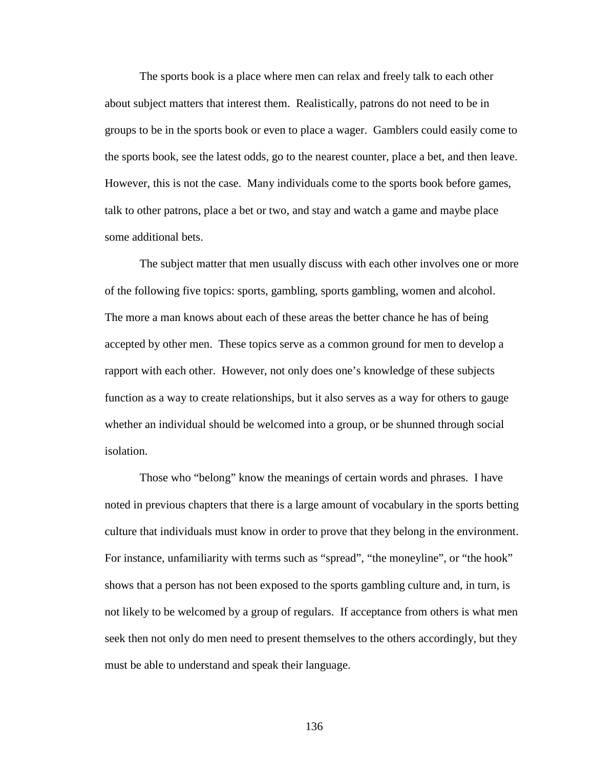The sports book is a place where men can relax and freely talk to each other about subject matters that interest them. Realistically, patrons do not need to be in groups to be in the sports book or even to place a wager. Gamblers could easily come to the sports book, see the latest odds, go to the nearest counter, place a bet, and then leave. However, this is not the case. Many individuals come to the sports book before games, talk to other patrons, place a bet or two, and stay and watch a game and maybe place some additional bets.

The subject matter that men usually discuss with each other involves one or more of the following five topics: sports, gambling, sports gambling, women and alcohol. The more a man knows about each of these areas the better chance he has of being accepted by other men. These topics serve as a common ground for men to develop a rapport with each other. However, not only does one's knowledge of these subjects function as a way to create relationships, but it also serves as a way for others to gauge whether an individual should be welcomed into a group, or be shunned through social isolation.

Those who "belong" know the meanings of certain words and phrases. I have noted in previous chapters that there is a large amount of vocabulary in the sports betting culture that individuals must know in order to prove that they belong in the environment. For instance, unfamiliarity with terms such as "spread", "the moneyline", or "the hook" shows that a person has not been exposed to the sports gambling culture and, in turn, is not likely to be welcomed by a group of regulars. If acceptance from others is what men seek then not only do men need to present themselves to the others accordingly, but they must be able to understand and speak their language.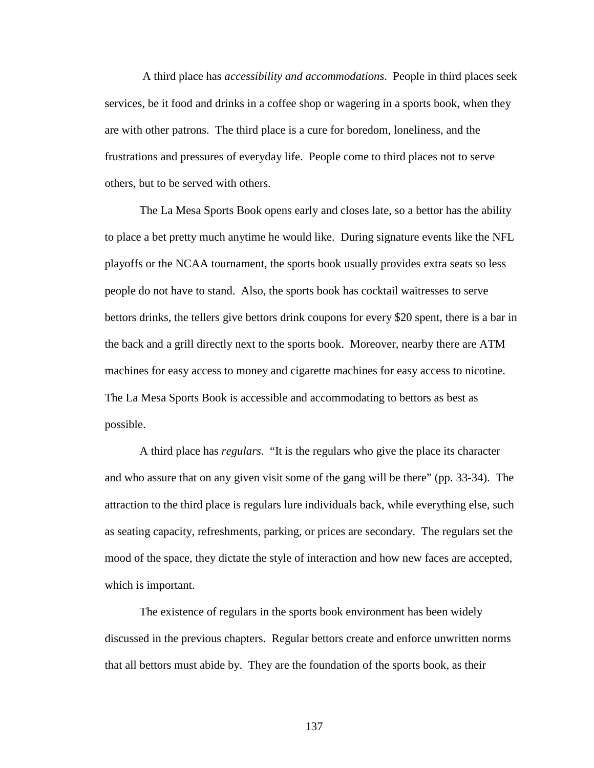A third place has *accessibility and accommodations*. People in third places seek services, be it food and drinks in a coffee shop or wagering in a sports book, when they are with other patrons. The third place is a cure for boredom, loneliness, and the frustrations and pressures of everyday life. People come to third places not to serve others, but to be served with others.

The La Mesa Sports Book opens early and closes late, so a bettor has the ability to place a bet pretty much anytime he would like. During signature events like the NFL playoffs or the NCAA tournament, the sports book usually provides extra seats so less people do not have to stand. Also, the sports book has cocktail waitresses to serve bettors drinks, the tellers give bettors drink coupons for every \$20 spent, there is a bar in the back and a grill directly next to the sports book. Moreover, nearby there are ATM machines for easy access to money and cigarette machines for easy access to nicotine. The La Mesa Sports Book is accessible and accommodating to bettors as best as possible.

A third place has *regulars*. "It is the regulars who give the place its character and who assure that on any given visit some of the gang will be there" (pp. 33-34). The attraction to the third place is regulars lure individuals back, while everything else, such as seating capacity, refreshments, parking, or prices are secondary. The regulars set the mood of the space, they dictate the style of interaction and how new faces are accepted, which is important.

The existence of regulars in the sports book environment has been widely discussed in the previous chapters. Regular bettors create and enforce unwritten norms that all bettors must abide by. They are the foundation of the sports book, as their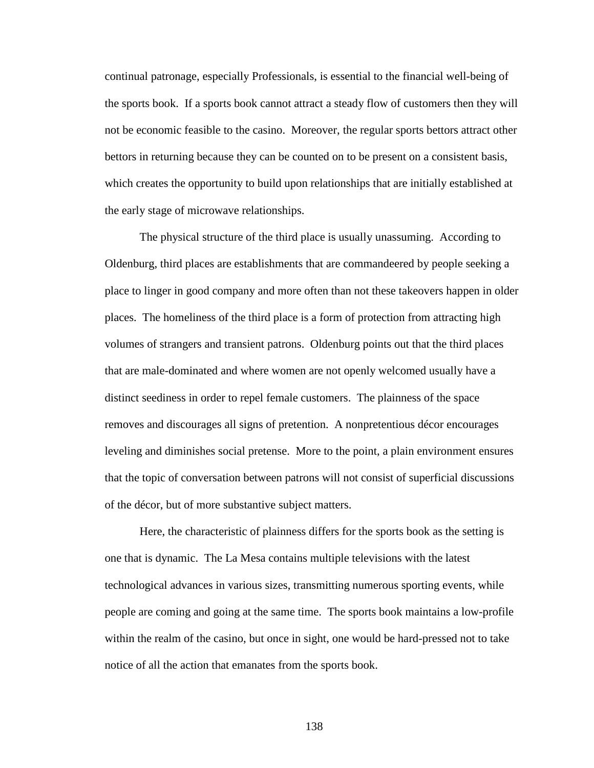continual patronage, especially Professionals, is essential to the financial well-being of the sports book. If a sports book cannot attract a steady flow of customers then they will not be economic feasible to the casino. Moreover, the regular sports bettors attract other bettors in returning because they can be counted on to be present on a consistent basis, which creates the opportunity to build upon relationships that are initially established at the early stage of microwave relationships.

The physical structure of the third place is usually unassuming. According to Oldenburg, third places are establishments that are commandeered by people seeking a place to linger in good company and more often than not these takeovers happen in older places. The homeliness of the third place is a form of protection from attracting high volumes of strangers and transient patrons. Oldenburg points out that the third places that are male-dominated and where women are not openly welcomed usually have a distinct seediness in order to repel female customers. The plainness of the space removes and discourages all signs of pretention. A nonpretentious décor encourages leveling and diminishes social pretense. More to the point, a plain environment ensures that the topic of conversation between patrons will not consist of superficial discussions of the décor, but of more substantive subject matters.

Here, the characteristic of plainness differs for the sports book as the setting is one that is dynamic. The La Mesa contains multiple televisions with the latest technological advances in various sizes, transmitting numerous sporting events, while people are coming and going at the same time. The sports book maintains a low-profile within the realm of the casino, but once in sight, one would be hard-pressed not to take notice of all the action that emanates from the sports book.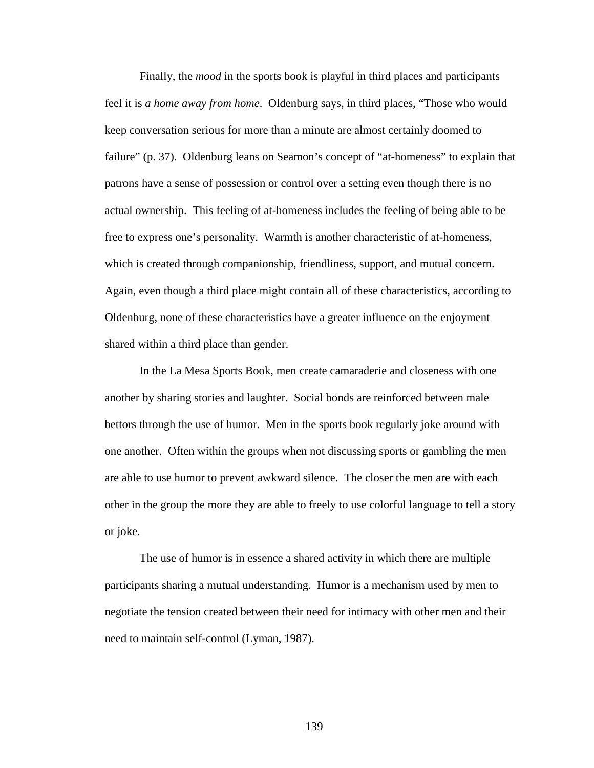Finally, the *mood* in the sports book is playful in third places and participants feel it is *a home away from home*. Oldenburg says, in third places, "Those who would keep conversation serious for more than a minute are almost certainly doomed to failure" (p. 37). Oldenburg leans on Seamon's concept of "at-homeness" to explain that patrons have a sense of possession or control over a setting even though there is no actual ownership. This feeling of at-homeness includes the feeling of being able to be free to express one's personality. Warmth is another characteristic of at-homeness, which is created through companionship, friendliness, support, and mutual concern. Again, even though a third place might contain all of these characteristics, according to Oldenburg, none of these characteristics have a greater influence on the enjoyment shared within a third place than gender.

In the La Mesa Sports Book, men create camaraderie and closeness with one another by sharing stories and laughter. Social bonds are reinforced between male bettors through the use of humor. Men in the sports book regularly joke around with one another. Often within the groups when not discussing sports or gambling the men are able to use humor to prevent awkward silence. The closer the men are with each other in the group the more they are able to freely to use colorful language to tell a story or joke.

The use of humor is in essence a shared activity in which there are multiple participants sharing a mutual understanding. Humor is a mechanism used by men to negotiate the tension created between their need for intimacy with other men and their need to maintain self-control (Lyman, 1987).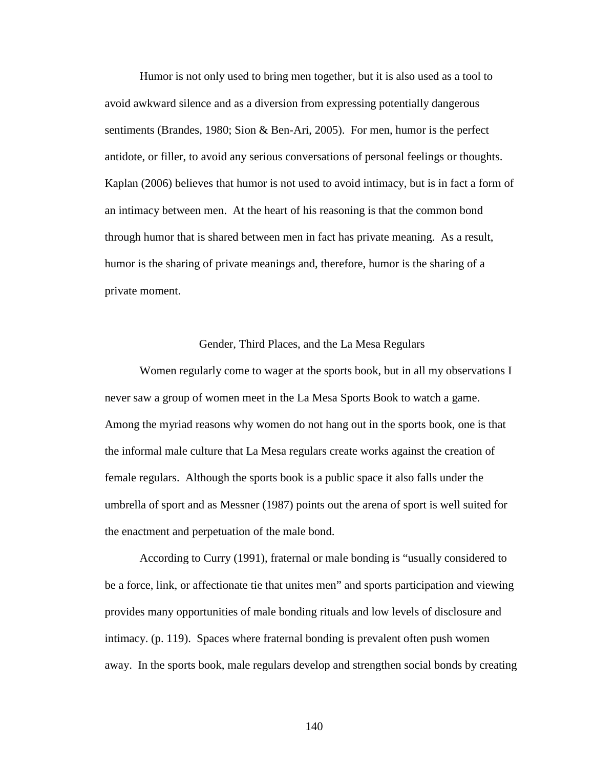Humor is not only used to bring men together, but it is also used as a tool to avoid awkward silence and as a diversion from expressing potentially dangerous sentiments (Brandes, 1980; Sion & Ben-Ari, 2005). For men, humor is the perfect antidote, or filler, to avoid any serious conversations of personal feelings or thoughts. Kaplan (2006) believes that humor is not used to avoid intimacy, but is in fact a form of an intimacy between men. At the heart of his reasoning is that the common bond through humor that is shared between men in fact has private meaning. As a result, humor is the sharing of private meanings and, therefore, humor is the sharing of a private moment.

## Gender, Third Places, and the La Mesa Regulars

Women regularly come to wager at the sports book, but in all my observations I never saw a group of women meet in the La Mesa Sports Book to watch a game. Among the myriad reasons why women do not hang out in the sports book, one is that the informal male culture that La Mesa regulars create works against the creation of female regulars. Although the sports book is a public space it also falls under the umbrella of sport and as Messner (1987) points out the arena of sport is well suited for the enactment and perpetuation of the male bond.

According to Curry (1991), fraternal or male bonding is "usually considered to be a force, link, or affectionate tie that unites men" and sports participation and viewing provides many opportunities of male bonding rituals and low levels of disclosure and intimacy. (p. 119). Spaces where fraternal bonding is prevalent often push women away. In the sports book, male regulars develop and strengthen social bonds by creating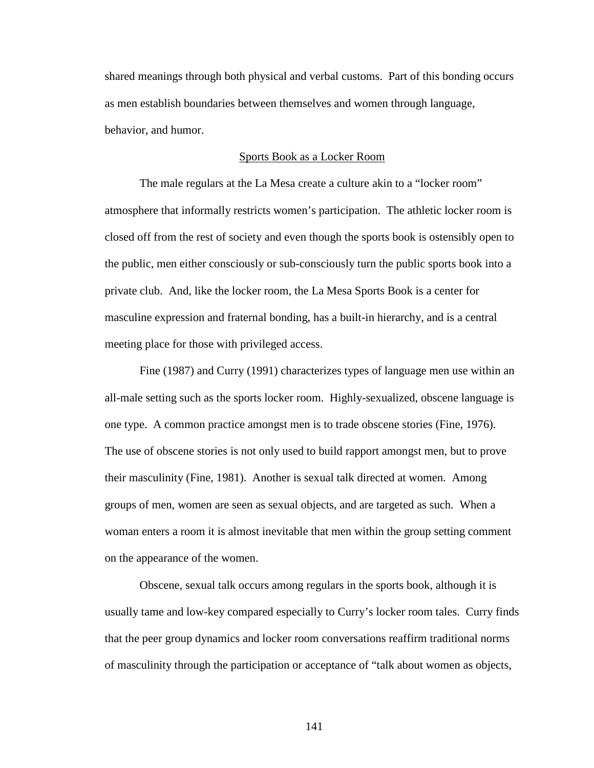shared meanings through both physical and verbal customs. Part of this bonding occurs as men establish boundaries between themselves and women through language, behavior, and humor.

# Sports Book as a Locker Room

The male regulars at the La Mesa create a culture akin to a "locker room" atmosphere that informally restricts women's participation. The athletic locker room is closed off from the rest of society and even though the sports book is ostensibly open to the public, men either consciously or sub-consciously turn the public sports book into a private club. And, like the locker room, the La Mesa Sports Book is a center for masculine expression and fraternal bonding, has a built-in hierarchy, and is a central meeting place for those with privileged access.

Fine (1987) and Curry (1991) characterizes types of language men use within an all-male setting such as the sports locker room. Highly-sexualized, obscene language is one type. A common practice amongst men is to trade obscene stories (Fine, 1976). The use of obscene stories is not only used to build rapport amongst men, but to prove their masculinity (Fine, 1981). Another is sexual talk directed at women. Among groups of men, women are seen as sexual objects, and are targeted as such. When a woman enters a room it is almost inevitable that men within the group setting comment on the appearance of the women.

Obscene, sexual talk occurs among regulars in the sports book, although it is usually tame and low-key compared especially to Curry's locker room tales. Curry finds that the peer group dynamics and locker room conversations reaffirm traditional norms of masculinity through the participation or acceptance of "talk about women as objects,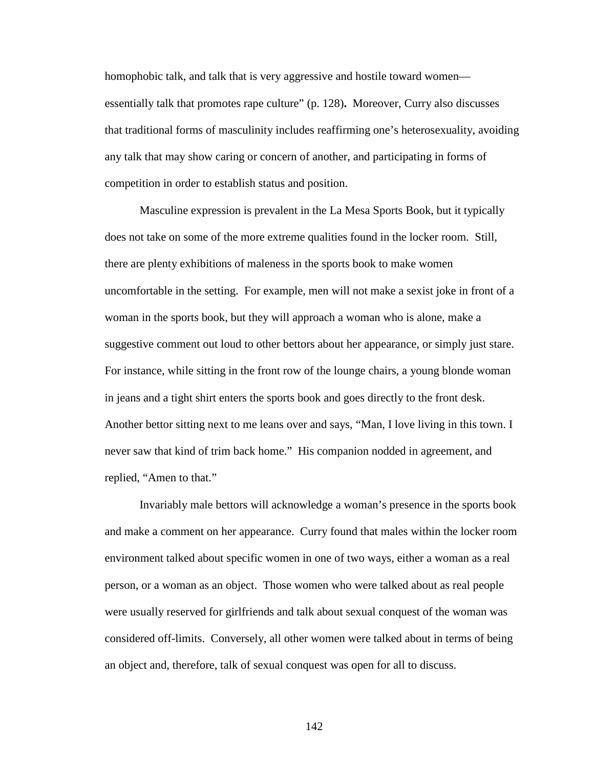homophobic talk, and talk that is very aggressive and hostile toward women essentially talk that promotes rape culture" (p. 128)**.** Moreover, Curry also discusses that traditional forms of masculinity includes reaffirming one's heterosexuality, avoiding any talk that may show caring or concern of another, and participating in forms of competition in order to establish status and position.

Masculine expression is prevalent in the La Mesa Sports Book, but it typically does not take on some of the more extreme qualities found in the locker room. Still, there are plenty exhibitions of maleness in the sports book to make women uncomfortable in the setting. For example, men will not make a sexist joke in front of a woman in the sports book, but they will approach a woman who is alone, make a suggestive comment out loud to other bettors about her appearance, or simply just stare. For instance, while sitting in the front row of the lounge chairs, a young blonde woman in jeans and a tight shirt enters the sports book and goes directly to the front desk. Another bettor sitting next to me leans over and says, "Man, I love living in this town. I never saw that kind of trim back home." His companion nodded in agreement, and replied, "Amen to that."

Invariably male bettors will acknowledge a woman's presence in the sports book and make a comment on her appearance. Curry found that males within the locker room environment talked about specific women in one of two ways, either a woman as a real person, or a woman as an object. Those women who were talked about as real people were usually reserved for girlfriends and talk about sexual conquest of the woman was considered off-limits. Conversely, all other women were talked about in terms of being an object and, therefore, talk of sexual conquest was open for all to discuss.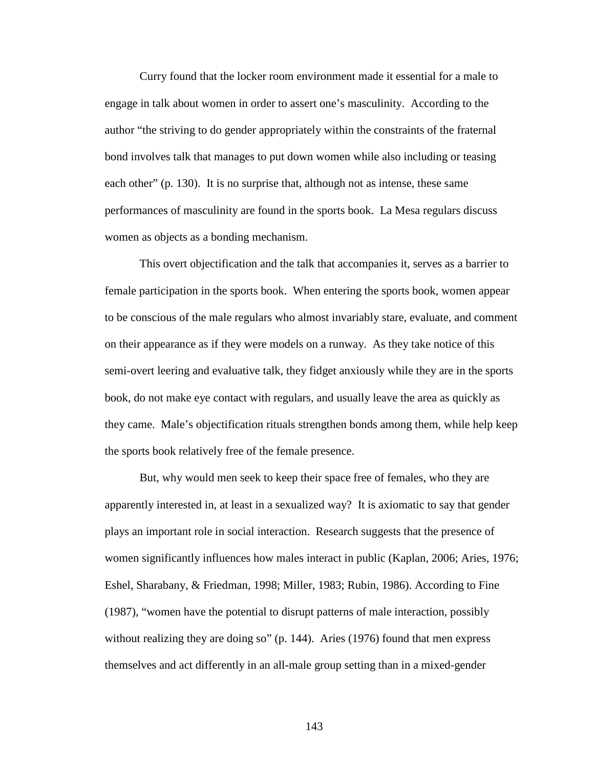Curry found that the locker room environment made it essential for a male to engage in talk about women in order to assert one's masculinity. According to the author "the striving to do gender appropriately within the constraints of the fraternal bond involves talk that manages to put down women while also including or teasing each other" (p. 130). It is no surprise that, although not as intense, these same performances of masculinity are found in the sports book. La Mesa regulars discuss women as objects as a bonding mechanism.

This overt objectification and the talk that accompanies it, serves as a barrier to female participation in the sports book. When entering the sports book, women appear to be conscious of the male regulars who almost invariably stare, evaluate, and comment on their appearance as if they were models on a runway. As they take notice of this semi-overt leering and evaluative talk, they fidget anxiously while they are in the sports book, do not make eye contact with regulars, and usually leave the area as quickly as they came. Male's objectification rituals strengthen bonds among them, while help keep the sports book relatively free of the female presence.

But, why would men seek to keep their space free of females, who they are apparently interested in, at least in a sexualized way? It is axiomatic to say that gender plays an important role in social interaction. Research suggests that the presence of women significantly influences how males interact in public (Kaplan, 2006; Aries, 1976; Eshel, Sharabany, & Friedman, 1998; Miller, 1983; Rubin, 1986). According to Fine (1987), "women have the potential to disrupt patterns of male interaction, possibly without realizing they are doing so" (p. 144). Aries (1976) found that men express themselves and act differently in an all-male group setting than in a mixed-gender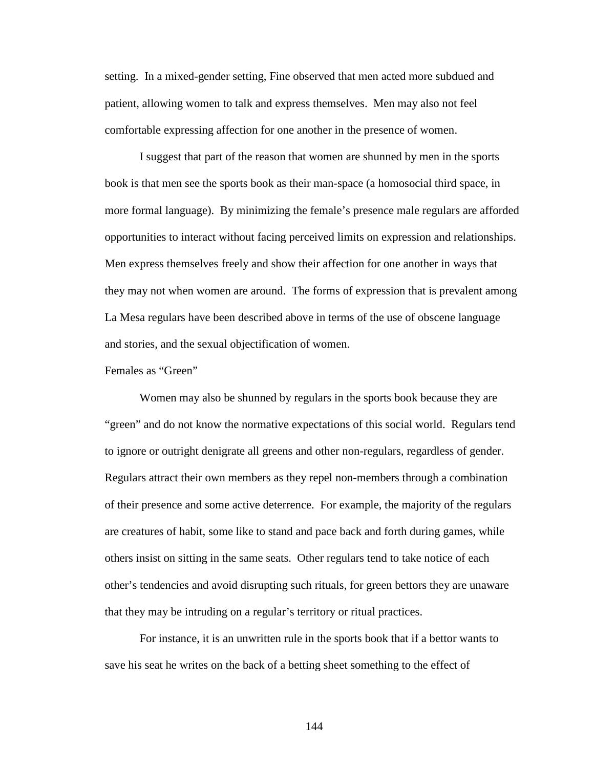setting. In a mixed-gender setting, Fine observed that men acted more subdued and patient, allowing women to talk and express themselves. Men may also not feel comfortable expressing affection for one another in the presence of women.

I suggest that part of the reason that women are shunned by men in the sports book is that men see the sports book as their man-space (a homosocial third space, in more formal language). By minimizing the female's presence male regulars are afforded opportunities to interact without facing perceived limits on expression and relationships. Men express themselves freely and show their affection for one another in ways that they may not when women are around. The forms of expression that is prevalent among La Mesa regulars have been described above in terms of the use of obscene language and stories, and the sexual objectification of women.

Females as "Green"

Women may also be shunned by regulars in the sports book because they are "green" and do not know the normative expectations of this social world. Regulars tend to ignore or outright denigrate all greens and other non-regulars, regardless of gender. Regulars attract their own members as they repel non-members through a combination of their presence and some active deterrence. For example, the majority of the regulars are creatures of habit, some like to stand and pace back and forth during games, while others insist on sitting in the same seats. Other regulars tend to take notice of each other's tendencies and avoid disrupting such rituals, for green bettors they are unaware that they may be intruding on a regular's territory or ritual practices.

For instance, it is an unwritten rule in the sports book that if a bettor wants to save his seat he writes on the back of a betting sheet something to the effect of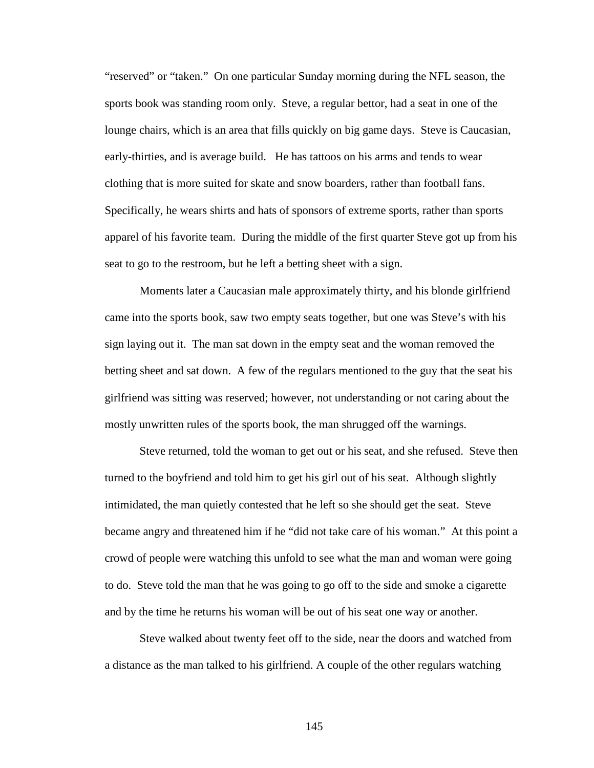"reserved" or "taken." On one particular Sunday morning during the NFL season, the sports book was standing room only. Steve, a regular bettor, had a seat in one of the lounge chairs, which is an area that fills quickly on big game days. Steve is Caucasian, early-thirties, and is average build. He has tattoos on his arms and tends to wear clothing that is more suited for skate and snow boarders, rather than football fans. Specifically, he wears shirts and hats of sponsors of extreme sports, rather than sports apparel of his favorite team. During the middle of the first quarter Steve got up from his seat to go to the restroom, but he left a betting sheet with a sign.

Moments later a Caucasian male approximately thirty, and his blonde girlfriend came into the sports book, saw two empty seats together, but one was Steve's with his sign laying out it. The man sat down in the empty seat and the woman removed the betting sheet and sat down. A few of the regulars mentioned to the guy that the seat his girlfriend was sitting was reserved; however, not understanding or not caring about the mostly unwritten rules of the sports book, the man shrugged off the warnings.

Steve returned, told the woman to get out or his seat, and she refused. Steve then turned to the boyfriend and told him to get his girl out of his seat. Although slightly intimidated, the man quietly contested that he left so she should get the seat. Steve became angry and threatened him if he "did not take care of his woman." At this point a crowd of people were watching this unfold to see what the man and woman were going to do. Steve told the man that he was going to go off to the side and smoke a cigarette and by the time he returns his woman will be out of his seat one way or another.

Steve walked about twenty feet off to the side, near the doors and watched from a distance as the man talked to his girlfriend. A couple of the other regulars watching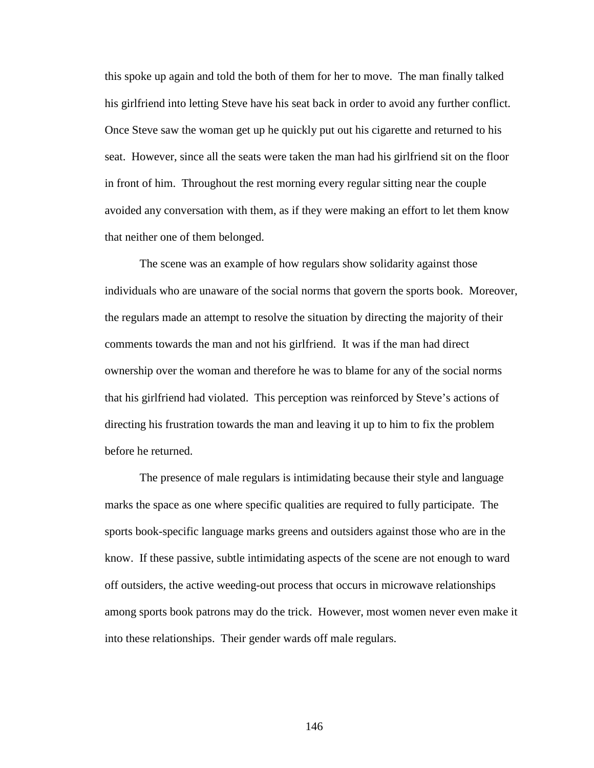this spoke up again and told the both of them for her to move. The man finally talked his girlfriend into letting Steve have his seat back in order to avoid any further conflict. Once Steve saw the woman get up he quickly put out his cigarette and returned to his seat. However, since all the seats were taken the man had his girlfriend sit on the floor in front of him. Throughout the rest morning every regular sitting near the couple avoided any conversation with them, as if they were making an effort to let them know that neither one of them belonged.

The scene was an example of how regulars show solidarity against those individuals who are unaware of the social norms that govern the sports book. Moreover, the regulars made an attempt to resolve the situation by directing the majority of their comments towards the man and not his girlfriend. It was if the man had direct ownership over the woman and therefore he was to blame for any of the social norms that his girlfriend had violated. This perception was reinforced by Steve's actions of directing his frustration towards the man and leaving it up to him to fix the problem before he returned.

The presence of male regulars is intimidating because their style and language marks the space as one where specific qualities are required to fully participate. The sports book-specific language marks greens and outsiders against those who are in the know. If these passive, subtle intimidating aspects of the scene are not enough to ward off outsiders, the active weeding-out process that occurs in microwave relationships among sports book patrons may do the trick. However, most women never even make it into these relationships. Their gender wards off male regulars.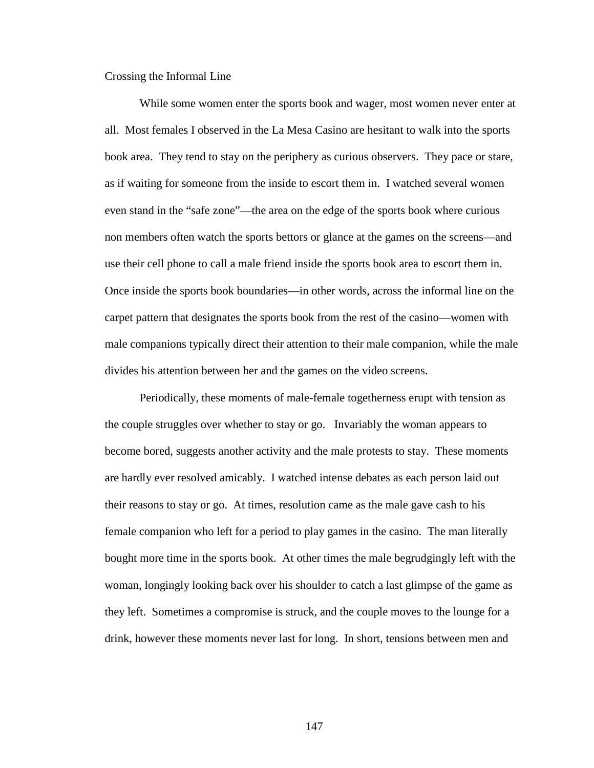Crossing the Informal Line

While some women enter the sports book and wager, most women never enter at all. Most females I observed in the La Mesa Casino are hesitant to walk into the sports book area. They tend to stay on the periphery as curious observers. They pace or stare, as if waiting for someone from the inside to escort them in. I watched several women even stand in the "safe zone"—the area on the edge of the sports book where curious non members often watch the sports bettors or glance at the games on the screens—and use their cell phone to call a male friend inside the sports book area to escort them in. Once inside the sports book boundaries—in other words, across the informal line on the carpet pattern that designates the sports book from the rest of the casino—women with male companions typically direct their attention to their male companion, while the male divides his attention between her and the games on the video screens.

Periodically, these moments of male-female togetherness erupt with tension as the couple struggles over whether to stay or go. Invariably the woman appears to become bored, suggests another activity and the male protests to stay. These moments are hardly ever resolved amicably. I watched intense debates as each person laid out their reasons to stay or go. At times, resolution came as the male gave cash to his female companion who left for a period to play games in the casino. The man literally bought more time in the sports book. At other times the male begrudgingly left with the woman, longingly looking back over his shoulder to catch a last glimpse of the game as they left. Sometimes a compromise is struck, and the couple moves to the lounge for a drink, however these moments never last for long. In short, tensions between men and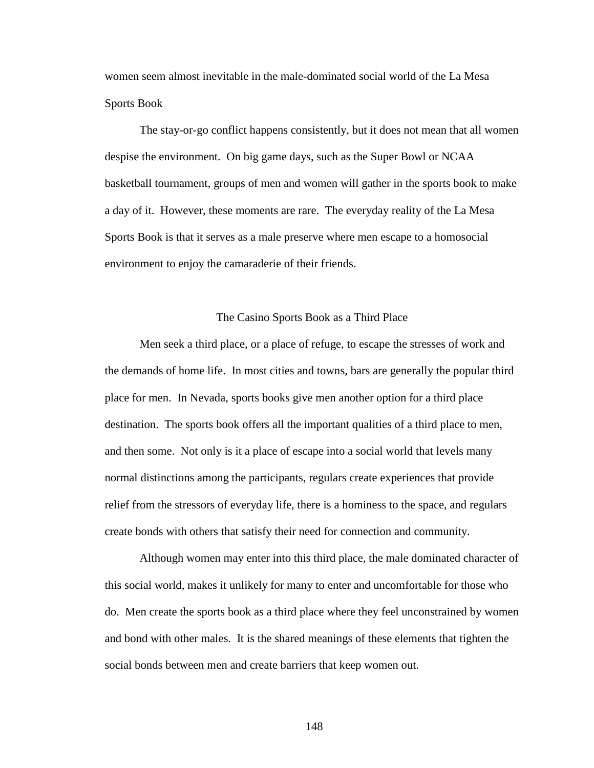women seem almost inevitable in the male-dominated social world of the La Mesa Sports Book

The stay-or-go conflict happens consistently, but it does not mean that all women despise the environment. On big game days, such as the Super Bowl or NCAA basketball tournament, groups of men and women will gather in the sports book to make a day of it. However, these moments are rare. The everyday reality of the La Mesa Sports Book is that it serves as a male preserve where men escape to a homosocial environment to enjoy the camaraderie of their friends.

# The Casino Sports Book as a Third Place

Men seek a third place, or a place of refuge, to escape the stresses of work and the demands of home life. In most cities and towns, bars are generally the popular third place for men. In Nevada, sports books give men another option for a third place destination. The sports book offers all the important qualities of a third place to men, and then some. Not only is it a place of escape into a social world that levels many normal distinctions among the participants, regulars create experiences that provide relief from the stressors of everyday life, there is a hominess to the space, and regulars create bonds with others that satisfy their need for connection and community.

Although women may enter into this third place, the male dominated character of this social world, makes it unlikely for many to enter and uncomfortable for those who do. Men create the sports book as a third place where they feel unconstrained by women and bond with other males. It is the shared meanings of these elements that tighten the social bonds between men and create barriers that keep women out.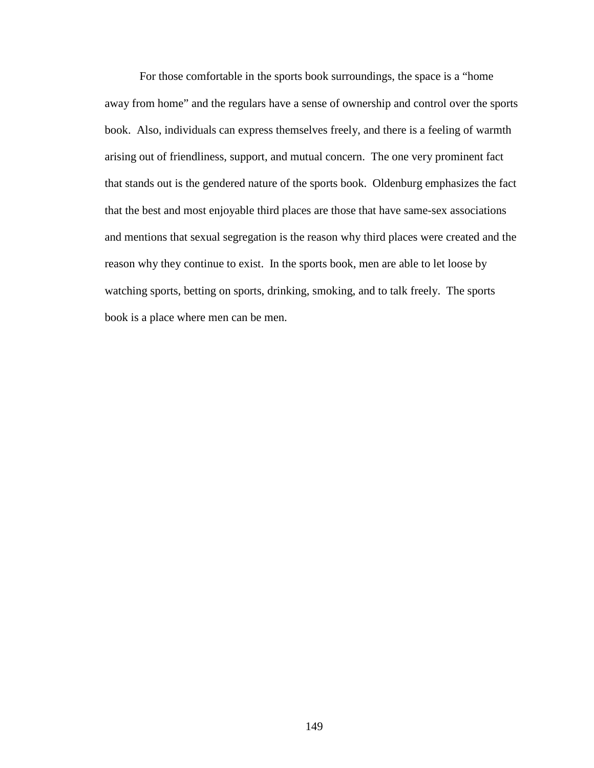For those comfortable in the sports book surroundings, the space is a "home away from home" and the regulars have a sense of ownership and control over the sports book. Also, individuals can express themselves freely, and there is a feeling of warmth arising out of friendliness, support, and mutual concern. The one very prominent fact that stands out is the gendered nature of the sports book. Oldenburg emphasizes the fact that the best and most enjoyable third places are those that have same-sex associations and mentions that sexual segregation is the reason why third places were created and the reason why they continue to exist. In the sports book, men are able to let loose by watching sports, betting on sports, drinking, smoking, and to talk freely. The sports book is a place where men can be men.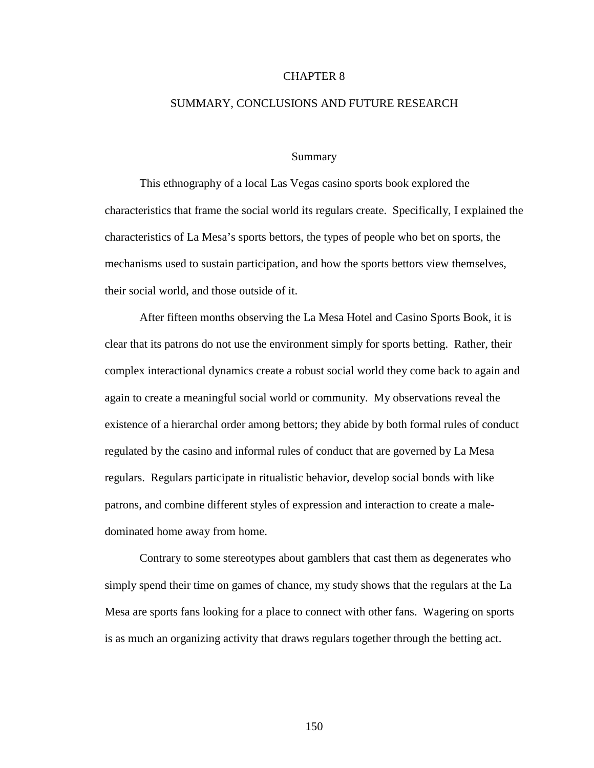# CHAPTER 8

## SUMMARY, CONCLUSIONS AND FUTURE RESEARCH

# Summary

This ethnography of a local Las Vegas casino sports book explored the characteristics that frame the social world its regulars create. Specifically, I explained the characteristics of La Mesa's sports bettors, the types of people who bet on sports, the mechanisms used to sustain participation, and how the sports bettors view themselves, their social world, and those outside of it.

After fifteen months observing the La Mesa Hotel and Casino Sports Book, it is clear that its patrons do not use the environment simply for sports betting. Rather, their complex interactional dynamics create a robust social world they come back to again and again to create a meaningful social world or community. My observations reveal the existence of a hierarchal order among bettors; they abide by both formal rules of conduct regulated by the casino and informal rules of conduct that are governed by La Mesa regulars. Regulars participate in ritualistic behavior, develop social bonds with like patrons, and combine different styles of expression and interaction to create a maledominated home away from home.

Contrary to some stereotypes about gamblers that cast them as degenerates who simply spend their time on games of chance, my study shows that the regulars at the La Mesa are sports fans looking for a place to connect with other fans. Wagering on sports is as much an organizing activity that draws regulars together through the betting act.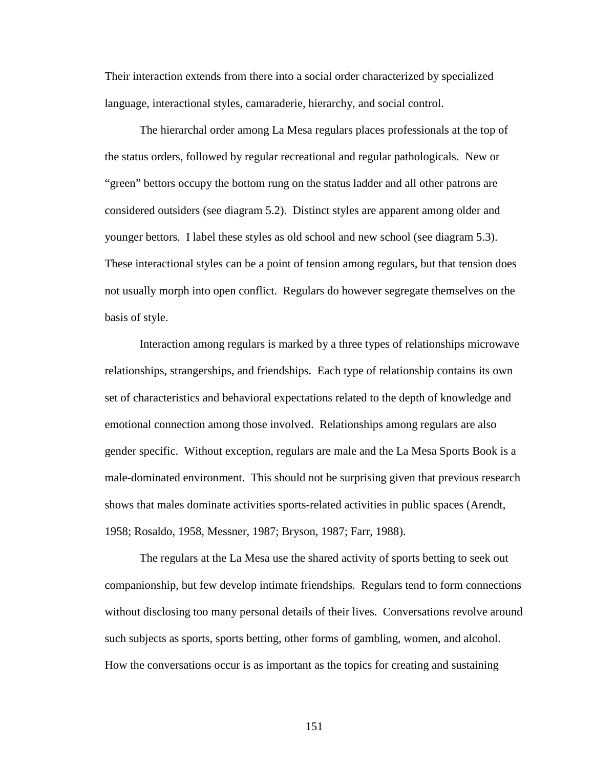Their interaction extends from there into a social order characterized by specialized language, interactional styles, camaraderie, hierarchy, and social control.

The hierarchal order among La Mesa regulars places professionals at the top of the status orders, followed by regular recreational and regular pathologicals. New or "green" bettors occupy the bottom rung on the status ladder and all other patrons are considered outsiders (see diagram 5.2). Distinct styles are apparent among older and younger bettors. I label these styles as old school and new school (see diagram 5.3). These interactional styles can be a point of tension among regulars, but that tension does not usually morph into open conflict. Regulars do however segregate themselves on the basis of style.

Interaction among regulars is marked by a three types of relationships microwave relationships, strangerships, and friendships. Each type of relationship contains its own set of characteristics and behavioral expectations related to the depth of knowledge and emotional connection among those involved. Relationships among regulars are also gender specific. Without exception, regulars are male and the La Mesa Sports Book is a male-dominated environment. This should not be surprising given that previous research shows that males dominate activities sports-related activities in public spaces (Arendt, 1958; Rosaldo, 1958, Messner, 1987; Bryson, 1987; Farr, 1988).

The regulars at the La Mesa use the shared activity of sports betting to seek out companionship, but few develop intimate friendships. Regulars tend to form connections without disclosing too many personal details of their lives. Conversations revolve around such subjects as sports, sports betting, other forms of gambling, women, and alcohol. How the conversations occur is as important as the topics for creating and sustaining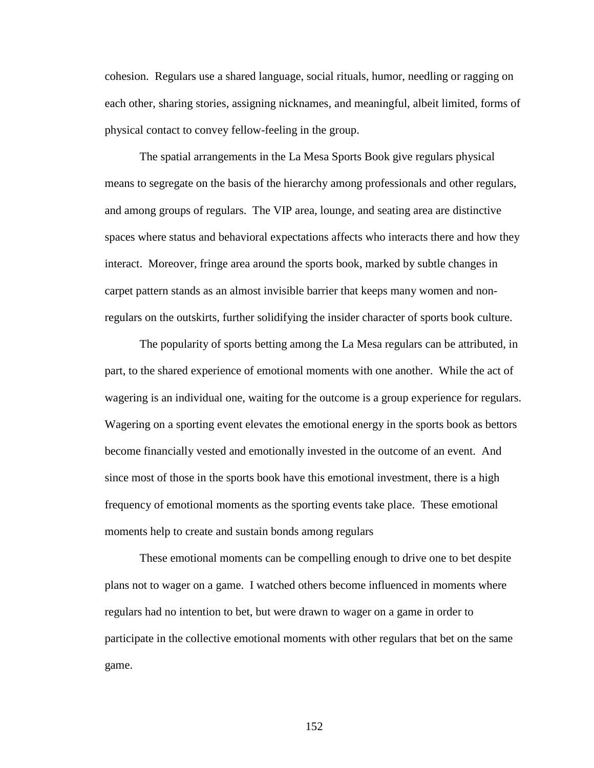cohesion. Regulars use a shared language, social rituals, humor, needling or ragging on each other, sharing stories, assigning nicknames, and meaningful, albeit limited, forms of physical contact to convey fellow-feeling in the group.

The spatial arrangements in the La Mesa Sports Book give regulars physical means to segregate on the basis of the hierarchy among professionals and other regulars, and among groups of regulars. The VIP area, lounge, and seating area are distinctive spaces where status and behavioral expectations affects who interacts there and how they interact. Moreover, fringe area around the sports book, marked by subtle changes in carpet pattern stands as an almost invisible barrier that keeps many women and nonregulars on the outskirts, further solidifying the insider character of sports book culture.

The popularity of sports betting among the La Mesa regulars can be attributed, in part, to the shared experience of emotional moments with one another. While the act of wagering is an individual one, waiting for the outcome is a group experience for regulars. Wagering on a sporting event elevates the emotional energy in the sports book as bettors become financially vested and emotionally invested in the outcome of an event. And since most of those in the sports book have this emotional investment, there is a high frequency of emotional moments as the sporting events take place. These emotional moments help to create and sustain bonds among regulars

These emotional moments can be compelling enough to drive one to bet despite plans not to wager on a game. I watched others become influenced in moments where regulars had no intention to bet, but were drawn to wager on a game in order to participate in the collective emotional moments with other regulars that bet on the same game.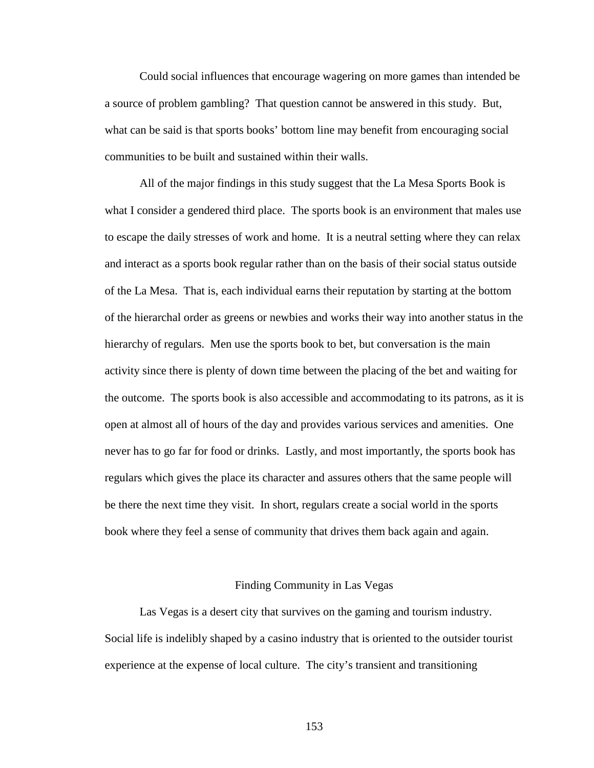Could social influences that encourage wagering on more games than intended be a source of problem gambling? That question cannot be answered in this study. But, what can be said is that sports books' bottom line may benefit from encouraging social communities to be built and sustained within their walls.

All of the major findings in this study suggest that the La Mesa Sports Book is what I consider a gendered third place. The sports book is an environment that males use to escape the daily stresses of work and home. It is a neutral setting where they can relax and interact as a sports book regular rather than on the basis of their social status outside of the La Mesa. That is, each individual earns their reputation by starting at the bottom of the hierarchal order as greens or newbies and works their way into another status in the hierarchy of regulars. Men use the sports book to bet, but conversation is the main activity since there is plenty of down time between the placing of the bet and waiting for the outcome. The sports book is also accessible and accommodating to its patrons, as it is open at almost all of hours of the day and provides various services and amenities. One never has to go far for food or drinks. Lastly, and most importantly, the sports book has regulars which gives the place its character and assures others that the same people will be there the next time they visit. In short, regulars create a social world in the sports book where they feel a sense of community that drives them back again and again.

#### Finding Community in Las Vegas

Las Vegas is a desert city that survives on the gaming and tourism industry. Social life is indelibly shaped by a casino industry that is oriented to the outsider tourist experience at the expense of local culture. The city's transient and transitioning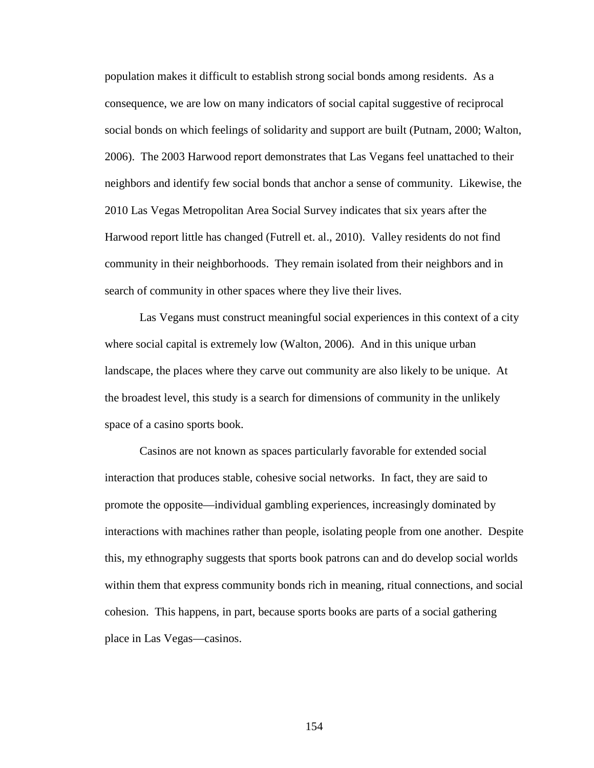population makes it difficult to establish strong social bonds among residents. As a consequence, we are low on many indicators of social capital suggestive of reciprocal social bonds on which feelings of solidarity and support are built (Putnam, 2000; Walton, 2006). The 2003 Harwood report demonstrates that Las Vegans feel unattached to their neighbors and identify few social bonds that anchor a sense of community. Likewise, the 2010 Las Vegas Metropolitan Area Social Survey indicates that six years after the Harwood report little has changed (Futrell et. al., 2010). Valley residents do not find community in their neighborhoods. They remain isolated from their neighbors and in search of community in other spaces where they live their lives.

Las Vegans must construct meaningful social experiences in this context of a city where social capital is extremely low (Walton, 2006). And in this unique urban landscape, the places where they carve out community are also likely to be unique. At the broadest level, this study is a search for dimensions of community in the unlikely space of a casino sports book.

Casinos are not known as spaces particularly favorable for extended social interaction that produces stable, cohesive social networks. In fact, they are said to promote the opposite—individual gambling experiences, increasingly dominated by interactions with machines rather than people, isolating people from one another. Despite this, my ethnography suggests that sports book patrons can and do develop social worlds within them that express community bonds rich in meaning, ritual connections, and social cohesion. This happens, in part, because sports books are parts of a social gathering place in Las Vegas—casinos.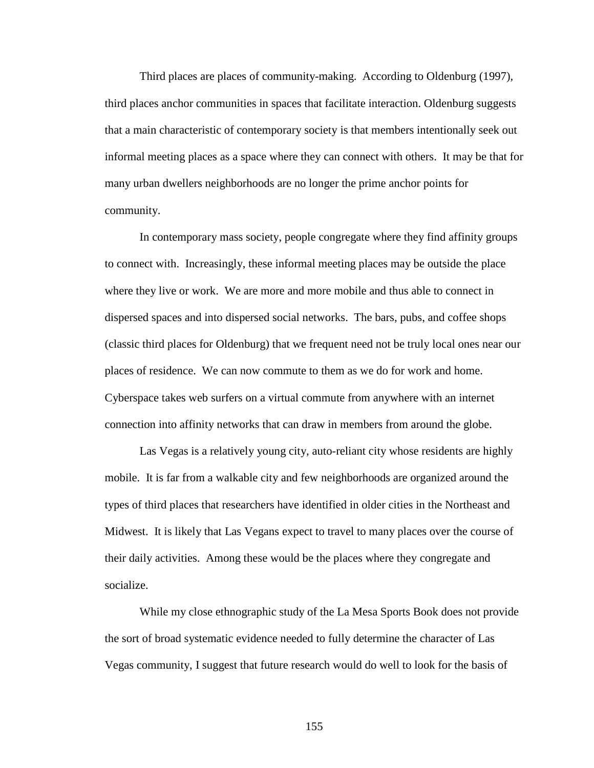Third places are places of community-making. According to Oldenburg (1997), third places anchor communities in spaces that facilitate interaction. Oldenburg suggests that a main characteristic of contemporary society is that members intentionally seek out informal meeting places as a space where they can connect with others. It may be that for many urban dwellers neighborhoods are no longer the prime anchor points for community.

In contemporary mass society, people congregate where they find affinity groups to connect with. Increasingly, these informal meeting places may be outside the place where they live or work. We are more and more mobile and thus able to connect in dispersed spaces and into dispersed social networks. The bars, pubs, and coffee shops (classic third places for Oldenburg) that we frequent need not be truly local ones near our places of residence. We can now commute to them as we do for work and home. Cyberspace takes web surfers on a virtual commute from anywhere with an internet connection into affinity networks that can draw in members from around the globe.

Las Vegas is a relatively young city, auto-reliant city whose residents are highly mobile. It is far from a walkable city and few neighborhoods are organized around the types of third places that researchers have identified in older cities in the Northeast and Midwest. It is likely that Las Vegans expect to travel to many places over the course of their daily activities. Among these would be the places where they congregate and socialize.

While my close ethnographic study of the La Mesa Sports Book does not provide the sort of broad systematic evidence needed to fully determine the character of Las Vegas community, I suggest that future research would do well to look for the basis of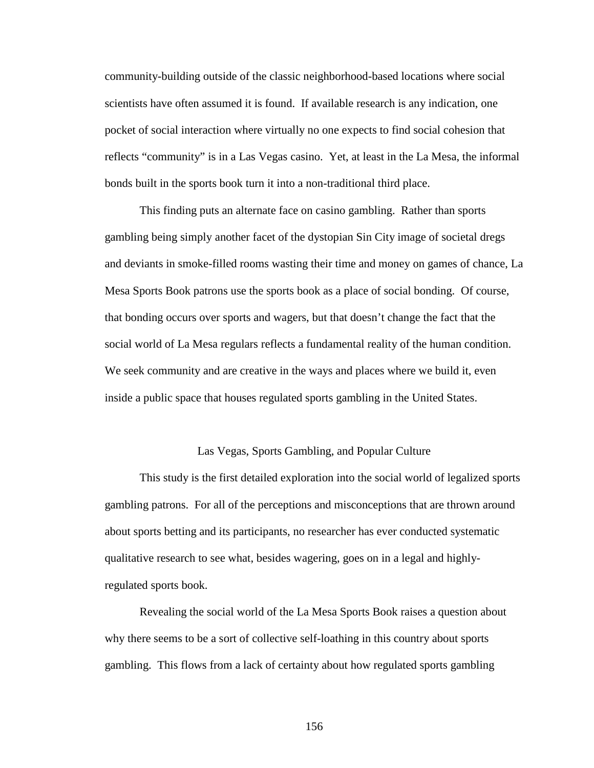community-building outside of the classic neighborhood-based locations where social scientists have often assumed it is found. If available research is any indication, one pocket of social interaction where virtually no one expects to find social cohesion that reflects "community" is in a Las Vegas casino. Yet, at least in the La Mesa, the informal bonds built in the sports book turn it into a non-traditional third place.

This finding puts an alternate face on casino gambling. Rather than sports gambling being simply another facet of the dystopian Sin City image of societal dregs and deviants in smoke-filled rooms wasting their time and money on games of chance, La Mesa Sports Book patrons use the sports book as a place of social bonding. Of course, that bonding occurs over sports and wagers, but that doesn't change the fact that the social world of La Mesa regulars reflects a fundamental reality of the human condition. We seek community and are creative in the ways and places where we build it, even inside a public space that houses regulated sports gambling in the United States.

# Las Vegas, Sports Gambling, and Popular Culture

This study is the first detailed exploration into the social world of legalized sports gambling patrons. For all of the perceptions and misconceptions that are thrown around about sports betting and its participants, no researcher has ever conducted systematic qualitative research to see what, besides wagering, goes on in a legal and highlyregulated sports book.

Revealing the social world of the La Mesa Sports Book raises a question about why there seems to be a sort of collective self-loathing in this country about sports gambling. This flows from a lack of certainty about how regulated sports gambling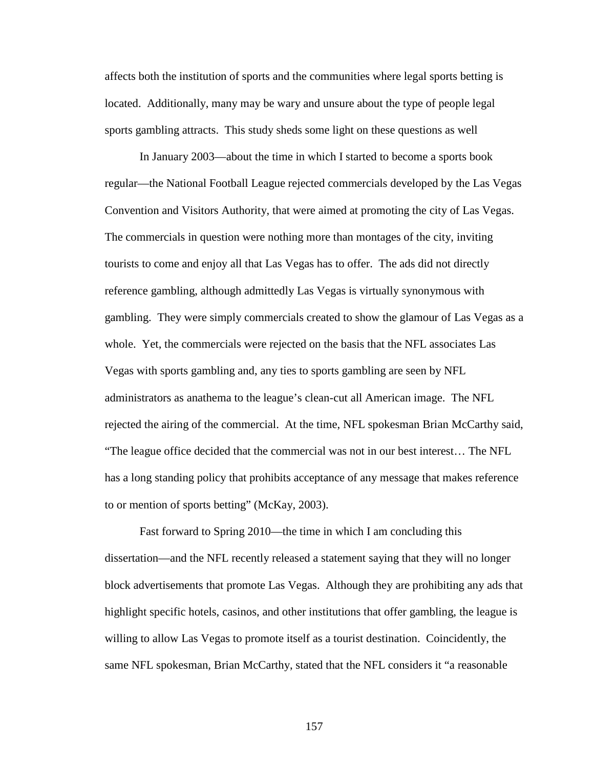affects both the institution of sports and the communities where legal sports betting is located. Additionally, many may be wary and unsure about the type of people legal sports gambling attracts. This study sheds some light on these questions as well

In January 2003—about the time in which I started to become a sports book regular—the National Football League rejected commercials developed by the Las Vegas Convention and Visitors Authority, that were aimed at promoting the city of Las Vegas. The commercials in question were nothing more than montages of the city, inviting tourists to come and enjoy all that Las Vegas has to offer. The ads did not directly reference gambling, although admittedly Las Vegas is virtually synonymous with gambling. They were simply commercials created to show the glamour of Las Vegas as a whole. Yet, the commercials were rejected on the basis that the NFL associates Las Vegas with sports gambling and, any ties to sports gambling are seen by NFL administrators as anathema to the league's clean-cut all American image. The NFL rejected the airing of the commercial. At the time, NFL spokesman Brian McCarthy said, "The league office decided that the commercial was not in our best interest… The NFL has a long standing policy that prohibits acceptance of any message that makes reference to or mention of sports betting" (McKay, 2003).

Fast forward to Spring 2010—the time in which I am concluding this dissertation—and the NFL recently released a statement saying that they will no longer block advertisements that promote Las Vegas. Although they are prohibiting any ads that highlight specific hotels, casinos, and other institutions that offer gambling, the league is willing to allow Las Vegas to promote itself as a tourist destination. Coincidently, the same NFL spokesman, Brian McCarthy, stated that the NFL considers it "a reasonable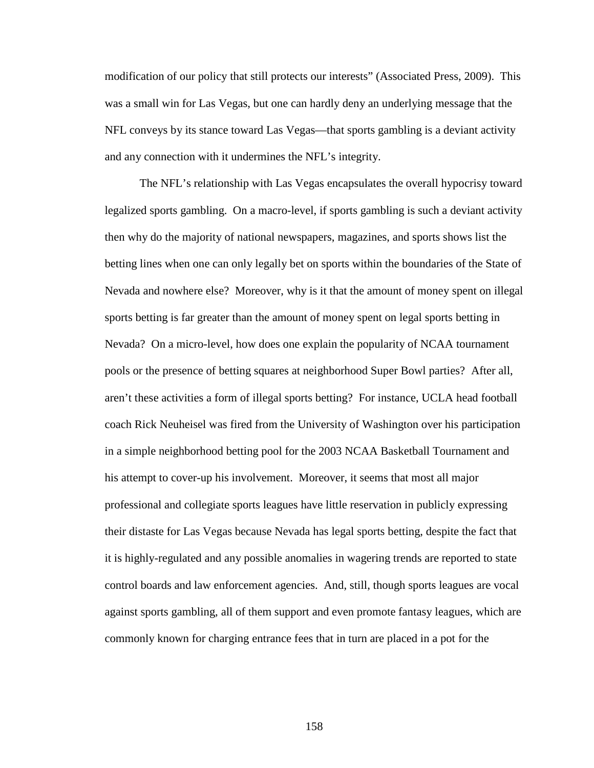modification of our policy that still protects our interests" (Associated Press, 2009). This was a small win for Las Vegas, but one can hardly deny an underlying message that the NFL conveys by its stance toward Las Vegas—that sports gambling is a deviant activity and any connection with it undermines the NFL's integrity.

The NFL's relationship with Las Vegas encapsulates the overall hypocrisy toward legalized sports gambling. On a macro-level, if sports gambling is such a deviant activity then why do the majority of national newspapers, magazines, and sports shows list the betting lines when one can only legally bet on sports within the boundaries of the State of Nevada and nowhere else? Moreover, why is it that the amount of money spent on illegal sports betting is far greater than the amount of money spent on legal sports betting in Nevada? On a micro-level, how does one explain the popularity of NCAA tournament pools or the presence of betting squares at neighborhood Super Bowl parties? After all, aren't these activities a form of illegal sports betting? For instance, UCLA head football coach Rick Neuheisel was fired from the University of Washington over his participation in a simple neighborhood betting pool for the 2003 NCAA Basketball Tournament and his attempt to cover-up his involvement. Moreover, it seems that most all major professional and collegiate sports leagues have little reservation in publicly expressing their distaste for Las Vegas because Nevada has legal sports betting, despite the fact that it is highly-regulated and any possible anomalies in wagering trends are reported to state control boards and law enforcement agencies. And, still, though sports leagues are vocal against sports gambling, all of them support and even promote fantasy leagues, which are commonly known for charging entrance fees that in turn are placed in a pot for the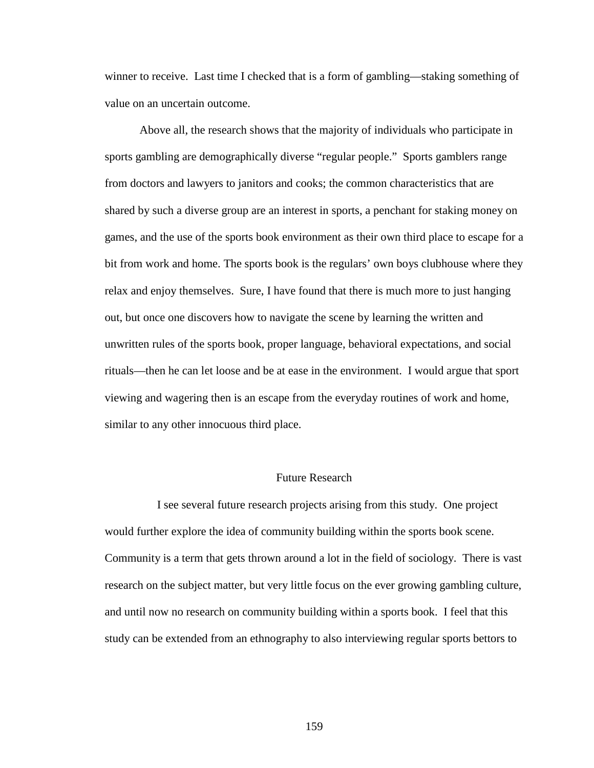winner to receive. Last time I checked that is a form of gambling—staking something of value on an uncertain outcome.

Above all, the research shows that the majority of individuals who participate in sports gambling are demographically diverse "regular people." Sports gamblers range from doctors and lawyers to janitors and cooks; the common characteristics that are shared by such a diverse group are an interest in sports, a penchant for staking money on games, and the use of the sports book environment as their own third place to escape for a bit from work and home. The sports book is the regulars' own boys clubhouse where they relax and enjoy themselves. Sure, I have found that there is much more to just hanging out, but once one discovers how to navigate the scene by learning the written and unwritten rules of the sports book, proper language, behavioral expectations, and social rituals—then he can let loose and be at ease in the environment. I would argue that sport viewing and wagering then is an escape from the everyday routines of work and home, similar to any other innocuous third place.

# Future Research

 I see several future research projects arising from this study. One project would further explore the idea of community building within the sports book scene. Community is a term that gets thrown around a lot in the field of sociology. There is vast research on the subject matter, but very little focus on the ever growing gambling culture, and until now no research on community building within a sports book. I feel that this study can be extended from an ethnography to also interviewing regular sports bettors to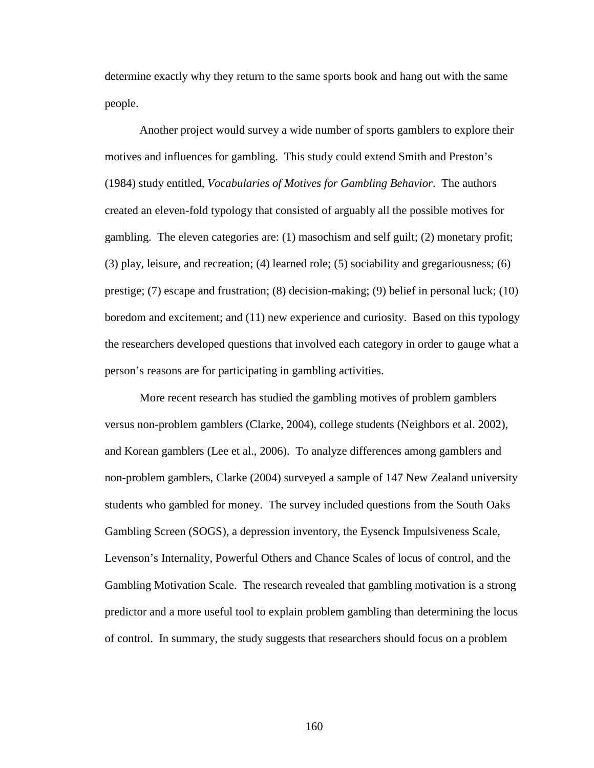determine exactly why they return to the same sports book and hang out with the same people.

Another project would survey a wide number of sports gamblers to explore their motives and influences for gambling. This study could extend Smith and Preston's (1984) study entitled, *Vocabularies of Motives for Gambling Behavior*. The authors created an eleven-fold typology that consisted of arguably all the possible motives for gambling. The eleven categories are: (1) masochism and self guilt; (2) monetary profit; (3) play, leisure, and recreation; (4) learned role; (5) sociability and gregariousness; (6) prestige; (7) escape and frustration; (8) decision-making; (9) belief in personal luck; (10) boredom and excitement; and (11) new experience and curiosity. Based on this typology the researchers developed questions that involved each category in order to gauge what a person's reasons are for participating in gambling activities.

More recent research has studied the gambling motives of problem gamblers versus non-problem gamblers (Clarke, 2004), college students (Neighbors et al. 2002), and Korean gamblers (Lee et al., 2006). To analyze differences among gamblers and non-problem gamblers, Clarke (2004) surveyed a sample of 147 New Zealand university students who gambled for money. The survey included questions from the South Oaks Gambling Screen (SOGS), a depression inventory, the Eysenck Impulsiveness Scale, Levenson's Internality, Powerful Others and Chance Scales of locus of control, and the Gambling Motivation Scale. The research revealed that gambling motivation is a strong predictor and a more useful tool to explain problem gambling than determining the locus of control. In summary, the study suggests that researchers should focus on a problem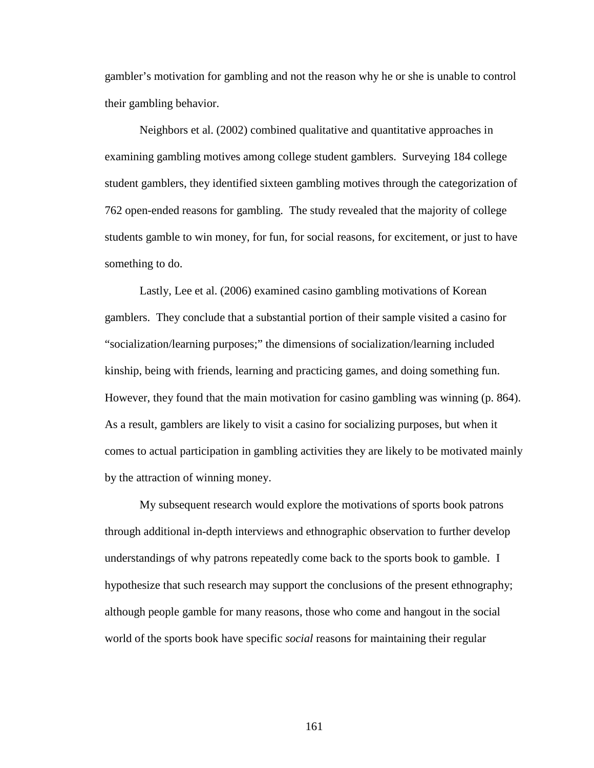gambler's motivation for gambling and not the reason why he or she is unable to control their gambling behavior.

Neighbors et al. (2002) combined qualitative and quantitative approaches in examining gambling motives among college student gamblers. Surveying 184 college student gamblers, they identified sixteen gambling motives through the categorization of 762 open-ended reasons for gambling. The study revealed that the majority of college students gamble to win money, for fun, for social reasons, for excitement, or just to have something to do.

Lastly, Lee et al. (2006) examined casino gambling motivations of Korean gamblers. They conclude that a substantial portion of their sample visited a casino for "socialization/learning purposes;" the dimensions of socialization/learning included kinship, being with friends, learning and practicing games, and doing something fun. However, they found that the main motivation for casino gambling was winning (p. 864). As a result, gamblers are likely to visit a casino for socializing purposes, but when it comes to actual participation in gambling activities they are likely to be motivated mainly by the attraction of winning money.

My subsequent research would explore the motivations of sports book patrons through additional in-depth interviews and ethnographic observation to further develop understandings of why patrons repeatedly come back to the sports book to gamble. I hypothesize that such research may support the conclusions of the present ethnography; although people gamble for many reasons, those who come and hangout in the social world of the sports book have specific *social* reasons for maintaining their regular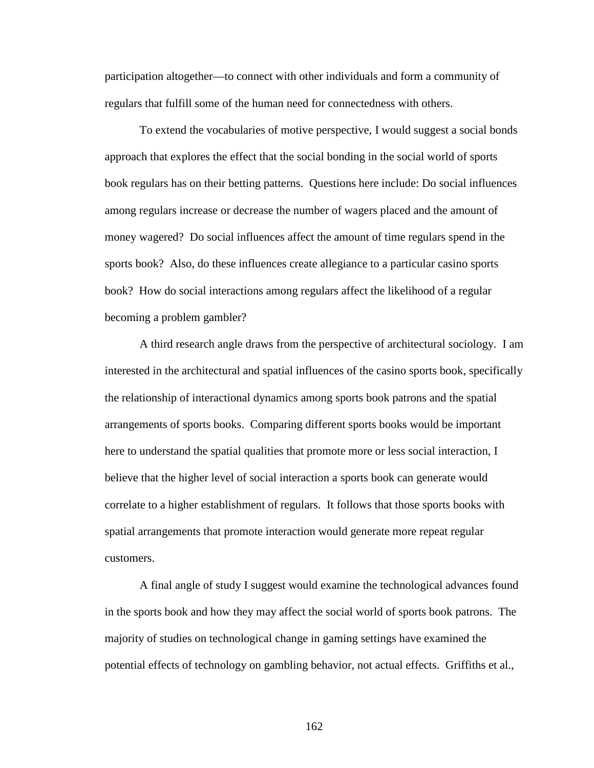participation altogether—to connect with other individuals and form a community of regulars that fulfill some of the human need for connectedness with others.

To extend the vocabularies of motive perspective, I would suggest a social bonds approach that explores the effect that the social bonding in the social world of sports book regulars has on their betting patterns. Questions here include: Do social influences among regulars increase or decrease the number of wagers placed and the amount of money wagered? Do social influences affect the amount of time regulars spend in the sports book? Also, do these influences create allegiance to a particular casino sports book? How do social interactions among regulars affect the likelihood of a regular becoming a problem gambler?

A third research angle draws from the perspective of architectural sociology. I am interested in the architectural and spatial influences of the casino sports book, specifically the relationship of interactional dynamics among sports book patrons and the spatial arrangements of sports books. Comparing different sports books would be important here to understand the spatial qualities that promote more or less social interaction, I believe that the higher level of social interaction a sports book can generate would correlate to a higher establishment of regulars. It follows that those sports books with spatial arrangements that promote interaction would generate more repeat regular customers.

A final angle of study I suggest would examine the technological advances found in the sports book and how they may affect the social world of sports book patrons. The majority of studies on technological change in gaming settings have examined the potential effects of technology on gambling behavior, not actual effects. Griffiths et al.,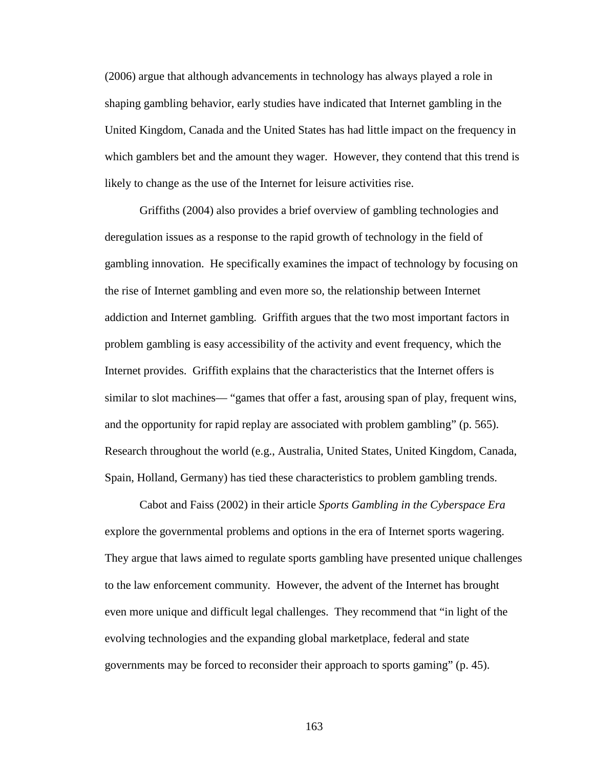(2006) argue that although advancements in technology has always played a role in shaping gambling behavior, early studies have indicated that Internet gambling in the United Kingdom, Canada and the United States has had little impact on the frequency in which gamblers bet and the amount they wager. However, they contend that this trend is likely to change as the use of the Internet for leisure activities rise.

Griffiths (2004) also provides a brief overview of gambling technologies and deregulation issues as a response to the rapid growth of technology in the field of gambling innovation. He specifically examines the impact of technology by focusing on the rise of Internet gambling and even more so, the relationship between Internet addiction and Internet gambling. Griffith argues that the two most important factors in problem gambling is easy accessibility of the activity and event frequency, which the Internet provides. Griffith explains that the characteristics that the Internet offers is similar to slot machines— "games that offer a fast, arousing span of play, frequent wins, and the opportunity for rapid replay are associated with problem gambling" (p. 565). Research throughout the world (e.g., Australia, United States, United Kingdom, Canada, Spain, Holland, Germany) has tied these characteristics to problem gambling trends.

Cabot and Faiss (2002) in their article *Sports Gambling in the Cyberspace Era* explore the governmental problems and options in the era of Internet sports wagering. They argue that laws aimed to regulate sports gambling have presented unique challenges to the law enforcement community. However, the advent of the Internet has brought even more unique and difficult legal challenges. They recommend that "in light of the evolving technologies and the expanding global marketplace, federal and state governments may be forced to reconsider their approach to sports gaming" (p. 45).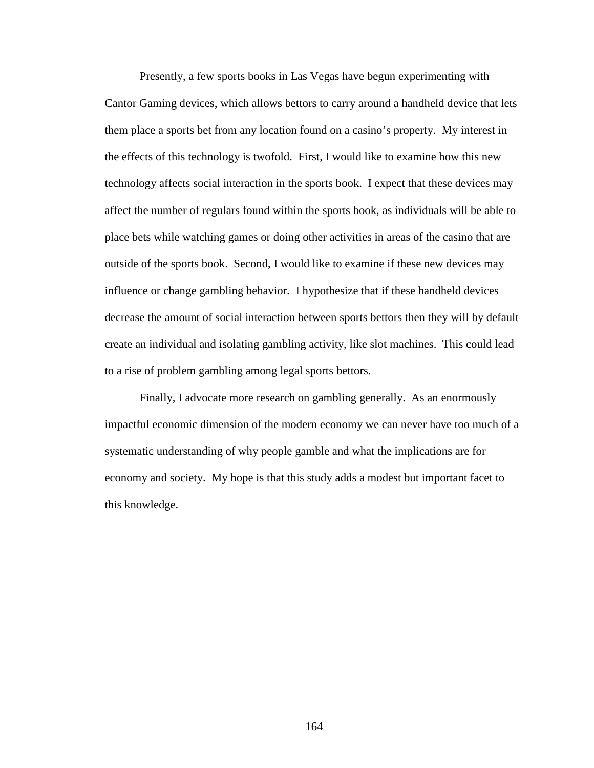Presently, a few sports books in Las Vegas have begun experimenting with Cantor Gaming devices, which allows bettors to carry around a handheld device that lets them place a sports bet from any location found on a casino's property. My interest in the effects of this technology is twofold. First, I would like to examine how this new technology affects social interaction in the sports book. I expect that these devices may affect the number of regulars found within the sports book, as individuals will be able to place bets while watching games or doing other activities in areas of the casino that are outside of the sports book. Second, I would like to examine if these new devices may influence or change gambling behavior. I hypothesize that if these handheld devices decrease the amount of social interaction between sports bettors then they will by default create an individual and isolating gambling activity, like slot machines. This could lead to a rise of problem gambling among legal sports bettors.

Finally, I advocate more research on gambling generally. As an enormously impactful economic dimension of the modern economy we can never have too much of a systematic understanding of why people gamble and what the implications are for economy and society. My hope is that this study adds a modest but important facet to this knowledge.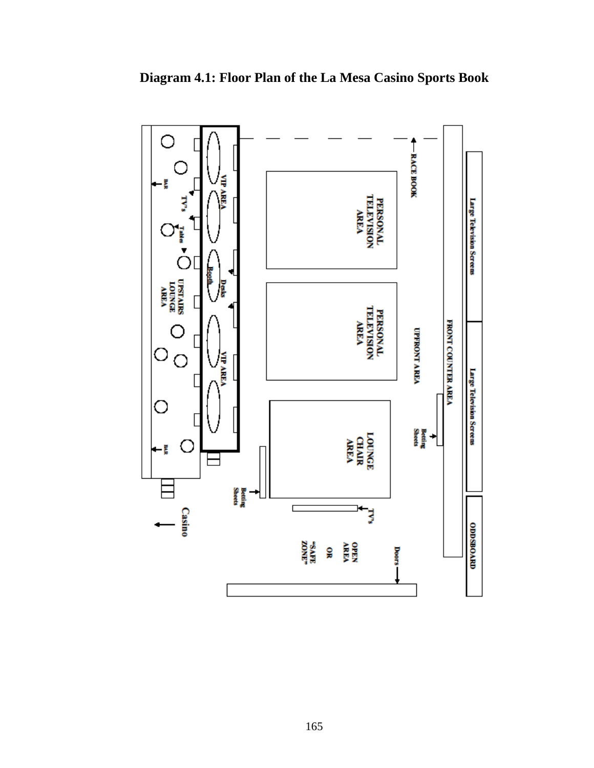

**Diagram 4.1: Floor Plan of the La Mesa Casino Sports Book**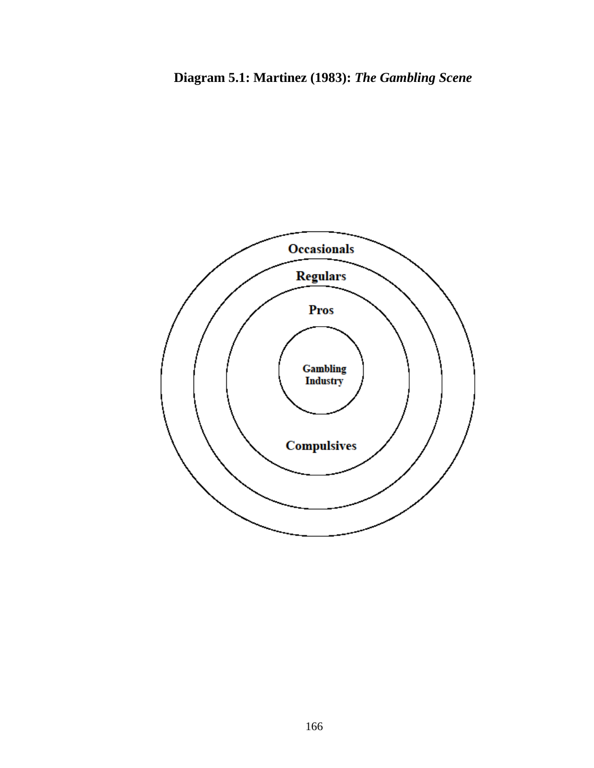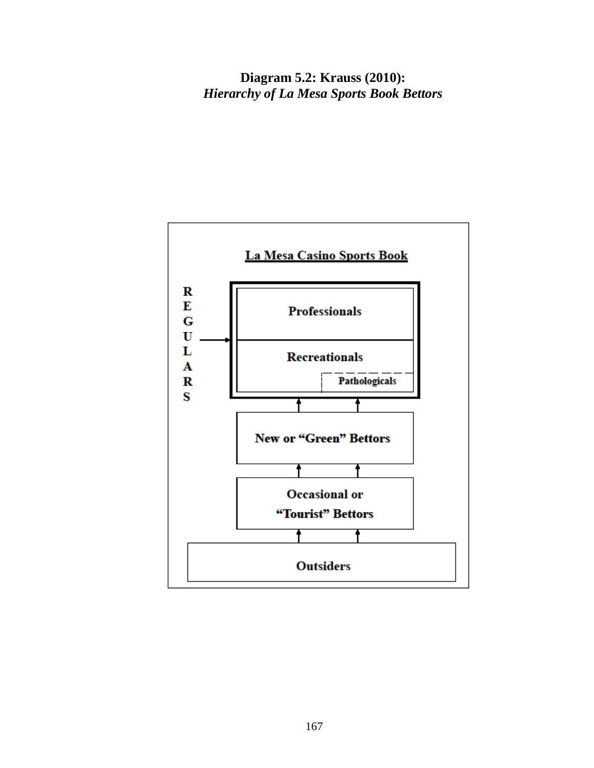**Diagram 5.2: Krauss (2010):**  *Hierarchy of La Mesa Sports Book Bettors*

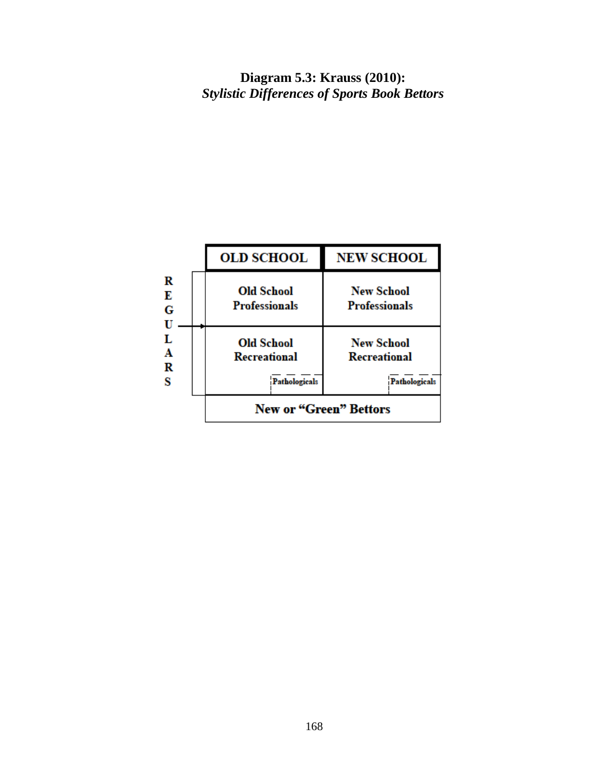**Diagram 5.3: Krauss (2010):**  *Stylistic Differences of Sports Book Bettors*

|                                      | <b>OLD SCHOOL</b>                                  | <b>NEW SCHOOL</b>                                  |  |
|--------------------------------------|----------------------------------------------------|----------------------------------------------------|--|
| R<br>Е<br>G<br>U<br>L<br>A<br>R<br>s | <b>Old School</b><br><b>Professionals</b>          | <b>New School</b><br><b>Professionals</b>          |  |
|                                      | <b>Old School</b><br>Recreational<br>Pathologicals | <b>New School</b><br>Recreational<br>Pathologicals |  |
|                                      | <b>New or "Green" Bettors</b>                      |                                                    |  |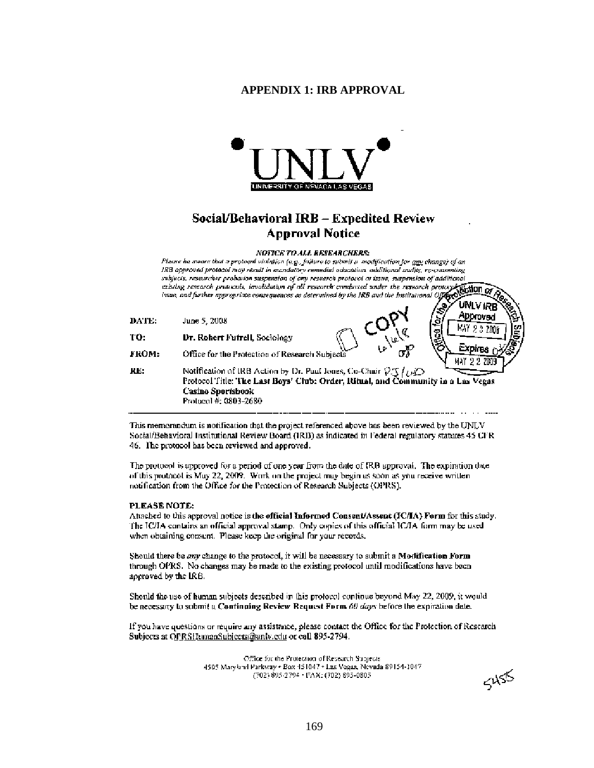## **APPENDIX 1: IRB APPROVAL**



# Social/Behavioral IRB - Expedited Review **Approval Notice**

**NOTICE TO ALL RESEARCHERS:** 

Please he meare that a protocol violation (e.g., failure to submit a -modification for  $g_{\underline{p}\underline{p}}$  change) of an IRB approved protocol may result in mandatory remedial education, additional audits, re-conventing subjects, researcher probation suspension of ony research protocol or issue, suspension of additional suggests, research proteinor suspension by ony research protocol of usine, suspension of administrational conditions of the research protocol. **Without or** existing research protocol. **Without or** existing research protoc

| DATE: | June 5, 2008                                                                                                                                                                                                                         |                              | Abbrover <sup>1</sup><br>'ছ |
|-------|--------------------------------------------------------------------------------------------------------------------------------------------------------------------------------------------------------------------------------------|------------------------------|-----------------------------|
| TO:   | Dr. Robert Futrell, Sociology                                                                                                                                                                                                        | w                            | g<br>e<br>S                 |
| нком: | Office for the Protection of Research Subjects                                                                                                                                                                                       | $\sigma^{\mathcal{C}}$<br>Ł۴ |                             |
| KE:   | Notification of IRB Action by Dr. Puul Iones, Co-Chuir $\mathcal{P}\mathcal{J}\{\omega\mathcal{D}$<br>Protocol Title: The Last Boys' Club: Order, Ritual, and Community in a Las Vegas<br>Casino Sportsbook<br>Protocol #: 0803-2680 |                              |                             |

This memorandum is notification that the project referenced above has been reviewed by the UNLV Social/Behavioral Institutional Review Board (IRB) as indicated in Federal regulatory statures 45 CFR 46. The protocol has been reviewed and approved.

The protocol is approved for a period of one year from the date of IRB approval. The expiration date of this protocol is May 22, 2009. Work on the project may begin as soon as you receive written notification from the Office for the Protection of Research Subjects (OPRS).

#### PLEASE NOTE:

Attached to this approval notice is the official Informed Consent/Assent (IC/IA) Form for this study. The IC/IA contains an official approval stamp. Only copies of this official IC/IA form may be used when obtaining consent. Please keep the original for your records.

Should there be any change to the protocol, it will be necessary to submit a Modification Form through OPRS. No changes may be made to the existing protocol until modifications have been approved by the IRB.

Should the use of human subjects described in this protocol continue beyond May 22, 2009, it would be necessary to sobmit a Continuing Review Request Form 60 days before the expiration date.

If you have questions or require any assistance, please contact the Office for the Protection of Research Subjects at OPRSHumanSubjects@unlv.edu or call 895-2794.

> Office for the Protection of Research Subjects. 4505 Maryland Parkway . Box 151047 . Las Vegas, Nevada 89154-2047 (702) 895-2794 · FAX: (702) 895-0805

 $5455$ 

UNLV IRB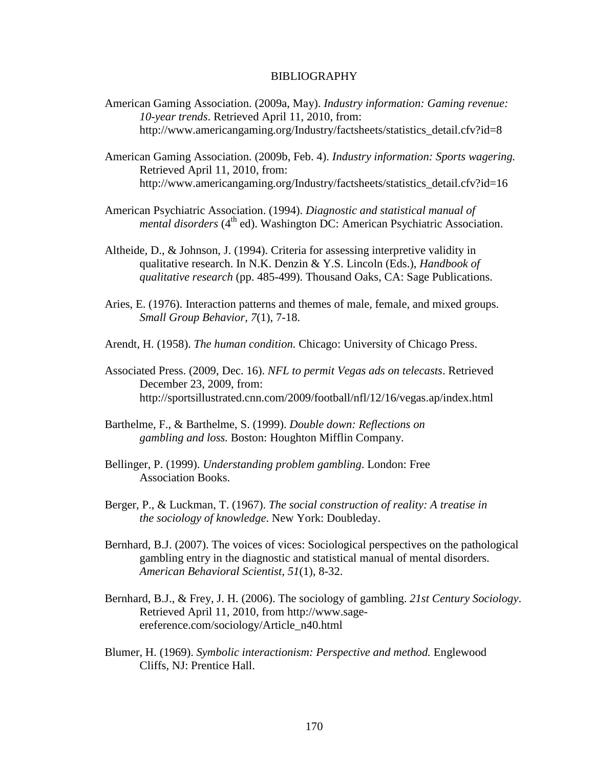# BIBLIOGRAPHY

- American Gaming Association. (2009a, May). *Industry information: Gaming revenue: 10-year trends*. Retrieved April 11, 2010, from: http://www.americangaming.org/Industry/factsheets/statistics\_detail.cfv?id=8
- American Gaming Association. (2009b, Feb. 4). *Industry information: Sports wagering.* Retrieved April 11, 2010, from: http://www.americangaming.org/Industry/factsheets/statistics\_detail.cfv?id=16
- American Psychiatric Association. (1994). *Diagnostic and statistical manual of mental disorders* (4<sup>th</sup> ed). Washington DC: American Psychiatric Association.
- Altheide, D., & Johnson, J. (1994). Criteria for assessing interpretive validity in qualitative research. In N.K. Denzin & Y.S. Lincoln (Eds.), *Handbook of qualitative research* (pp. 485-499). Thousand Oaks, CA: Sage Publications.
- Aries, E. (1976). Interaction patterns and themes of male, female, and mixed groups. *Small Group Behavior, 7*(1), 7-18.
- Arendt, H. (1958). *The human condition.* Chicago: University of Chicago Press.
- Associated Press. (2009, Dec. 16). *NFL to permit Vegas ads on telecasts*. Retrieved December 23, 2009, from: http://sportsillustrated.cnn.com/2009/football/nfl/12/16/vegas.ap/index.html
- Barthelme, F., & Barthelme, S. (1999). *Double down: Reflections on gambling and loss.* Boston: Houghton Mifflin Company.
- Bellinger, P. (1999). *Understanding problem gambling*. London: Free Association Books.
- Berger, P., & Luckman, T. (1967). *The social construction of reality: A treatise in the sociology of knowledge*. New York: Doubleday.
- Bernhard, B.J. (2007). The voices of vices: Sociological perspectives on the pathological gambling entry in the diagnostic and statistical manual of mental disorders. *American Behavioral Scientist, 51*(1), 8-32.
- Bernhard, B.J., & Frey, J. H. (2006). The sociology of gambling. *21st Century Sociology*. Retrieved April 11, 2010, from http://www.sageereference.com/sociology/Article\_n40.html
- Blumer, H. (1969). *Symbolic interactionism: Perspective and method.* Englewood Cliffs, NJ: Prentice Hall.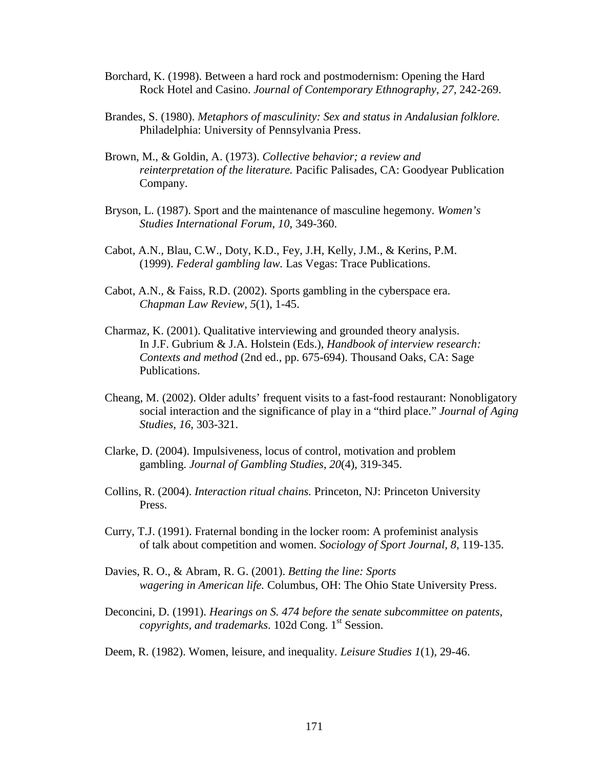- Borchard, K. (1998). Between a hard rock and postmodernism: Opening the Hard Rock Hotel and Casino. *Journal of Contemporary Ethnography*, *27*, 242-269.
- Brandes, S. (1980). *Metaphors of masculinity: Sex and status in Andalusian folklore.*  Philadelphia: University of Pennsylvania Press.
- Brown, M., & Goldin, A. (1973). *Collective behavior; a review and reinterpretation of the literature.* Pacific Palisades, CA: Goodyear Publication Company.
- Bryson, L. (1987). Sport and the maintenance of masculine hegemony. *Women's Studies International Forum*, *10*, 349-360.
- Cabot, A.N., Blau, C.W., Doty, K.D., Fey, J.H, Kelly, J.M., & Kerins, P.M. (1999). *Federal gambling law.* Las Vegas: Trace Publications.
- Cabot, A.N., & Faiss, R.D. (2002). Sports gambling in the cyberspace era. *Chapman Law Review*, *5*(1), 1-45.
- Charmaz, K. (2001). Qualitative interviewing and grounded theory analysis. In J.F. Gubrium & J.A. Holstein (Eds.), *Handbook of interview research: Contexts and method* (2nd ed., pp. 675-694). Thousand Oaks, CA: Sage Publications.
- Cheang, M. (2002). Older adults' frequent visits to a fast-food restaurant: Nonobligatory social interaction and the significance of play in a "third place." *Journal of Aging Studies, 16,* 303-321.
- Clarke, D. (2004). Impulsiveness, locus of control, motivation and problem gambling. *Journal of Gambling Studies*, *20*(4), 319-345.
- Collins, R. (2004). *Interaction ritual chains.* Princeton, NJ: Princeton University Press.
- Curry, T.J. (1991). Fraternal bonding in the locker room: A profeminist analysis of talk about competition and women. *Sociology of Sport Journal, 8*, 119-135.
- Davies, R. O., & Abram, R. G. (2001). *Betting the line: Sports wagering in American life.* Columbus, OH: The Ohio State University Press.
- Deconcini, D. (1991). *Hearings on S. 474 before the senate subcommittee on patents, copyrights, and trademarks.* 102d Cong. 1<sup>st</sup> Session.
- Deem, R. (1982). Women, leisure, and inequality. *Leisure Studies 1*(1), 29-46.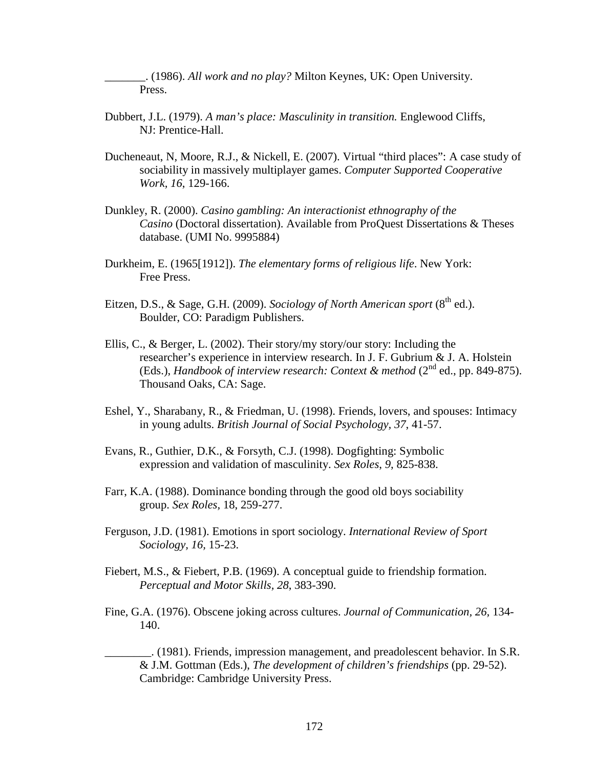\_\_\_\_\_\_\_. (1986). *All work and no play?* Milton Keynes, UK: Open University. Press.

- Dubbert, J.L. (1979). *A man's place: Masculinity in transition.* Englewood Cliffs, NJ: Prentice-Hall.
- Ducheneaut, N, Moore, R.J., & Nickell, E. (2007). Virtual "third places": A case study of sociability in massively multiplayer games. *Computer Supported Cooperative Work, 16*, 129-166.
- Dunkley, R. (2000). *Casino gambling: An interactionist ethnography of the Casino* (Doctoral dissertation). Available from ProQuest Dissertations & Theses database. (UMI No. 9995884)
- Durkheim, E. (1965[1912]). *The elementary forms of religious life*. New York: Free Press.
- Eitzen, D.S., & Sage, G.H. (2009). *Sociology of North American sport* (8<sup>th</sup> ed.). Boulder, CO: Paradigm Publishers.
- Ellis, C., & Berger, L. (2002). Their story/my story/our story: Including the researcher's experience in interview research. In J. F. Gubrium & J. A. Holstein (Eds.), *Handbook of interview research: Context & method* (2<sup>nd</sup> ed., pp. 849-875). Thousand Oaks, CA: Sage.
- Eshel, Y., Sharabany, R., & Friedman, U. (1998). Friends, lovers, and spouses: Intimacy in young adults. *British Journal of Social Psychology, 37*, 41-57.
- Evans, R., Guthier, D.K., & Forsyth, C.J. (1998). Dogfighting: Symbolic expression and validation of masculinity. *Sex Roles*, *9*, 825-838.
- Farr, K.A. (1988). Dominance bonding through the good old boys sociability group. *Sex Roles,* 18, 259-277.
- Ferguson, J.D. (1981). Emotions in sport sociology. *International Review of Sport Sociology, 16,* 15-23.
- Fiebert, M.S., & Fiebert, P.B. (1969). A conceptual guide to friendship formation. *Perceptual and Motor Skills, 28*, 383-390.
- Fine, G.A. (1976). Obscene joking across cultures. *Journal of Communication, 26,* 134- 140.

\_\_\_\_\_\_\_\_. (1981). Friends, impression management, and preadolescent behavior. In S.R. & J.M. Gottman (Eds.), *The development of children's friendships* (pp. 29-52). Cambridge: Cambridge University Press.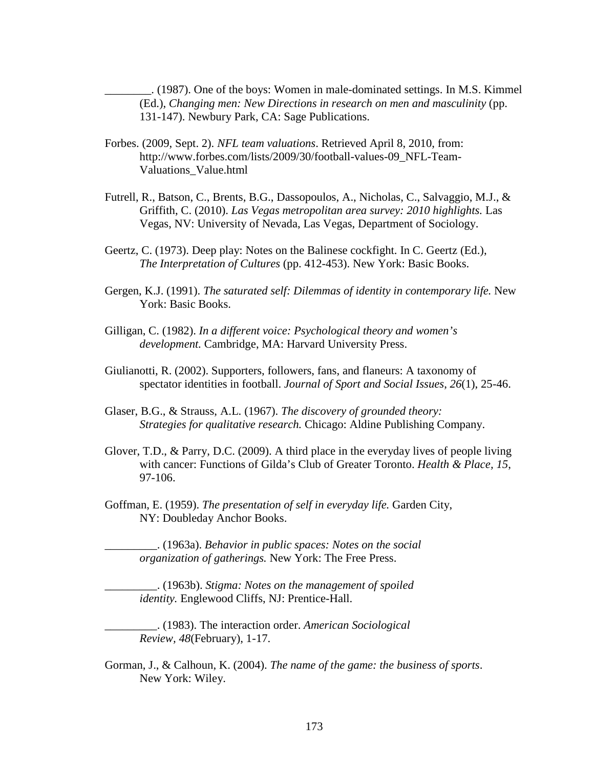\_\_\_\_\_\_\_\_. (1987). One of the boys: Women in male-dominated settings. In M.S. Kimmel (Ed.), *Changing men: New Directions in research on men and masculinity* (pp. 131-147). Newbury Park, CA: Sage Publications.

- Forbes. (2009, Sept. 2). *NFL team valuations*. Retrieved April 8, 2010, from: http://www.forbes.com/lists/2009/30/football-values-09\_NFL-Team-Valuations\_Value.html
- Futrell, R., Batson, C., Brents, B.G., Dassopoulos, A., Nicholas, C., Salvaggio, M.J., & Griffith, C. (2010). *Las Vegas metropolitan area survey: 2010 highlights.* Las Vegas, NV: University of Nevada, Las Vegas, Department of Sociology.
- Geertz, C. (1973). Deep play: Notes on the Balinese cockfight. In C. Geertz (Ed.), *The Interpretation of Cultures* (pp. 412-453). New York: Basic Books.
- Gergen, K.J. (1991). *The saturated self: Dilemmas of identity in contemporary life.* New York: Basic Books.
- Gilligan, C. (1982). *In a different voice: Psychological theory and women's development.* Cambridge, MA: Harvard University Press.
- Giulianotti, R. (2002). Supporters, followers, fans, and flaneurs: A taxonomy of spectator identities in football. *Journal of Sport and Social Issues*, *26*(1), 25-46.
- Glaser, B.G., & Strauss, A.L. (1967). *The discovery of grounded theory: Strategies for qualitative research.* Chicago: Aldine Publishing Company.
- Glover, T.D., & Parry, D.C. (2009). A third place in the everyday lives of people living with cancer: Functions of Gilda's Club of Greater Toronto. *Health & Place, 15*, 97-106.
- Goffman, E. (1959). *The presentation of self in everyday life.* Garden City, NY: Doubleday Anchor Books.

\_\_\_\_\_\_\_\_\_. (1963a). *Behavior in public spaces: Notes on the social organization of gatherings.* New York: The Free Press.

\_\_\_\_\_\_\_\_\_. (1963b). *Stigma: Notes on the management of spoiled identity.* Englewood Cliffs, NJ: Prentice-Hall.

\_\_\_\_\_\_\_\_\_. (1983). The interaction order. *American Sociological Review, 48*(February), 1-17.

Gorman, J., & Calhoun, K. (2004). *The name of the game: the business of sports*. New York: Wiley.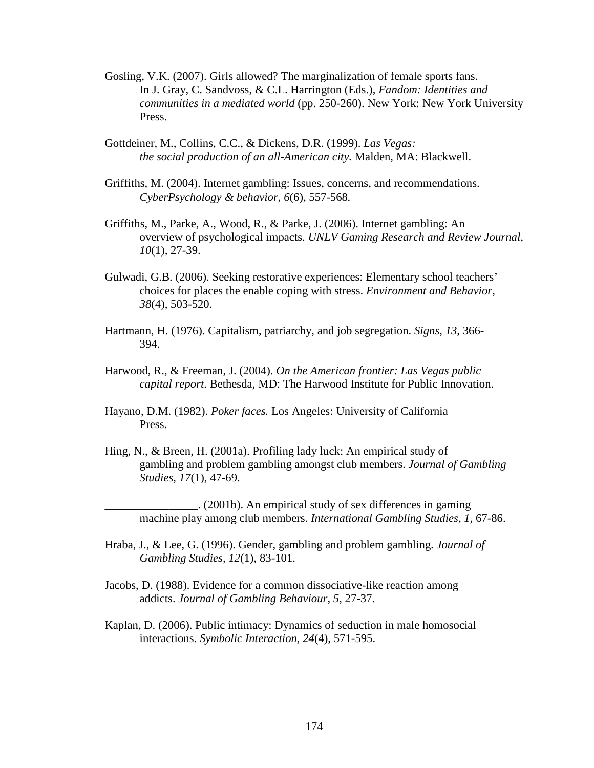- Gosling, V.K. (2007). Girls allowed? The marginalization of female sports fans. In J. Gray, C. Sandvoss, & C.L. Harrington (Eds.), *Fandom: Identities and communities in a mediated world* (pp. 250-260). New York: New York University Press.
- Gottdeiner, M., Collins, C.C., & Dickens, D.R. (1999). *Las Vegas: the social production of an all-American city.* Malden, MA: Blackwell.
- Griffiths, M. (2004). Internet gambling: Issues, concerns, and recommendations. *CyberPsychology & behavior*, *6*(6), 557-568*.*
- Griffiths, M., Parke, A., Wood, R., & Parke, J. (2006). Internet gambling: An overview of psychological impacts. *UNLV Gaming Research and Review Journal*, *10*(1), 27-39.
- Gulwadi, G.B. (2006). Seeking restorative experiences: Elementary school teachers' choices for places the enable coping with stress. *Environment and Behavior, 38*(4), 503-520.
- Hartmann, H. (1976). Capitalism, patriarchy, and job segregation. *Signs, 13*, 366- 394.
- Harwood, R., & Freeman, J. (2004). *On the American frontier: Las Vegas public capital report*. Bethesda, MD: The Harwood Institute for Public Innovation.
- Hayano, D.M. (1982). *Poker faces.* Los Angeles: University of California Press.
- Hing, N., & Breen, H. (2001a). Profiling lady luck: An empirical study of gambling and problem gambling amongst club members. *Journal of Gambling Studies, 17*(1), 47-69.

\_\_\_\_\_\_\_\_\_\_\_\_\_\_\_\_. (2001b). An empirical study of sex differences in gaming machine play among club members. *International Gambling Studies, 1,* 67-86.

- Hraba, J., & Lee, G. (1996). Gender, gambling and problem gambling. *Journal of Gambling Studies, 12*(1), 83-101.
- Jacobs, D. (1988). Evidence for a common dissociative-like reaction among addicts. *Journal of Gambling Behaviour, 5*, 27-37.
- Kaplan, D. (2006). Public intimacy: Dynamics of seduction in male homosocial interactions. *Symbolic Interaction, 24*(4), 571-595.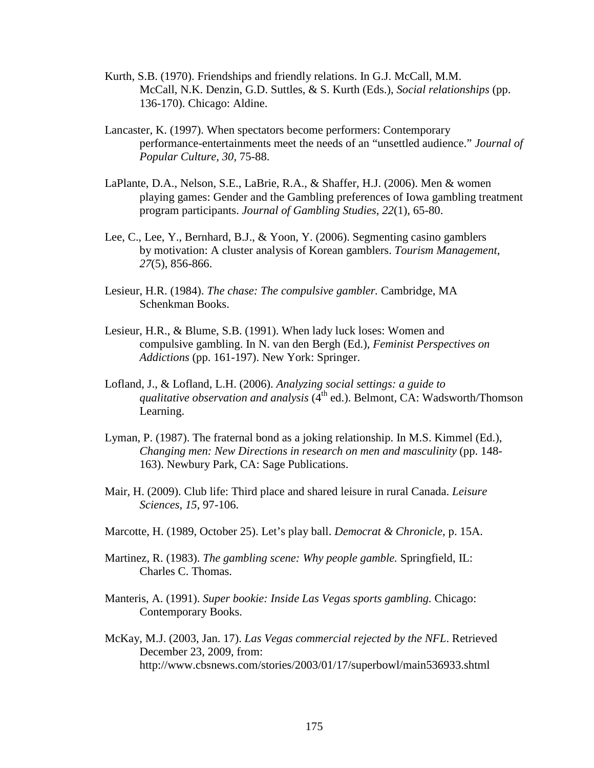- Kurth, S.B. (1970). Friendships and friendly relations. In G.J. McCall, M.M. McCall, N.K. Denzin, G.D. Suttles, & S. Kurth (Eds.), *Social relationships* (pp. 136-170). Chicago: Aldine.
- Lancaster, K. (1997). When spectators become performers: Contemporary performance-entertainments meet the needs of an "unsettled audience." *Journal of Popular Culture, 30,* 75-88.
- LaPlante, D.A., Nelson, S.E., LaBrie, R.A., & Shaffer, H.J. (2006). Men & women playing games: Gender and the Gambling preferences of Iowa gambling treatment program participants. *Journal of Gambling Studies*, *22*(1), 65-80.
- Lee, C., Lee, Y., Bernhard, B.J., & Yoon, Y. (2006). Segmenting casino gamblers by motivation: A cluster analysis of Korean gamblers. *Tourism Management*, *27*(5), 856-866.
- Lesieur, H.R. (1984). *The chase: The compulsive gambler.* Cambridge, MA Schenkman Books.
- Lesieur, H.R., & Blume, S.B. (1991). When lady luck loses: Women and compulsive gambling. In N. van den Bergh (Ed.), *Feminist Perspectives on Addictions* (pp. 161-197). New York: Springer.
- Lofland, J., & Lofland, L.H. (2006). *Analyzing social settings: a guide to qualitative observation and analysis* (4<sup>th</sup> ed.). Belmont, CA: Wadsworth/Thomson Learning.
- Lyman, P. (1987). The fraternal bond as a joking relationship. In M.S. Kimmel (Ed.), *Changing men: New Directions in research on men and masculinity* (pp. 148- 163). Newbury Park, CA: Sage Publications.
- Mair, H. (2009). Club life: Third place and shared leisure in rural Canada. *Leisure Sciences, 15*, 97-106.
- Marcotte, H. (1989, October 25). Let's play ball. *Democrat & Chronicle,* p. 15A.
- Martinez, R. (1983). *The gambling scene: Why people gamble.* Springfield, IL: Charles C. Thomas.
- Manteris, A. (1991). *Super bookie: Inside Las Vegas sports gambling.* Chicago: Contemporary Books.
- McKay, M.J. (2003, Jan. 17). *Las Vegas commercial rejected by the NFL*. Retrieved December 23, 2009, from: http://www.cbsnews.com/stories/2003/01/17/superbowl/main536933.shtml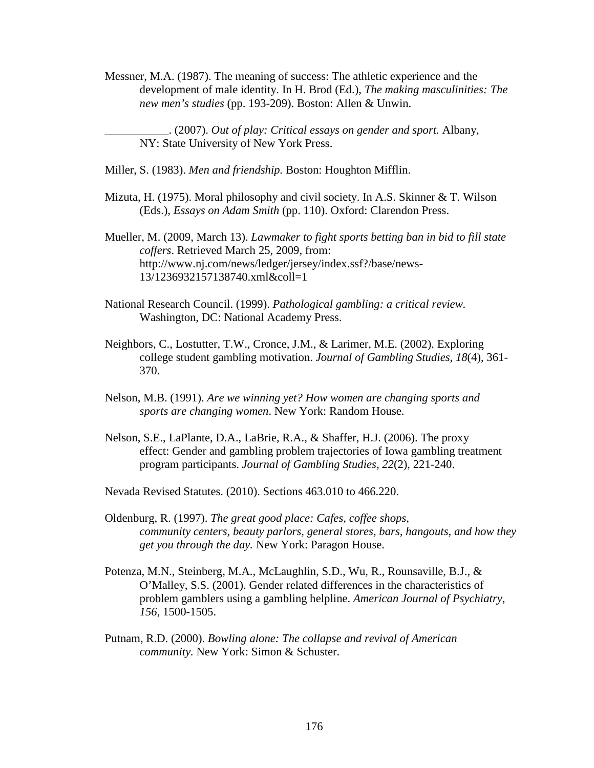Messner, M.A. (1987). The meaning of success: The athletic experience and the development of male identity. In H. Brod (Ed.), *The making masculinities: The new men's studies* (pp. 193-209). Boston: Allen & Unwin.

\_\_\_\_\_\_\_\_\_\_\_. (2007). *Out of play: Critical essays on gender and sport.* Albany, NY: State University of New York Press.

Miller, S. (1983). *Men and friendship.* Boston: Houghton Mifflin.

Mizuta, H. (1975). Moral philosophy and civil society. In A.S. Skinner & T. Wilson (Eds.), *Essays on Adam Smith* (pp. 110). Oxford: Clarendon Press.

Mueller, M. (2009, March 13). *Lawmaker to fight sports betting ban in bid to fill state coffers*. Retrieved March 25, 2009, from: http://www.nj.com/news/ledger/jersey/index.ssf?/base/news-13/1236932157138740.xml&coll=1

- National Research Council. (1999). *Pathological gambling: a critical review.* Washington, DC: National Academy Press.
- Neighbors, C., Lostutter, T.W., Cronce, J.M., & Larimer, M.E. (2002). Exploring college student gambling motivation. *Journal of Gambling Studies*, *18*(4), 361- 370.
- Nelson, M.B. (1991). *Are we winning yet? How women are changing sports and sports are changing women*. New York: Random House.
- Nelson, S.E., LaPlante, D.A., LaBrie, R.A., & Shaffer, H.J. (2006). The proxy effect: Gender and gambling problem trajectories of Iowa gambling treatment program participants. *Journal of Gambling Studies, 22*(2), 221-240.

Nevada Revised Statutes. (2010). Sections 463.010 to 466.220.

- Oldenburg, R. (1997). *The great good place: Cafes, coffee shops, community centers, beauty parlors, general stores, bars, hangouts, and how they get you through the day.* New York: Paragon House.
- Potenza, M.N., Steinberg, M.A., McLaughlin, S.D., Wu, R., Rounsaville, B.J., & O'Malley, S.S. (2001). Gender related differences in the characteristics of problem gamblers using a gambling helpline. *American Journal of Psychiatry*, *156*, 1500-1505.
- Putnam, R.D. (2000). *Bowling alone: The collapse and revival of American community.* New York: Simon & Schuster.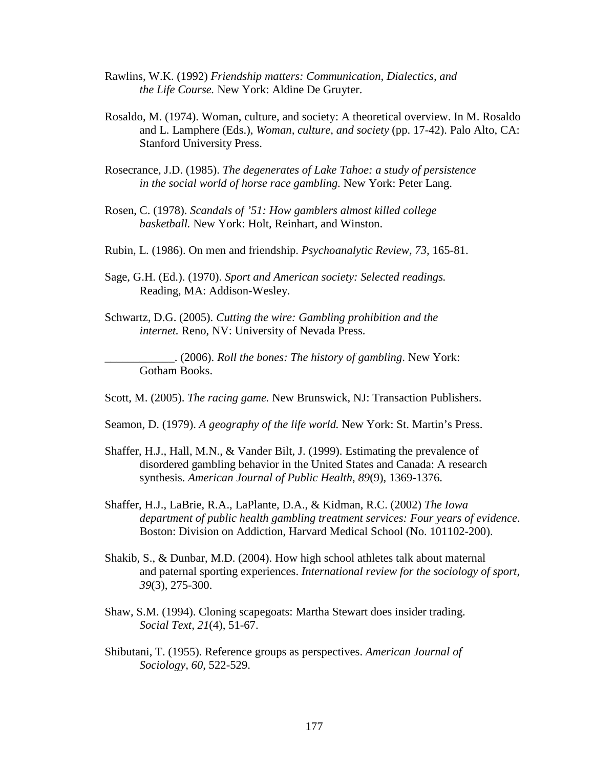- Rawlins, W.K. (1992) *Friendship matters: Communication, Dialectics, and the Life Course.* New York: Aldine De Gruyter.
- Rosaldo, M. (1974). Woman, culture, and society: A theoretical overview. In M. Rosaldo and L. Lamphere (Eds.), *Woman, culture, and society* (pp. 17-42). Palo Alto, CA: Stanford University Press.
- Rosecrance, J.D. (1985). *The degenerates of Lake Tahoe: a study of persistence in the social world of horse race gambling.* New York: Peter Lang.
- Rosen, C. (1978). *Scandals of '51: How gamblers almost killed college basketball.* New York: Holt, Reinhart, and Winston.
- Rubin, L. (1986). On men and friendship. *Psychoanalytic Review, 73,* 165-81.
- Sage, G.H. (Ed.). (1970). *Sport and American society: Selected readings.*  Reading, MA: Addison-Wesley.
- Schwartz, D.G. (2005). *Cutting the wire: Gambling prohibition and the internet.* Reno, NV: University of Nevada Press.

\_\_\_\_\_\_\_\_\_\_\_\_. (2006). *Roll the bones: The history of gambling*. New York: Gotham Books.

- Scott, M. (2005). *The racing game.* New Brunswick, NJ: Transaction Publishers.
- Seamon, D. (1979). *A geography of the life world.* New York: St. Martin's Press.
- Shaffer, H.J., Hall, M.N., & Vander Bilt, J. (1999). Estimating the prevalence of disordered gambling behavior in the United States and Canada: A research synthesis. *American Journal of Public Health*, *89*(9), 1369-1376.
- Shaffer, H.J., LaBrie, R.A., LaPlante, D.A., & Kidman, R.C. (2002) *The Iowa department of public health gambling treatment services: Four years of evidence*. Boston: Division on Addiction, Harvard Medical School (No. 101102-200).
- Shakib, S., & Dunbar, M.D. (2004). How high school athletes talk about maternal and paternal sporting experiences. *International review for the sociology of sport, 39*(3), 275-300.
- Shaw, S.M. (1994). Cloning scapegoats: Martha Stewart does insider trading. *Social Text, 21*(4), 51-67.
- Shibutani, T. (1955). Reference groups as perspectives. *American Journal of Sociology, 60*, 522-529.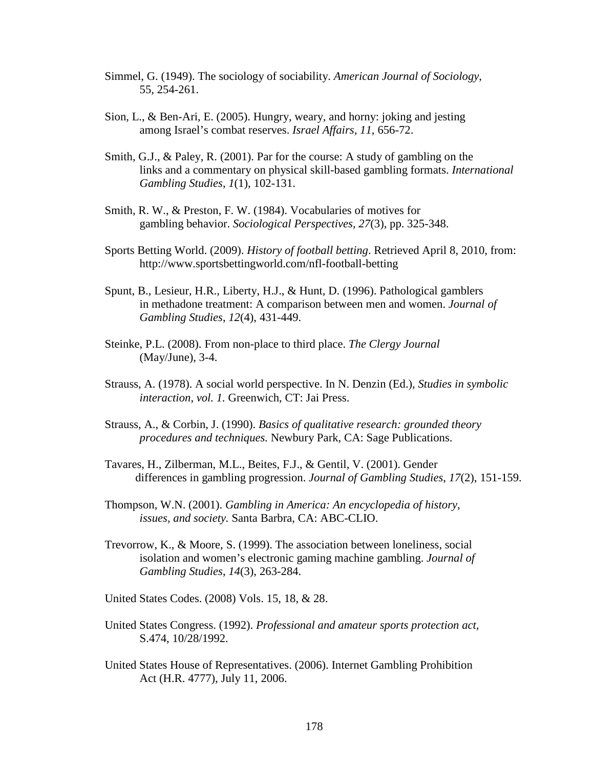- Simmel, G. (1949). The sociology of sociability. *American Journal of Sociology*, 55*,* 254-261.
- Sion, L., & Ben-Ari, E. (2005). Hungry, weary, and horny: joking and jesting among Israel's combat reserves. *Israel Affairs, 11*, 656-72.
- Smith, G.J., & Paley, R. (2001). Par for the course: A study of gambling on the links and a commentary on physical skill-based gambling formats. *International Gambling Studies*, *1*(1), 102-131.
- Smith, R. W., & Preston, F. W. (1984). Vocabularies of motives for gambling behavior. *Sociological Perspectives, 27*(3), pp. 325-348.
- Sports Betting World. (2009). *History of football betting*. Retrieved April 8, 2010, from: http://www.sportsbettingworld.com/nfl-football-betting
- Spunt, B., Lesieur, H.R., Liberty, H.J., & Hunt, D. (1996). Pathological gamblers in methadone treatment: A comparison between men and women. *Journal of Gambling Studies*, *12*(4), 431-449.
- Steinke, P.L. (2008). From non-place to third place. *The Clergy Journal* (May/June), 3-4.
- Strauss, A. (1978). A social world perspective. In N. Denzin (Ed.), *Studies in symbolic interaction, vol. 1.* Greenwich, CT: Jai Press.
- Strauss, A., & Corbin, J. (1990). *Basics of qualitative research: grounded theory procedures and techniques.* Newbury Park, CA: Sage Publications.
- Tavares, H., Zilberman, M.L., Beites, F.J., & Gentil, V. (2001). Gender differences in gambling progression. *Journal of Gambling Studies*, *17*(2), 151-159.
- Thompson, W.N. (2001). *Gambling in America: An encyclopedia of history, issues, and society.* Santa Barbra, CA: ABC-CLIO.
- Trevorrow, K., & Moore, S. (1999). The association between loneliness, social isolation and women's electronic gaming machine gambling. *Journal of Gambling Studies*, *14*(3), 263-284.
- United States Codes. (2008) Vols. 15, 18, & 28.
- United States Congress. (1992). *Professional and amateur sports protection act,* S.474, 10/28/1992.
- United States House of Representatives. (2006). Internet Gambling Prohibition Act (H.R. 4777), July 11, 2006.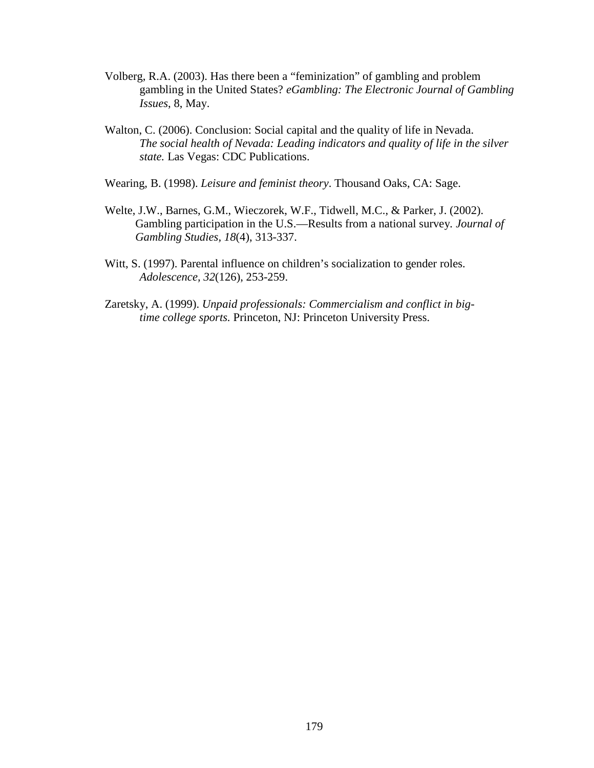- Volberg, R.A. (2003). Has there been a "feminization" of gambling and problem gambling in the United States? *eGambling: The Electronic Journal of Gambling Issues*, 8, May.
- Walton, C. (2006). Conclusion: Social capital and the quality of life in Nevada. *The social health of Nevada: Leading indicators and quality of life in the silver state.* Las Vegas: CDC Publications.
- Wearing, B. (1998). *Leisure and feminist theory*. Thousand Oaks, CA: Sage.
- Welte, J.W., Barnes, G.M., Wieczorek, W.F., Tidwell, M.C., & Parker, J. (2002). Gambling participation in the U.S.—Results from a national survey*. Journal of Gambling Studies, 18*(4), 313-337.
- Witt, S. (1997). Parental influence on children's socialization to gender roles. *Adolescence, 32*(126), 253-259.
- Zaretsky, A. (1999). *Unpaid professionals: Commercialism and conflict in bigtime college sports.* Princeton, NJ: Princeton University Press.